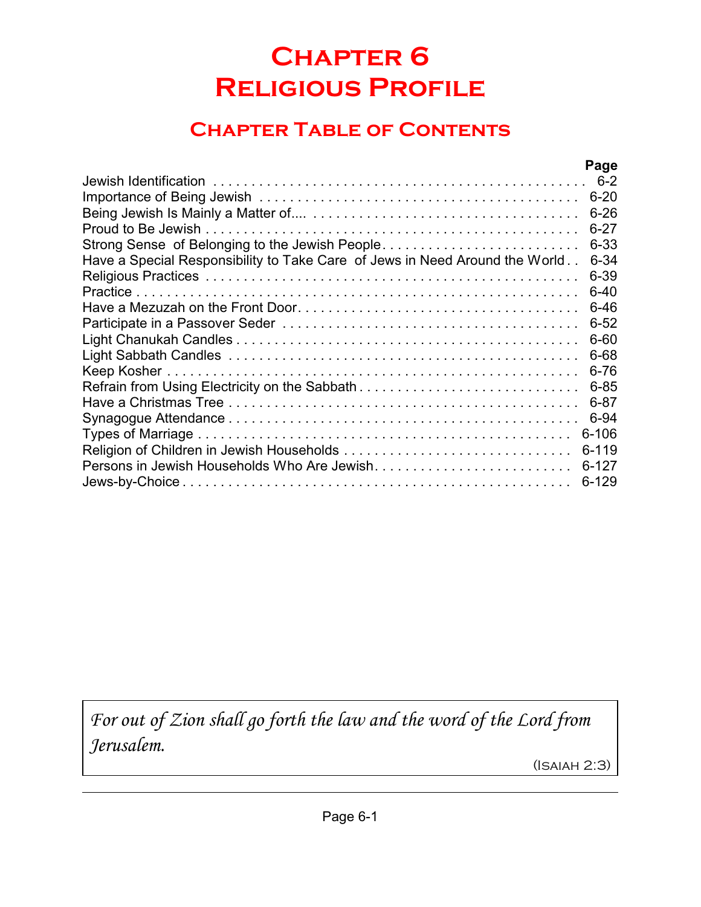# **Chapter 6 Religious Profile**

## **Chapter Table of Contents**

|                                                                             | Page      |
|-----------------------------------------------------------------------------|-----------|
|                                                                             |           |
|                                                                             |           |
|                                                                             | $6 - 26$  |
|                                                                             | $6 - 27$  |
| Strong Sense of Belonging to the Jewish People                              | $6 - 33$  |
| Have a Special Responsibility to Take Care of Jews in Need Around the World | $6 - 34$  |
|                                                                             | 6-39      |
|                                                                             | $6 - 40$  |
|                                                                             | $6 - 46$  |
|                                                                             | $6 - 52$  |
|                                                                             | 6-60      |
|                                                                             | 6-68      |
|                                                                             | $6 - 76$  |
|                                                                             | $6 - 85$  |
|                                                                             | $6 - 87$  |
|                                                                             | 6-94      |
|                                                                             | $6 - 106$ |
|                                                                             | 6-119     |
| Persons in Jewish Households Who Are Jewish                                 | $6 - 127$ |
|                                                                             | $6 - 129$ |

*For out of Zion shall go forth the law and the word of the Lord from Jerusalem.*

(Isaiah 2:3)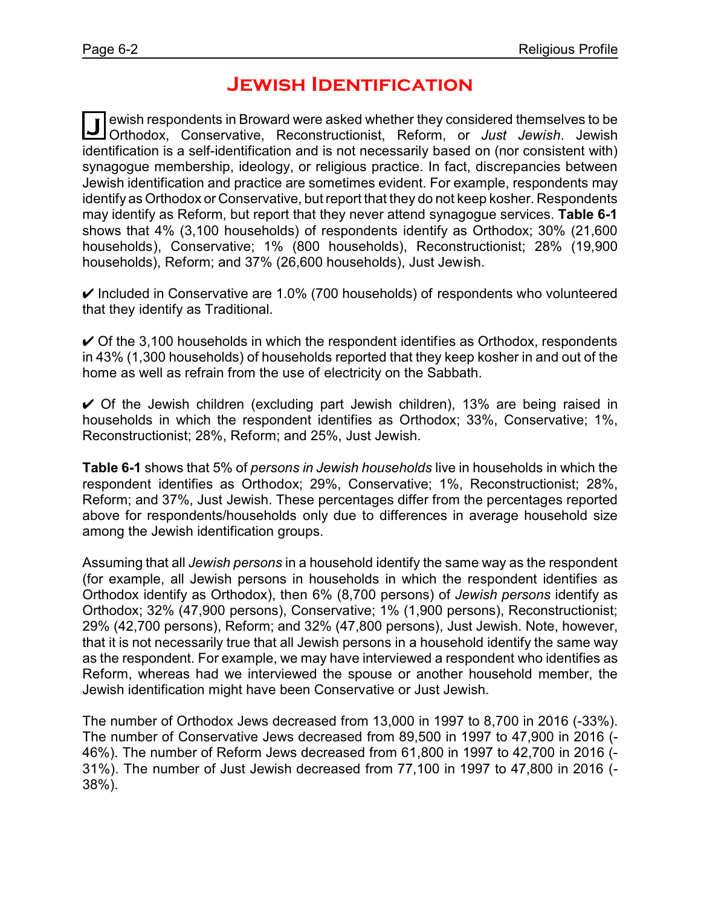### **Jewish Identification**

**J** Orthodox, Conservative, Reconstructionist, Reform, or *Just Jewish*. Jewish ewish respondents in Broward were asked whether they considered themselves to be identification is a self-identification and is not necessarily based on (nor consistent with) synagogue membership, ideology, or religious practice. In fact, discrepancies between Jewish identification and practice are sometimes evident. For example, respondents may identify as Orthodox or Conservative, but report that they do not keep kosher. Respondents may identify as Reform, but report that they never attend synagogue services. **Table 6-1** shows that 4% (3,100 households) of respondents identify as Orthodox; 30% (21,600 households), Conservative; 1% (800 households), Reconstructionist; 28% (19,900 households), Reform; and 37% (26,600 households), Just Jewish.

 $\vee$  Included in Conservative are 1.0% (700 households) of respondents who volunteered that they identify as Traditional.

 $\vee$  Of the 3,100 households in which the respondent identifies as Orthodox, respondents in 43% (1,300 households) of households reported that they keep kosher in and out of the home as well as refrain from the use of electricity on the Sabbath.

 $\vee$  Of the Jewish children (excluding part Jewish children), 13% are being raised in households in which the respondent identifies as Orthodox; 33%, Conservative; 1%, Reconstructionist; 28%, Reform; and 25%, Just Jewish.

**Table 6-1** shows that 5% of *persons in Jewish households* live in households in which the respondent identifies as Orthodox; 29%, Conservative; 1%, Reconstructionist; 28%, Reform; and 37%, Just Jewish. These percentages differ from the percentages reported above for respondents/households only due to differences in average household size among the Jewish identification groups.

Assuming that all *Jewish persons* in a household identify the same way as the respondent (for example, all Jewish persons in households in which the respondent identifies as Orthodox identify as Orthodox), then 6% (8,700 persons) of *Jewish persons* identify as Orthodox; 32% (47,900 persons), Conservative; 1% (1,900 persons), Reconstructionist; 29% (42,700 persons), Reform; and 32% (47,800 persons), Just Jewish. Note, however, that it is not necessarily true that all Jewish persons in a household identify the same way as the respondent. For example, we may have interviewed a respondent who identifies as Reform, whereas had we interviewed the spouse or another household member, the Jewish identification might have been Conservative or Just Jewish.

The number of Orthodox Jews decreased from 13,000 in 1997 to 8,700 in 2016 (-33%). The number of Conservative Jews decreased from 89,500 in 1997 to 47,900 in 2016 (- 46%). The number of Reform Jews decreased from 61,800 in 1997 to 42,700 in 2016 (- 31%). The number of Just Jewish decreased from 77,100 in 1997 to 47,800 in 2016 (- 38%).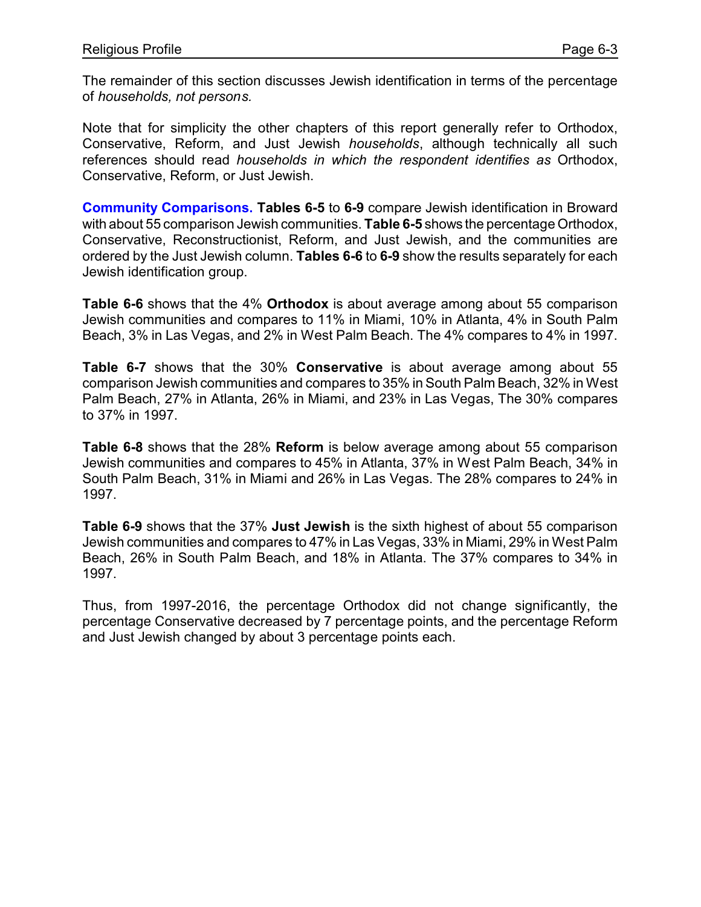The remainder of this section discusses Jewish identification in terms of the percentage of *households, not persons.*

Note that for simplicity the other chapters of this report generally refer to Orthodox, Conservative, Reform, and Just Jewish *households*, although technically all such references should read *households in which the respondent identifies as* Orthodox, Conservative, Reform, or Just Jewish.

**Community Comparisons. Tables 6-5** to **6-9** compare Jewish identification in Broward with about 55 comparison Jewish communities. **Table 6-5** shows the percentage Orthodox, Conservative, Reconstructionist, Reform, and Just Jewish, and the communities are ordered by the Just Jewish column. **Tables 6-6** to **6-9** show the results separately for each Jewish identification group.

**Table 6-6** shows that the 4% **Orthodox** is about average among about 55 comparison Jewish communities and compares to 11% in Miami, 10% in Atlanta, 4% in South Palm Beach, 3% in Las Vegas, and 2% in West Palm Beach. The 4% compares to 4% in 1997.

**Table 6-7** shows that the 30% **Conservative** is about average among about 55 comparison Jewish communities and compares to 35% in South Palm Beach, 32% in West Palm Beach, 27% in Atlanta, 26% in Miami, and 23% in Las Vegas, The 30% compares to 37% in 1997.

**Table 6-8** shows that the 28% **Reform** is below average among about 55 comparison Jewish communities and compares to 45% in Atlanta, 37% in West Palm Beach, 34% in South Palm Beach, 31% in Miami and 26% in Las Vegas. The 28% compares to 24% in 1997.

**Table 6-9** shows that the 37% **Just Jewish** is the sixth highest of about 55 comparison Jewish communities and compares to 47% in Las Vegas, 33% in Miami, 29% in West Palm Beach, 26% in South Palm Beach, and 18% in Atlanta. The 37% compares to 34% in 1997.

Thus, from 1997-2016, the percentage Orthodox did not change significantly, the percentage Conservative decreased by 7 percentage points, and the percentage Reform and Just Jewish changed by about 3 percentage points each.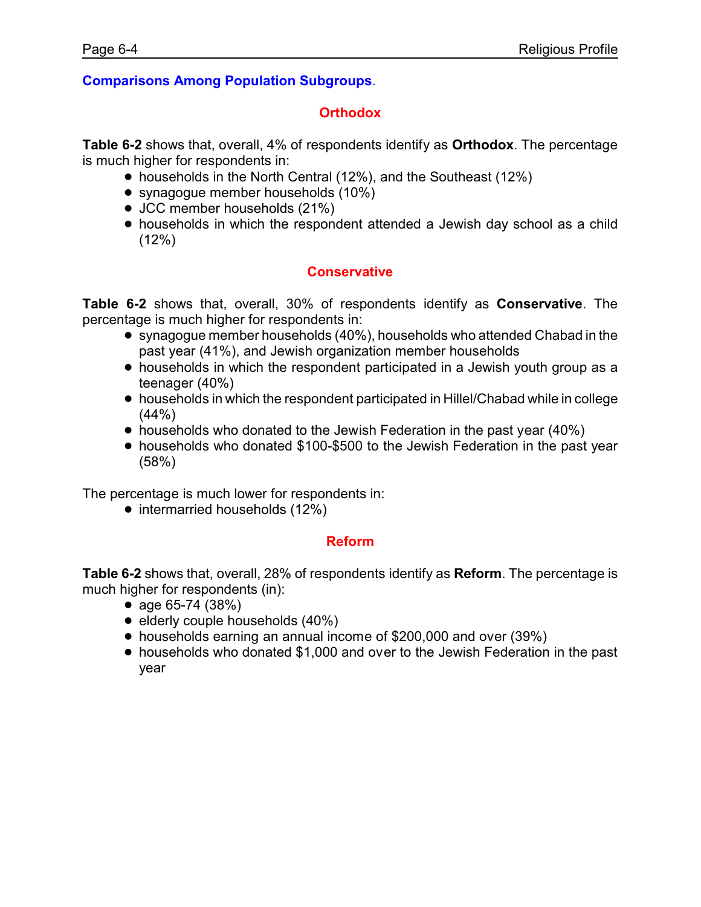#### **Comparisons Among Population Subgroups**.

#### **Orthodox**

**Table 6-2** shows that, overall, 4% of respondents identify as **Orthodox**. The percentage is much higher for respondents in:

- households in the North Central (12%), and the Southeast (12%)
- synagogue member households (10%)
- JCC member households (21%)
- ! households in which the respondent attended a Jewish day school as a child (12%)

#### **Conservative**

**Table 6-2** shows that, overall, 30% of respondents identify as **Conservative**. The percentage is much higher for respondents in:

- synagogue member households (40%), households who attended Chabad in the past year (41%), and Jewish organization member households
- households in which the respondent participated in a Jewish youth group as a teenager (40%)
- ! households in which the respondent participated in Hillel/Chabad while in college  $(44% )$
- households who donated to the Jewish Federation in the past year (40%)
- ! households who donated \$100-\$500 to the Jewish Federation in the past year (58%)

The percentage is much lower for respondents in:

• intermarried households (12%)

#### **Reform**

**Table 6-2** shows that, overall, 28% of respondents identify as **Reform**. The percentage is much higher for respondents (in):

- age  $65-74$  (38%)
- $\bullet$  elderly couple households  $(40\%)$
- ! households earning an annual income of \$200,000 and over (39%)
- ! households who donated \$1,000 and over to the Jewish Federation in the past year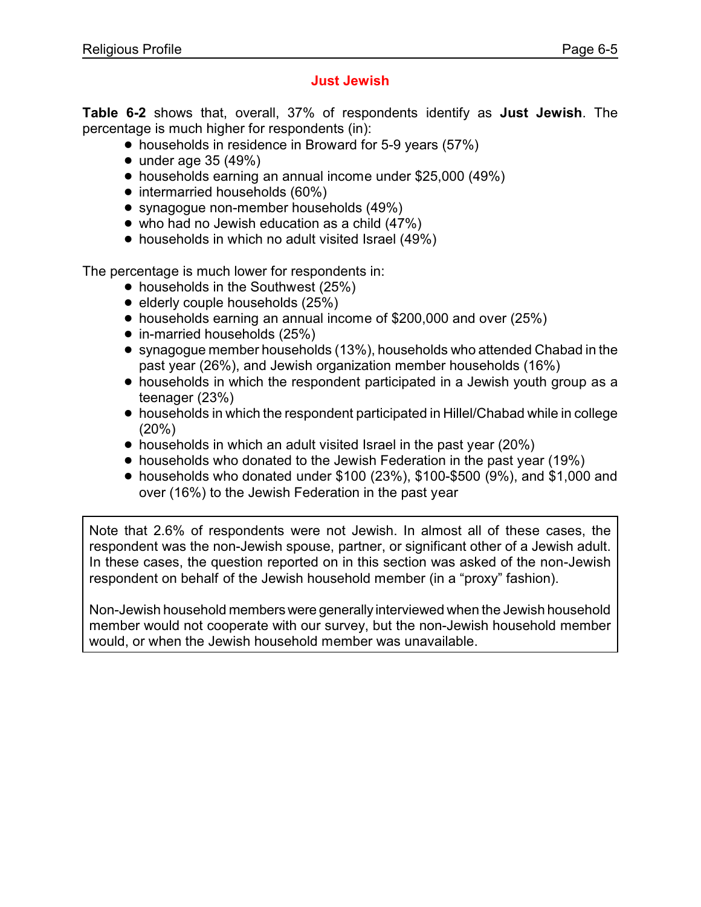### **Just Jewish**

**Table 6-2** shows that, overall, 37% of respondents identify as **Just Jewish**. The percentage is much higher for respondents (in):

- households in residence in Broward for 5-9 years (57%)
- $\bullet$  under age 35 (49%)
- ! households earning an annual income under \$25,000 (49%)
- intermarried households (60%)
- synagogue non-member households (49%)
- $\bullet$  who had no Jewish education as a child (47%)
- households in which no adult visited Israel (49%)

The percentage is much lower for respondents in:

- $\bullet$  households in the Southwest (25%)
- $\bullet$  elderly couple households (25%)
- households earning an annual income of \$200,000 and over (25%)
- in-married households (25%)
- synagogue member households (13%), households who attended Chabad in the past year (26%), and Jewish organization member households (16%)
- households in which the respondent participated in a Jewish youth group as a teenager (23%)
- ! households in which the respondent participated in Hillel/Chabad while in college (20%)
- households in which an adult visited Israel in the past year (20%)
- households who donated to the Jewish Federation in the past year (19%)
- $\bullet$  households who donated under \$100 (23%), \$100-\$500 (9%), and \$1,000 and over (16%) to the Jewish Federation in the past year

Note that 2.6% of respondents were not Jewish. In almost all of these cases, the respondent was the non-Jewish spouse, partner, or significant other of a Jewish adult. In these cases, the question reported on in this section was asked of the non-Jewish respondent on behalf of the Jewish household member (in a "proxy" fashion).

Non-Jewish household members were generally interviewed when the Jewish household member would not cooperate with our survey, but the non-Jewish household member would, or when the Jewish household member was unavailable.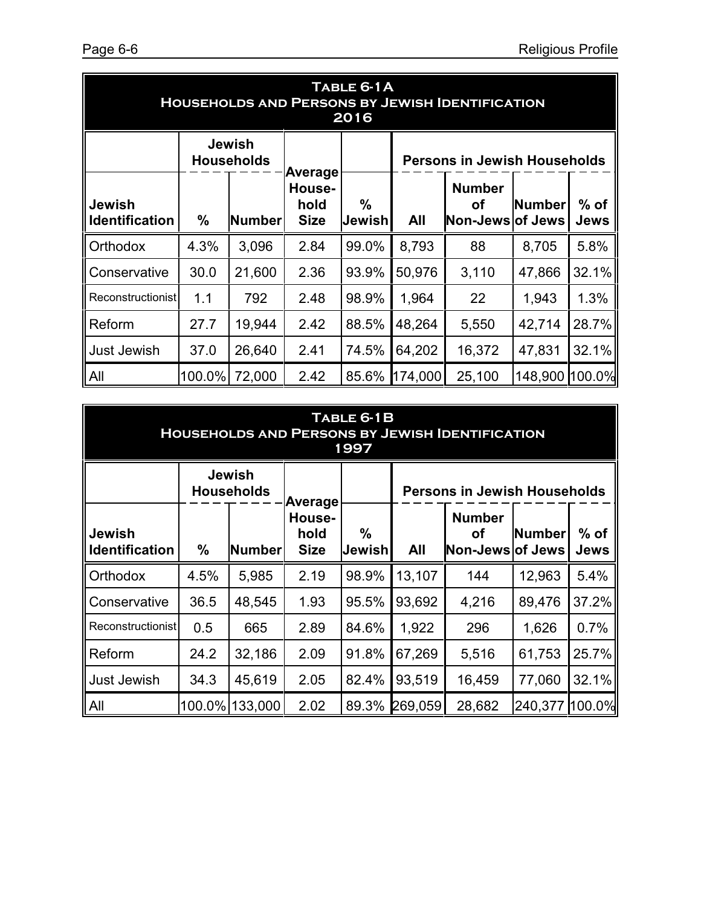| TABLE 6-1A<br><b>HOUSEHOLDS AND PERSONS BY JEWISH IDENTIFICATION</b><br>2016 |        |                                    |                               |             |                                     |                                                                                   |         |        |  |  |
|------------------------------------------------------------------------------|--------|------------------------------------|-------------------------------|-------------|-------------------------------------|-----------------------------------------------------------------------------------|---------|--------|--|--|
|                                                                              |        | <b>Jewish</b><br><b>Households</b> | Average                       |             | <b>Persons in Jewish Households</b> |                                                                                   |         |        |  |  |
| <b>Jewish</b><br><b>Identification</b>                                       | $\%$   | <b>Number</b>                      | House-<br>hold<br><b>Size</b> | %<br>Jewish | All                                 | <b>Number</b><br>$%$ of<br><b>Number</b><br>οf<br>Non-Jews of Jews<br><b>Jews</b> |         |        |  |  |
| Orthodox                                                                     | 4.3%   | 3,096                              | 2.84                          | 99.0%       | 8,793                               | 88                                                                                | 8,705   | 5.8%   |  |  |
| Conservative                                                                 | 30.0   | 21,600                             | 2.36                          | 93.9%       | 50,976                              | 3,110                                                                             | 47,866  | 32.1%  |  |  |
| <b>Reconstructionist</b>                                                     | 1.1    | 792                                | 2.48                          | 98.9%       | 1,964                               | 22                                                                                | 1,943   | 1.3%   |  |  |
| Reform                                                                       | 27.7   | 19,944                             | 2.42                          | 88.5%       | 48,264                              | 5,550                                                                             | 42,714  | 28.7%  |  |  |
| <b>Just Jewish</b>                                                           | 37.0   | 26,640                             | 2.41                          | 74.5%       | 64,202                              | 16,372                                                                            | 47,831  | 32.1%  |  |  |
| All                                                                          | 100.0% | 72,000                             | 2.42                          | 85.6%       | 174,000                             | 25,100                                                                            | 148,900 | 100.0% |  |  |

| TABLE 6-1B<br><b>HOUSEHOLDS AND PERSONS BY JEWISH IDENTIFICATION</b><br>1997 |        |                                    |                                          |                         |                                                                                                 |        |         |        |  |  |
|------------------------------------------------------------------------------|--------|------------------------------------|------------------------------------------|-------------------------|-------------------------------------------------------------------------------------------------|--------|---------|--------|--|--|
|                                                                              |        | <b>Jewish</b><br><b>Households</b> |                                          |                         | <b>Persons in Jewish Households</b>                                                             |        |         |        |  |  |
| <b>Jewish</b><br><b>Identification</b>                                       | $\%$   | <b>Number</b>                      | Average<br>House-<br>hold<br><b>Size</b> | $\frac{0}{0}$<br>Jewish | <b>Number</b><br>$%$ of<br><b>Number</b><br><b>of</b><br>All<br>Non-Jews of Jews<br><b>Jews</b> |        |         |        |  |  |
| Orthodox                                                                     | 4.5%   | 5,985                              | 2.19                                     | 98.9%                   | 13,107                                                                                          | 144    | 12,963  | 5.4%   |  |  |
| Conservative                                                                 | 36.5   | 48,545                             | 1.93                                     | 95.5%                   | 93,692                                                                                          | 4,216  | 89,476  | 37.2%  |  |  |
| Reconstructionist                                                            | 0.5    | 665                                | 2.89                                     | 84.6%                   | 1,922                                                                                           | 296    | 1,626   | 0.7%   |  |  |
| Reform                                                                       | 24.2   | 32,186                             | 2.09                                     | 91.8%                   | 67,269                                                                                          | 5,516  | 61,753  | 25.7%  |  |  |
| Just Jewish                                                                  | 34.3   | 45,619                             | 2.05                                     | 82.4%                   | 93,519                                                                                          | 16,459 | 77,060  | 32.1%  |  |  |
| <b>IAII</b>                                                                  | 100.0% | 133,000                            | 2.02                                     | 89.3%                   | 269,059                                                                                         | 28,682 | 240,377 | 100.0% |  |  |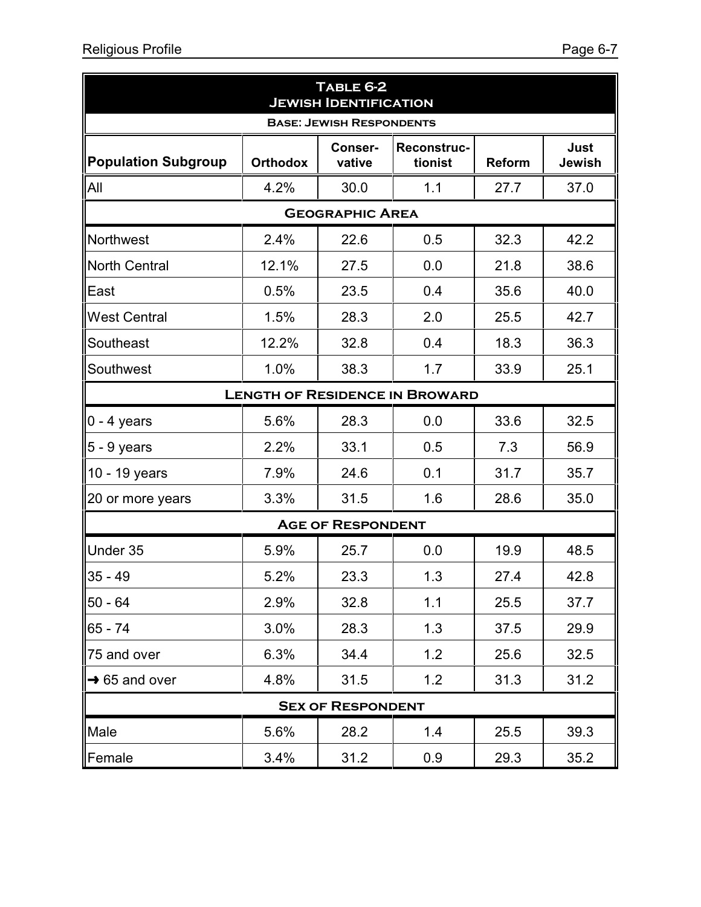| TABLE 6-2<br><b>JEWISH IDENTIFICATION</b> |                 |                          |                                       |               |                |  |  |  |  |  |
|-------------------------------------------|-----------------|--------------------------|---------------------------------------|---------------|----------------|--|--|--|--|--|
| <b>BASE: JEWISH RESPONDENTS</b>           |                 |                          |                                       |               |                |  |  |  |  |  |
| <b>Population Subgroup</b>                | <b>Orthodox</b> | Conser-<br>vative        | <b>Reconstruc-</b><br>tionist         | <b>Reform</b> | Just<br>Jewish |  |  |  |  |  |
| All                                       | 4.2%            | 30.0                     | 1.1                                   | 27.7          | 37.0           |  |  |  |  |  |
|                                           |                 | <b>GEOGRAPHIC AREA</b>   |                                       |               |                |  |  |  |  |  |
| Northwest                                 | 2.4%            | 22.6                     | 0.5                                   | 32.3          | 42.2           |  |  |  |  |  |
| <b>North Central</b>                      | 12.1%           | 27.5                     | 0.0                                   | 21.8          | 38.6           |  |  |  |  |  |
| East                                      | 0.5%            | 23.5                     | 0.4                                   | 35.6          | 40.0           |  |  |  |  |  |
| <b>West Central</b>                       | 1.5%            | 28.3                     | 2.0                                   | 25.5          | 42.7           |  |  |  |  |  |
| Southeast                                 | 12.2%           | 32.8                     | 0.4                                   | 18.3          | 36.3           |  |  |  |  |  |
| Southwest                                 | 1.0%            | 38.3                     | 1.7                                   | 33.9          | 25.1           |  |  |  |  |  |
|                                           |                 |                          | <b>LENGTH OF RESIDENCE IN BROWARD</b> |               |                |  |  |  |  |  |
| $0 - 4$ years                             | 5.6%            | 28.3                     | 0.0                                   | 33.6          | 32.5           |  |  |  |  |  |
| 5 - 9 years                               | 2.2%            | 33.1                     | 0.5                                   | 7.3           | 56.9           |  |  |  |  |  |
| 10 - 19 years                             | 7.9%            | 24.6                     | 0.1                                   | 31.7          | 35.7           |  |  |  |  |  |
| 20 or more years                          | 3.3%            | 31.5                     | 1.6                                   | 28.6          | 35.0           |  |  |  |  |  |
|                                           |                 | <b>AGE OF RESPONDENT</b> |                                       |               |                |  |  |  |  |  |
| Under 35                                  | 5.9%            | 25.7                     | 0.0                                   | 19.9          | 48.5           |  |  |  |  |  |
| 35 - 49                                   | 5.2%            | 23.3                     | 1.3                                   | 27.4          | 42.8           |  |  |  |  |  |
| 50 - 64                                   | 2.9%            | 32.8                     | 1.1                                   | 25.5          | 37.7           |  |  |  |  |  |
| 65 - 74                                   | 3.0%            | 28.3                     | 1.3                                   | 37.5          | 29.9           |  |  |  |  |  |
| 75 and over                               | 6.3%            | 34.4                     | 1.2                                   | 25.6          | 32.5           |  |  |  |  |  |
| $\rightarrow$ 65 and over                 | 4.8%            | 31.5                     | 1.2                                   | 31.3          | 31.2           |  |  |  |  |  |
|                                           |                 | <b>SEX OF RESPONDENT</b> |                                       |               |                |  |  |  |  |  |
| Male                                      | 5.6%            | 28.2                     | 1.4                                   | 25.5          | 39.3           |  |  |  |  |  |

Female | 3.4% | 31.2 | 0.9 | 29.3 | 35.2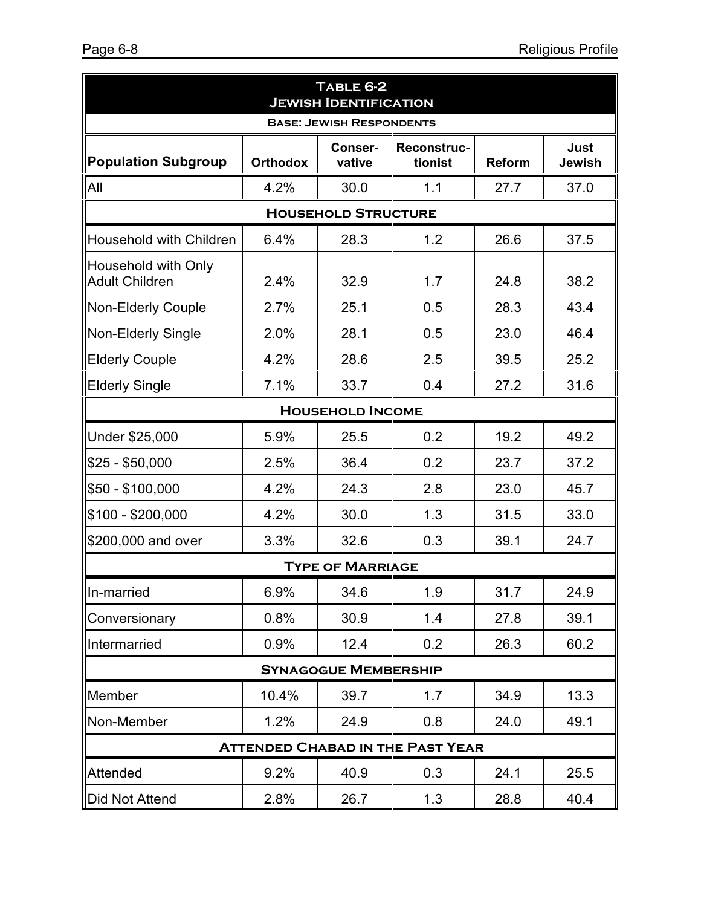| TABLE 6-2<br><b>JEWISH IDENTIFICATION</b>    |                                         |                         |                        |               |                |  |  |  |  |  |
|----------------------------------------------|-----------------------------------------|-------------------------|------------------------|---------------|----------------|--|--|--|--|--|
| <b>BASE: JEWISH RESPONDENTS</b>              |                                         |                         |                        |               |                |  |  |  |  |  |
| <b>Population Subgroup</b>                   | <b>Orthodox</b>                         | Conser-<br>vative       | Reconstruc-<br>tionist | <b>Reform</b> | Just<br>Jewish |  |  |  |  |  |
| All                                          | 4.2%                                    | 30.0                    | 1.1                    | 27.7          | 37.0           |  |  |  |  |  |
| <b>HOUSEHOLD STRUCTURE</b>                   |                                         |                         |                        |               |                |  |  |  |  |  |
| Household with Children                      | 6.4%                                    | 28.3                    | 1.2                    | 26.6          | 37.5           |  |  |  |  |  |
| Household with Only<br><b>Adult Children</b> | 2.4%                                    | 32.9                    | 1.7                    | 24.8          | 38.2           |  |  |  |  |  |
| <b>Non-Elderly Couple</b>                    | 2.7%                                    | 25.1                    | 0.5                    | 28.3          | 43.4           |  |  |  |  |  |
| <b>Non-Elderly Single</b>                    | 2.0%                                    | 28.1                    | 0.5                    | 23.0          | 46.4           |  |  |  |  |  |
| <b>Elderly Couple</b>                        | 4.2%                                    | 28.6                    | 2.5                    | 39.5          | 25.2           |  |  |  |  |  |
| <b>Elderly Single</b>                        | 7.1%                                    | 33.7                    | 0.4                    | 27.2          | 31.6           |  |  |  |  |  |
|                                              |                                         | <b>HOUSEHOLD INCOME</b> |                        |               |                |  |  |  |  |  |
| Under \$25,000                               | 5.9%                                    | 25.5                    | 0.2                    | 19.2          | 49.2           |  |  |  |  |  |
| $$25 - $50,000$                              | 2.5%                                    | 36.4                    | 0.2                    | 23.7          | 37.2           |  |  |  |  |  |
| \$50 - \$100,000                             | 4.2%                                    | 24.3                    | 2.8                    | 23.0          | 45.7           |  |  |  |  |  |
| $$100 - $200,000$                            | 4.2%                                    | 30.0                    | 1.3                    | 31.5          | 33.0           |  |  |  |  |  |
| \$200,000 and over                           | 3.3%                                    | 32.6                    | 0.3                    | 39.1          | 24.7           |  |  |  |  |  |
|                                              |                                         | <b>TYPE OF MARRIAGE</b> |                        |               |                |  |  |  |  |  |
| In-married                                   | 6.9%                                    | 34.6                    | 1.9                    | 31.7          | 24.9           |  |  |  |  |  |
| Conversionary                                | 0.8%                                    | 30.9                    | 1.4                    | 27.8          | 39.1           |  |  |  |  |  |
| Intermarried                                 | 0.9%                                    | 12.4                    | 0.2                    | 26.3          | 60.2           |  |  |  |  |  |
| <b>SYNAGOGUE MEMBERSHIP</b>                  |                                         |                         |                        |               |                |  |  |  |  |  |
| Member                                       | 10.4%                                   | 39.7                    | 1.7                    | 34.9          | 13.3           |  |  |  |  |  |
| Non-Member                                   | 1.2%                                    | 24.9                    | 0.8                    | 24.0          | 49.1           |  |  |  |  |  |
|                                              | <b>ATTENDED CHABAD IN THE PAST YEAR</b> |                         |                        |               |                |  |  |  |  |  |
| <b>Attended</b>                              | 9.2%                                    | 40.9                    | 0.3                    | 24.1          | 25.5           |  |  |  |  |  |
| <b>Did Not Attend</b>                        | 2.8%                                    | 26.7                    | 1.3                    | 28.8          | 40.4           |  |  |  |  |  |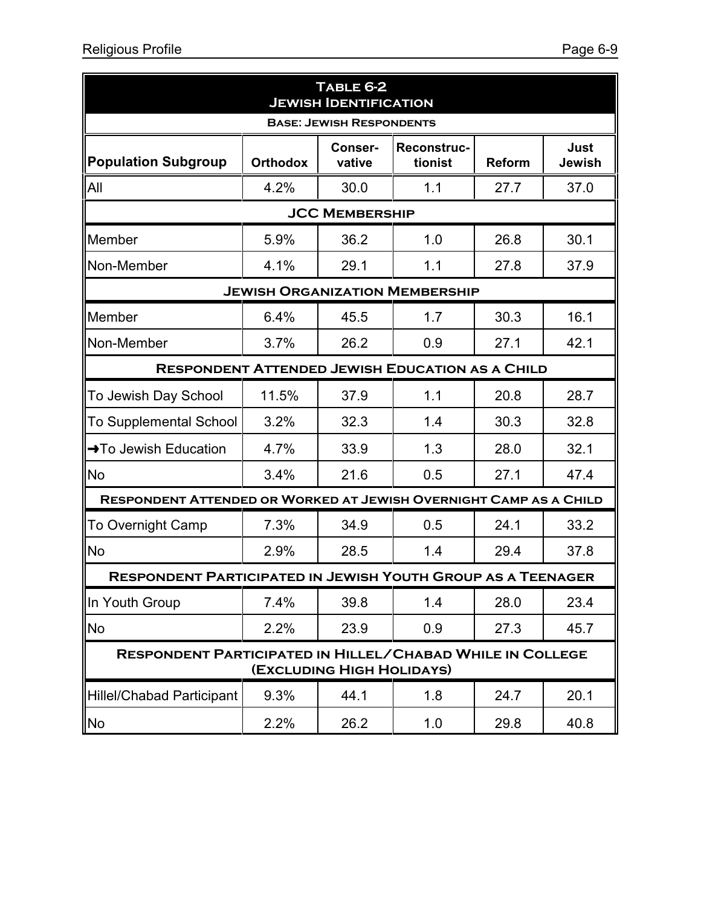| TABLE 6-2<br><b>JEWISH IDENTIFICATION</b>                                                     |                                                                                                          |                       |                                       |      |      |  |  |  |  |
|-----------------------------------------------------------------------------------------------|----------------------------------------------------------------------------------------------------------|-----------------------|---------------------------------------|------|------|--|--|--|--|
| <b>BASE: JEWISH RESPONDENTS</b>                                                               |                                                                                                          |                       |                                       |      |      |  |  |  |  |
| <b>Population Subgroup</b>                                                                    | Conser-<br>Reconstruc-<br><b>Just</b><br><b>Orthodox</b><br>tionist<br>vative<br><b>Reform</b><br>Jewish |                       |                                       |      |      |  |  |  |  |
| All                                                                                           | 4.2%                                                                                                     | 30.0                  | 1.1                                   | 27.7 | 37.0 |  |  |  |  |
|                                                                                               |                                                                                                          | <b>JCC MEMBERSHIP</b> |                                       |      |      |  |  |  |  |
| Member                                                                                        | 5.9%                                                                                                     | 36.2                  | 1.0                                   | 26.8 | 30.1 |  |  |  |  |
| Non-Member                                                                                    | 4.1%                                                                                                     | 29.1                  | 1.1                                   | 27.8 | 37.9 |  |  |  |  |
|                                                                                               |                                                                                                          |                       | <b>JEWISH ORGANIZATION MEMBERSHIP</b> |      |      |  |  |  |  |
| Member                                                                                        | 6.4%                                                                                                     | 45.5                  | 1.7                                   | 30.3 | 16.1 |  |  |  |  |
| Non-Member                                                                                    | 3.7%                                                                                                     | 26.2                  | 0.9                                   | 27.1 | 42.1 |  |  |  |  |
| <b>RESPONDENT ATTENDED JEWISH EDUCATION AS A CHILD</b>                                        |                                                                                                          |                       |                                       |      |      |  |  |  |  |
| To Jewish Day School                                                                          | 11.5%                                                                                                    | 37.9                  | 1.1                                   | 20.8 | 28.7 |  |  |  |  |
| <b>To Supplemental School</b>                                                                 | 3.2%                                                                                                     | 32.3                  | 1.4                                   | 30.3 | 32.8 |  |  |  |  |
| $\rightarrow$ To Jewish Education                                                             | 4.7%                                                                                                     | 33.9                  | 1.3                                   | 28.0 | 32.1 |  |  |  |  |
| <b>No</b>                                                                                     | 3.4%                                                                                                     | 21.6                  | 0.5                                   | 27.1 | 47.4 |  |  |  |  |
| RESPONDENT ATTENDED OR WORKED AT JEWISH OVERNIGHT CAMP AS A CHILD                             |                                                                                                          |                       |                                       |      |      |  |  |  |  |
| <b>To Overnight Camp</b>                                                                      | 7.3%                                                                                                     | 34.9                  | 0.5                                   | 24.1 | 33.2 |  |  |  |  |
| No                                                                                            | 2.9%                                                                                                     | 28.5                  | 1.4                                   | 29.4 | 37.8 |  |  |  |  |
| <b>RESPONDENT PARTICIPATED IN JEWISH YOUTH GROUP AS A TEENAGER</b>                            |                                                                                                          |                       |                                       |      |      |  |  |  |  |
| In Youth Group                                                                                | 7.4%                                                                                                     | 39.8                  | 1.4                                   | 28.0 | 23.4 |  |  |  |  |
| <b>No</b>                                                                                     | 2.2%                                                                                                     | 23.9                  | 0.9                                   | 27.3 | 45.7 |  |  |  |  |
| <b>RESPONDENT PARTICIPATED IN HILLEL/CHABAD WHILE IN COLLEGE</b><br>(EXCLUDING HIGH HOLIDAYS) |                                                                                                          |                       |                                       |      |      |  |  |  |  |
| <b>Hillel/Chabad Participant</b>                                                              | 9.3%                                                                                                     | 44.1                  | 1.8                                   | 24.7 | 20.1 |  |  |  |  |
| No                                                                                            | 2.2%                                                                                                     | 26.2                  | 1.0                                   | 29.8 | 40.8 |  |  |  |  |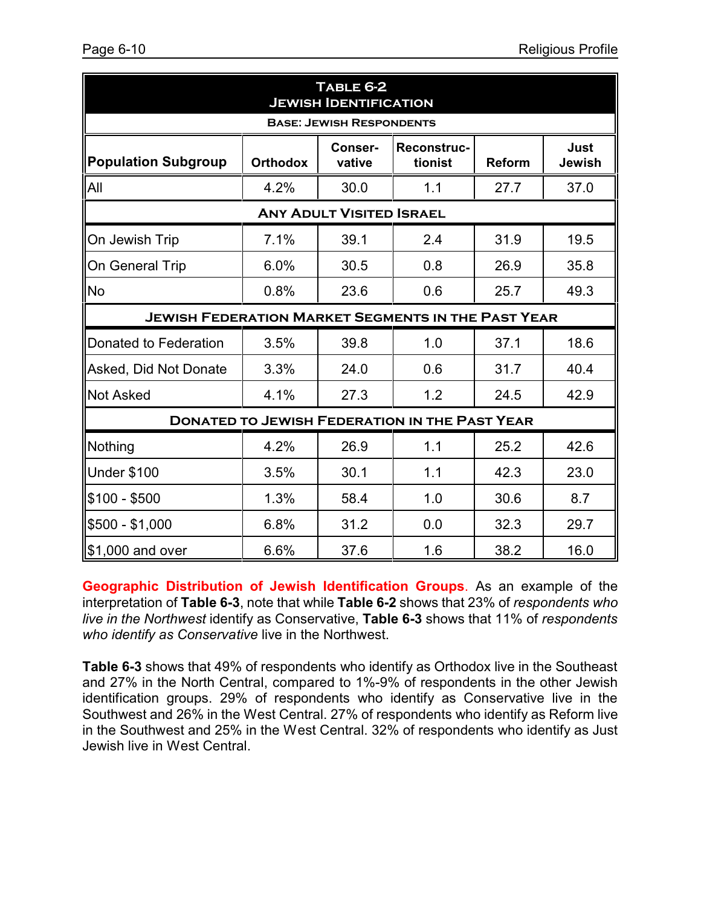| TABLE 6-2<br><b>JEWISH IDENTIFICATION</b>                                                                                                     |                                 |                                 |                                                      |      |      |  |  |  |  |  |
|-----------------------------------------------------------------------------------------------------------------------------------------------|---------------------------------|---------------------------------|------------------------------------------------------|------|------|--|--|--|--|--|
|                                                                                                                                               | <b>BASE: JEWISH RESPONDENTS</b> |                                 |                                                      |      |      |  |  |  |  |  |
| <b>Reconstruc-</b><br><b>Just</b><br>Conser-<br><b>Population Subgroup</b><br><b>Orthodox</b><br>vative<br>Jewish<br>tionist<br><b>Reform</b> |                                 |                                 |                                                      |      |      |  |  |  |  |  |
| All                                                                                                                                           | 4.2%                            | 30.0                            | 1.1                                                  | 27.7 | 37.0 |  |  |  |  |  |
|                                                                                                                                               |                                 | <b>ANY ADULT VISITED ISRAEL</b> |                                                      |      |      |  |  |  |  |  |
| On Jewish Trip                                                                                                                                | 7.1%                            | 39.1                            | 2.4                                                  | 31.9 | 19.5 |  |  |  |  |  |
| On General Trip                                                                                                                               | 6.0%                            | 30.5                            | 0.8                                                  | 26.9 | 35.8 |  |  |  |  |  |
| <b>No</b>                                                                                                                                     | 0.8%                            | 23.6                            | 0.6                                                  | 25.7 | 49.3 |  |  |  |  |  |
| <b>JEWISH FEDERATION MARKET SEGMENTS IN THE PAST YEAR</b>                                                                                     |                                 |                                 |                                                      |      |      |  |  |  |  |  |
| Donated to Federation                                                                                                                         | 3.5%                            | 39.8                            | 1.0                                                  | 37.1 | 18.6 |  |  |  |  |  |
| Asked, Did Not Donate                                                                                                                         | 3.3%                            | 24.0                            | 0.6                                                  | 31.7 | 40.4 |  |  |  |  |  |
| <b>Not Asked</b>                                                                                                                              | 4.1%                            | 27.3                            | 1.2                                                  | 24.5 | 42.9 |  |  |  |  |  |
|                                                                                                                                               |                                 |                                 | <b>DONATED TO JEWISH FEDERATION IN THE PAST YEAR</b> |      |      |  |  |  |  |  |
| Nothing                                                                                                                                       | 4.2%                            | 26.9                            | 1.1                                                  | 25.2 | 42.6 |  |  |  |  |  |
| <b>Under \$100</b>                                                                                                                            | 3.5%                            | 30.1                            | 1.1                                                  | 42.3 | 23.0 |  |  |  |  |  |
| $$100 - $500$                                                                                                                                 | 1.3%                            | 58.4                            | 1.0                                                  | 30.6 | 8.7  |  |  |  |  |  |
| $$500 - $1,000$                                                                                                                               | 6.8%                            | 31.2                            | 0.0                                                  | 32.3 | 29.7 |  |  |  |  |  |
| \$1,000 and over                                                                                                                              | 6.6%                            | 37.6                            | 1.6                                                  | 38.2 | 16.0 |  |  |  |  |  |

**Geographic Distribution of Jewish Identification Groups**. As an example of the interpretation of **Table 6-3**, note that while **Table 6-2** shows that 23% of *respondents who live in the Northwest* identify as Conservative, **Table 6-3** shows that 11% of *respondents who identify as Conservative* live in the Northwest.

**Table 6-3** shows that 49% of respondents who identify as Orthodox live in the Southeast and 27% in the North Central, compared to 1%-9% of respondents in the other Jewish identification groups. 29% of respondents who identify as Conservative live in the Southwest and 26% in the West Central. 27% of respondents who identify as Reform live in the Southwest and 25% in the West Central. 32% of respondents who identify as Just Jewish live in West Central.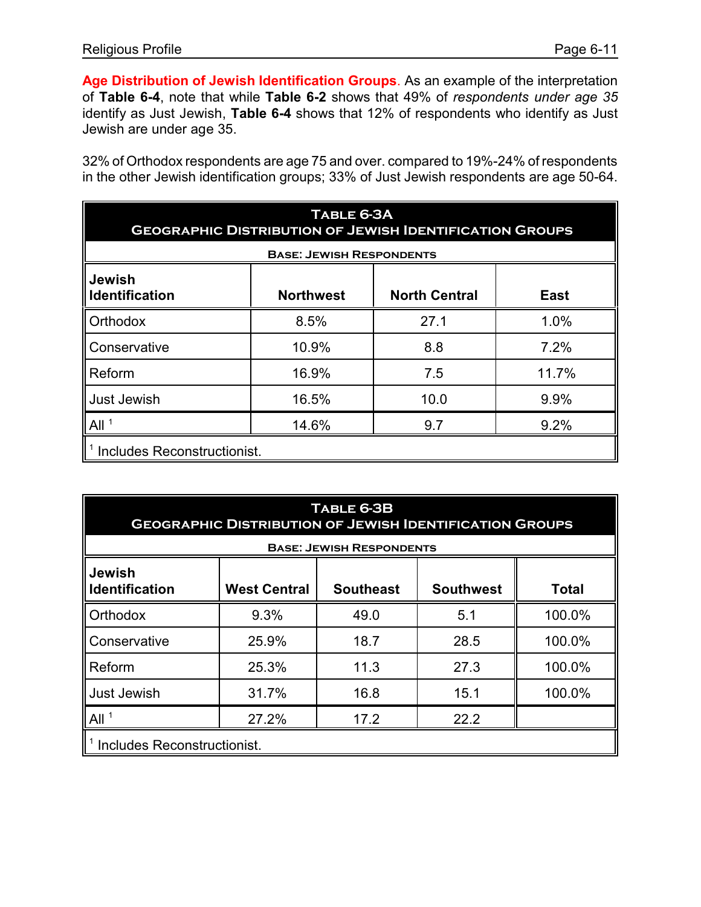**Age Distribution of Jewish Identification Groups**. As an example of the interpretation of **Table 6-4**, note that while **Table 6-2** shows that 49% of *respondents under age 35* identify as Just Jewish, **Table 6-4** shows that 12% of respondents who identify as Just Jewish are under age 35.

32% of Orthodox respondents are age 75 and over. compared to 19%-24% of respondents in the other Jewish identification groups; 33% of Just Jewish respondents are age 50-64.

| TABLE 6-3A<br><b>GEOGRAPHIC DISTRIBUTION OF JEWISH IDENTIFICATION GROUPS</b>               |                                 |      |       |  |  |  |  |  |
|--------------------------------------------------------------------------------------------|---------------------------------|------|-------|--|--|--|--|--|
|                                                                                            | <b>BASE: JEWISH RESPONDENTS</b> |      |       |  |  |  |  |  |
| <b>Jewish</b><br><b>Identification</b><br><b>North Central</b><br><b>Northwest</b><br>East |                                 |      |       |  |  |  |  |  |
| Orthodox                                                                                   | 8.5%                            | 27.1 | 1.0%  |  |  |  |  |  |
| Conservative                                                                               | 10.9%                           | 8.8  | 7.2%  |  |  |  |  |  |
| Reform                                                                                     | 16.9%                           | 7.5  | 11.7% |  |  |  |  |  |
| <b>Just Jewish</b>                                                                         | 16.5%                           | 10.0 | 9.9%  |  |  |  |  |  |
| All <sup>1</sup><br>14.6%<br>9.2%<br>9.7                                                   |                                 |      |       |  |  |  |  |  |
| Includes Reconstructionist.                                                                |                                 |      |       |  |  |  |  |  |

| TABLE 6-3B<br><b>GEOGRAPHIC DISTRIBUTION OF JEWISH IDENTIFICATION GROUPS</b>                                          |       |                                 |      |        |  |  |  |  |  |
|-----------------------------------------------------------------------------------------------------------------------|-------|---------------------------------|------|--------|--|--|--|--|--|
|                                                                                                                       |       | <b>BASE: JEWISH RESPONDENTS</b> |      |        |  |  |  |  |  |
| <b>Jewish</b><br><b>Identification</b><br><b>Southeast</b><br><b>Southwest</b><br><b>West Central</b><br><b>Total</b> |       |                                 |      |        |  |  |  |  |  |
| Orthodox                                                                                                              | 9.3%  | 49.0                            | 5.1  | 100.0% |  |  |  |  |  |
| Conservative                                                                                                          | 25.9% | 18.7                            | 28.5 | 100.0% |  |  |  |  |  |
| Reform                                                                                                                | 25.3% | 11.3                            | 27.3 | 100.0% |  |  |  |  |  |
| <b>Just Jewish</b>                                                                                                    | 31.7% | 16.8                            | 15.1 | 100.0% |  |  |  |  |  |
| All <sup>1</sup><br>27.2%<br>22.2<br>17.2                                                                             |       |                                 |      |        |  |  |  |  |  |
| Includes Reconstructionist.                                                                                           |       |                                 |      |        |  |  |  |  |  |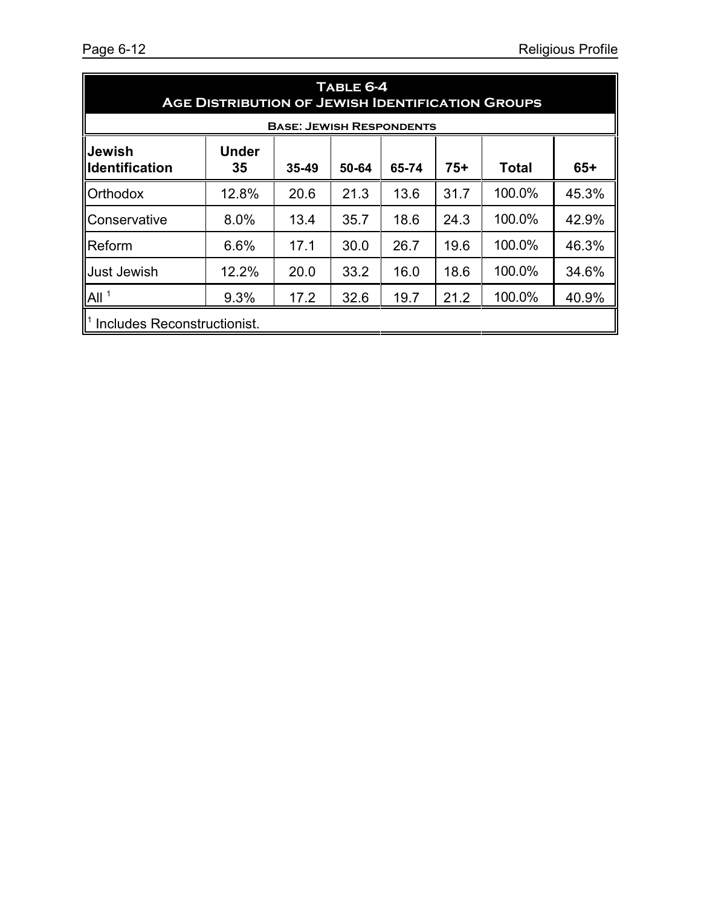| TABLE 6-4<br><b>AGE DISTRIBUTION OF JEWISH IDENTIFICATION GROUPS</b>                                                        |                                                         |                                 |      |      |      |        |       |  |  |  |
|-----------------------------------------------------------------------------------------------------------------------------|---------------------------------------------------------|---------------------------------|------|------|------|--------|-------|--|--|--|
|                                                                                                                             |                                                         | <b>BASE: JEWISH RESPONDENTS</b> |      |      |      |        |       |  |  |  |
| <b>IJewish</b><br><b>Under</b><br>$65+$<br>$75+$<br><b>Ildentification</b><br>35<br><b>Total</b><br>35-49<br>50-64<br>65-74 |                                                         |                                 |      |      |      |        |       |  |  |  |
| <b>Orthodox</b>                                                                                                             | 12.8%                                                   | 20.6                            | 21.3 | 13.6 | 31.7 | 100.0% | 45.3% |  |  |  |
| <b>II</b> Conservative                                                                                                      | 8.0%                                                    | 13.4                            | 35.7 | 18.6 | 24.3 | 100.0% | 42.9% |  |  |  |
| <b>I</b> Reform                                                                                                             | 6.6%                                                    | 17.1                            | 30.0 | 26.7 | 19.6 | 100.0% | 46.3% |  |  |  |
| <b>ll</b> Just Jewish                                                                                                       | 12.2%                                                   | 20.0                            | 33.2 | 16.0 | 18.6 | 100.0% | 34.6% |  |  |  |
| All <sup>1</sup>                                                                                                            | 100.0%<br>19.7<br>9.3%<br>17.2<br>32.6<br>21.2<br>40.9% |                                 |      |      |      |        |       |  |  |  |
| Includes Reconstructionist.                                                                                                 |                                                         |                                 |      |      |      |        |       |  |  |  |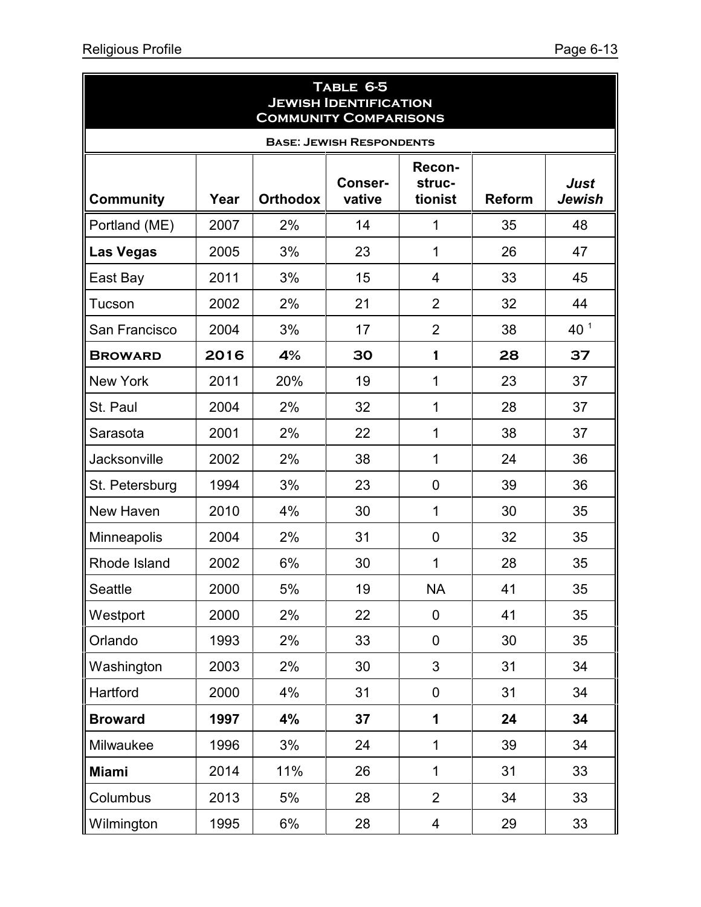| TABLE 6-5<br><b>JEWISH IDENTIFICATION</b><br><b>COMMUNITY COMPARISONS</b> |      |                 |                          |                             |               |                       |  |  |  |
|---------------------------------------------------------------------------|------|-----------------|--------------------------|-----------------------------|---------------|-----------------------|--|--|--|
| <b>BASE: JEWISH RESPONDENTS</b>                                           |      |                 |                          |                             |               |                       |  |  |  |
| <b>Community</b>                                                          | Year | <b>Orthodox</b> | <b>Conser-</b><br>vative | Recon-<br>struc-<br>tionist | <b>Reform</b> | Just<br><b>Jewish</b> |  |  |  |
| Portland (ME)                                                             | 2007 | 2%              | 14                       | 1                           | 35            | 48                    |  |  |  |
| <b>Las Vegas</b>                                                          | 2005 | 3%              | 23                       | 1                           | 26            | 47                    |  |  |  |
| East Bay                                                                  | 2011 | 3%              | 15                       | 4                           | 33            | 45                    |  |  |  |
| Tucson                                                                    | 2002 | 2%              | 21                       | $\overline{2}$              | 32            | 44                    |  |  |  |
| San Francisco                                                             | 2004 | 3%              | 17                       | $\overline{2}$              | 38            | 40 <sup>1</sup>       |  |  |  |
| <b>BROWARD</b>                                                            | 2016 | 4%              | 30                       | 1                           | 28            | 37                    |  |  |  |
| <b>New York</b>                                                           | 2011 | 20%             | 19                       | 1                           | 23            | 37                    |  |  |  |
| St. Paul                                                                  | 2004 | 2%              | 32                       | 1                           | 28            | 37                    |  |  |  |
| Sarasota                                                                  | 2001 | 2%              | 22                       | 1                           | 38            | 37                    |  |  |  |
| <b>Jacksonville</b>                                                       | 2002 | 2%              | 38                       | 1                           | 24            | 36                    |  |  |  |
| St. Petersburg                                                            | 1994 | 3%              | 23                       | 0                           | 39            | 36                    |  |  |  |
| New Haven                                                                 | 2010 | 4%              | 30                       | 1                           | 30            | 35                    |  |  |  |
| Minneapolis                                                               | 2004 | 2%              | 31                       | 0                           | 32            | 35                    |  |  |  |
| Rhode Island                                                              | 2002 | 6%              | 30                       | 1                           | 28            | 35                    |  |  |  |
| Seattle                                                                   | 2000 | 5%              | 19                       | <b>NA</b>                   | 41            | 35                    |  |  |  |
| Westport                                                                  | 2000 | 2%              | 22                       | 0                           | 41            | 35                    |  |  |  |
| Orlando                                                                   | 1993 | 2%              | 33                       | $\mathbf 0$                 | 30            | 35                    |  |  |  |
| Washington                                                                | 2003 | 2%              | 30                       | 3                           | 31            | 34                    |  |  |  |
| Hartford                                                                  | 2000 | 4%              | 31                       | $\mathbf 0$                 | 31            | 34                    |  |  |  |
| <b>Broward</b>                                                            | 1997 | 4%              | 37                       | 1                           | 24            | 34                    |  |  |  |
| Milwaukee                                                                 | 1996 | 3%              | 24                       | 1                           | 39            | 34                    |  |  |  |
| <b>Miami</b>                                                              | 2014 | 11%             | 26                       | $\mathbf{1}$                | 31            | 33                    |  |  |  |
| Columbus                                                                  | 2013 | 5%              | 28                       | $\overline{2}$              | 34            | 33                    |  |  |  |
| Wilmington                                                                | 1995 | 6%              | 28                       | 4                           | 29            | 33                    |  |  |  |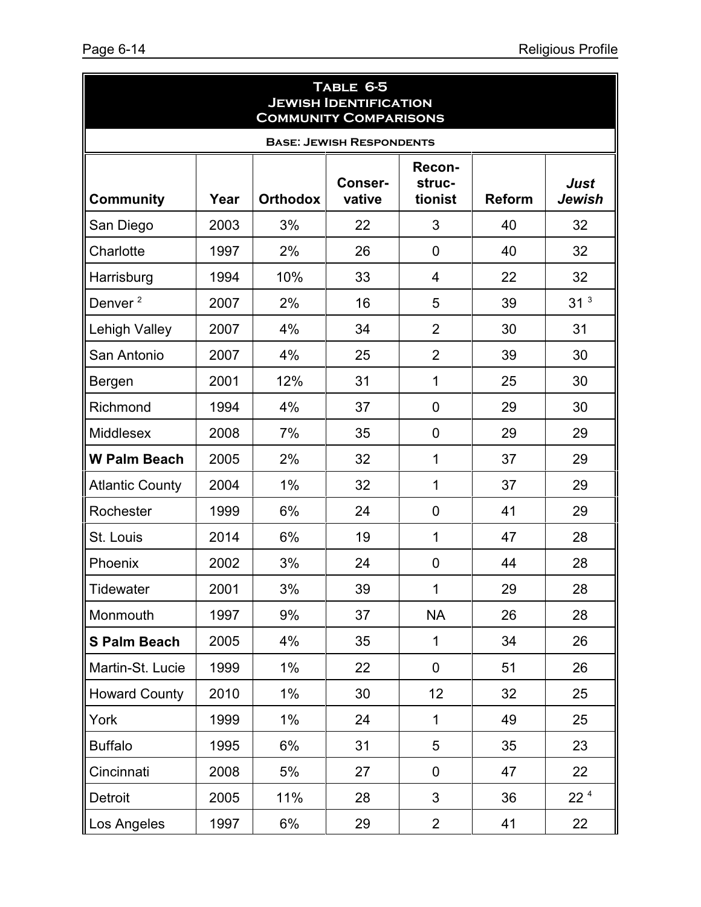ä

| TABLE 6-5<br><b>JEWISH IDENTIFICATION</b><br><b>COMMUNITY COMPARISONS</b>                                                                 |      |       |    |                |    |                 |  |  |  |
|-------------------------------------------------------------------------------------------------------------------------------------------|------|-------|----|----------------|----|-----------------|--|--|--|
| <b>BASE: JEWISH RESPONDENTS</b>                                                                                                           |      |       |    |                |    |                 |  |  |  |
| Recon-<br><b>Conser-</b><br>struc-<br>Just<br><b>Community</b><br><b>Orthodox</b><br>vative<br>tionist<br><b>Reform</b><br>Jewish<br>Year |      |       |    |                |    |                 |  |  |  |
| San Diego                                                                                                                                 | 2003 | 3%    | 22 | 3              | 40 | 32              |  |  |  |
| Charlotte                                                                                                                                 | 1997 | 2%    | 26 | 0              | 40 | 32              |  |  |  |
| Harrisburg                                                                                                                                | 1994 | 10%   | 33 | $\overline{4}$ | 22 | 32              |  |  |  |
| Denver <sup>2</sup>                                                                                                                       | 2007 | 2%    | 16 | 5              | 39 | 31 <sup>3</sup> |  |  |  |
| Lehigh Valley                                                                                                                             | 2007 | 4%    | 34 | $\overline{2}$ | 30 | 31              |  |  |  |
| San Antonio                                                                                                                               | 2007 | 4%    | 25 | $\overline{2}$ | 39 | 30              |  |  |  |
| Bergen                                                                                                                                    | 2001 | 12%   | 31 | $\mathbf 1$    | 25 | 30              |  |  |  |
| Richmond                                                                                                                                  | 1994 | 4%    | 37 | $\mathbf 0$    | 29 | 30              |  |  |  |
| Middlesex                                                                                                                                 | 2008 | 7%    | 35 | $\mathbf 0$    | 29 | 29              |  |  |  |
| <b>W Palm Beach</b>                                                                                                                       | 2005 | 2%    | 32 | 1              | 37 | 29              |  |  |  |
| <b>Atlantic County</b>                                                                                                                    | 2004 | 1%    | 32 | 1              | 37 | 29              |  |  |  |
| Rochester                                                                                                                                 | 1999 | 6%    | 24 | 0              | 41 | 29              |  |  |  |
| St. Louis                                                                                                                                 | 2014 | 6%    | 19 | 1              | 47 | 28              |  |  |  |
| Phoenix                                                                                                                                   | 2002 | 3%    | 24 | $\overline{0}$ | 44 | 28              |  |  |  |
| Tidewater                                                                                                                                 | 2001 | 3%    | 39 | $\mathbf{1}$   | 29 | 28              |  |  |  |
| Monmouth                                                                                                                                  | 1997 | 9%    | 37 | <b>NA</b>      | 26 | 28              |  |  |  |
| <b>S Palm Beach</b>                                                                                                                       | 2005 | 4%    | 35 | $\mathbf{1}$   | 34 | 26              |  |  |  |
| Martin-St. Lucie                                                                                                                          | 1999 | $1\%$ | 22 | 0              | 51 | 26              |  |  |  |
| <b>Howard County</b>                                                                                                                      | 2010 | $1\%$ | 30 | 12             | 32 | 25              |  |  |  |
| York                                                                                                                                      | 1999 | $1\%$ | 24 | $\mathbf{1}$   | 49 | 25              |  |  |  |
| <b>Buffalo</b>                                                                                                                            | 1995 | 6%    | 31 | 5              | 35 | 23              |  |  |  |
| Cincinnati                                                                                                                                | 2008 | 5%    | 27 | $\mathbf 0$    | 47 | 22              |  |  |  |
| Detroit                                                                                                                                   | 2005 | 11%   | 28 | 3              | 36 | 22 <sup>4</sup> |  |  |  |
| Los Angeles                                                                                                                               | 1997 | $6\%$ | 29 | $\overline{2}$ | 41 | 22              |  |  |  |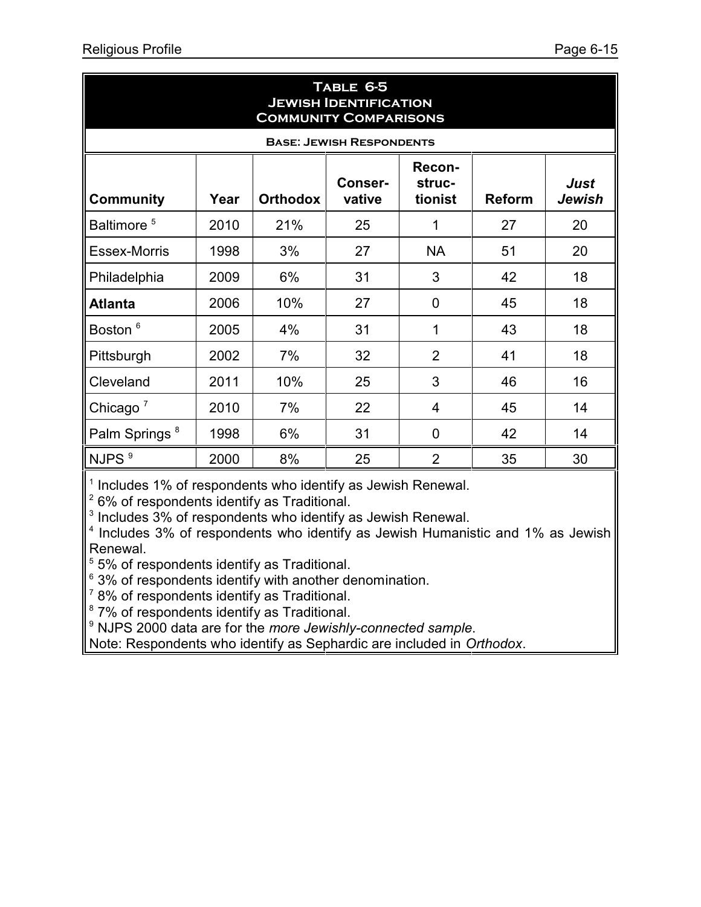| TABLE 6-5<br><b>JEWISH IDENTIFICATION</b><br><b>COMMUNITY COMPARISONS</b>                                                                 |      |     |    |                |    |    |  |  |  |  |  |
|-------------------------------------------------------------------------------------------------------------------------------------------|------|-----|----|----------------|----|----|--|--|--|--|--|
| <b>BASE: JEWISH RESPONDENTS</b>                                                                                                           |      |     |    |                |    |    |  |  |  |  |  |
| Recon-<br><b>Just</b><br>Conser-<br>struc-<br><b>Orthodox</b><br>vative<br><b>Community</b><br>Year<br><b>Reform</b><br>Jewish<br>tionist |      |     |    |                |    |    |  |  |  |  |  |
| Baltimore <sup>5</sup>                                                                                                                    | 2010 | 21% | 25 | 1              | 27 | 20 |  |  |  |  |  |
| <b>Essex-Morris</b>                                                                                                                       | 1998 | 3%  | 27 | <b>NA</b>      | 51 | 20 |  |  |  |  |  |
| Philadelphia                                                                                                                              | 2009 | 6%  | 31 | 3              | 42 | 18 |  |  |  |  |  |
| <b>Atlanta</b>                                                                                                                            | 2006 | 10% | 27 | 0              | 45 | 18 |  |  |  |  |  |
| Boston <sup>6</sup>                                                                                                                       | 2005 | 4%  | 31 | 1              | 43 | 18 |  |  |  |  |  |
| Pittsburgh                                                                                                                                | 2002 | 7%  | 32 | $\overline{2}$ | 41 | 18 |  |  |  |  |  |
| Cleveland                                                                                                                                 | 2011 | 10% | 25 | 3              | 46 | 16 |  |  |  |  |  |
| Chicago $7$                                                                                                                               | 2010 | 7%  | 22 | 4              | 45 | 14 |  |  |  |  |  |
| Palm Springs <sup>8</sup>                                                                                                                 | 1998 | 6%  | 31 | $\overline{0}$ | 42 | 14 |  |  |  |  |  |
| NJPS <sup>9</sup>                                                                                                                         | 2000 | 8%  | 25 | $\overline{2}$ | 35 | 30 |  |  |  |  |  |

 $1$  Includes 1% of respondents who identify as Jewish Renewal.

 $2$  6% of respondents identify as Traditional.

 $3$  Includes  $3\%$  of respondents who identify as Jewish Renewal.

4 Includes 3% of respondents who identify as Jewish Humanistic and 1% as Jewish Renewal.

<sup>5</sup> 5% of respondents identify as Traditional.

 $63%$  of respondents identify with another denomination.

 $7$  8% of respondents identify as Traditional.

<sup>8</sup> 7% of respondents identify as Traditional.

9 NJPS 2000 data are for the *more Jewishly-connected sample*.

Note: Respondents who identify as Sephardic are included in *Orthodox*.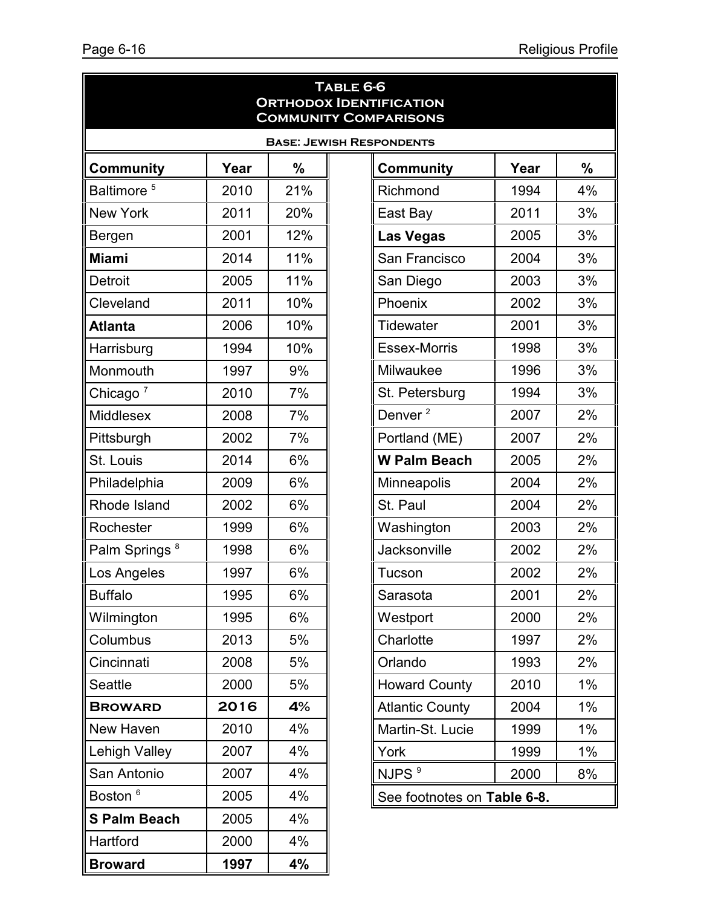|                           |      |     | TABLE 6-6<br><b>ORTHODOX IDENTIFICATION</b><br><b>COMMUNITY COMPARISONS</b> |      |    |  |
|---------------------------|------|-----|-----------------------------------------------------------------------------|------|----|--|
|                           |      |     | <b>BASE: JEWISH RESPONDENTS</b>                                             |      |    |  |
| <b>Community</b>          | Year | %   | <b>Community</b>                                                            | Year | %  |  |
| Baltimore <sup>5</sup>    | 2010 | 21% | Richmond                                                                    | 1994 | 4% |  |
| New York                  | 2011 | 20% | East Bay                                                                    | 2011 | 3% |  |
| Bergen                    | 2001 | 12% | <b>Las Vegas</b>                                                            | 2005 | 3% |  |
| <b>Miami</b>              | 2014 | 11% | San Francisco                                                               | 2004 | 3% |  |
| <b>Detroit</b>            | 2005 | 11% | San Diego                                                                   | 2003 | 3% |  |
| Cleveland                 | 2011 | 10% | Phoenix                                                                     | 2002 | 3% |  |
| <b>Atlanta</b>            | 2006 | 10% | <b>Tidewater</b>                                                            | 2001 | 3% |  |
| Harrisburg                | 1994 | 10% | <b>Essex-Morris</b>                                                         | 1998 | 3% |  |
| Monmouth                  | 1997 | 9%  | Milwaukee                                                                   | 1996 | 3% |  |
| Chicago <sup>7</sup>      | 2010 | 7%  | St. Petersburg                                                              | 1994 | 3% |  |
| Middlesex                 | 2008 | 7%  | Denver <sup>2</sup>                                                         | 2007 | 2% |  |
| Pittsburgh                | 2002 | 7%  | Portland (ME)                                                               | 2007 | 2% |  |
| St. Louis                 | 2014 | 6%  | <b>W Palm Beach</b>                                                         | 2005 | 2% |  |
| Philadelphia              | 2009 | 6%  | <b>Minneapolis</b>                                                          | 2004 | 2% |  |
| Rhode Island              | 2002 | 6%  | St. Paul                                                                    | 2004 | 2% |  |
| Rochester                 | 1999 | 6%  | Washington                                                                  | 2003 | 2% |  |
| Palm Springs <sup>8</sup> | 1998 | 6%  | Jacksonville                                                                | 2002 | 2% |  |
| Los Angeles               | 1997 | 6%  | Tucson                                                                      | 2002 | 2% |  |
| <b>Buffalo</b>            | 1995 | 6%  | Sarasota                                                                    | 2001 | 2% |  |
| Wilmington                | 1995 | 6%  | Westport                                                                    | 2000 | 2% |  |
| Columbus                  | 2013 | 5%  | Charlotte                                                                   | 1997 | 2% |  |
| Cincinnati                | 2008 | 5%  | Orlando                                                                     | 1993 | 2% |  |
| Seattle                   | 2000 | 5%  | <b>Howard County</b>                                                        | 2010 | 1% |  |
| <b>BROWARD</b>            | 2016 | 4%  | <b>Atlantic County</b>                                                      | 2004 | 1% |  |
| New Haven                 | 2010 | 4%  | Martin-St. Lucie                                                            | 1999 | 1% |  |
| Lehigh Valley             | 2007 | 4%  | York                                                                        | 1999 | 1% |  |
| San Antonio               | 2007 | 4%  | NJPS <sup>9</sup>                                                           | 2000 | 8% |  |
| Boston <sup>6</sup>       | 2005 | 4%  | See footnotes on Table 6-8.                                                 |      |    |  |
| <b>S Palm Beach</b>       | 2005 | 4%  |                                                                             |      |    |  |
| Hartford                  | 2000 | 4%  |                                                                             |      |    |  |
| <b>Broward</b>            | 1997 | 4%  |                                                                             |      |    |  |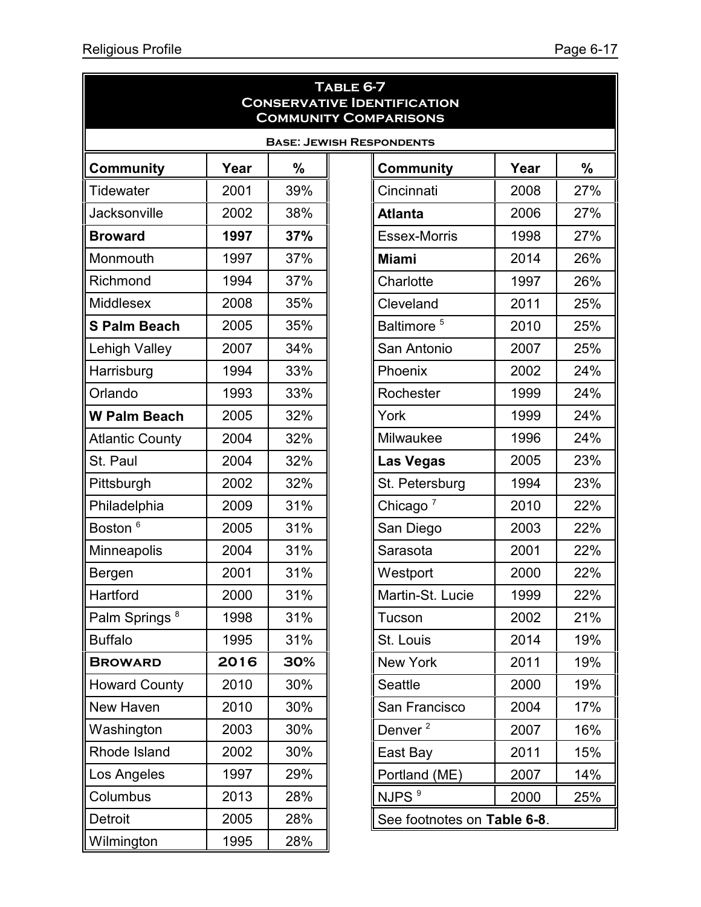|                           |      |     | TABLE 6-7<br><b>CONSERVATIVE IDENTIFICATION</b><br><b>COMMUNITY COMPARISONS</b> |      |     |
|---------------------------|------|-----|---------------------------------------------------------------------------------|------|-----|
|                           |      |     | <b>BASE: JEWISH RESPONDENTS</b>                                                 |      |     |
| <b>Community</b>          | Year | %   | <b>Community</b>                                                                | Year | %   |
| Tidewater                 | 2001 | 39% | Cincinnati                                                                      | 2008 | 27% |
| <b>Jacksonville</b>       | 2002 | 38% | <b>Atlanta</b>                                                                  | 2006 | 27% |
| <b>Broward</b>            | 1997 | 37% | <b>Essex-Morris</b>                                                             | 1998 | 27% |
| Monmouth                  | 1997 | 37% | <b>Miami</b>                                                                    | 2014 | 26% |
| Richmond                  | 1994 | 37% | Charlotte                                                                       | 1997 | 26% |
| <b>Middlesex</b>          | 2008 | 35% | Cleveland                                                                       | 2011 | 25% |
| <b>S Palm Beach</b>       | 2005 | 35% | Baltimore <sup>5</sup>                                                          | 2010 | 25% |
| <b>Lehigh Valley</b>      | 2007 | 34% | San Antonio                                                                     | 2007 | 25% |
| Harrisburg                | 1994 | 33% | Phoenix                                                                         | 2002 | 24% |
| Orlando                   | 1993 | 33% | Rochester                                                                       | 1999 | 24% |
| <b>W Palm Beach</b>       | 2005 | 32% | York                                                                            | 1999 | 24% |
| <b>Atlantic County</b>    | 2004 | 32% | Milwaukee                                                                       | 1996 | 24% |
| St. Paul                  | 2004 | 32% | <b>Las Vegas</b>                                                                | 2005 | 23% |
| Pittsburgh                | 2002 | 32% | St. Petersburg                                                                  | 1994 | 23% |
| Philadelphia              | 2009 | 31% | Chicago $7$                                                                     | 2010 | 22% |
| Boston <sup>6</sup>       | 2005 | 31% | San Diego                                                                       | 2003 | 22% |
| Minneapolis               | 2004 | 31% | Sarasota                                                                        | 2001 | 22% |
| Bergen                    | 2001 | 31% | Westport                                                                        | 2000 | 22% |
| Hartford                  | 2000 | 31% | Martin-St. Lucie                                                                | 1999 | 22% |
| Palm Springs <sup>8</sup> | 1998 | 31% | Tucson                                                                          | 2002 | 21% |
| <b>Buffalo</b>            | 1995 | 31% | St. Louis                                                                       | 2014 | 19% |
| <b>BROWARD</b>            | 2016 | 30% | New York                                                                        | 2011 | 19% |
| <b>Howard County</b>      | 2010 | 30% | <b>Seattle</b>                                                                  | 2000 | 19% |
| New Haven                 | 2010 | 30% | San Francisco                                                                   | 2004 | 17% |
| Washington                | 2003 | 30% | Denver <sup>2</sup>                                                             | 2007 | 16% |
| Rhode Island              | 2002 | 30% | East Bay                                                                        | 2011 | 15% |
| Los Angeles               | 1997 | 29% | Portland (ME)                                                                   | 2007 | 14% |
| Columbus                  | 2013 | 28% | NJPS <sup>9</sup>                                                               | 2000 | 25% |
| Detroit                   | 2005 | 28% | See footnotes on Table 6-8.                                                     |      |     |
| Wilmington                | 1995 | 28% |                                                                                 |      |     |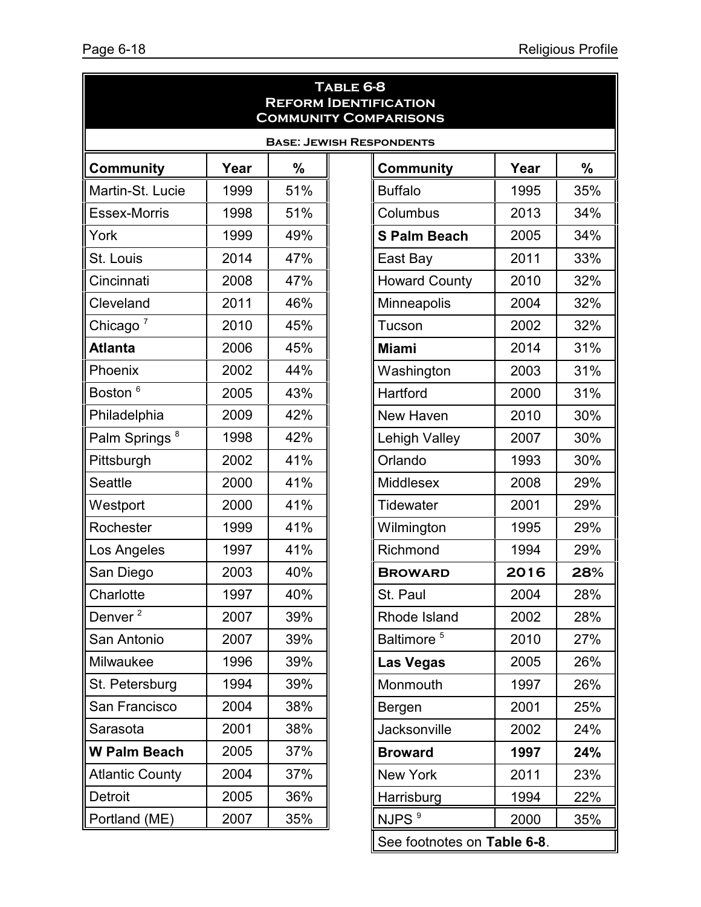| TABLE 6-8<br><b>REFORM IDENTIFICATION</b><br><b>COMMUNITY COMPARISONS</b> |      |     |  |                        |      |      |  |  |  |  |
|---------------------------------------------------------------------------|------|-----|--|------------------------|------|------|--|--|--|--|
| <b>BASE: JEWISH RESPONDENTS</b>                                           |      |     |  |                        |      |      |  |  |  |  |
| <b>Community</b>                                                          | Year | %   |  | <b>Community</b>       | Year | $\%$ |  |  |  |  |
| Martin-St. Lucie                                                          | 1999 | 51% |  | <b>Buffalo</b>         | 1995 | 35%  |  |  |  |  |
| <b>Essex-Morris</b>                                                       | 1998 | 51% |  | Columbus               | 2013 | 34%  |  |  |  |  |
| York                                                                      | 1999 | 49% |  | <b>S Palm Beach</b>    | 2005 | 34%  |  |  |  |  |
| St. Louis                                                                 | 2014 | 47% |  | East Bay               | 2011 | 33%  |  |  |  |  |
| Cincinnati                                                                | 2008 | 47% |  | <b>Howard County</b>   | 2010 | 32%  |  |  |  |  |
| Cleveland                                                                 | 2011 | 46% |  | Minneapolis            | 2004 | 32%  |  |  |  |  |
| Chicago <sup>7</sup>                                                      | 2010 | 45% |  | Tucson                 | 2002 | 32%  |  |  |  |  |
| <b>Atlanta</b>                                                            | 2006 | 45% |  | <b>Miami</b>           | 2014 | 31%  |  |  |  |  |
| Phoenix                                                                   | 2002 | 44% |  | Washington             | 2003 | 31%  |  |  |  |  |
| Boston <sup>6</sup>                                                       | 2005 | 43% |  | Hartford               | 2000 | 31%  |  |  |  |  |
| Philadelphia                                                              | 2009 | 42% |  | New Haven              | 2010 | 30%  |  |  |  |  |
| Palm Springs <sup>8</sup>                                                 | 1998 | 42% |  | <b>Lehigh Valley</b>   | 2007 | 30%  |  |  |  |  |
| Pittsburgh                                                                | 2002 | 41% |  | Orlando                | 1993 | 30%  |  |  |  |  |
| <b>Seattle</b>                                                            | 2000 | 41% |  | <b>Middlesex</b>       | 2008 | 29%  |  |  |  |  |
| Westport                                                                  | 2000 | 41% |  | <b>Tidewater</b>       | 2001 | 29%  |  |  |  |  |
| Rochester                                                                 | 1999 | 41% |  | Wilmington             | 1995 | 29%  |  |  |  |  |
| Los Angeles                                                               | 1997 | 41% |  | Richmond               | 1994 | 29%  |  |  |  |  |
| San Diego                                                                 | 2003 | 40% |  | <b>BROWARD</b>         | 2016 | 28%  |  |  |  |  |
| Charlotte                                                                 | 1997 | 40% |  | St. Paul               | 2004 | 28%  |  |  |  |  |
| Denver <sup>2</sup>                                                       | 2007 | 39% |  | Rhode Island           | 2002 | 28%  |  |  |  |  |
| San Antonio                                                               | 2007 | 39% |  | Baltimore <sup>5</sup> | 2010 | 27%  |  |  |  |  |
| Milwaukee                                                                 | 1996 | 39% |  | <b>Las Vegas</b>       | 2005 | 26%  |  |  |  |  |
| St. Petersburg                                                            | 1994 | 39% |  | Monmouth               | 1997 | 26%  |  |  |  |  |
| San Francisco                                                             | 2004 | 38% |  | Bergen                 | 2001 | 25%  |  |  |  |  |
| Sarasota                                                                  | 2001 | 38% |  | Jacksonville           | 2002 | 24%  |  |  |  |  |
| <b>W Palm Beach</b>                                                       | 2005 | 37% |  | <b>Broward</b>         | 1997 | 24%  |  |  |  |  |
| <b>Atlantic County</b>                                                    | 2004 | 37% |  | New York               | 2011 | 23%  |  |  |  |  |
| Detroit                                                                   | 2005 | 36% |  | Harrisburg             | 1994 | 22%  |  |  |  |  |
| Portland (ME)                                                             | 2007 | 35% |  | NJPS <sup>9</sup>      | 2000 | 35%  |  |  |  |  |

See footnotes on **Table 6-8**.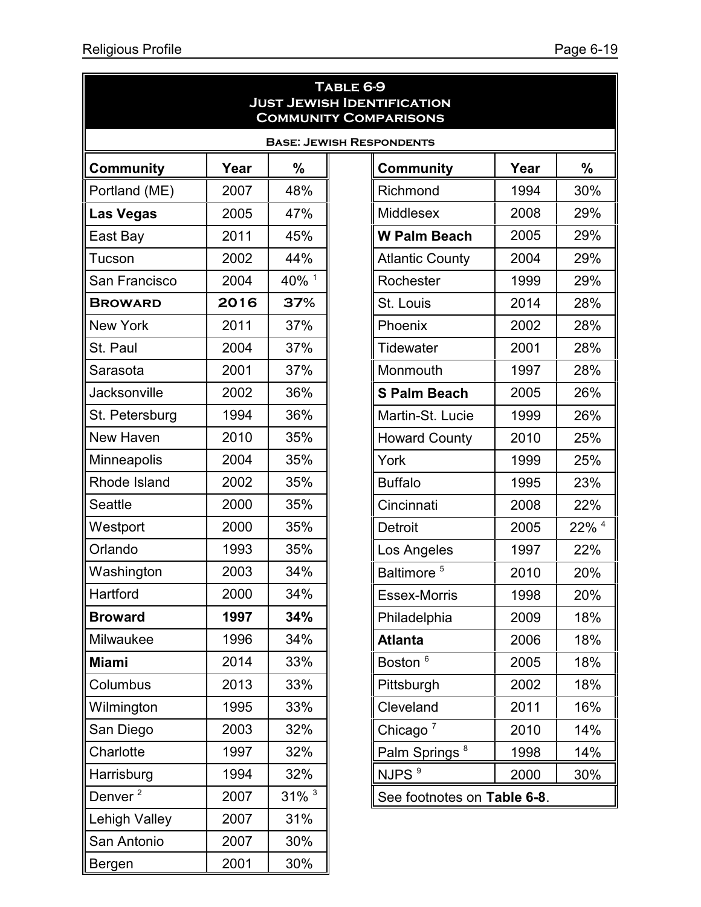|                     |      |                     | TABLE 6-9<br><b>JUST JEWISH IDENTIFICATION</b><br><b>COMMUNITY COMPARISONS</b> |      |                  |
|---------------------|------|---------------------|--------------------------------------------------------------------------------|------|------------------|
|                     |      |                     | <b>BASE: JEWISH RESPONDENTS</b>                                                |      |                  |
| <b>Community</b>    | Year | %                   | <b>Community</b>                                                               | Year | %                |
| Portland (ME)       | 2007 | 48%                 | Richmond                                                                       | 1994 | 30%              |
| <b>Las Vegas</b>    | 2005 | 47%                 | <b>Middlesex</b>                                                               | 2008 | 29%              |
| East Bay            | 2011 | 45%                 | <b>W Palm Beach</b>                                                            | 2005 | 29%              |
| Tucson              | 2002 | 44%                 | <b>Atlantic County</b>                                                         | 2004 | 29%              |
| San Francisco       | 2004 | 40% <sup>1</sup>    | Rochester                                                                      | 1999 | 29%              |
| <b>BROWARD</b>      | 2016 | 37%                 | St. Louis                                                                      | 2014 | 28%              |
| <b>New York</b>     | 2011 | 37%                 | Phoenix                                                                        | 2002 | 28%              |
| St. Paul            | 2004 | 37%                 | Tidewater                                                                      | 2001 | 28%              |
| Sarasota            | 2001 | 37%                 | Monmouth                                                                       | 1997 | 28%              |
| <b>Jacksonville</b> | 2002 | 36%                 | <b>S Palm Beach</b>                                                            | 2005 | 26%              |
| St. Petersburg      | 1994 | 36%                 | Martin-St. Lucie                                                               | 1999 | 26%              |
| New Haven           | 2010 | 35%                 | <b>Howard County</b>                                                           | 2010 | 25%              |
| Minneapolis         | 2004 | 35%                 | York                                                                           | 1999 | 25%              |
| Rhode Island        | 2002 | 35%                 | <b>Buffalo</b>                                                                 | 1995 | 23%              |
| <b>Seattle</b>      | 2000 | 35%                 | Cincinnati                                                                     | 2008 | 22%              |
| Westport            | 2000 | 35%                 | <b>Detroit</b>                                                                 | 2005 | 22% <sup>4</sup> |
| Orlando             | 1993 | 35%                 | Los Angeles                                                                    | 1997 | 22%              |
| Washington          | 2003 | 34%                 | Baltimore <sup>5</sup>                                                         | 2010 | 20%              |
| Hartford            | 2000 | 34%                 | Essex-Morris                                                                   | 1998 | 20%              |
| <b>Broward</b>      | 1997 | 34%                 | Philadelphia                                                                   | 2009 | 18%              |
| Milwaukee           | 1996 | 34%                 | <b>Atlanta</b>                                                                 | 2006 | 18%              |
| <b>Miami</b>        | 2014 | 33%                 | Boston <sup>6</sup>                                                            | 2005 | 18%              |
| Columbus            | 2013 | 33%                 | Pittsburgh                                                                     | 2002 | 18%              |
| Wilmington          | 1995 | 33%                 | Cleveland                                                                      | 2011 | 16%              |
| San Diego           | 2003 | 32%                 | Chicago $7$                                                                    | 2010 | 14%              |
| Charlotte           | 1997 | 32%                 | Palm Springs <sup>8</sup>                                                      | 1998 | 14%              |
| Harrisburg          | 1994 | 32%                 | NJPS <sup>9</sup>                                                              | 2000 | 30%              |
| Denver <sup>2</sup> | 2007 | $31\%$ <sup>3</sup> | See footnotes on Table 6-8.                                                    |      |                  |
| Lehigh Valley       | 2007 | 31%                 |                                                                                |      |                  |
| San Antonio         | 2007 | 30%                 |                                                                                |      |                  |
| Bergen              | 2001 | 30%                 |                                                                                |      |                  |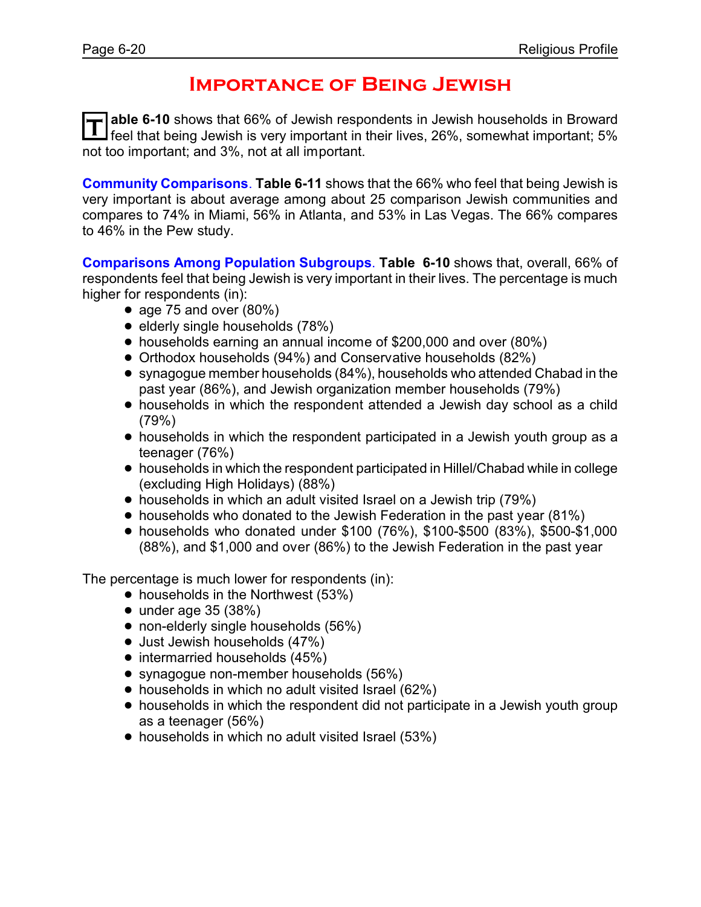### **Importance of Being Jewish**

T able 6-10 shows that 66% of Jewish respondents in Jewish households in Broward<br>I feel that being Jewish is very important in their lives, 26%, somewhat important; 5% **able 6-10** shows that 66% of Jewish respondents in Jewish households in Broward not too important; and 3%, not at all important.

**Community Comparisons**. **Table 6-11** shows that the 66% who feel that being Jewish is very important is about average among about 25 comparison Jewish communities and compares to 74% in Miami, 56% in Atlanta, and 53% in Las Vegas. The 66% compares to 46% in the Pew study.

**Comparisons Among Population Subgroups**. **Table 6-10** shows that, overall, 66% of respondents feel that being Jewish is very important in their lives. The percentage is much higher for respondents (in):

- age 75 and over  $(80\%)$
- elderly single households (78%)
- ! households earning an annual income of \$200,000 and over (80%)
- ! Orthodox households (94%) and Conservative households (82%)
- ! synagogue member households (84%), households who attended Chabad in the past year (86%), and Jewish organization member households (79%)
- households in which the respondent attended a Jewish day school as a child (79%)
- households in which the respondent participated in a Jewish youth group as a teenager (76%)
- ! households in which the respondent participated in Hillel/Chabad while in college (excluding High Holidays) (88%)
- households in which an adult visited Israel on a Jewish trip (79%)
- households who donated to the Jewish Federation in the past year (81%)
- ! households who donated under \$100 (76%), \$100-\$500 (83%), \$500-\$1,000 (88%), and \$1,000 and over (86%) to the Jewish Federation in the past year

- $\bullet$  households in the Northwest (53%)
- $\bullet$  under age 35 (38%)
- non-elderly single households (56%)
- Just Jewish households (47%)
- $\bullet$  intermarried households (45%)
- synagogue non-member households (56%)
- households in which no adult visited Israel (62%)
- households in which the respondent did not participate in a Jewish youth group as a teenager (56%)
- households in which no adult visited Israel (53%)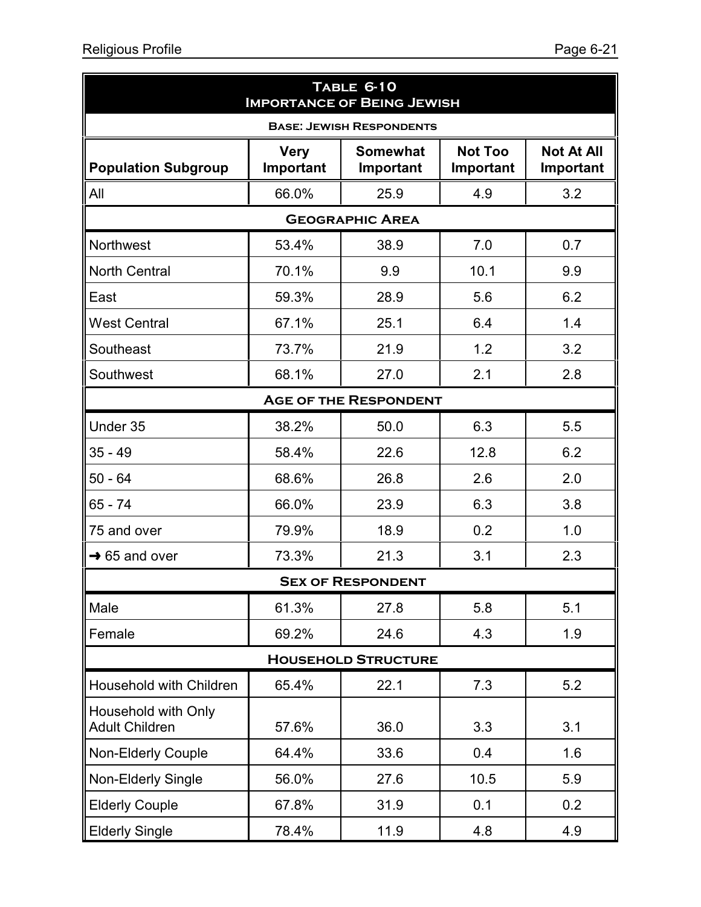| TABLE 6-10<br><b>IMPORTANCE OF BEING JEWISH</b> |                                                                                                                           |                              |      |     |  |  |  |  |  |  |  |
|-------------------------------------------------|---------------------------------------------------------------------------------------------------------------------------|------------------------------|------|-----|--|--|--|--|--|--|--|
| <b>BASE: JEWISH RESPONDENTS</b>                 |                                                                                                                           |                              |      |     |  |  |  |  |  |  |  |
| <b>Population Subgroup</b>                      | <b>Not Too</b><br><b>Somewhat</b><br><b>Not At All</b><br><b>Very</b><br>Important<br>Important<br>Important<br>Important |                              |      |     |  |  |  |  |  |  |  |
| All                                             | 66.0%                                                                                                                     | 25.9                         | 4.9  | 3.2 |  |  |  |  |  |  |  |
| <b>GEOGRAPHIC AREA</b>                          |                                                                                                                           |                              |      |     |  |  |  |  |  |  |  |
| Northwest                                       | 53.4%                                                                                                                     | 38.9                         | 7.0  | 0.7 |  |  |  |  |  |  |  |
| <b>North Central</b>                            | 70.1%                                                                                                                     | 9.9                          | 10.1 | 9.9 |  |  |  |  |  |  |  |
| East                                            | 59.3%                                                                                                                     | 28.9                         | 5.6  | 6.2 |  |  |  |  |  |  |  |
| <b>West Central</b>                             | 67.1%                                                                                                                     | 25.1                         | 6.4  | 1.4 |  |  |  |  |  |  |  |
| Southeast                                       | 73.7%                                                                                                                     | 21.9                         | 1.2  | 3.2 |  |  |  |  |  |  |  |
| Southwest                                       | 68.1%                                                                                                                     | 27.0                         | 2.1  | 2.8 |  |  |  |  |  |  |  |
|                                                 |                                                                                                                           | <b>AGE OF THE RESPONDENT</b> |      |     |  |  |  |  |  |  |  |
| Under 35                                        | 38.2%                                                                                                                     | 50.0                         | 6.3  | 5.5 |  |  |  |  |  |  |  |
| $35 - 49$                                       | 58.4%                                                                                                                     | 22.6                         | 12.8 | 6.2 |  |  |  |  |  |  |  |
| $50 - 64$                                       | 68.6%                                                                                                                     | 26.8                         | 2.6  | 2.0 |  |  |  |  |  |  |  |
| $65 - 74$                                       | 66.0%                                                                                                                     | 23.9                         | 6.3  | 3.8 |  |  |  |  |  |  |  |
| 75 and over                                     | 79.9%                                                                                                                     | 18.9                         | 0.2  | 1.0 |  |  |  |  |  |  |  |
| $\rightarrow$ 65 and over                       | 73.3%                                                                                                                     | 21.3                         | 3.1  | 2.3 |  |  |  |  |  |  |  |
|                                                 |                                                                                                                           | <b>SEX OF RESPONDENT</b>     |      |     |  |  |  |  |  |  |  |
| Male                                            | 61.3%                                                                                                                     | 27.8                         | 5.8  | 5.1 |  |  |  |  |  |  |  |
| Female                                          | 69.2%                                                                                                                     | 24.6                         | 4.3  | 1.9 |  |  |  |  |  |  |  |
|                                                 |                                                                                                                           | <b>HOUSEHOLD STRUCTURE</b>   |      |     |  |  |  |  |  |  |  |
| Household with Children                         | 65.4%                                                                                                                     | 22.1                         | 7.3  | 5.2 |  |  |  |  |  |  |  |
| Household with Only<br><b>Adult Children</b>    | 57.6%                                                                                                                     | 36.0                         | 3.3  | 3.1 |  |  |  |  |  |  |  |
| <b>Non-Elderly Couple</b>                       | 64.4%                                                                                                                     | 33.6                         | 0.4  | 1.6 |  |  |  |  |  |  |  |
| <b>Non-Elderly Single</b>                       | 56.0%                                                                                                                     | 27.6                         | 10.5 | 5.9 |  |  |  |  |  |  |  |
| <b>Elderly Couple</b>                           | 67.8%                                                                                                                     | 31.9                         | 0.1  | 0.2 |  |  |  |  |  |  |  |
| <b>Elderly Single</b>                           | 78.4%                                                                                                                     | 11.9                         | 4.8  | 4.9 |  |  |  |  |  |  |  |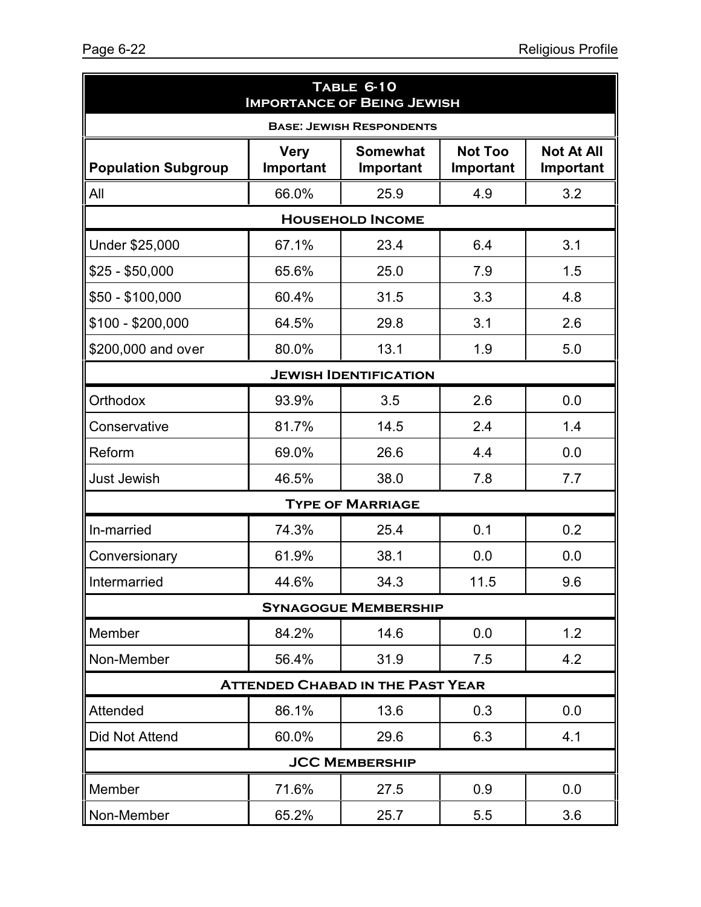| TABLE 6-10<br><b>IMPORTANCE OF BEING JEWISH</b> |                          |                                         |                             |                                |  |  |  |  |  |  |
|-------------------------------------------------|--------------------------|-----------------------------------------|-----------------------------|--------------------------------|--|--|--|--|--|--|
| <b>BASE: JEWISH RESPONDENTS</b>                 |                          |                                         |                             |                                |  |  |  |  |  |  |
| <b>Population Subgroup</b>                      | <b>Very</b><br>Important | <b>Somewhat</b><br>Important            | <b>Not Too</b><br>Important | <b>Not At All</b><br>Important |  |  |  |  |  |  |
| All                                             | 66.0%                    | 25.9                                    | 4.9                         | 3.2                            |  |  |  |  |  |  |
|                                                 |                          | <b>HOUSEHOLD INCOME</b>                 |                             |                                |  |  |  |  |  |  |
| Under \$25,000                                  | 67.1%                    | 23.4                                    | 6.4                         | 3.1                            |  |  |  |  |  |  |
| $$25 - $50,000$                                 | 65.6%                    | 25.0                                    | 7.9                         | 1.5                            |  |  |  |  |  |  |
| \$50 - \$100,000                                | 60.4%                    | 31.5                                    | 3.3                         | 4.8                            |  |  |  |  |  |  |
| \$100 - \$200,000                               | 64.5%                    | 29.8                                    | 3.1                         | 2.6                            |  |  |  |  |  |  |
| \$200,000 and over                              | 80.0%                    | 13.1                                    | 1.9                         | 5.0                            |  |  |  |  |  |  |
|                                                 |                          | <b>JEWISH IDENTIFICATION</b>            |                             |                                |  |  |  |  |  |  |
| Orthodox                                        | 93.9%                    | 3.5                                     | 2.6                         | 0.0                            |  |  |  |  |  |  |
| Conservative                                    | 81.7%                    | 14.5                                    | 2.4                         | 1.4                            |  |  |  |  |  |  |
| Reform                                          | 69.0%                    | 26.6                                    | 4.4                         | 0.0                            |  |  |  |  |  |  |
| <b>Just Jewish</b>                              | 46.5%                    | 38.0                                    | 7.8                         | 7.7                            |  |  |  |  |  |  |
|                                                 |                          | <b>TYPE OF MARRIAGE</b>                 |                             |                                |  |  |  |  |  |  |
| In-married                                      | 74.3%                    | 25.4                                    | 0.1                         | 0.2                            |  |  |  |  |  |  |
| Conversionary                                   | 61.9%                    | 38.1                                    | 0.0                         | 0.0                            |  |  |  |  |  |  |
| Intermarried                                    | 44.6%                    | 34.3                                    | 11.5                        | 9.6                            |  |  |  |  |  |  |
|                                                 |                          | <b>SYNAGOGUE MEMBERSHIP</b>             |                             |                                |  |  |  |  |  |  |
| Member                                          | 84.2%                    | 14.6                                    | 0.0                         | 1.2                            |  |  |  |  |  |  |
| Non-Member                                      | 56.4%                    | 31.9                                    | 7.5                         | 4.2                            |  |  |  |  |  |  |
|                                                 |                          | <b>ATTENDED CHABAD IN THE PAST YEAR</b> |                             |                                |  |  |  |  |  |  |
| Attended                                        | 86.1%                    | 13.6                                    | 0.3                         | 0.0                            |  |  |  |  |  |  |
| Did Not Attend                                  | 60.0%                    | 29.6                                    | 6.3                         | 4.1                            |  |  |  |  |  |  |
|                                                 |                          | <b>JCC MEMBERSHIP</b>                   |                             |                                |  |  |  |  |  |  |
| Member                                          | 71.6%                    | 27.5                                    | 0.9                         | 0.0                            |  |  |  |  |  |  |
| Non-Member                                      | 65.2%                    | 25.7                                    | 5.5                         | 3.6                            |  |  |  |  |  |  |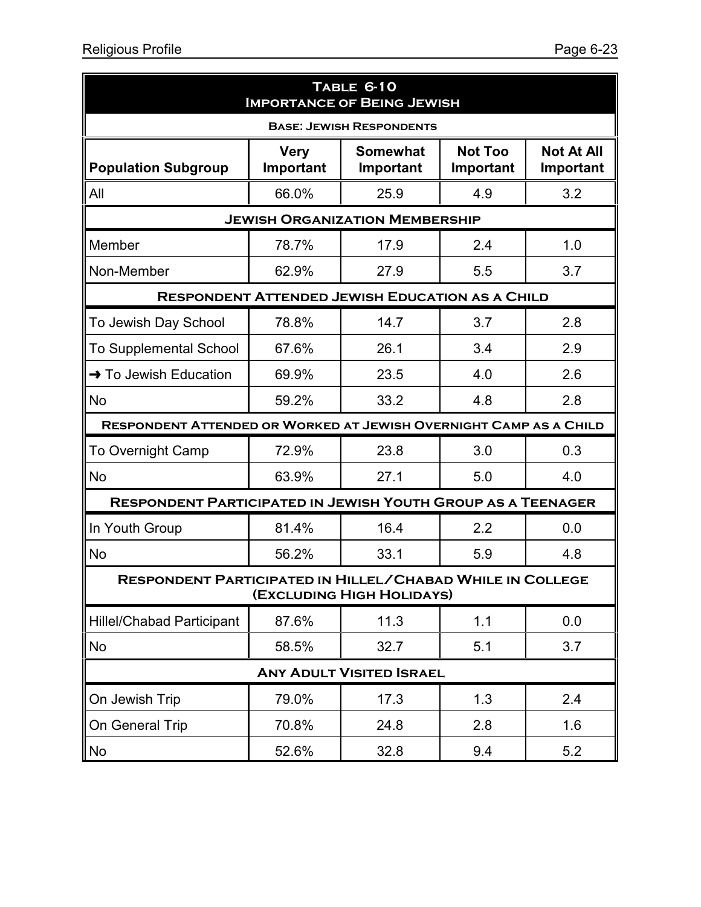| TABLE 6-10<br><b>IMPORTANCE OF BEING JEWISH</b>                    |                                                                                                                           |                                                        |     |     |  |  |  |  |  |
|--------------------------------------------------------------------|---------------------------------------------------------------------------------------------------------------------------|--------------------------------------------------------|-----|-----|--|--|--|--|--|
| <b>BASE: JEWISH RESPONDENTS</b>                                    |                                                                                                                           |                                                        |     |     |  |  |  |  |  |
| <b>Population Subgroup</b>                                         | <b>Not Too</b><br><b>Not At All</b><br><b>Somewhat</b><br><b>Very</b><br>Important<br>Important<br>Important<br>Important |                                                        |     |     |  |  |  |  |  |
| All                                                                | 66.0%                                                                                                                     | 25.9                                                   | 4.9 | 3.2 |  |  |  |  |  |
| <b>JEWISH ORGANIZATION MEMBERSHIP</b>                              |                                                                                                                           |                                                        |     |     |  |  |  |  |  |
| Member                                                             | 78.7%                                                                                                                     | 17.9                                                   | 2.4 | 1.0 |  |  |  |  |  |
| Non-Member                                                         | 62.9%                                                                                                                     | 27.9                                                   | 5.5 | 3.7 |  |  |  |  |  |
|                                                                    |                                                                                                                           | <b>RESPONDENT ATTENDED JEWISH EDUCATION AS A CHILD</b> |     |     |  |  |  |  |  |
| To Jewish Day School                                               | 78.8%                                                                                                                     | 14.7                                                   | 3.7 | 2.8 |  |  |  |  |  |
| <b>To Supplemental School</b>                                      | 67.6%                                                                                                                     | 26.1                                                   | 3.4 | 2.9 |  |  |  |  |  |
| $\rightarrow$ To Jewish Education                                  | 69.9%                                                                                                                     | 23.5                                                   | 4.0 | 2.6 |  |  |  |  |  |
| <b>No</b>                                                          | 59.2%                                                                                                                     | 33.2                                                   | 4.8 | 2.8 |  |  |  |  |  |
| RESPONDENT ATTENDED OR WORKED AT JEWISH OVERNIGHT CAMP AS A CHILD  |                                                                                                                           |                                                        |     |     |  |  |  |  |  |
| <b>To Overnight Camp</b>                                           | 72.9%                                                                                                                     | 23.8                                                   | 3.0 | 0.3 |  |  |  |  |  |
| <b>No</b>                                                          | 63.9%                                                                                                                     | 27.1                                                   | 5.0 | 4.0 |  |  |  |  |  |
| <b>RESPONDENT PARTICIPATED IN JEWISH YOUTH GROUP AS A TEENAGER</b> |                                                                                                                           |                                                        |     |     |  |  |  |  |  |
| In Youth Group                                                     | 81.4%                                                                                                                     | 16.4                                                   | 2.2 | 0.0 |  |  |  |  |  |
| <b>No</b>                                                          | 56.2%                                                                                                                     | 33.1                                                   | 5.9 | 4.8 |  |  |  |  |  |
| RESPONDENT PARTICIPATED IN HILLEL/CHABAD WHILE IN COLLEGE          |                                                                                                                           | (EXCLUDING HIGH HOLIDAYS)                              |     |     |  |  |  |  |  |
| <b>Hillel/Chabad Participant</b>                                   | 87.6%                                                                                                                     | 11.3                                                   | 1.1 | 0.0 |  |  |  |  |  |
| No                                                                 | 58.5%                                                                                                                     | 32.7                                                   | 5.1 | 3.7 |  |  |  |  |  |
|                                                                    |                                                                                                                           | <b>ANY ADULT VISITED ISRAEL</b>                        |     |     |  |  |  |  |  |
| On Jewish Trip                                                     | 79.0%                                                                                                                     | 17.3                                                   | 1.3 | 2.4 |  |  |  |  |  |
| On General Trip                                                    | 70.8%                                                                                                                     | 24.8                                                   | 2.8 | 1.6 |  |  |  |  |  |
| No                                                                 | 52.6%                                                                                                                     | 32.8                                                   | 9.4 | 5.2 |  |  |  |  |  |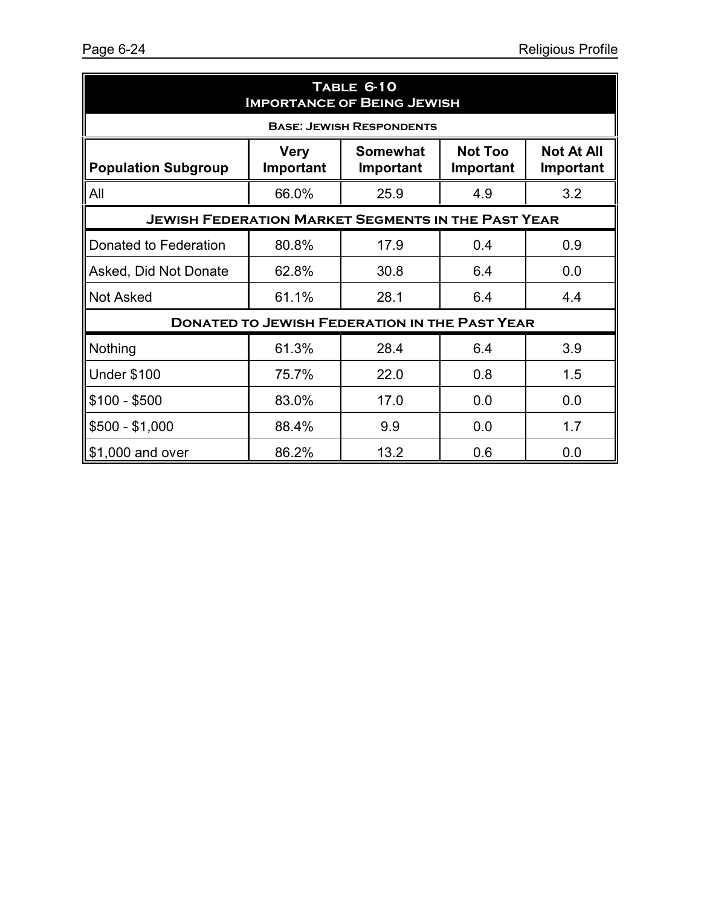| TABLE 6-10<br><b>IMPORTANCE OF BEING JEWISH</b>                                                                                                         |                                                           |                                                      |     |     |  |  |  |  |  |  |
|---------------------------------------------------------------------------------------------------------------------------------------------------------|-----------------------------------------------------------|------------------------------------------------------|-----|-----|--|--|--|--|--|--|
| <b>BASE: JEWISH RESPONDENTS</b>                                                                                                                         |                                                           |                                                      |     |     |  |  |  |  |  |  |
| <b>Not At All</b><br><b>Somewhat</b><br><b>Not Too</b><br><b>Very</b><br>Important<br><b>Population Subgroup</b><br>Important<br>Important<br>Important |                                                           |                                                      |     |     |  |  |  |  |  |  |
| All                                                                                                                                                     | 66.0%                                                     | 25.9                                                 | 4.9 | 3.2 |  |  |  |  |  |  |
|                                                                                                                                                         | <b>JEWISH FEDERATION MARKET SEGMENTS IN THE PAST YEAR</b> |                                                      |     |     |  |  |  |  |  |  |
| Donated to Federation                                                                                                                                   | 80.8%                                                     | 17.9                                                 | 0.4 | 0.9 |  |  |  |  |  |  |
| Asked, Did Not Donate                                                                                                                                   | 62.8%                                                     | 30.8                                                 | 6.4 | 0.0 |  |  |  |  |  |  |
| <b>Not Asked</b>                                                                                                                                        | 61.1%                                                     | 28.1                                                 | 6.4 | 4.4 |  |  |  |  |  |  |
|                                                                                                                                                         |                                                           | <b>DONATED TO JEWISH FEDERATION IN THE PAST YEAR</b> |     |     |  |  |  |  |  |  |
| Nothing                                                                                                                                                 | 61.3%                                                     | 28.4                                                 | 6.4 | 3.9 |  |  |  |  |  |  |
| <b>Under \$100</b>                                                                                                                                      | 75.7%                                                     | 22.0                                                 | 0.8 | 1.5 |  |  |  |  |  |  |
| \$100 - \$500                                                                                                                                           | 83.0%                                                     | 17.0                                                 | 0.0 | 0.0 |  |  |  |  |  |  |
| \$500 - \$1,000                                                                                                                                         | 88.4%                                                     | 9.9                                                  | 0.0 | 1.7 |  |  |  |  |  |  |
| \$1,000 and over                                                                                                                                        | 86.2%                                                     | 13.2                                                 | 0.6 | 0.0 |  |  |  |  |  |  |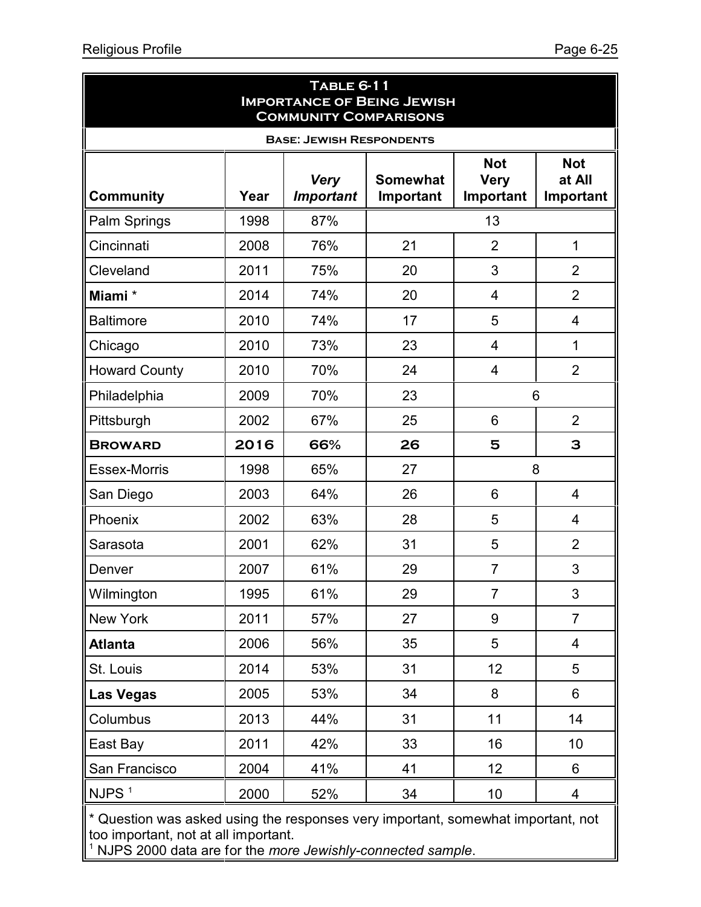| <b>TABLE 6-11</b><br><b>IMPORTANCE OF BEING JEWISH</b><br><b>COMMUNITY COMPARISONS</b> |      |                                 |                              |                                        |                                   |  |  |  |  |  |
|----------------------------------------------------------------------------------------|------|---------------------------------|------------------------------|----------------------------------------|-----------------------------------|--|--|--|--|--|
| <b>BASE: JEWISH RESPONDENTS</b>                                                        |      |                                 |                              |                                        |                                   |  |  |  |  |  |
| <b>Community</b>                                                                       | Year | <b>Very</b><br><b>Important</b> | <b>Somewhat</b><br>Important | <b>Not</b><br><b>Very</b><br>Important | <b>Not</b><br>at All<br>Important |  |  |  |  |  |
| Palm Springs                                                                           | 1998 | 87%                             |                              | 13                                     |                                   |  |  |  |  |  |
| Cincinnati                                                                             | 2008 | 76%                             | 21                           | $\overline{2}$                         | $\mathbf 1$                       |  |  |  |  |  |
| Cleveland                                                                              | 2011 | 75%                             | 20                           | 3                                      | $\overline{2}$                    |  |  |  |  |  |
| Miami*                                                                                 | 2014 | 74%                             | 20                           | 4                                      | $\overline{2}$                    |  |  |  |  |  |
| <b>Baltimore</b>                                                                       | 2010 | 74%                             | 17                           | 5                                      | $\overline{\mathcal{A}}$          |  |  |  |  |  |
| Chicago                                                                                | 2010 | 73%                             | 23                           | 4                                      | 1                                 |  |  |  |  |  |
| <b>Howard County</b>                                                                   | 2010 | 70%                             | 24                           | 4                                      | $\overline{2}$                    |  |  |  |  |  |
| Philadelphia                                                                           | 2009 | 70%                             | 23                           | 6                                      |                                   |  |  |  |  |  |
| Pittsburgh                                                                             | 2002 | 67%                             | 25                           | 6                                      | $\overline{2}$                    |  |  |  |  |  |
| <b>BROWARD</b>                                                                         | 2016 | 66%                             | 26                           | 5                                      | 3                                 |  |  |  |  |  |
| <b>Essex-Morris</b>                                                                    | 1998 | 65%                             | 27                           | 8                                      |                                   |  |  |  |  |  |
| San Diego                                                                              | 2003 | 64%                             | 26                           | 6                                      | 4                                 |  |  |  |  |  |
| Phoenix                                                                                | 2002 | 63%                             | 28                           | 5                                      | 4                                 |  |  |  |  |  |
| Sarasota                                                                               | 2001 | 62%                             | 31                           | 5                                      | $\overline{2}$                    |  |  |  |  |  |
| Denver                                                                                 | 2007 | 61%                             | 29                           | $\overline{7}$                         | 3                                 |  |  |  |  |  |
| Wilmington                                                                             | 1995 | 61%                             | 29                           | 7                                      | 3                                 |  |  |  |  |  |
| New York                                                                               | 2011 | 57%                             | 27                           | 9                                      | $\overline{7}$                    |  |  |  |  |  |
| <b>Atlanta</b>                                                                         | 2006 | 56%                             | 35                           | 5                                      | $\overline{\mathbf{4}}$           |  |  |  |  |  |
| St. Louis                                                                              | 2014 | 53%                             | 31                           | 12                                     | 5                                 |  |  |  |  |  |
| <b>Las Vegas</b>                                                                       | 2005 | 53%                             | 34                           | 8                                      | 6                                 |  |  |  |  |  |
| Columbus                                                                               | 2013 | 44%                             | 31                           | 11                                     | 14                                |  |  |  |  |  |
| East Bay                                                                               | 2011 | 42%                             | 33                           | 16                                     | 10 <sup>°</sup>                   |  |  |  |  |  |
| San Francisco                                                                          | 2004 | 41%                             | 41                           | 12                                     | 6                                 |  |  |  |  |  |
| NJPS <sup>1</sup>                                                                      | 2000 | 52%                             | 34                           | 10                                     | 4                                 |  |  |  |  |  |
| $*$ $\cap$                                                                             |      | $\frac{1}{2}$                   |                              |                                        |                                   |  |  |  |  |  |

Question was asked using the responses very important, somewhat important, not too important, not at all important.

1 NJPS 2000 data are for the *more Jewishly-connected sample*.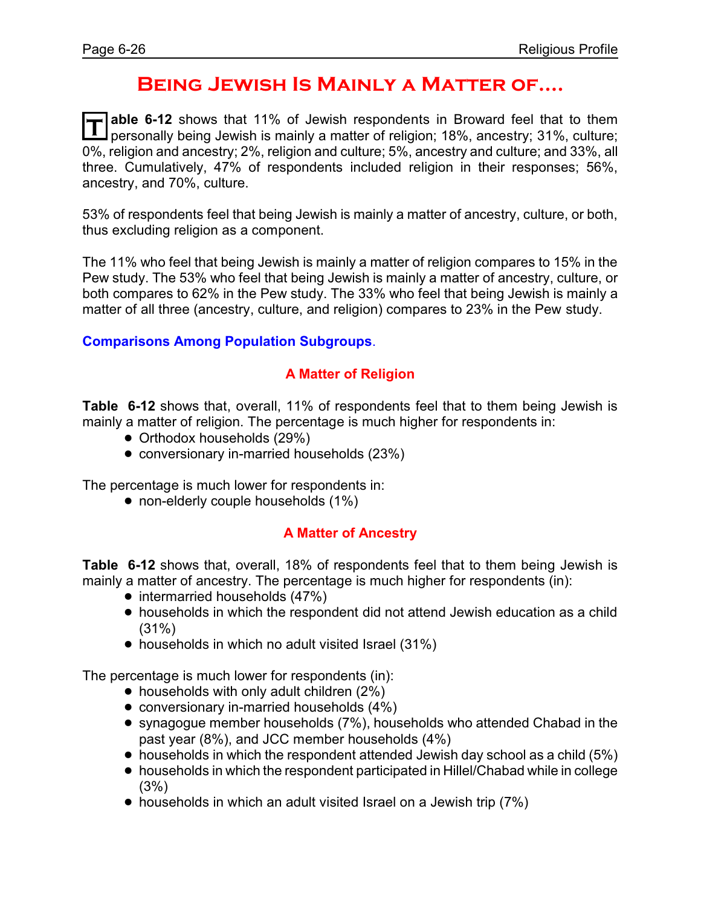### **Being Jewish Is Mainly a Matter of....**

**T** able 6-12 shows that 11% of Jewish respondents in Broward feel that to them<br>personally being Jewish is mainly a matter of religion; 18%, ancestry; 31%, culture; **able 6-12** shows that 11% of Jewish respondents in Broward feel that to them 0%, religion and ancestry; 2%, religion and culture; 5%, ancestry and culture; and 33%, all three. Cumulatively, 47% of respondents included religion in their responses; 56%, ancestry, and 70%, culture.

53% of respondents feel that being Jewish is mainly a matter of ancestry, culture, or both, thus excluding religion as a component.

The 11% who feel that being Jewish is mainly a matter of religion compares to 15% in the Pew study. The 53% who feel that being Jewish is mainly a matter of ancestry, culture, or both compares to 62% in the Pew study. The 33% who feel that being Jewish is mainly a matter of all three (ancestry, culture, and religion) compares to 23% in the Pew study.

**Comparisons Among Population Subgroups**.

#### **A Matter of Religion**

**Table 6-12** shows that, overall, 11% of respondents feel that to them being Jewish is mainly a matter of religion. The percentage is much higher for respondents in:

- Orthodox households (29%)
- conversionary in-married households (23%)

The percentage is much lower for respondents in:

• non-elderly couple households (1%)

#### **A Matter of Ancestry**

**Table 6-12** shows that, overall, 18% of respondents feel that to them being Jewish is mainly a matter of ancestry. The percentage is much higher for respondents (in):

- intermarried households (47%)
- ! households in which the respondent did not attend Jewish education as a child (31%)
- households in which no adult visited Israel (31%)

- $\bullet$  households with only adult children (2%)
- $\bullet$  conversionary in-married households (4%)
- ! synagogue member households (7%), households who attended Chabad in the past year (8%), and JCC member households (4%)
- $\bullet$  households in which the respondent attended Jewish day school as a child (5%)
- ! households in which the respondent participated in Hillel/Chabad while in college (3%)
- households in which an adult visited Israel on a Jewish trip (7%)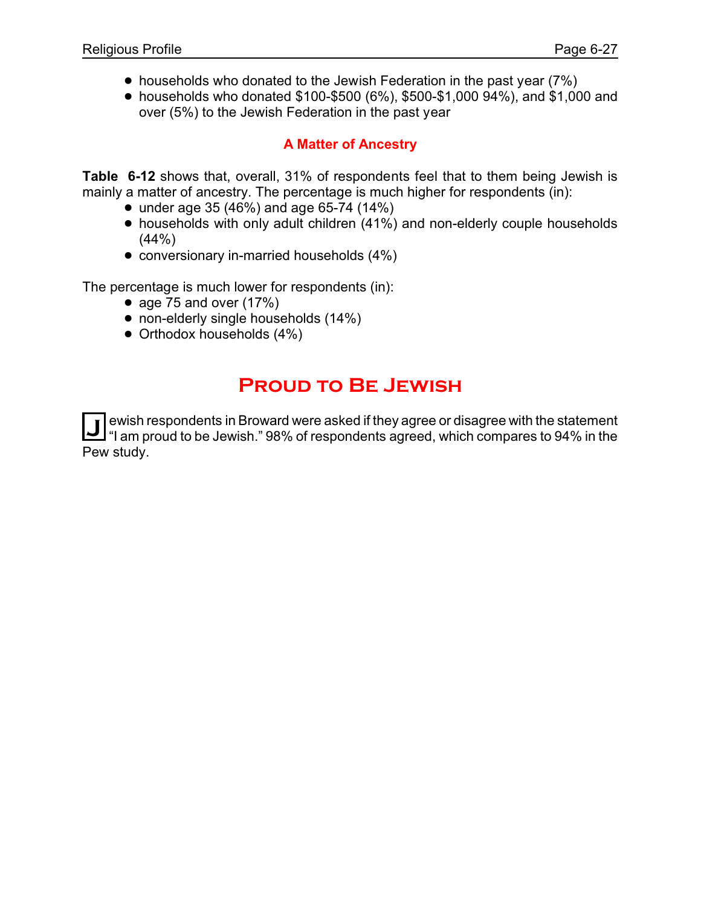- households who donated to the Jewish Federation in the past year (7%)
- ! households who donated \$100-\$500 (6%), \$500-\$1,000 94%), and \$1,000 and over (5%) to the Jewish Federation in the past year

### **A Matter of Ancestry**

**Table 6-12** shows that, overall, 31% of respondents feel that to them being Jewish is mainly a matter of ancestry. The percentage is much higher for respondents (in):

- $\bullet$  under age 35 (46%) and age 65-74 (14%)
- households with only adult children (41%) and non-elderly couple households  $(44% )$
- conversionary in-married households (4%)

The percentage is much lower for respondents (in):

- age 75 and over  $(17%)$
- non-elderly single households (14%)
- Orthodox households (4%)

### **Proud to Be Jewish**

**J** ewish respondents in Broward were asked if they agree or disagree with the statement<br>"If am proud to be Jowish" 98% of respondents agreed, which compares to 94% in the "I am proud to be Jewish." 98% of respondents agreed, which compares to 94% in the Pew study.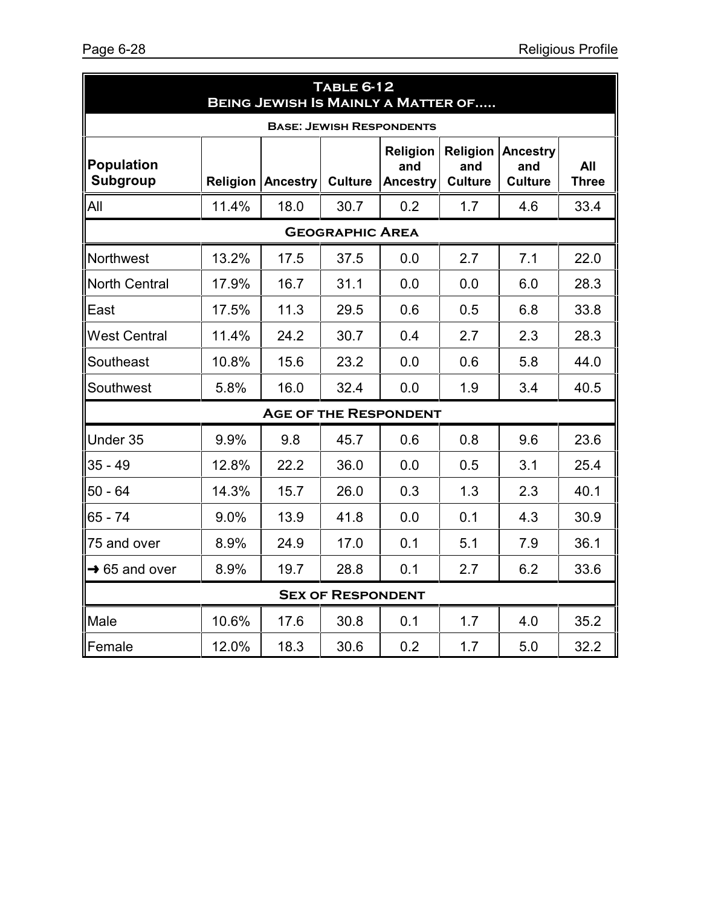| <b>TABLE 6-12</b><br><b>BEING JEWISH IS MAINLY A MATTER OF</b> |       |                          |                          |                                           |                                   |                                          |                     |  |  |  |
|----------------------------------------------------------------|-------|--------------------------|--------------------------|-------------------------------------------|-----------------------------------|------------------------------------------|---------------------|--|--|--|
| <b>BASE: JEWISH RESPONDENTS</b>                                |       |                          |                          |                                           |                                   |                                          |                     |  |  |  |
| <b>Population</b><br>Subgroup                                  |       | <b>Religion Ancestry</b> | <b>Culture</b>           | <b>Religion</b><br>and<br><b>Ancestry</b> | Religion<br>and<br><b>Culture</b> | <b>Ancestry</b><br>and<br><b>Culture</b> | All<br><b>Three</b> |  |  |  |
| All                                                            | 11.4% | 18.0                     | 30.7                     | 0.2                                       | 1.7                               | 4.6                                      | 33.4                |  |  |  |
|                                                                |       |                          | <b>GEOGRAPHIC AREA</b>   |                                           |                                   |                                          |                     |  |  |  |
| Northwest                                                      | 13.2% | 17.5                     | 37.5                     | 0.0                                       | 2.7                               | 7.1                                      | 22.0                |  |  |  |
| <b>North Central</b>                                           | 17.9% | 16.7                     | 31.1                     | 0.0                                       | 0.0                               | 6.0                                      | 28.3                |  |  |  |
| East                                                           | 17.5% | 11.3                     | 29.5                     | 0.6                                       | 0.5                               | 6.8                                      | 33.8                |  |  |  |
| <b>West Central</b>                                            | 11.4% | 24.2                     | 30.7                     | 0.4                                       | 2.7                               | 2.3                                      | 28.3                |  |  |  |
| Southeast                                                      | 10.8% | 15.6                     | 23.2                     | 0.0                                       | 0.6                               | 5.8                                      | 44.0                |  |  |  |
| Southwest                                                      | 5.8%  | 16.0                     | 32.4                     | 0.0                                       | 1.9                               | 3.4                                      | 40.5                |  |  |  |
|                                                                |       |                          |                          | <b>AGE OF THE RESPONDENT</b>              |                                   |                                          |                     |  |  |  |
| Under 35                                                       | 9.9%  | 9.8                      | 45.7                     | 0.6                                       | 0.8                               | 9.6                                      | 23.6                |  |  |  |
| $35 - 49$                                                      | 12.8% | 22.2                     | 36.0                     | 0.0                                       | 0.5                               | 3.1                                      | 25.4                |  |  |  |
| $50 - 64$                                                      | 14.3% | 15.7                     | 26.0                     | 0.3                                       | 1.3                               | 2.3                                      | 40.1                |  |  |  |
| $65 - 74$                                                      | 9.0%  | 13.9                     | 41.8                     | 0.0                                       | 0.1                               | 4.3                                      | 30.9                |  |  |  |
| 75 and over                                                    | 8.9%  | 24.9                     | 17.0                     | 0.1                                       | 5.1                               | 7.9                                      | 36.1                |  |  |  |
| $\rightarrow$ 65 and over                                      | 8.9%  | 19.7                     | 28.8                     | 0.1                                       | 2.7                               | 6.2                                      | 33.6                |  |  |  |
|                                                                |       |                          | <b>SEX OF RESPONDENT</b> |                                           |                                   |                                          |                     |  |  |  |
| Male                                                           | 10.6% | 17.6                     | 30.8                     | 0.1                                       | 1.7                               | 4.0                                      | 35.2                |  |  |  |
| Female                                                         | 12.0% | 18.3                     | 30.6                     | 0.2                                       | 1.7                               | 5.0                                      | 32.2                |  |  |  |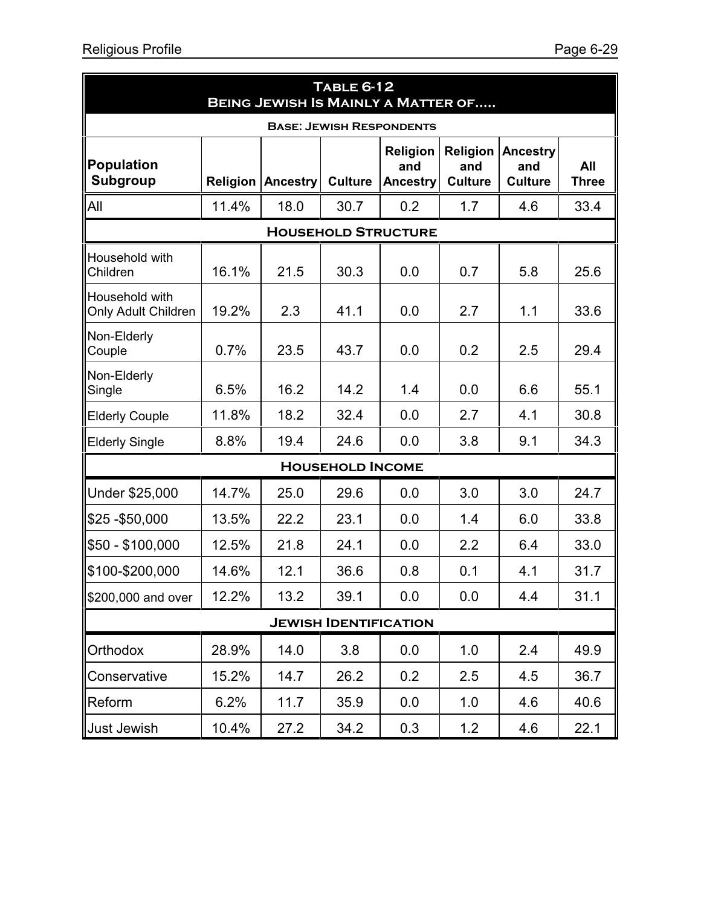| <b>TABLE 6-12</b><br><b>BEING JEWISH IS MAINLY A MATTER OF</b> |          |                 |                              |                                           |                                   |                                          |                     |  |  |  |
|----------------------------------------------------------------|----------|-----------------|------------------------------|-------------------------------------------|-----------------------------------|------------------------------------------|---------------------|--|--|--|
| <b>BASE: JEWISH RESPONDENTS</b>                                |          |                 |                              |                                           |                                   |                                          |                     |  |  |  |
| <b>Population</b><br>Subgroup                                  | Religion | <b>Ancestry</b> | <b>Culture</b>               | <b>Religion</b><br>and<br><b>Ancestry</b> | Religion<br>and<br><b>Culture</b> | <b>Ancestry</b><br>and<br><b>Culture</b> | All<br><b>Three</b> |  |  |  |
| All                                                            | 11.4%    | 18.0            | 30.7                         | 0.2                                       | 1.7                               | 4.6                                      | 33.4                |  |  |  |
|                                                                |          |                 |                              | <b>HOUSEHOLD STRUCTURE</b>                |                                   |                                          |                     |  |  |  |
| Household with<br>Children                                     | 16.1%    | 21.5            | 30.3                         | 0.0                                       | 0.7                               | 5.8                                      | 25.6                |  |  |  |
| Household with<br><b>Only Adult Children</b>                   | 19.2%    | 2.3             | 41.1                         | 0.0                                       | 2.7                               | 1.1                                      | 33.6                |  |  |  |
| Non-Elderly<br>Couple                                          | 0.7%     | 23.5            | 43.7                         | 0.0                                       | 0.2                               | 2.5                                      | 29.4                |  |  |  |
| Non-Elderly<br>Single                                          | 6.5%     | 16.2            | 14.2                         | 1.4                                       | 0.0                               | 6.6                                      | 55.1                |  |  |  |
| <b>Elderly Couple</b>                                          | 11.8%    | 18.2            | 32.4                         | 0.0                                       | 2.7                               | 4.1                                      | 30.8                |  |  |  |
| <b>Elderly Single</b>                                          | 8.8%     | 19.4            | 24.6                         | 0.0                                       | 3.8                               | 9.1                                      | 34.3                |  |  |  |
|                                                                |          |                 | <b>HOUSEHOLD INCOME</b>      |                                           |                                   |                                          |                     |  |  |  |
| Under \$25,000                                                 | 14.7%    | 25.0            | 29.6                         | 0.0                                       | 3.0                               | 3.0                                      | 24.7                |  |  |  |
| $$25 - $50,000$                                                | 13.5%    | 22.2            | 23.1                         | 0.0                                       | 1.4                               | 6.0                                      | 33.8                |  |  |  |
| \$50 - \$100,000                                               | 12.5%    | 21.8            | 24.1                         | 0.0                                       | 2.2                               | 6.4                                      | 33.0                |  |  |  |
| \$100-\$200,000                                                | 14.6%    | 12.1            | 36.6                         | 0.8                                       | 0.1                               | 4.1                                      | 31.7                |  |  |  |
| \$200,000 and over                                             | 12.2%    | 13.2            | 39.1                         | 0.0                                       | 0.0                               | 4.4                                      | 31.1                |  |  |  |
|                                                                |          |                 | <b>JEWISH IDENTIFICATION</b> |                                           |                                   |                                          |                     |  |  |  |
| Orthodox                                                       | 28.9%    | 14.0            | 3.8                          | 0.0                                       | 1.0                               | 2.4                                      | 49.9                |  |  |  |
| Conservative                                                   | 15.2%    | 14.7            | 26.2                         | 0.2                                       | 2.5                               | 4.5                                      | 36.7                |  |  |  |
| Reform                                                         | 6.2%     | 11.7            | 35.9                         | 0.0                                       | 1.0                               | 4.6                                      | 40.6                |  |  |  |
| Just Jewish                                                    | 10.4%    | 27.2            | 34.2                         | 0.3                                       | 1.2                               | 4.6                                      | 22.1                |  |  |  |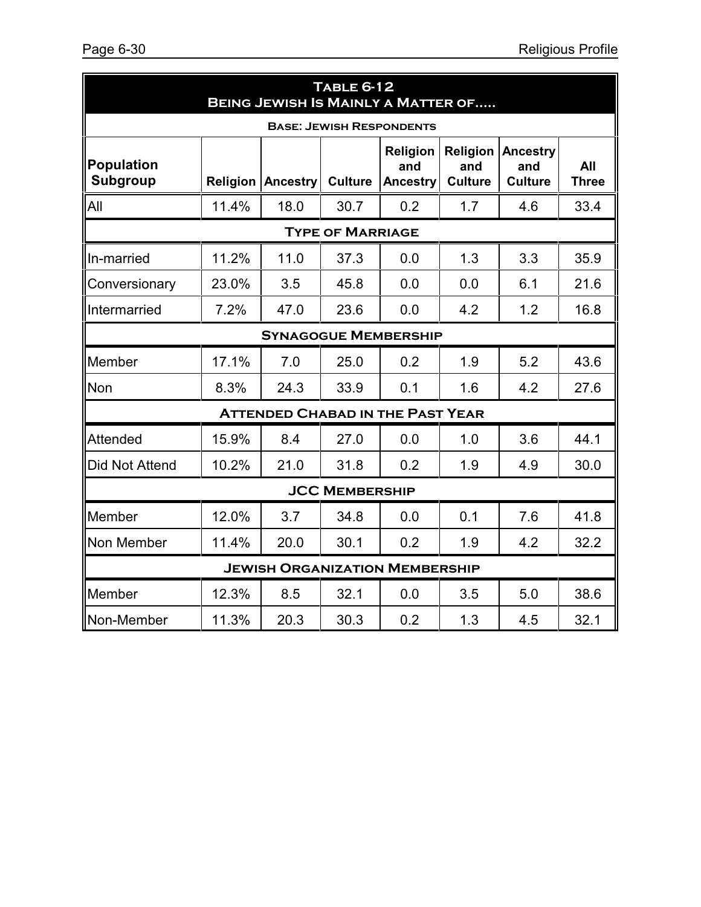| <b>TABLE 6-12</b><br><b>BEING JEWISH IS MAINLY A MATTER OF</b> |                         |          |                |                                           |                                   |                                          |                     |
|----------------------------------------------------------------|-------------------------|----------|----------------|-------------------------------------------|-----------------------------------|------------------------------------------|---------------------|
| <b>BASE: JEWISH RESPONDENTS</b>                                |                         |          |                |                                           |                                   |                                          |                     |
| <b>Population</b><br><b>Subgroup</b>                           | Religion                | Ancestry | <b>Culture</b> | <b>Religion</b><br>and<br><b>Ancestry</b> | Religion<br>and<br><b>Culture</b> | <b>Ancestry</b><br>and<br><b>Culture</b> | All<br><b>Three</b> |
| All                                                            | 11.4%                   | 18.0     | 30.7           | 0.2                                       | 1.7                               | 4.6                                      | 33.4                |
|                                                                | <b>TYPE OF MARRIAGE</b> |          |                |                                           |                                   |                                          |                     |
| In-married                                                     | 11.2%                   | 11.0     | 37.3           | 0.0                                       | 1.3                               | 3.3                                      | 35.9                |
| Conversionary                                                  | 23.0%                   | 3.5      | 45.8           | 0.0                                       | 0.0                               | 6.1                                      | 21.6                |
| Intermarried                                                   | 7.2%                    | 47.0     | 23.6           | 0.0                                       | 4.2                               | 1.2                                      | 16.8                |
| <b>SYNAGOGUE MEMBERSHIP</b>                                    |                         |          |                |                                           |                                   |                                          |                     |
| Member                                                         | 17.1%                   | 7.0      | 25.0           | 0.2                                       | 1.9                               | 5.2                                      | 43.6                |
| <b>Non</b>                                                     | 8.3%                    | 24.3     | 33.9           | 0.1                                       | 1.6                               | 4.2                                      | 27.6                |
| <b>ATTENDED CHABAD IN THE PAST YEAR</b>                        |                         |          |                |                                           |                                   |                                          |                     |
| Attended                                                       | 15.9%                   | 8.4      | 27.0           | 0.0                                       | 1.0                               | 3.6                                      | 44.1                |
| Did Not Attend                                                 | 10.2%                   | 21.0     | 31.8           | 0.2                                       | 1.9                               | 4.9                                      | 30.0                |
| <b>JCC MEMBERSHIP</b>                                          |                         |          |                |                                           |                                   |                                          |                     |
| Member                                                         | 12.0%                   | 3.7      | 34.8           | 0.0                                       | 0.1                               | 7.6                                      | 41.8                |
| Non Member                                                     | 11.4%                   | 20.0     | 30.1           | 0.2                                       | 1.9                               | 4.2                                      | 32.2                |
| <b>JEWISH ORGANIZATION MEMBERSHIP</b>                          |                         |          |                |                                           |                                   |                                          |                     |
| Member                                                         | 12.3%                   | 8.5      | 32.1           | 0.0                                       | 3.5                               | 5.0                                      | 38.6                |
| Non-Member                                                     | 11.3%                   | 20.3     | 30.3           | 0.2                                       | 1.3                               | 4.5                                      | 32.1                |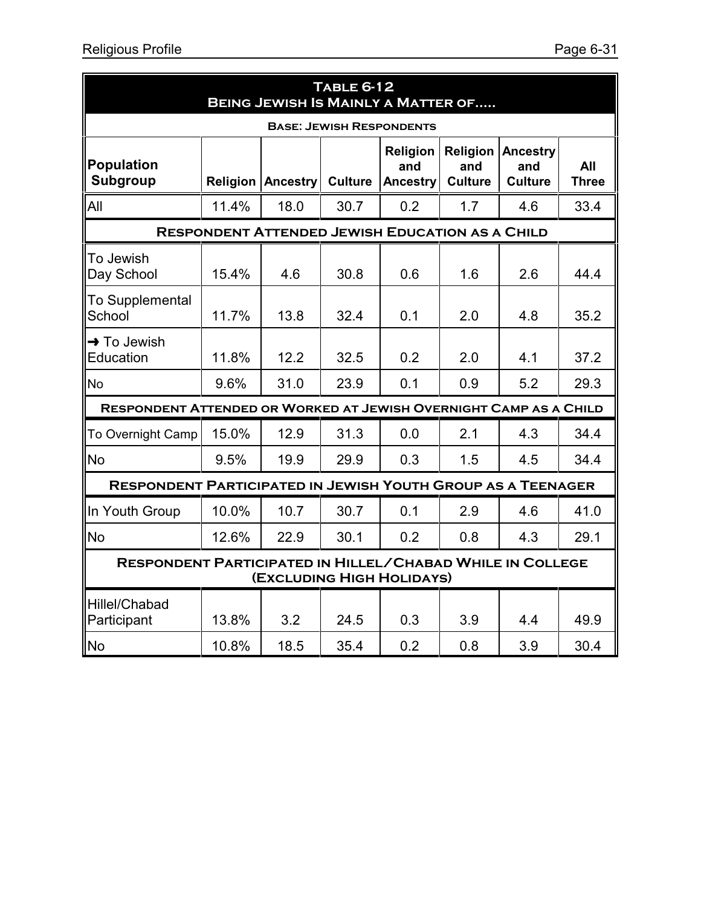| <b>TABLE 6-12</b><br><b>BEING JEWISH IS MAINLY A MATTER OF</b>                                |       |                                                        |                |                                    |                                   |                                          |                     |
|-----------------------------------------------------------------------------------------------|-------|--------------------------------------------------------|----------------|------------------------------------|-----------------------------------|------------------------------------------|---------------------|
| <b>BASE: JEWISH RESPONDENTS</b>                                                               |       |                                                        |                |                                    |                                   |                                          |                     |
| <b>Population</b><br><b>Subgroup</b>                                                          |       | <b>Religion Ancestry</b>                               | <b>Culture</b> | Religion<br>and<br><b>Ancestry</b> | Religion<br>and<br><b>Culture</b> | <b>Ancestry</b><br>and<br><b>Culture</b> | All<br><b>Three</b> |
| All                                                                                           | 11.4% | 18.0                                                   | 30.7           | 0.2                                | 1.7                               | 4.6                                      | 33.4                |
|                                                                                               |       | <b>RESPONDENT ATTENDED JEWISH EDUCATION AS A CHILD</b> |                |                                    |                                   |                                          |                     |
| To Jewish<br>Day School                                                                       | 15.4% | 4.6                                                    | 30.8           | 0.6                                | 1.6                               | 2.6                                      | 44.4                |
| To Supplemental<br>School                                                                     | 11.7% | 13.8                                                   | 32.4           | 0.1                                | 2.0                               | 4.8                                      | 35.2                |
| $\rightarrow$ To Jewish<br>Education                                                          | 11.8% | 12.2                                                   | 32.5           | 0.2                                | 2.0                               | 4.1                                      | 37.2                |
| No                                                                                            | 9.6%  | 31.0                                                   | 23.9           | 0.1                                | 0.9                               | 5.2                                      | 29.3                |
| RESPONDENT ATTENDED OR WORKED AT JEWISH OVERNIGHT CAMP AS A CHILD                             |       |                                                        |                |                                    |                                   |                                          |                     |
| To Overnight Camp                                                                             | 15.0% | 12.9                                                   | 31.3           | 0.0                                | 2.1                               | 4.3                                      | 34.4                |
| <b>No</b>                                                                                     | 9.5%  | 19.9                                                   | 29.9           | 0.3                                | 1.5                               | 4.5                                      | 34.4                |
| <b>RESPONDENT PARTICIPATED IN JEWISH YOUTH GROUP AS A TEENAGER</b>                            |       |                                                        |                |                                    |                                   |                                          |                     |
| In Youth Group                                                                                | 10.0% | 10.7                                                   | 30.7           | 0.1                                | 2.9                               | 4.6                                      | 41.0                |
| No                                                                                            | 12.6% | 22.9                                                   | 30.1           | 0.2                                | 0.8                               | 4.3                                      | 29.1                |
| <b>RESPONDENT PARTICIPATED IN HILLEL/CHABAD WHILE IN COLLEGE</b><br>(EXCLUDING HIGH HOLIDAYS) |       |                                                        |                |                                    |                                   |                                          |                     |
| Hillel/Chabad<br>Participant                                                                  | 13.8% | 3.2                                                    | 24.5           | 0.3                                | 3.9                               | 4.4                                      | 49.9                |
| <b>No</b>                                                                                     | 10.8% | 18.5                                                   | 35.4           | 0.2                                | 0.8                               | 3.9                                      | 30.4                |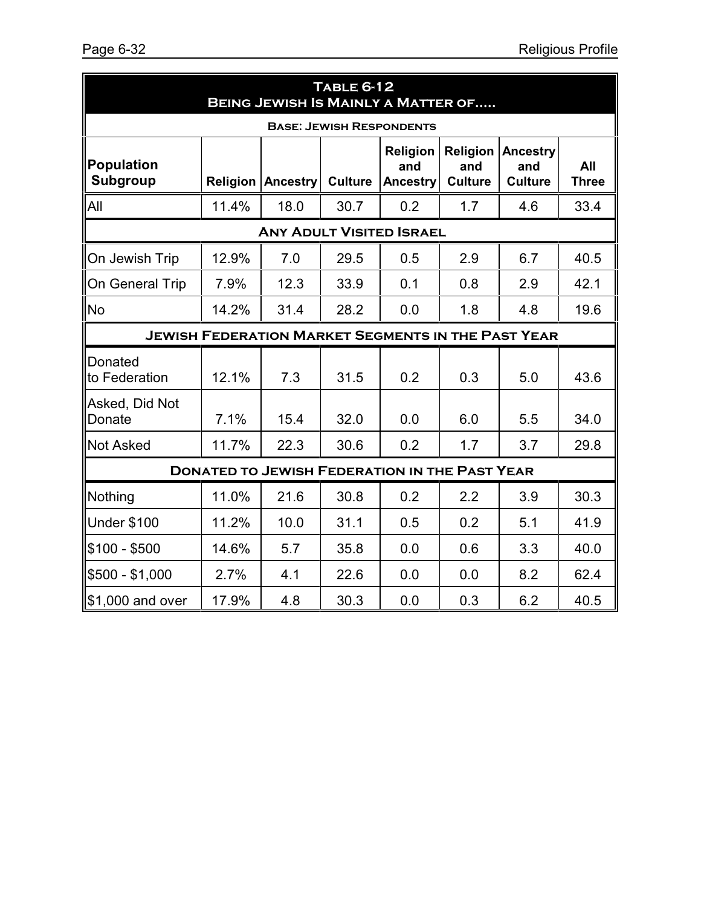| <b>TABLE 6-12</b><br><b>BEING JEWISH IS MAINLY A MATTER OF</b> |       |                          |                |                                                           |                                   |                                   |                     |
|----------------------------------------------------------------|-------|--------------------------|----------------|-----------------------------------------------------------|-----------------------------------|-----------------------------------|---------------------|
|                                                                |       |                          |                | <b>BASE: JEWISH RESPONDENTS</b>                           |                                   |                                   |                     |
| <b>Population</b><br><b>Subgroup</b>                           |       | <b>Religion Ancestry</b> | <b>Culture</b> | <b>Religion</b><br>and<br>Ancestry                        | Religion<br>and<br><b>Culture</b> | Ancestry<br>and<br><b>Culture</b> | All<br><b>Three</b> |
| All                                                            | 11.4% | 18.0                     | 30.7           | 0.2                                                       | 1.7                               | 4.6                               | 33.4                |
|                                                                |       |                          |                | <b>ANY ADULT VISITED ISRAEL</b>                           |                                   |                                   |                     |
| On Jewish Trip                                                 | 12.9% | 7.0                      | 29.5           | 0.5                                                       | 2.9                               | 6.7                               | 40.5                |
| On General Trip                                                | 7.9%  | 12.3                     | 33.9           | 0.1                                                       | 0.8                               | 2.9                               | 42.1                |
| <b>No</b>                                                      | 14.2% | 31.4                     | 28.2           | 0.0                                                       | 1.8                               | 4.8                               | 19.6                |
|                                                                |       |                          |                | <b>JEWISH FEDERATION MARKET SEGMENTS IN THE PAST YEAR</b> |                                   |                                   |                     |
| <b>Donated</b><br>to Federation                                | 12.1% | 7.3                      | 31.5           | 0.2                                                       | 0.3                               | 5.0                               | 43.6                |
| Asked, Did Not<br>Donate                                       | 7.1%  | 15.4                     | 32.0           | 0.0                                                       | 6.0                               | 5.5                               | 34.0                |
| <b>Not Asked</b>                                               | 11.7% | 22.3                     | 30.6           | 0.2                                                       | 1.7                               | 3.7                               | 29.8                |
| <b>DONATED TO JEWISH FEDERATION IN THE PAST YEAR</b>           |       |                          |                |                                                           |                                   |                                   |                     |
| Nothing                                                        | 11.0% | 21.6                     | 30.8           | 0.2                                                       | 2.2                               | 3.9                               | 30.3                |
| <b>Under \$100</b>                                             | 11.2% | 10.0                     | 31.1           | 0.5                                                       | 0.2                               | 5.1                               | 41.9                |
| $$100 - $500$                                                  | 14.6% | 5.7                      | 35.8           | 0.0                                                       | 0.6                               | 3.3                               | 40.0                |
| \$500 - \$1,000                                                | 2.7%  | 4.1                      | 22.6           | 0.0                                                       | 0.0                               | 8.2                               | 62.4                |
| \$1,000 and over                                               | 17.9% | 4.8                      | 30.3           | 0.0                                                       | 0.3                               | 6.2                               | 40.5                |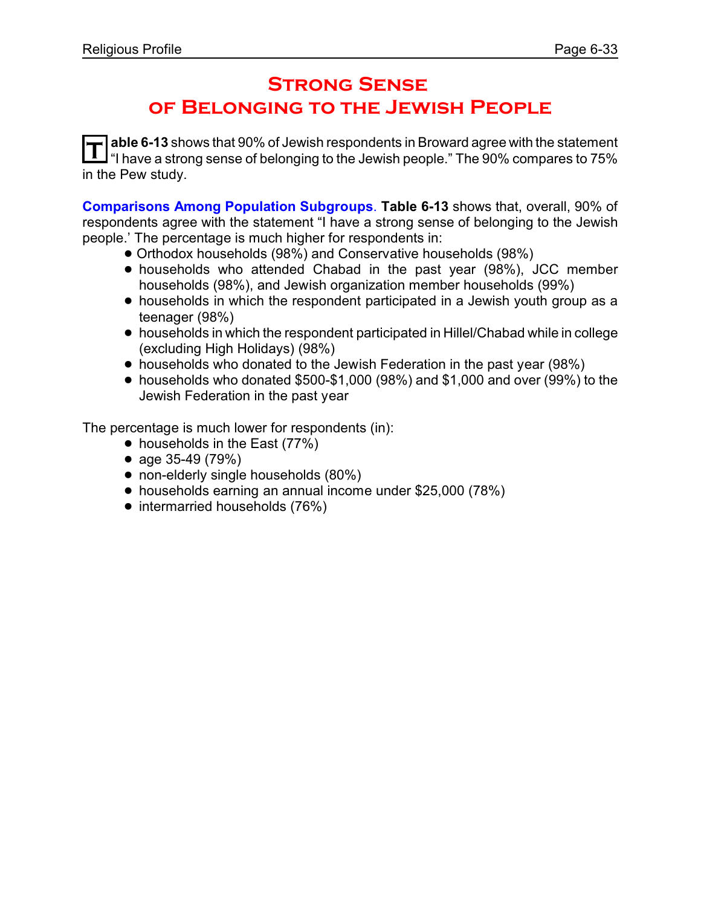### **Strong Sense of Belonging to the Jewish People**

**T able 6-13** shows that 90% of Jewish respondents in Broward agree with the statement "I have a strong sense of belonging to the Jewish people." The 90% compares to 75% in the Pew study.

**Comparisons Among Population Subgroups**. **Table 6-13** shows that, overall, 90% of respondents agree with the statement "I have a strong sense of belonging to the Jewish people.' The percentage is much higher for respondents in:

- ! Orthodox households (98%) and Conservative households (98%)
- ! households who attended Chabad in the past year (98%), JCC member households (98%), and Jewish organization member households (99%)
- households in which the respondent participated in a Jewish youth group as a teenager (98%)
- ! households in which the respondent participated in Hillel/Chabad while in college (excluding High Holidays) (98%)
- households who donated to the Jewish Federation in the past year (98%)
- $\bullet$  households who donated \$500-\$1,000 (98%) and \$1,000 and over (99%) to the Jewish Federation in the past year

- households in the East (77%)
- age 35-49 (79%)
- non-elderly single households (80%)
- ! households earning an annual income under \$25,000 (78%)
- intermarried households (76%)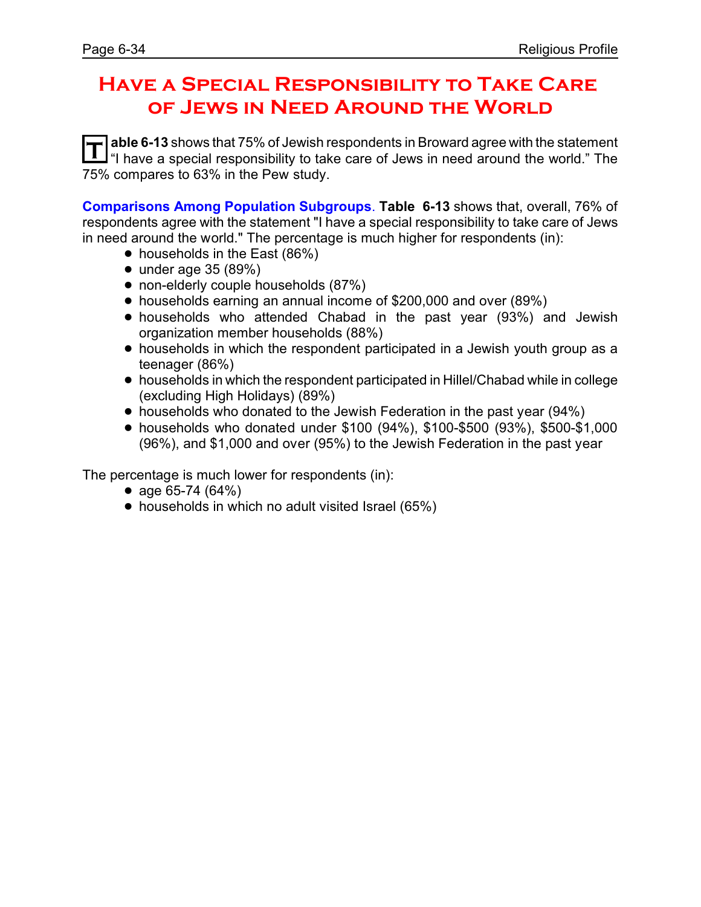### **Have a Special Responsibility to Take Care of Jews in Need Around the World**

**T able 6-13** shows that 75% of Jewish respondents in Broward agree with the statement "I have a special responsibility to take care of Jews in need around the world." The 75% compares to 63% in the Pew study.

**Comparisons Among Population Subgroups**. **Table 6-13** shows that, overall, 76% of respondents agree with the statement "I have a special responsibility to take care of Jews in need around the world." The percentage is much higher for respondents (in):

- households in the East (86%)
- $\bullet$  under age 35 (89%)
- non-elderly couple households (87%)
- households earning an annual income of \$200,000 and over (89%)
- households who attended Chabad in the past year (93%) and Jewish organization member households (88%)
- households in which the respondent participated in a Jewish youth group as a teenager (86%)
- ! households in which the respondent participated in Hillel/Chabad while in college (excluding High Holidays) (89%)
- households who donated to the Jewish Federation in the past year (94%)
- ! households who donated under \$100 (94%), \$100-\$500 (93%), \$500-\$1,000 (96%), and \$1,000 and over (95%) to the Jewish Federation in the past year

- age 65-74 (64%)
- households in which no adult visited Israel (65%)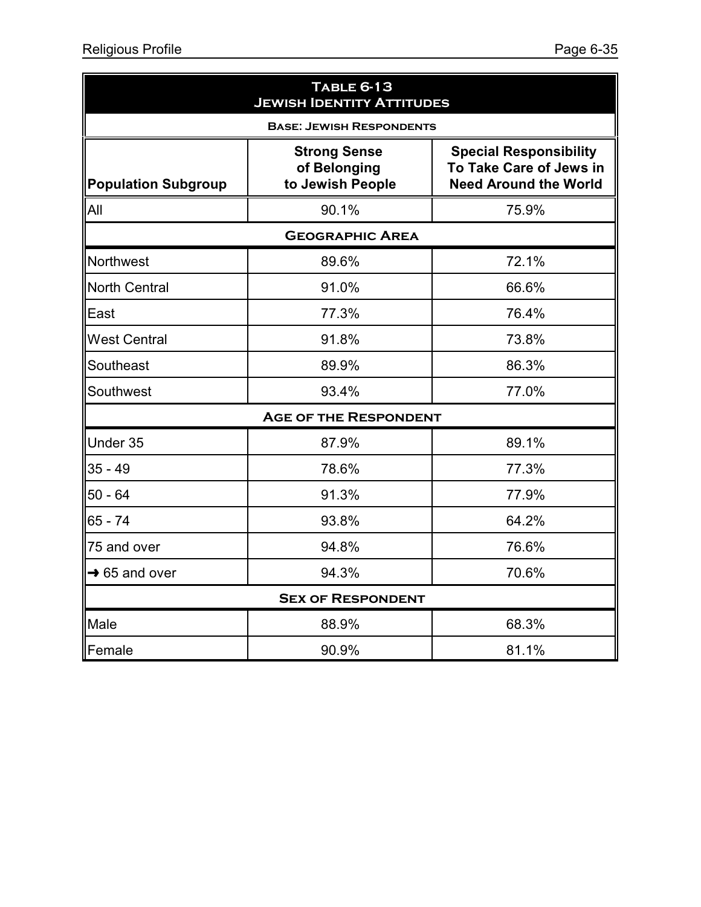| <b>TABLE 6-13</b><br><b>JEWISH IDENTITY ATTITUDES</b> |                                                         |                                                                                          |  |  |  |  |
|-------------------------------------------------------|---------------------------------------------------------|------------------------------------------------------------------------------------------|--|--|--|--|
| <b>BASE: JEWISH RESPONDENTS</b>                       |                                                         |                                                                                          |  |  |  |  |
| <b>Population Subgroup</b>                            | <b>Strong Sense</b><br>of Belonging<br>to Jewish People | <b>Special Responsibility</b><br>To Take Care of Jews in<br><b>Need Around the World</b> |  |  |  |  |
| All                                                   | 90.1%<br>75.9%                                          |                                                                                          |  |  |  |  |
| <b>GEOGRAPHIC AREA</b>                                |                                                         |                                                                                          |  |  |  |  |
| Northwest                                             | 89.6%                                                   | 72.1%                                                                                    |  |  |  |  |
| <b>North Central</b>                                  | 91.0%                                                   | 66.6%                                                                                    |  |  |  |  |
| East                                                  | 77.3%                                                   | 76.4%                                                                                    |  |  |  |  |
| <b>West Central</b>                                   | 91.8%                                                   | 73.8%                                                                                    |  |  |  |  |
| Southeast                                             | 89.9%                                                   | 86.3%                                                                                    |  |  |  |  |
| Southwest                                             | 93.4%                                                   | 77.0%                                                                                    |  |  |  |  |
|                                                       | <b>AGE OF THE RESPONDENT</b>                            |                                                                                          |  |  |  |  |
| Under 35                                              | 87.9%                                                   | 89.1%                                                                                    |  |  |  |  |
| $35 - 49$                                             | 78.6%                                                   | 77.3%                                                                                    |  |  |  |  |
| $50 - 64$                                             | 91.3%                                                   | 77.9%                                                                                    |  |  |  |  |
| 65 - 74                                               | 93.8%                                                   | 64.2%                                                                                    |  |  |  |  |
| 75 and over                                           | 94.8%                                                   | 76.6%                                                                                    |  |  |  |  |
| $\rightarrow$ 65 and over                             | 94.3%                                                   | 70.6%                                                                                    |  |  |  |  |
|                                                       | <b>SEX OF RESPONDENT</b>                                |                                                                                          |  |  |  |  |
| Male                                                  | 88.9%                                                   | 68.3%                                                                                    |  |  |  |  |
| Female                                                | 90.9%                                                   | 81.1%                                                                                    |  |  |  |  |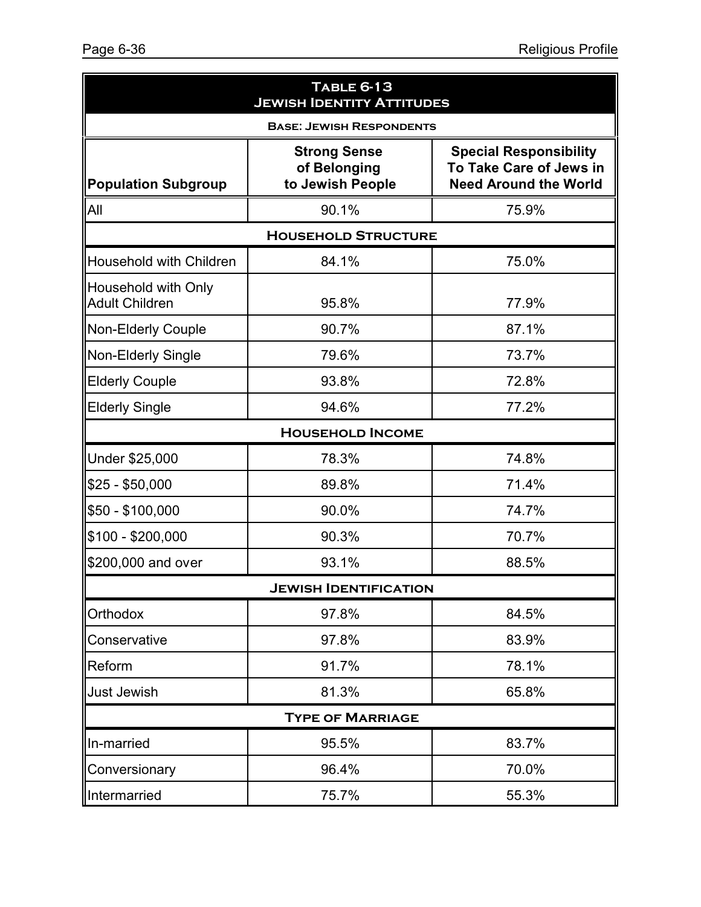| <b>TABLE 6-13</b><br><b>JEWISH IDENTITY ATTITUDES</b> |                                                         |                                                                                          |  |  |  |  |  |
|-------------------------------------------------------|---------------------------------------------------------|------------------------------------------------------------------------------------------|--|--|--|--|--|
| <b>BASE: JEWISH RESPONDENTS</b>                       |                                                         |                                                                                          |  |  |  |  |  |
| <b>Population Subgroup</b>                            | <b>Strong Sense</b><br>of Belonging<br>to Jewish People | <b>Special Responsibility</b><br>To Take Care of Jews in<br><b>Need Around the World</b> |  |  |  |  |  |
| All                                                   | 90.1%                                                   | 75.9%                                                                                    |  |  |  |  |  |
| <b>HOUSEHOLD STRUCTURE</b>                            |                                                         |                                                                                          |  |  |  |  |  |
| Household with Children                               | 84.1%                                                   | 75.0%                                                                                    |  |  |  |  |  |
| Household with Only<br><b>Adult Children</b>          | 95.8%                                                   | 77.9%                                                                                    |  |  |  |  |  |
| <b>Non-Elderly Couple</b>                             | 90.7%                                                   | 87.1%                                                                                    |  |  |  |  |  |
| <b>Non-Elderly Single</b>                             | 79.6%                                                   | 73.7%                                                                                    |  |  |  |  |  |
| <b>Elderly Couple</b>                                 | 93.8%                                                   | 72.8%                                                                                    |  |  |  |  |  |
| <b>Elderly Single</b>                                 | 94.6%                                                   | 77.2%                                                                                    |  |  |  |  |  |
| <b>HOUSEHOLD INCOME</b>                               |                                                         |                                                                                          |  |  |  |  |  |
| Under \$25,000                                        | 78.3%                                                   | 74.8%                                                                                    |  |  |  |  |  |
| $$25 - $50,000$                                       | 89.8%                                                   | 71.4%                                                                                    |  |  |  |  |  |
| \$50 - \$100,000                                      | 90.0%                                                   | 74.7%                                                                                    |  |  |  |  |  |
| \$100 - \$200,000                                     | 90.3%                                                   | 70.7%                                                                                    |  |  |  |  |  |
| \$200,000 and over                                    | 93.1%                                                   | 88.5%                                                                                    |  |  |  |  |  |
| <b>JEWISH IDENTIFICATION</b>                          |                                                         |                                                                                          |  |  |  |  |  |
| Orthodox                                              | 97.8%                                                   | 84.5%                                                                                    |  |  |  |  |  |
| Conservative                                          | 97.8%                                                   | 83.9%                                                                                    |  |  |  |  |  |
| Reform                                                | 91.7%                                                   | 78.1%                                                                                    |  |  |  |  |  |
| <b>Just Jewish</b>                                    | 81.3%                                                   | 65.8%                                                                                    |  |  |  |  |  |
| <b>TYPE OF MARRIAGE</b>                               |                                                         |                                                                                          |  |  |  |  |  |
| In-married                                            | 95.5%                                                   | 83.7%                                                                                    |  |  |  |  |  |
| Conversionary                                         | 96.4%                                                   | 70.0%                                                                                    |  |  |  |  |  |
| Intermarried                                          | 75.7%                                                   | 55.3%                                                                                    |  |  |  |  |  |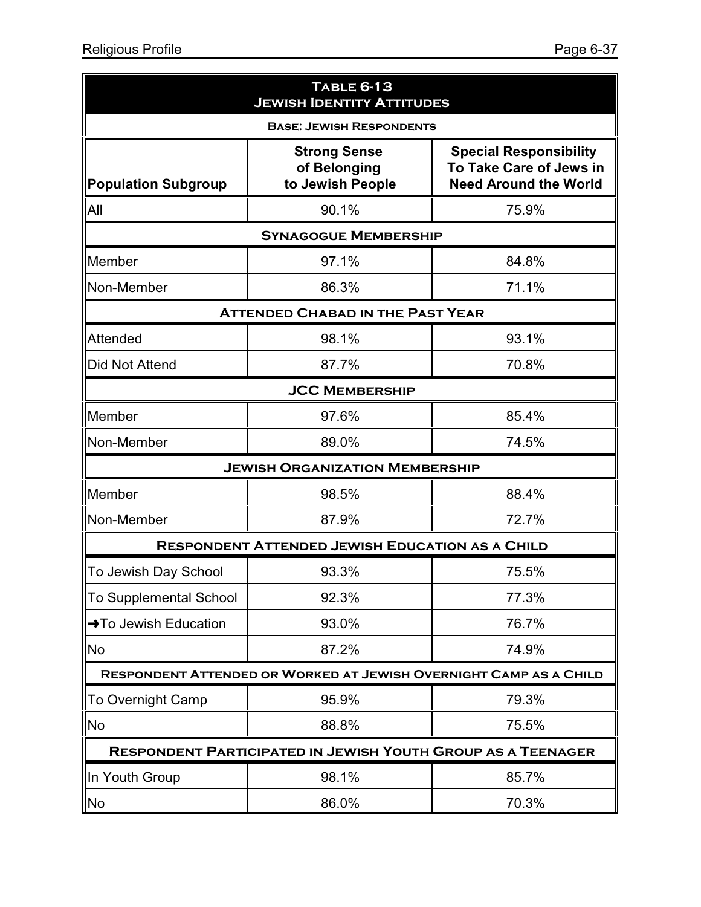| TABLE 6-13<br><b>JEWISH IDENTITY ATTITUDES</b> |                                                                    |                                                                                          |  |  |
|------------------------------------------------|--------------------------------------------------------------------|------------------------------------------------------------------------------------------|--|--|
| <b>BASE: JEWISH RESPONDENTS</b>                |                                                                    |                                                                                          |  |  |
| <b>Population Subgroup</b>                     | <b>Strong Sense</b><br>of Belonging<br>to Jewish People            | <b>Special Responsibility</b><br>To Take Care of Jews in<br><b>Need Around the World</b> |  |  |
| All                                            | 90.1%                                                              | 75.9%                                                                                    |  |  |
|                                                | <b>SYNAGOGUE MEMBERSHIP</b>                                        |                                                                                          |  |  |
| Member                                         | 97.1%                                                              | 84.8%                                                                                    |  |  |
| Non-Member                                     | 86.3%                                                              | 71.1%                                                                                    |  |  |
|                                                | <b>ATTENDED CHABAD IN THE PAST YEAR</b>                            |                                                                                          |  |  |
| <b>Attended</b>                                | 98.1%                                                              | 93.1%                                                                                    |  |  |
| <b>Did Not Attend</b>                          | 87.7%                                                              | 70.8%                                                                                    |  |  |
|                                                | <b>JCC MEMBERSHIP</b>                                              |                                                                                          |  |  |
| Member                                         | 97.6%                                                              | 85.4%                                                                                    |  |  |
| Non-Member                                     | 89.0%                                                              | 74.5%                                                                                    |  |  |
|                                                | <b>JEWISH ORGANIZATION MEMBERSHIP</b>                              |                                                                                          |  |  |
| Member                                         | 98.5%                                                              | 88.4%                                                                                    |  |  |
| Non-Member                                     | 87.9%                                                              | 72.7%                                                                                    |  |  |
|                                                | <b>RESPONDENT ATTENDED JEWISH EDUCATION AS A CHILD</b>             |                                                                                          |  |  |
| To Jewish Day School                           | 93.3%                                                              | 75.5%                                                                                    |  |  |
| <b>To Supplemental School</b>                  | 92.3%                                                              | 77.3%                                                                                    |  |  |
| →To Jewish Education                           | 93.0%                                                              | 76.7%                                                                                    |  |  |
| <b>No</b>                                      | 87.2%                                                              | 74.9%                                                                                    |  |  |
|                                                | RESPONDENT ATTENDED OR WORKED AT JEWISH OVERNIGHT CAMP AS A CHILD  |                                                                                          |  |  |
| <b>To Overnight Camp</b>                       | 95.9%                                                              | 79.3%                                                                                    |  |  |
| <b>No</b>                                      | 88.8%                                                              | 75.5%                                                                                    |  |  |
|                                                | <b>RESPONDENT PARTICIPATED IN JEWISH YOUTH GROUP AS A TEENAGER</b> |                                                                                          |  |  |
| In Youth Group                                 | 98.1%                                                              | 85.7%                                                                                    |  |  |
| <b>No</b>                                      | 86.0%                                                              | 70.3%                                                                                    |  |  |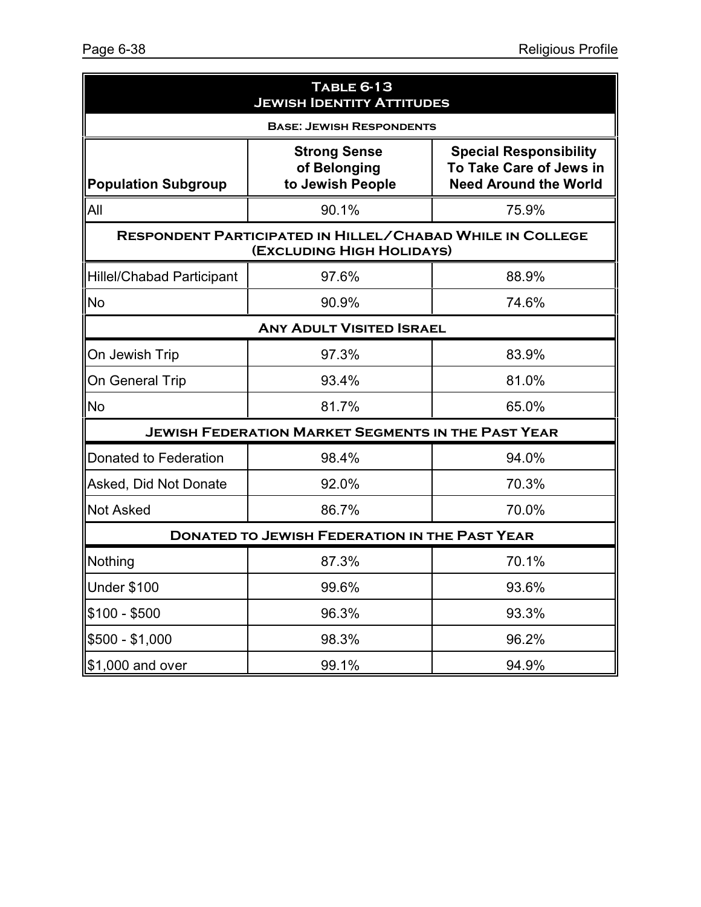| <b>TABLE 6-13</b><br><b>JEWISH IDENTITY ATTITUDES</b> |                                                                                               |                                                                                          |  |  |
|-------------------------------------------------------|-----------------------------------------------------------------------------------------------|------------------------------------------------------------------------------------------|--|--|
| <b>BASE: JEWISH RESPONDENTS</b>                       |                                                                                               |                                                                                          |  |  |
| <b>Population Subgroup</b>                            | <b>Strong Sense</b><br>of Belonging<br>to Jewish People                                       | <b>Special Responsibility</b><br>To Take Care of Jews in<br><b>Need Around the World</b> |  |  |
| All                                                   | 90.1%                                                                                         | 75.9%                                                                                    |  |  |
|                                                       | <b>RESPONDENT PARTICIPATED IN HILLEL/CHABAD WHILE IN COLLEGE</b><br>(EXCLUDING HIGH HOLIDAYS) |                                                                                          |  |  |
| <b>Hillel/Chabad Participant</b>                      | 97.6%                                                                                         | 88.9%                                                                                    |  |  |
| <b>No</b>                                             | 90.9%                                                                                         | 74.6%                                                                                    |  |  |
| <b>ANY ADULT VISITED ISRAEL</b>                       |                                                                                               |                                                                                          |  |  |
| On Jewish Trip                                        | 97.3%                                                                                         | 83.9%                                                                                    |  |  |
| On General Trip                                       | 93.4%                                                                                         | 81.0%                                                                                    |  |  |
| <b>No</b>                                             | 81.7%                                                                                         | 65.0%                                                                                    |  |  |
|                                                       | <b>JEWISH FEDERATION MARKET SEGMENTS IN THE PAST YEAR</b>                                     |                                                                                          |  |  |
| Donated to Federation                                 | 98.4%                                                                                         | 94.0%                                                                                    |  |  |
| Asked, Did Not Donate                                 | 92.0%                                                                                         | 70.3%                                                                                    |  |  |
| <b>Not Asked</b>                                      | 86.7%                                                                                         | 70.0%                                                                                    |  |  |
| <b>DONATED TO JEWISH FEDERATION IN THE PAST YEAR</b>  |                                                                                               |                                                                                          |  |  |
| Nothing                                               | 87.3%                                                                                         | 70.1%                                                                                    |  |  |
| <b>Under \$100</b>                                    | 99.6%                                                                                         | 93.6%                                                                                    |  |  |
| $$100 - $500$                                         | 96.3%                                                                                         | 93.3%                                                                                    |  |  |
| $$500 - $1,000$                                       | 98.3%                                                                                         | 96.2%                                                                                    |  |  |
| \$1,000 and over                                      | 99.1%                                                                                         | 94.9%                                                                                    |  |  |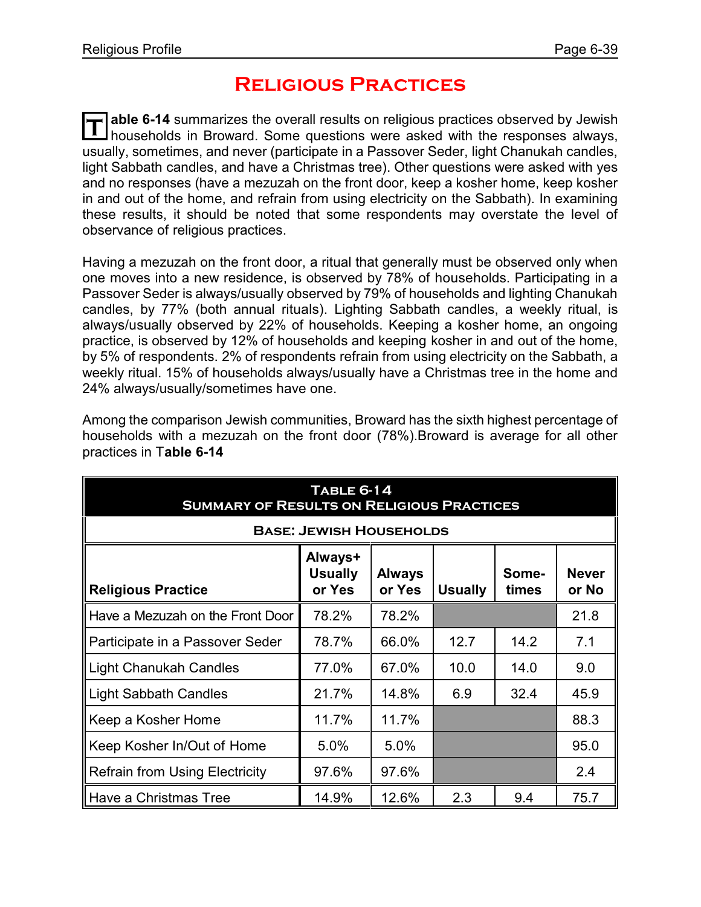# **Religious Practices**

**T able 6-14** summarizes the overall results on religious practices observed by Jewish households in Broward. Some questions were asked with the responses always, usually, sometimes, and never (participate in a Passover Seder, light Chanukah candles, light Sabbath candles, and have a Christmas tree). Other questions were asked with yes and no responses (have a mezuzah on the front door, keep a kosher home, keep kosher in and out of the home, and refrain from using electricity on the Sabbath). In examining these results, it should be noted that some respondents may overstate the level of observance of religious practices.

Having a mezuzah on the front door, a ritual that generally must be observed only when one moves into a new residence, is observed by 78% of households. Participating in a Passover Seder is always/usually observed by 79% of households and lighting Chanukah candles, by 77% (both annual rituals). Lighting Sabbath candles, a weekly ritual, is always/usually observed by 22% of households. Keeping a kosher home, an ongoing practice, is observed by 12% of households and keeping kosher in and out of the home, by 5% of respondents. 2% of respondents refrain from using electricity on the Sabbath, a weekly ritual. 15% of households always/usually have a Christmas tree in the home and 24% always/usually/sometimes have one.

| <b>TABLE 6-14</b><br><b>SUMMARY OF RESULTS ON RELIGIOUS PRACTICES</b>                                                                                    |       |       |      |      |      |
|----------------------------------------------------------------------------------------------------------------------------------------------------------|-------|-------|------|------|------|
| <b>BASE: JEWISH HOUSEHOLDS</b>                                                                                                                           |       |       |      |      |      |
| Always+<br><b>Never</b><br><b>Usually</b><br><b>Always</b><br>Some-<br><b>Religious Practice</b><br>or Yes<br>or Yes<br><b>Usually</b><br>times<br>or No |       |       |      |      |      |
| Have a Mezuzah on the Front Door                                                                                                                         | 78.2% | 78.2% |      |      | 21.8 |
| Participate in a Passover Seder                                                                                                                          | 78.7% | 66.0% | 12.7 | 14.2 | 7.1  |
| <b>Light Chanukah Candles</b>                                                                                                                            | 77.0% | 67.0% | 10.0 | 14.0 | 9.0  |
| <b>Light Sabbath Candles</b>                                                                                                                             | 21.7% | 14.8% | 6.9  | 32.4 | 45.9 |
| Keep a Kosher Home                                                                                                                                       | 11.7% | 11.7% |      |      | 88.3 |
| Keep Kosher In/Out of Home                                                                                                                               | 5.0%  | 5.0%  |      |      | 95.0 |
| <b>Refrain from Using Electricity</b>                                                                                                                    | 97.6% | 97.6% |      |      | 2.4  |
| Have a Christmas Tree                                                                                                                                    | 14.9% | 12.6% | 2.3  | 9.4  | 75.7 |

Among the comparison Jewish communities, Broward has the sixth highest percentage of households with a mezuzah on the front door (78%).Broward is average for all other practices in T**able 6-14**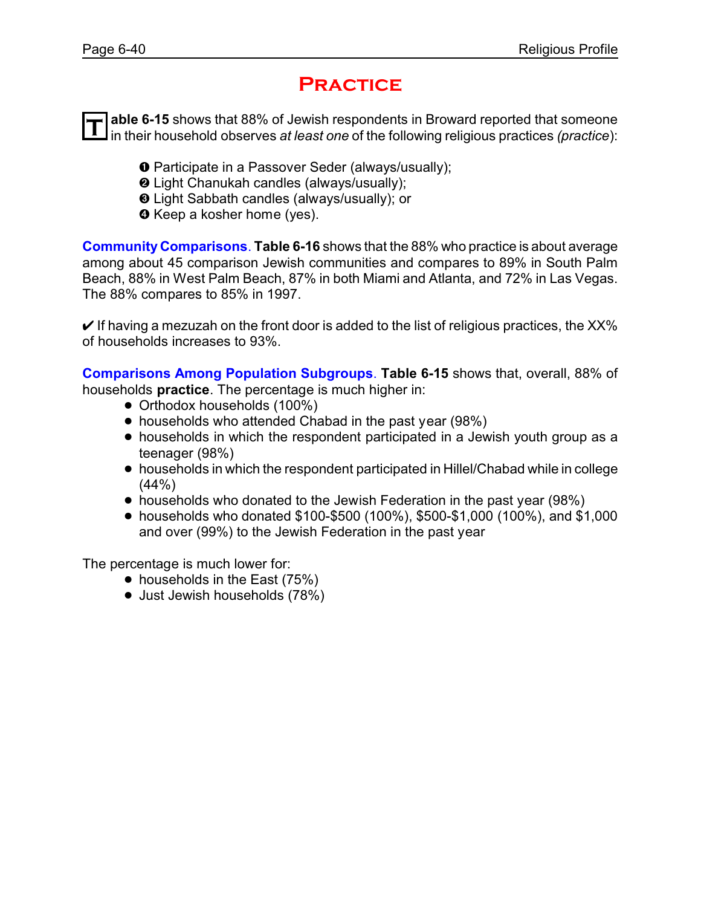## **Practice**

T able 6-15 shows that 88% of Jewish respondents in Broward reported that someone<br>In their household observes *at least one* of the following religious practices *(practice*): **able 6-15** shows that 88% of Jewish respondents in Broward reported that someone

- **O** Participate in a Passover Seder (always/usually);
- **<sup>2</sup>** Light Chanukah candles (always/usually);
- <sup>®</sup> Light Sabbath candles (always/usually); or
- **O** Keep a kosher home (yes).

**Community Comparisons**. **Table 6-16** shows that the 88% who practice is about average among about 45 comparison Jewish communities and compares to 89% in South Palm Beach, 88% in West Palm Beach, 87% in both Miami and Atlanta, and 72% in Las Vegas. The 88% compares to 85% in 1997.

 $\vee$  If having a mezuzah on the front door is added to the list of religious practices, the XX% of households increases to 93%.

**Comparisons Among Population Subgroups**. **Table 6-15** shows that, overall, 88% of households **practice**. The percentage is much higher in:

- Orthodox households (100%)
- households who attended Chabad in the past year (98%)
- households in which the respondent participated in a Jewish youth group as a teenager (98%)
- ! households in which the respondent participated in Hillel/Chabad while in college (44%)
- households who donated to the Jewish Federation in the past year (98%)
- ! households who donated \$100-\$500 (100%), \$500-\$1,000 (100%), and \$1,000 and over (99%) to the Jewish Federation in the past year

- $\bullet$  households in the East (75%)
- Just Jewish households (78%)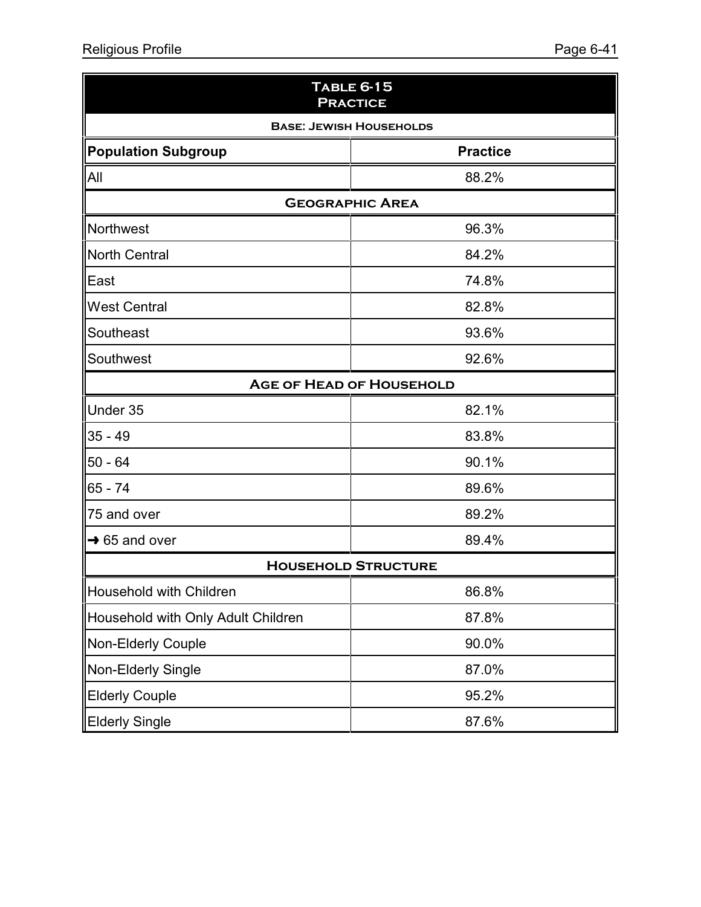| <b>TABLE 6-15</b><br><b>PRACTICE</b>          |                            |  |
|-----------------------------------------------|----------------------------|--|
| <b>BASE: JEWISH HOUSEHOLDS</b>                |                            |  |
| <b>Practice</b><br><b>Population Subgroup</b> |                            |  |
| All                                           | 88.2%                      |  |
|                                               | <b>GEOGRAPHIC AREA</b>     |  |
| Northwest                                     | 96.3%                      |  |
| <b>North Central</b>                          | 84.2%                      |  |
| East                                          | 74.8%                      |  |
| <b>West Central</b>                           | 82.8%                      |  |
| Southeast                                     | 93.6%                      |  |
| Southwest                                     | 92.6%                      |  |
| <b>AGE OF HEAD OF HOUSEHOLD</b>               |                            |  |
| Under 35                                      | 82.1%                      |  |
| $35 - 49$                                     | 83.8%                      |  |
| $50 - 64$                                     | 90.1%                      |  |
| $65 - 74$                                     | 89.6%                      |  |
| 75 and over                                   | 89.2%                      |  |
| $\rightarrow$ 65 and over                     | 89.4%                      |  |
|                                               | <b>HOUSEHOLD STRUCTURE</b> |  |
| Household with Children                       | 86.8%                      |  |
| Household with Only Adult Children            | 87.8%                      |  |
| Non-Elderly Couple                            | 90.0%                      |  |
| Non-Elderly Single                            | 87.0%                      |  |
| <b>Elderly Couple</b>                         | 95.2%                      |  |
| <b>Elderly Single</b>                         | 87.6%                      |  |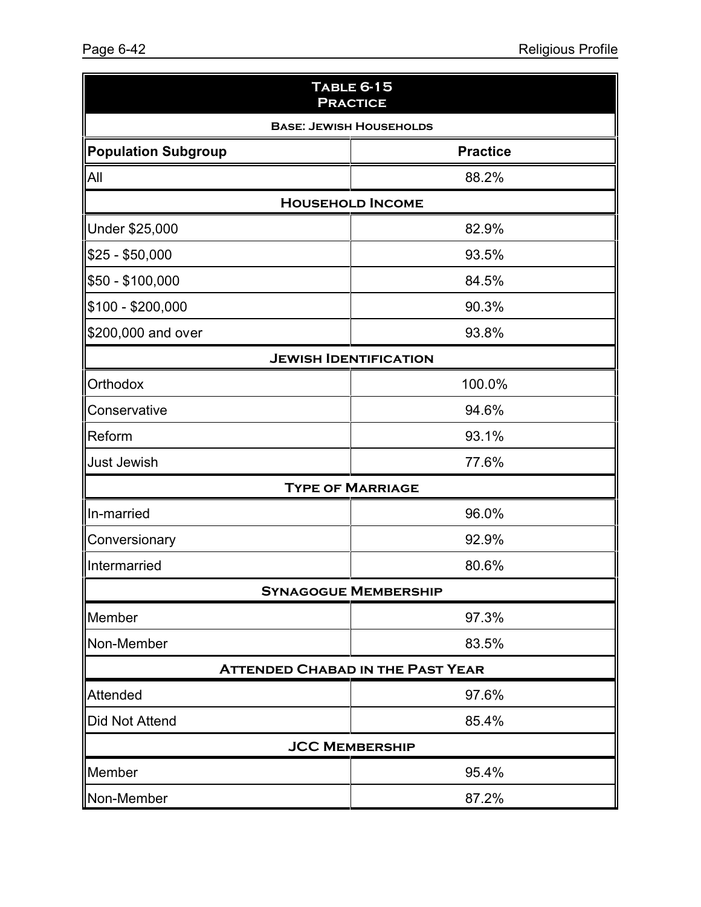| TABLE 6-15<br><b>PRACTICE</b>  |                                         |  |
|--------------------------------|-----------------------------------------|--|
| <b>BASE: JEWISH HOUSEHOLDS</b> |                                         |  |
| <b>Population Subgroup</b>     | <b>Practice</b>                         |  |
| All                            | 88.2%                                   |  |
|                                | <b>HOUSEHOLD INCOME</b>                 |  |
| Under \$25,000                 | 82.9%                                   |  |
| $$25 - $50,000$                | 93.5%                                   |  |
| \$50 - \$100,000               | 84.5%                                   |  |
| $$100 - $200,000$              | 90.3%                                   |  |
| \$200,000 and over             | 93.8%                                   |  |
|                                | <b>JEWISH IDENTIFICATION</b>            |  |
| Orthodox                       | 100.0%                                  |  |
| Conservative                   | 94.6%                                   |  |
| Reform                         | 93.1%                                   |  |
| <b>Just Jewish</b>             | 77.6%                                   |  |
|                                | <b>TYPE OF MARRIAGE</b>                 |  |
| In-married                     | 96.0%                                   |  |
| Conversionary                  | 92.9%                                   |  |
| Intermarried                   | 80.6%                                   |  |
|                                | <b>SYNAGOGUE MEMBERSHIP</b>             |  |
| Member                         | 97.3%                                   |  |
| Non-Member                     | 83.5%                                   |  |
|                                | <b>ATTENDED CHABAD IN THE PAST YEAR</b> |  |
| Attended                       | 97.6%                                   |  |
| Did Not Attend                 | 85.4%                                   |  |
|                                | <b>JCC MEMBERSHIP</b>                   |  |
| Member                         | 95.4%                                   |  |
| Non-Member                     | 87.2%                                   |  |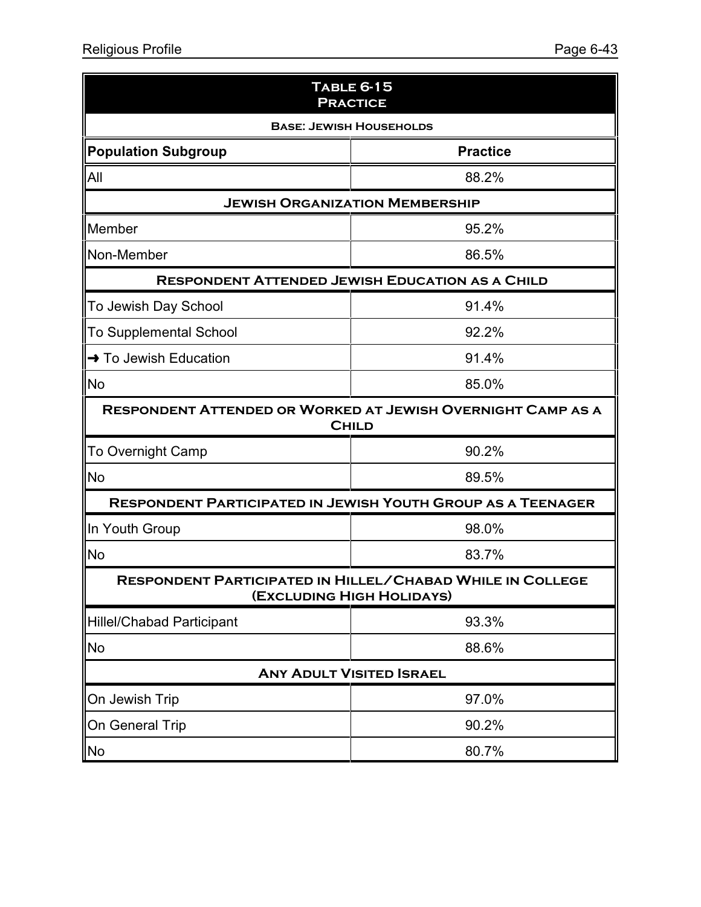| TABLE 6-15<br><b>PRACTICE</b>                                                          |                                                                                    |  |
|----------------------------------------------------------------------------------------|------------------------------------------------------------------------------------|--|
| <b>BASE: JEWISH HOUSEHOLDS</b>                                                         |                                                                                    |  |
| <b>Population Subgroup</b>                                                             | <b>Practice</b>                                                                    |  |
| All                                                                                    | 88.2%                                                                              |  |
|                                                                                        | <b>JEWISH ORGANIZATION MEMBERSHIP</b>                                              |  |
| Member                                                                                 | 95.2%                                                                              |  |
| Non-Member                                                                             | 86.5%                                                                              |  |
|                                                                                        | <b>RESPONDENT ATTENDED JEWISH EDUCATION AS A CHILD</b>                             |  |
| To Jewish Day School                                                                   | 91.4%                                                                              |  |
| <b>To Supplemental School</b>                                                          | 92.2%                                                                              |  |
| → To Jewish Education                                                                  | 91.4%                                                                              |  |
| <b>No</b>                                                                              | 85.0%                                                                              |  |
|                                                                                        | <b>RESPONDENT ATTENDED OR WORKED AT JEWISH OVERNIGHT CAMP AS A</b><br><b>CHILD</b> |  |
| <b>To Overnight Camp</b>                                                               | 90.2%                                                                              |  |
| <b>No</b>                                                                              | 89.5%                                                                              |  |
|                                                                                        | <b>RESPONDENT PARTICIPATED IN JEWISH YOUTH GROUP AS A TEENAGER</b>                 |  |
| In Youth Group                                                                         | 98.0%                                                                              |  |
| <b>No</b>                                                                              | 83.7%                                                                              |  |
| RESPONDENT PARTICIPATED IN HILLEL/CHABAD WHILE IN COLLEGE<br>(EXCLUDING HIGH HOLIDAYS) |                                                                                    |  |
| <b>Hillel/Chabad Participant</b>                                                       | 93.3%                                                                              |  |
| No                                                                                     | 88.6%                                                                              |  |
| <b>ANY ADULT VISITED ISRAEL</b>                                                        |                                                                                    |  |
| On Jewish Trip                                                                         | 97.0%                                                                              |  |
| <b>On General Trip</b>                                                                 | 90.2%                                                                              |  |
| No                                                                                     | 80.7%                                                                              |  |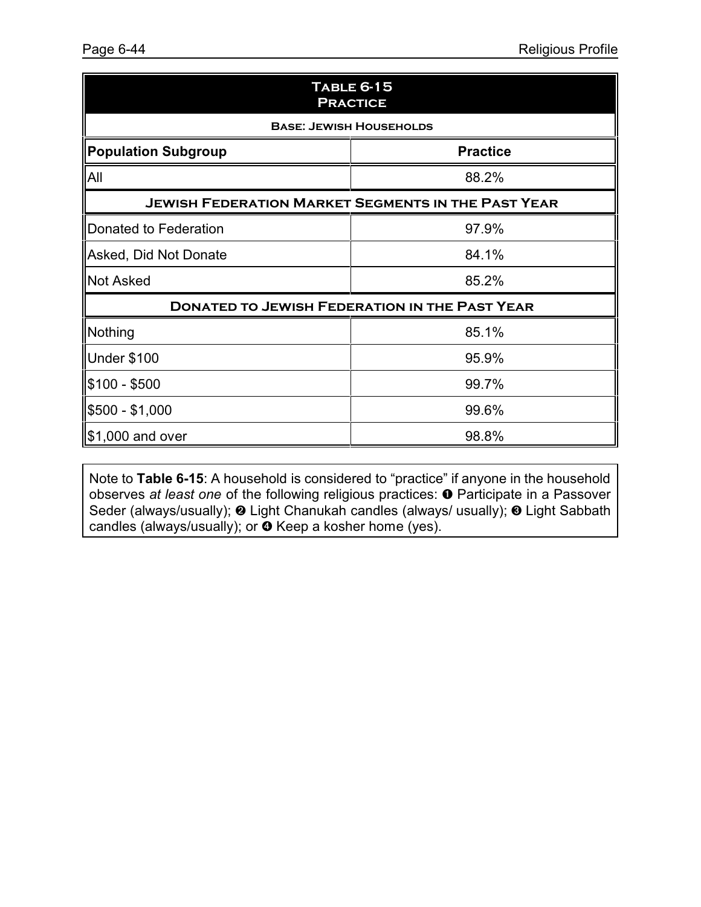| <b>TABLE 6-15</b><br><b>PRACTICE</b>                      |                 |  |
|-----------------------------------------------------------|-----------------|--|
| <b>BASE: JEWISH HOUSEHOLDS</b>                            |                 |  |
| <b>Population Subgroup</b>                                | <b>Practice</b> |  |
| All                                                       | 88.2%           |  |
| <b>JEWISH FEDERATION MARKET SEGMENTS IN THE PAST YEAR</b> |                 |  |
| Donated to Federation                                     | 97.9%           |  |
| Asked, Did Not Donate                                     | 84.1%           |  |
| <b>Not Asked</b>                                          | 85.2%           |  |
| <b>DONATED TO JEWISH FEDERATION IN THE PAST YEAR</b>      |                 |  |
| Nothing                                                   | 85.1%           |  |
| <b>Under \$100</b>                                        | 95.9%           |  |
| $$100 - $500$                                             | 99.7%           |  |
| $$500 - $1,000$                                           | 99.6%           |  |
| \$1,000 and over                                          | 98.8%           |  |

Note to **Table 6-15**: A household is considered to "practice" if anyone in the household observes *at least one* of the following religious practices:  $\bullet$  Participate in a Passover Seder (always/usually); @ Light Chanukah candles (always/ usually); @ Light Sabbath candles (always/usually); or  $\bullet$  Keep a kosher home (yes).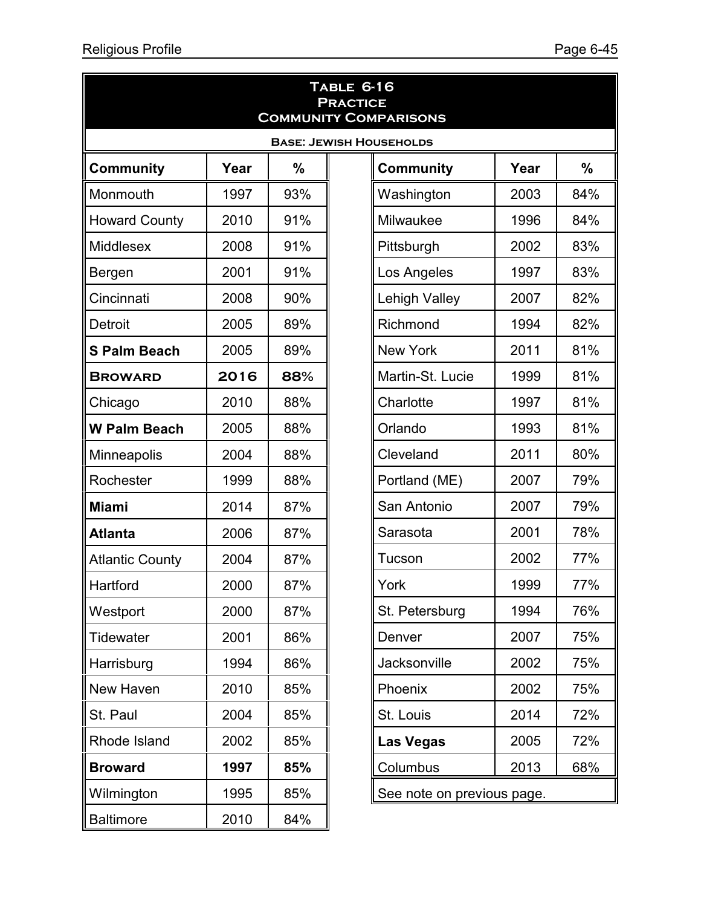| <b>TABLE 6-16</b><br><b>PRACTICE</b><br><b>COMMUNITY COMPARISONS</b> |      |               |                            |      |               |
|----------------------------------------------------------------------|------|---------------|----------------------------|------|---------------|
| <b>BASE: JEWISH HOUSEHOLDS</b>                                       |      |               |                            |      |               |
| <b>Community</b>                                                     | Year | $\frac{0}{0}$ | <b>Community</b>           | Year | $\frac{9}{6}$ |
| Monmouth                                                             | 1997 | 93%           | Washington                 | 2003 | 84%           |
| <b>Howard County</b>                                                 | 2010 | 91%           | Milwaukee                  | 1996 | 84%           |
| <b>Middlesex</b>                                                     | 2008 | 91%           | Pittsburgh                 | 2002 | 83%           |
| Bergen                                                               | 2001 | 91%           | Los Angeles                | 1997 | 83%           |
| Cincinnati                                                           | 2008 | 90%           | <b>Lehigh Valley</b>       | 2007 | 82%           |
| Detroit                                                              | 2005 | 89%           | Richmond                   | 1994 | 82%           |
| <b>S Palm Beach</b>                                                  | 2005 | 89%           | <b>New York</b>            | 2011 | 81%           |
| <b>BROWARD</b>                                                       | 2016 | 88%           | Martin-St. Lucie           | 1999 | 81%           |
| Chicago                                                              | 2010 | 88%           | Charlotte                  | 1997 | 81%           |
| <b>W Palm Beach</b>                                                  | 2005 | 88%           | Orlando                    | 1993 | 81%           |
| Minneapolis                                                          | 2004 | 88%           | Cleveland                  | 2011 | 80%           |
| Rochester                                                            | 1999 | 88%           | Portland (ME)              | 2007 | 79%           |
| <b>Miami</b>                                                         | 2014 | 87%           | San Antonio                | 2007 | 79%           |
| <b>Atlanta</b>                                                       | 2006 | 87%           | Sarasota                   | 2001 | 78%           |
| <b>Atlantic County</b>                                               | 2004 | 87%           | Tucson                     | 2002 | 77%           |
| Hartford                                                             | 2000 | 87%           | York                       | 1999 | 77%           |
| Westport                                                             | 2000 | 87%           | St. Petersburg             | 1994 | 76%           |
| <b>Tidewater</b>                                                     | 2001 | 86%           | Denver                     | 2007 | 75%           |
| Harrisburg                                                           | 1994 | 86%           | <b>Jacksonville</b>        | 2002 | 75%           |
| New Haven                                                            | 2010 | 85%           | Phoenix                    | 2002 | 75%           |
| St. Paul                                                             | 2004 | 85%           | St. Louis                  | 2014 | 72%           |
| Rhode Island                                                         | 2002 | 85%           | Las Vegas                  | 2005 | 72%           |
| <b>Broward</b>                                                       | 1997 | 85%           | Columbus                   | 2013 | 68%           |
| Wilmington                                                           | 1995 | 85%           | See note on previous page. |      |               |
| <b>Baltimore</b>                                                     | 2010 | 84%           |                            |      |               |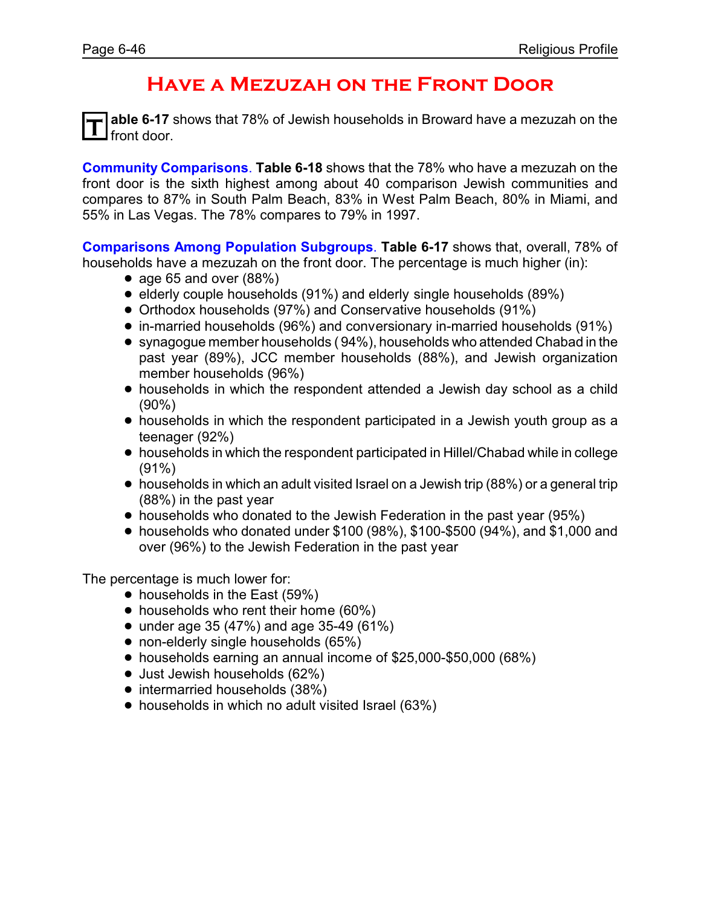# **Have a Mezuzah on the Front Door**

**T able 6-17** shows that 78% of Jewish households in Broward have a mezuzah on the front door.

**Community Comparisons**. **Table 6-18** shows that the 78% who have a mezuzah on the front door is the sixth highest among about 40 comparison Jewish communities and compares to 87% in South Palm Beach, 83% in West Palm Beach, 80% in Miami, and 55% in Las Vegas. The 78% compares to 79% in 1997.

**Comparisons Among Population Subgroups**. **Table 6-17** shows that, overall, 78% of households have a mezuzah on the front door. The percentage is much higher (in):

- age 65 and over  $(88%)$
- elderly couple households (91%) and elderly single households (89%)
- ! Orthodox households (97%) and Conservative households (91%)
- ! in-married households (96%) and conversionary in-married households (91%)
- synagogue member households (94%), households who attended Chabad in the past year (89%), JCC member households (88%), and Jewish organization member households (96%)
- households in which the respondent attended a Jewish day school as a child (90%)
- households in which the respondent participated in a Jewish youth group as a teenager (92%)
- ! households in which the respondent participated in Hillel/Chabad while in college (91%)
- households in which an adult visited Israel on a Jewish trip (88%) or a general trip (88%) in the past year
- households who donated to the Jewish Federation in the past year (95%)
- $\bullet$  households who donated under \$100 (98%), \$100-\$500 (94%), and \$1,000 and over (96%) to the Jewish Federation in the past year

- households in the East (59%)
- households who rent their home (60%)
- under age 35 (47%) and age 35-49 (61%)
- non-elderly single households (65%)
- ! households earning an annual income of \$25,000-\$50,000 (68%)
- Just Jewish households (62%)
- intermarried households (38%)
- households in which no adult visited Israel (63%)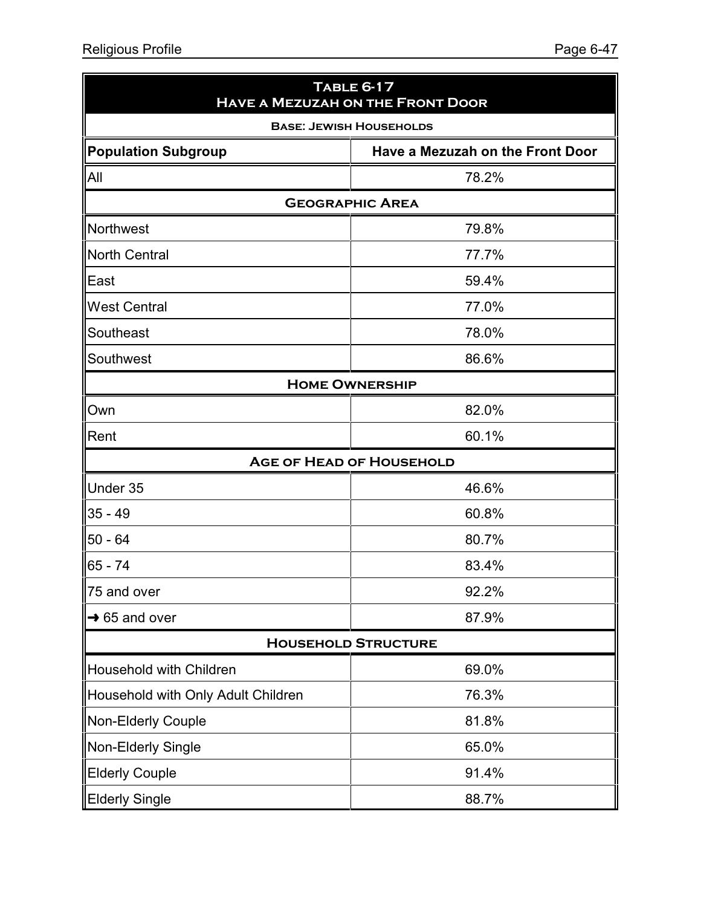| <b>TABLE 6-17</b><br><b>HAVE A MEZUZAH ON THE FRONT DOOR</b> |                                  |  |  |
|--------------------------------------------------------------|----------------------------------|--|--|
| <b>BASE: JEWISH HOUSEHOLDS</b>                               |                                  |  |  |
| <b>Population Subgroup</b>                                   | Have a Mezuzah on the Front Door |  |  |
| All                                                          | 78.2%                            |  |  |
|                                                              | <b>GEOGRAPHIC AREA</b>           |  |  |
| Northwest                                                    | 79.8%                            |  |  |
| <b>North Central</b>                                         | 77.7%                            |  |  |
| East                                                         | 59.4%                            |  |  |
| <b>West Central</b>                                          | 77.0%                            |  |  |
| Southeast                                                    | 78.0%                            |  |  |
| Southwest                                                    | 86.6%                            |  |  |
|                                                              | <b>HOME OWNERSHIP</b>            |  |  |
| Own                                                          | 82.0%                            |  |  |
| Rent                                                         | 60.1%                            |  |  |
|                                                              | <b>AGE OF HEAD OF HOUSEHOLD</b>  |  |  |
| Under 35                                                     | 46.6%                            |  |  |
| $35 - 49$                                                    | 60.8%                            |  |  |
| $50 - 64$                                                    | 80.7%                            |  |  |
| $65 - 74$                                                    | 83.4%                            |  |  |
| 75 and over                                                  | 92.2%                            |  |  |
| $\rightarrow$ 65 and over                                    | 87.9%                            |  |  |
|                                                              | <b>HOUSEHOLD STRUCTURE</b>       |  |  |
| Household with Children                                      | 69.0%                            |  |  |
| Household with Only Adult Children                           | 76.3%                            |  |  |
| Non-Elderly Couple                                           | 81.8%                            |  |  |
| Non-Elderly Single                                           | 65.0%                            |  |  |
| <b>Elderly Couple</b>                                        | 91.4%                            |  |  |
| <b>Elderly Single</b>                                        | 88.7%                            |  |  |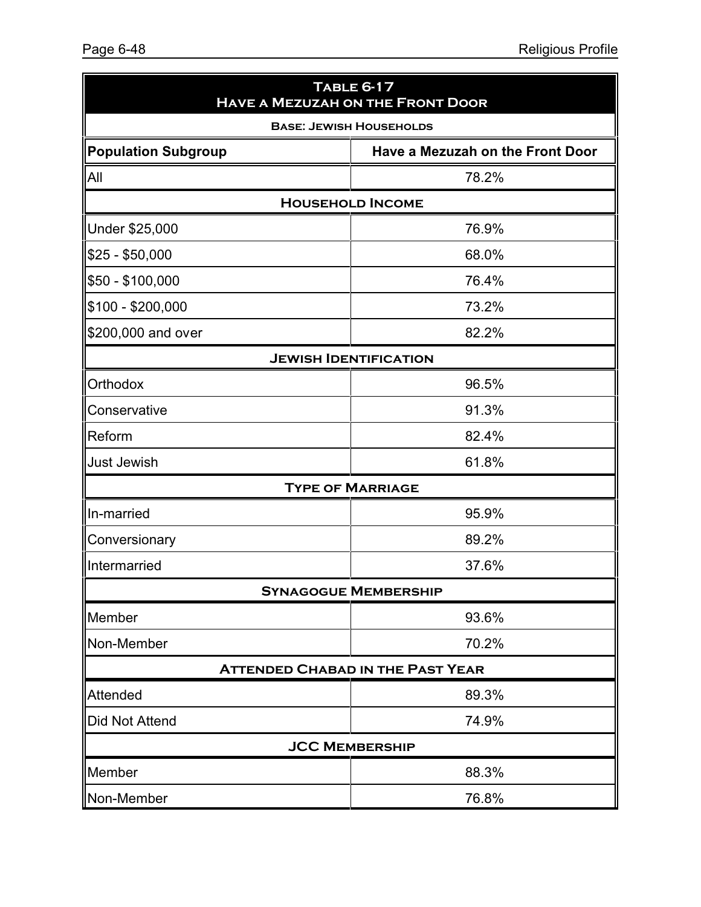| <b>TABLE 6-17</b><br><b>HAVE A MEZUZAH ON THE FRONT DOOR</b> |                                         |  |
|--------------------------------------------------------------|-----------------------------------------|--|
| <b>BASE: JEWISH HOUSEHOLDS</b>                               |                                         |  |
| <b>Population Subgroup</b>                                   | Have a Mezuzah on the Front Door        |  |
| All                                                          | 78.2%                                   |  |
|                                                              | <b>HOUSEHOLD INCOME</b>                 |  |
| Under \$25,000                                               | 76.9%                                   |  |
| \$25 - \$50,000                                              | 68.0%                                   |  |
| \$50 - \$100,000                                             | 76.4%                                   |  |
| \$100 - \$200,000                                            | 73.2%                                   |  |
| \$200,000 and over                                           | 82.2%                                   |  |
|                                                              | <b>JEWISH IDENTIFICATION</b>            |  |
| <b>Orthodox</b>                                              | 96.5%                                   |  |
| Conservative                                                 | 91.3%                                   |  |
| Reform                                                       | 82.4%                                   |  |
| <b>Just Jewish</b>                                           | 61.8%                                   |  |
|                                                              | <b>TYPE OF MARRIAGE</b>                 |  |
| In-married                                                   | 95.9%                                   |  |
| Conversionary                                                | 89.2%                                   |  |
| Intermarried                                                 | 37.6%                                   |  |
|                                                              | <b>SYNAGOGUE MEMBERSHIP</b>             |  |
| Member                                                       | 93.6%                                   |  |
| Non-Member                                                   | 70.2%                                   |  |
|                                                              | <b>ATTENDED CHABAD IN THE PAST YEAR</b> |  |
| Attended                                                     | 89.3%                                   |  |
| <b>Did Not Attend</b>                                        | 74.9%                                   |  |
| <b>JCC MEMBERSHIP</b>                                        |                                         |  |
| Member                                                       | 88.3%                                   |  |
| Non-Member                                                   | 76.8%                                   |  |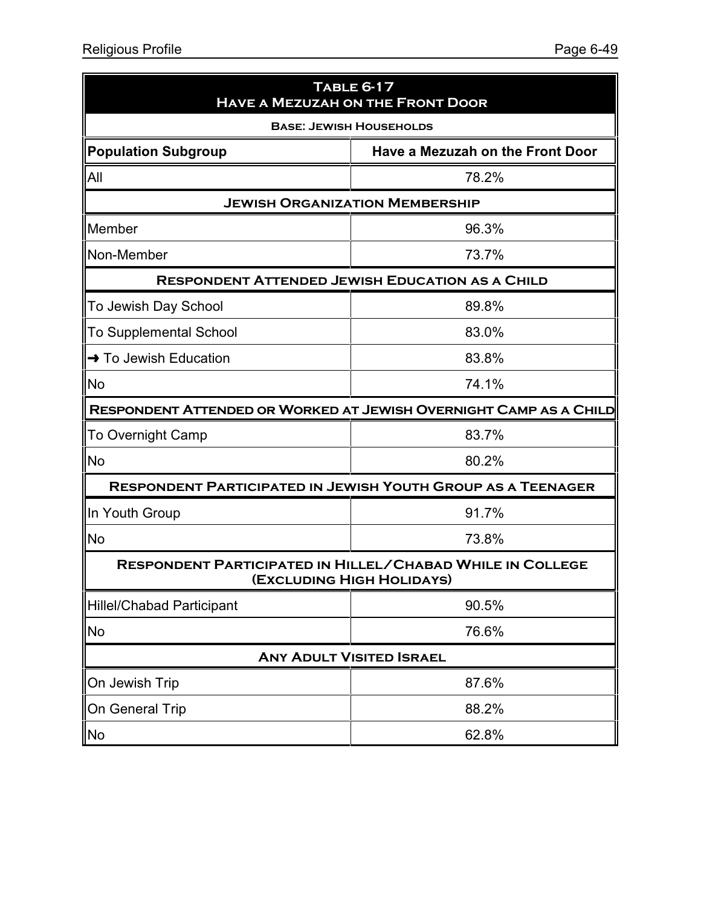| TABLE 6-17<br><b>HAVE A MEZUZAH ON THE FRONT DOOR</b>                                         |                                                                    |  |
|-----------------------------------------------------------------------------------------------|--------------------------------------------------------------------|--|
| <b>BASE: JEWISH HOUSEHOLDS</b>                                                                |                                                                    |  |
| <b>Population Subgroup</b>                                                                    | Have a Mezuzah on the Front Door                                   |  |
| All                                                                                           | 78.2%                                                              |  |
|                                                                                               | <b>JEWISH ORGANIZATION MEMBERSHIP</b>                              |  |
| Member                                                                                        | 96.3%                                                              |  |
| Non-Member                                                                                    | 73.7%                                                              |  |
|                                                                                               | <b>RESPONDENT ATTENDED JEWISH EDUCATION AS A CHILD</b>             |  |
| To Jewish Day School                                                                          | 89.8%                                                              |  |
| <b>To Supplemental School</b>                                                                 | 83.0%                                                              |  |
| → To Jewish Education                                                                         | 83.8%                                                              |  |
| <b>No</b>                                                                                     | 74.1%                                                              |  |
|                                                                                               | RESPONDENT ATTENDED OR WORKED AT JEWISH OVERNIGHT CAMP AS A CHILD  |  |
| <b>To Overnight Camp</b>                                                                      | 83.7%                                                              |  |
| No                                                                                            | 80.2%                                                              |  |
|                                                                                               | <b>RESPONDENT PARTICIPATED IN JEWISH YOUTH GROUP AS A TEENAGER</b> |  |
| In Youth Group                                                                                | 91.7%                                                              |  |
| No                                                                                            | 73.8%                                                              |  |
| <b>RESPONDENT PARTICIPATED IN HILLEL/CHABAD WHILE IN COLLEGE</b><br>(EXCLUDING HIGH HOLIDAYS) |                                                                    |  |
| <b>Hillel/Chabad Participant</b>                                                              | 90.5%                                                              |  |
| No                                                                                            | 76.6%                                                              |  |
|                                                                                               | <b>ANY ADULT VISITED ISRAEL</b>                                    |  |
| On Jewish Trip                                                                                | 87.6%                                                              |  |
| On General Trip                                                                               | 88.2%                                                              |  |
| No                                                                                            | 62.8%                                                              |  |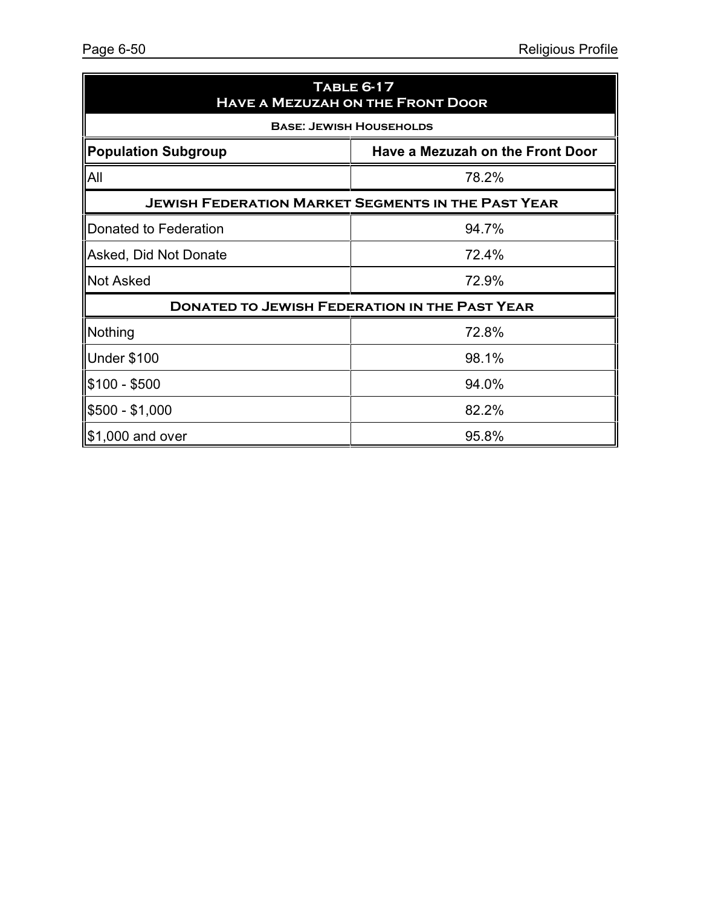| <b>TABLE 6-17</b><br><b>HAVE A MEZUZAH ON THE FRONT DOOR</b> |                                  |  |
|--------------------------------------------------------------|----------------------------------|--|
| <b>BASE: JEWISH HOUSEHOLDS</b>                               |                                  |  |
| <b>Population Subgroup</b>                                   | Have a Mezuzah on the Front Door |  |
| All                                                          | 78.2%                            |  |
| <b>JEWISH FEDERATION MARKET SEGMENTS IN THE PAST YEAR</b>    |                                  |  |
| Donated to Federation                                        | 94.7%                            |  |
| Asked, Did Not Donate                                        | 72.4%                            |  |
| <b>Not Asked</b>                                             | 72.9%                            |  |
| <b>DONATED TO JEWISH FEDERATION IN THE PAST YEAR</b>         |                                  |  |
| Nothing                                                      | 72.8%                            |  |
| <b>Under \$100</b>                                           | 98.1%                            |  |
| \$100 - \$500                                                | 94.0%                            |  |
| \$500 - \$1,000                                              | 82.2%                            |  |
| $$1,000$ and over                                            | 95.8%                            |  |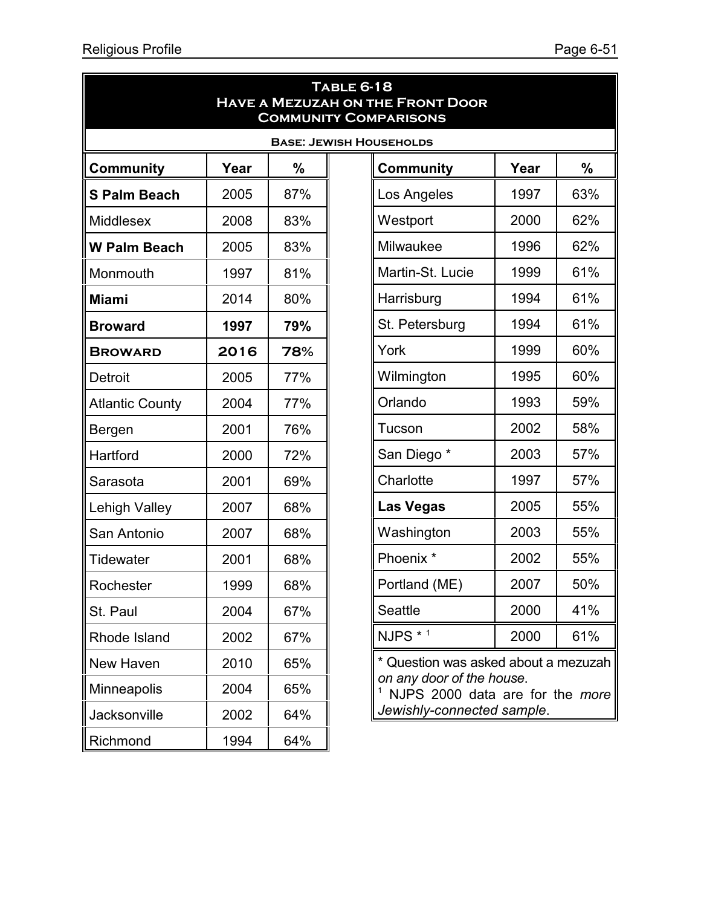| <b>TABLE 6-18</b><br><b>HAVE A MEZUZAH ON THE FRONT DOOR</b><br><b>COMMUNITY COMPARISONS</b> |      |     |  |                                                              |      |     |  |  |  |
|----------------------------------------------------------------------------------------------|------|-----|--|--------------------------------------------------------------|------|-----|--|--|--|
| <b>BASE: JEWISH HOUSEHOLDS</b>                                                               |      |     |  |                                                              |      |     |  |  |  |
| <b>Community</b>                                                                             | Year | %   |  | <b>Community</b>                                             | Year | %   |  |  |  |
| <b>S Palm Beach</b>                                                                          | 2005 | 87% |  | Los Angeles                                                  | 1997 | 63% |  |  |  |
| <b>Middlesex</b>                                                                             | 2008 | 83% |  | Westport                                                     | 2000 | 62% |  |  |  |
| <b>W Palm Beach</b>                                                                          | 2005 | 83% |  | Milwaukee                                                    | 1996 | 62% |  |  |  |
| Monmouth                                                                                     | 1997 | 81% |  | Martin-St. Lucie                                             | 1999 | 61% |  |  |  |
| <b>Miami</b>                                                                                 | 2014 | 80% |  | Harrisburg                                                   | 1994 | 61% |  |  |  |
| <b>Broward</b>                                                                               | 1997 | 79% |  | St. Petersburg                                               | 1994 | 61% |  |  |  |
| <b>BROWARD</b>                                                                               | 2016 | 78% |  | York                                                         | 1999 | 60% |  |  |  |
| Detroit                                                                                      | 2005 | 77% |  | Wilmington                                                   | 1995 | 60% |  |  |  |
| <b>Atlantic County</b>                                                                       | 2004 | 77% |  | Orlando                                                      | 1993 | 59% |  |  |  |
| Bergen                                                                                       | 2001 | 76% |  | Tucson                                                       | 2002 | 58% |  |  |  |
| Hartford                                                                                     | 2000 | 72% |  | San Diego*                                                   | 2003 | 57% |  |  |  |
| Sarasota                                                                                     | 2001 | 69% |  | Charlotte                                                    | 1997 | 57% |  |  |  |
| Lehigh Valley                                                                                | 2007 | 68% |  | <b>Las Vegas</b>                                             | 2005 | 55% |  |  |  |
| San Antonio                                                                                  | 2007 | 68% |  | Washington                                                   | 2003 | 55% |  |  |  |
| Tidewater                                                                                    | 2001 | 68% |  | Phoenix <sup>*</sup>                                         | 2002 | 55% |  |  |  |
| Rochester                                                                                    | 1999 | 68% |  | Portland (ME)                                                | 2007 | 50% |  |  |  |
| St. Paul                                                                                     | 2004 | 67% |  | Seattle                                                      | 2000 | 41% |  |  |  |
| Rhode Island                                                                                 | 2002 | 67% |  | NJPS * 1                                                     | 2000 | 61% |  |  |  |
| New Haven                                                                                    | 2010 | 65% |  | * Question was asked about a mezuzah                         |      |     |  |  |  |
| Minneapolis                                                                                  | 2004 | 65% |  | on any door of the house.<br>NJPS 2000 data are for the more |      |     |  |  |  |
| <b>Jacksonville</b>                                                                          | 2002 | 64% |  | Jewishly-connected sample.                                   |      |     |  |  |  |
| Richmond                                                                                     | 1994 | 64% |  |                                                              |      |     |  |  |  |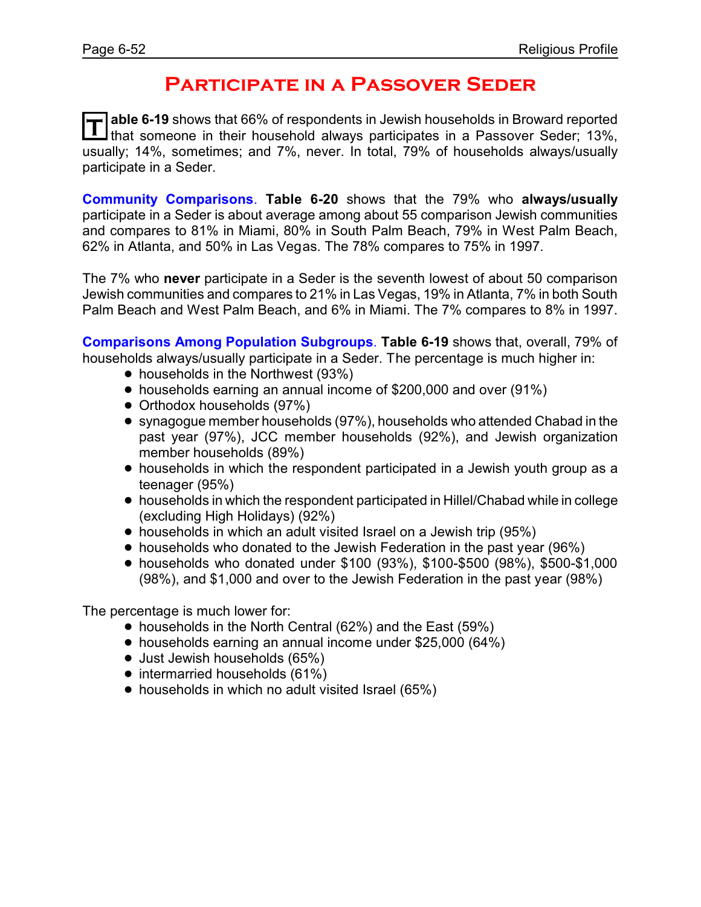## **Participate in a Passover Seder**

T able 6-19 shows that 66% of respondents in Jewish households in Broward reported<br>If that someone in their household always participates in a Passover Seder; 13%, **able 6-19** shows that 66% of respondents in Jewish households in Broward reported usually; 14%, sometimes; and 7%, never. In total, 79% of households always/usually participate in a Seder.

**Community Comparisons**. **Table 6-20** shows that the 79% who **always/usually** participate in a Seder is about average among about 55 comparison Jewish communities and compares to 81% in Miami, 80% in South Palm Beach, 79% in West Palm Beach, 62% in Atlanta, and 50% in Las Vegas. The 78% compares to 75% in 1997.

The 7% who **never** participate in a Seder is the seventh lowest of about 50 comparison Jewish communities and compares to 21% in Las Vegas, 19% in Atlanta, 7% in both South Palm Beach and West Palm Beach, and 6% in Miami. The 7% compares to 8% in 1997.

**Comparisons Among Population Subgroups**. **Table 6-19** shows that, overall, 79% of households always/usually participate in a Seder. The percentage is much higher in:

- households in the Northwest (93%)
- ! households earning an annual income of \$200,000 and over (91%)
- Orthodox households (97%)
- ! synagogue member households (97%), households who attended Chabad in the past year (97%), JCC member households (92%), and Jewish organization member households (89%)
- households in which the respondent participated in a Jewish youth group as a teenager (95%)
- ! households in which the respondent participated in Hillel/Chabad while in college (excluding High Holidays) (92%)
- households in which an adult visited Israel on a Jewish trip (95%)
- households who donated to the Jewish Federation in the past year (96%)
- ! households who donated under \$100 (93%), \$100-\$500 (98%), \$500-\$1,000 (98%), and \$1,000 and over to the Jewish Federation in the past year (98%)

- households in the North Central (62%) and the East (59%)
- ! households earning an annual income under \$25,000 (64%)
- Just Jewish households (65%)
- intermarried households (61%)
- households in which no adult visited Israel (65%)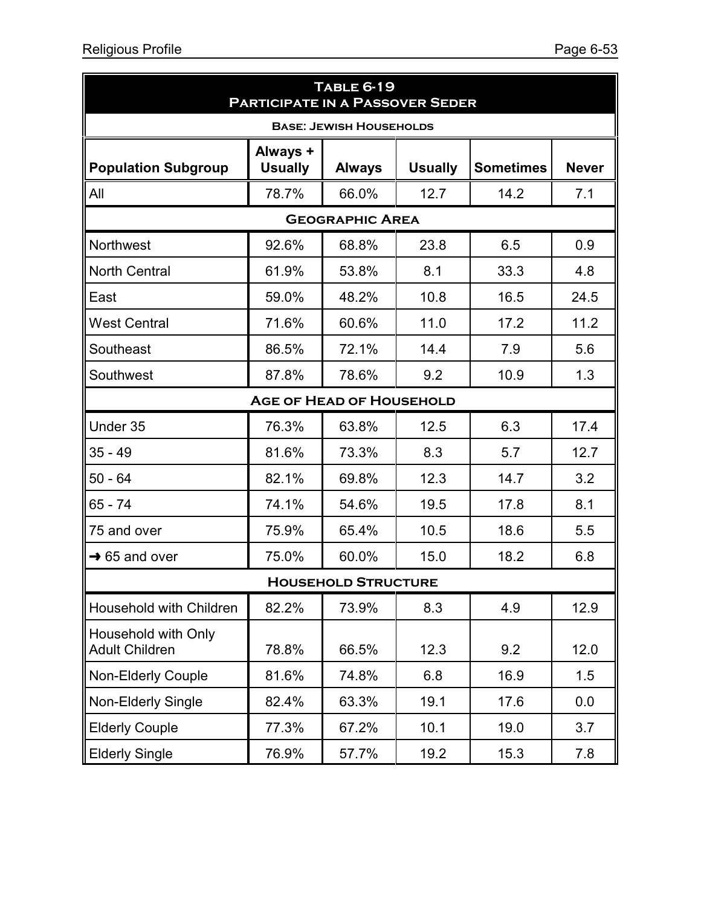| <b>TABLE 6-19</b><br><b>PARTICIPATE IN A PASSOVER SEDER</b> |                            |                                 |                |                  |              |  |  |  |  |
|-------------------------------------------------------------|----------------------------|---------------------------------|----------------|------------------|--------------|--|--|--|--|
| <b>BASE: JEWISH HOUSEHOLDS</b>                              |                            |                                 |                |                  |              |  |  |  |  |
| <b>Population Subgroup</b>                                  | Always +<br><b>Usually</b> | <b>Always</b>                   | <b>Usually</b> | <b>Sometimes</b> | <b>Never</b> |  |  |  |  |
| All                                                         | 78.7%                      | 66.0%                           | 12.7           | 14.2             | 7.1          |  |  |  |  |
|                                                             | <b>GEOGRAPHIC AREA</b>     |                                 |                |                  |              |  |  |  |  |
| Northwest                                                   | 92.6%                      | 68.8%                           | 23.8           | 6.5              | 0.9          |  |  |  |  |
| <b>North Central</b>                                        | 61.9%                      | 53.8%                           | 8.1            | 33.3             | 4.8          |  |  |  |  |
| East                                                        | 59.0%                      | 48.2%                           | 10.8           | 16.5             | 24.5         |  |  |  |  |
| <b>West Central</b>                                         | 71.6%                      | 60.6%                           | 11.0           | 17.2             | 11.2         |  |  |  |  |
| Southeast                                                   | 86.5%                      | 72.1%                           | 14.4           | 7.9              | 5.6          |  |  |  |  |
| Southwest                                                   | 87.8%                      | 78.6%                           | 9.2            | 10.9             | 1.3          |  |  |  |  |
|                                                             |                            | <b>AGE OF HEAD OF HOUSEHOLD</b> |                |                  |              |  |  |  |  |
| Under 35                                                    | 76.3%                      | 63.8%                           | 12.5           | 6.3              | 17.4         |  |  |  |  |
| 35 - 49                                                     | 81.6%                      | 73.3%                           | 8.3            | 5.7              | 12.7         |  |  |  |  |
| $50 - 64$                                                   | 82.1%                      | 69.8%                           | 12.3           | 14.7             | 3.2          |  |  |  |  |
| 65 - 74                                                     | 74.1%                      | 54.6%                           | 19.5           | 17.8             | 8.1          |  |  |  |  |
| 75 and over                                                 | 75.9%                      | 65.4%                           | 10.5           | 18.6             | 5.5          |  |  |  |  |
| $\rightarrow$ 65 and over                                   | 75.0%                      | 60.0%                           | 15.0           | 18.2             | 6.8          |  |  |  |  |
|                                                             |                            | <b>HOUSEHOLD STRUCTURE</b>      |                |                  |              |  |  |  |  |
| Household with Children                                     | 82.2%                      | 73.9%                           | 8.3            | 4.9              | 12.9         |  |  |  |  |
| Household with Only<br><b>Adult Children</b>                | 78.8%                      | 66.5%                           | 12.3           | 9.2              | 12.0         |  |  |  |  |
| <b>Non-Elderly Couple</b>                                   | 81.6%                      | 74.8%                           | 6.8            | 16.9             | 1.5          |  |  |  |  |
| Non-Elderly Single                                          | 82.4%                      | 63.3%                           | 19.1           | 17.6             | 0.0          |  |  |  |  |
| <b>Elderly Couple</b>                                       | 77.3%                      | 67.2%                           | 10.1           | 19.0             | 3.7          |  |  |  |  |
| <b>Elderly Single</b>                                       | 76.9%                      | 57.7%                           | 19.2           | 15.3             | 7.8          |  |  |  |  |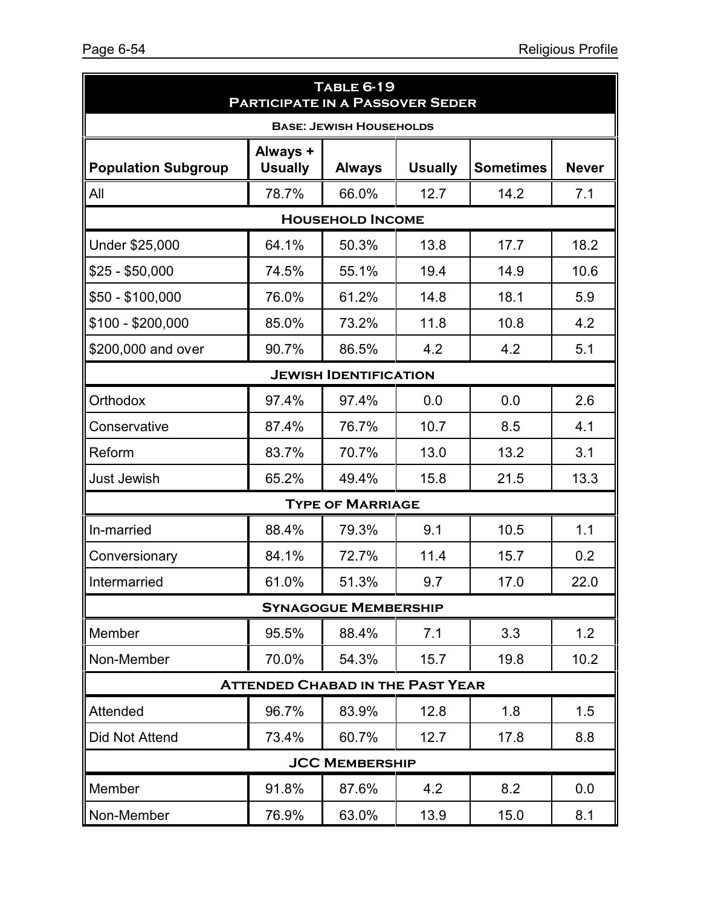|                              | <b>TABLE 6-19</b><br><b>PARTICIPATE IN A PASSOVER SEDER</b> |                                |                |                  |              |  |  |  |
|------------------------------|-------------------------------------------------------------|--------------------------------|----------------|------------------|--------------|--|--|--|
|                              |                                                             | <b>BASE: JEWISH HOUSEHOLDS</b> |                |                  |              |  |  |  |
| <b>Population Subgroup</b>   | Always +<br><b>Usually</b>                                  | <b>Always</b>                  | <b>Usually</b> | <b>Sometimes</b> | <b>Never</b> |  |  |  |
| All                          | 78.7%                                                       | 66.0%                          | 12.7           | 14.2             | 7.1          |  |  |  |
|                              |                                                             | <b>HOUSEHOLD INCOME</b>        |                |                  |              |  |  |  |
| Under \$25,000               | 64.1%                                                       | 50.3%                          | 13.8           | 17.7             | 18.2         |  |  |  |
| $$25 - $50,000$              | 74.5%                                                       | 55.1%                          | 19.4           | 14.9             | 10.6         |  |  |  |
| \$50 - \$100,000             | 76.0%                                                       | 61.2%                          | 14.8           | 18.1             | 5.9          |  |  |  |
| $$100 - $200,000$            | 85.0%                                                       | 73.2%                          | 11.8           | 10.8             | 4.2          |  |  |  |
| \$200,000 and over           | 90.7%                                                       | 86.5%                          | 4.2            | 4.2              | 5.1          |  |  |  |
| <b>JEWISH IDENTIFICATION</b> |                                                             |                                |                |                  |              |  |  |  |
| Orthodox                     | 97.4%                                                       | 97.4%                          | 0.0            | 0.0              | 2.6          |  |  |  |
| Conservative                 | 87.4%                                                       | 76.7%                          | 10.7           | 8.5              | 4.1          |  |  |  |
| Reform                       | 83.7%                                                       | 70.7%                          | 13.0           | 13.2             | 3.1          |  |  |  |
| <b>Just Jewish</b>           | 65.2%                                                       | 49.4%                          | 15.8           | 21.5             | 13.3         |  |  |  |
|                              |                                                             | <b>TYPE OF MARRIAGE</b>        |                |                  |              |  |  |  |
| In-married                   | 88.4%                                                       | 79.3%                          | 9.1            | 10.5             | 1.1          |  |  |  |
| Conversionary                | 84.1%                                                       | 72.7%                          | 11.4           | 15.7             | 0.2          |  |  |  |
| Intermarried                 | 61.0%                                                       | 51.3%                          | 9.7            | 17.0             | 22.0         |  |  |  |
|                              |                                                             | <b>SYNAGOGUE MEMBERSHIP</b>    |                |                  |              |  |  |  |
| Member                       | 95.5%                                                       | 88.4%                          | 7.1            | 3.3              | 1.2          |  |  |  |
| Non-Member                   | 70.0%                                                       | 54.3%                          | 15.7           | 19.8             | 10.2         |  |  |  |
|                              | <b>ATTENDED CHABAD IN THE PAST YEAR</b>                     |                                |                |                  |              |  |  |  |
| Attended                     | 96.7%                                                       | 83.9%                          | 12.8           | 1.8              | 1.5          |  |  |  |
| <b>Did Not Attend</b>        | 73.4%                                                       | 60.7%                          | 12.7           | 17.8             | 8.8          |  |  |  |
|                              |                                                             | <b>JCC MEMBERSHIP</b>          |                |                  |              |  |  |  |
| Member                       | 91.8%                                                       | 87.6%                          | 4.2            | 8.2              | 0.0          |  |  |  |
| Non-Member                   | 76.9%                                                       | 63.0%                          | 13.9           | 15.0             | 8.1          |  |  |  |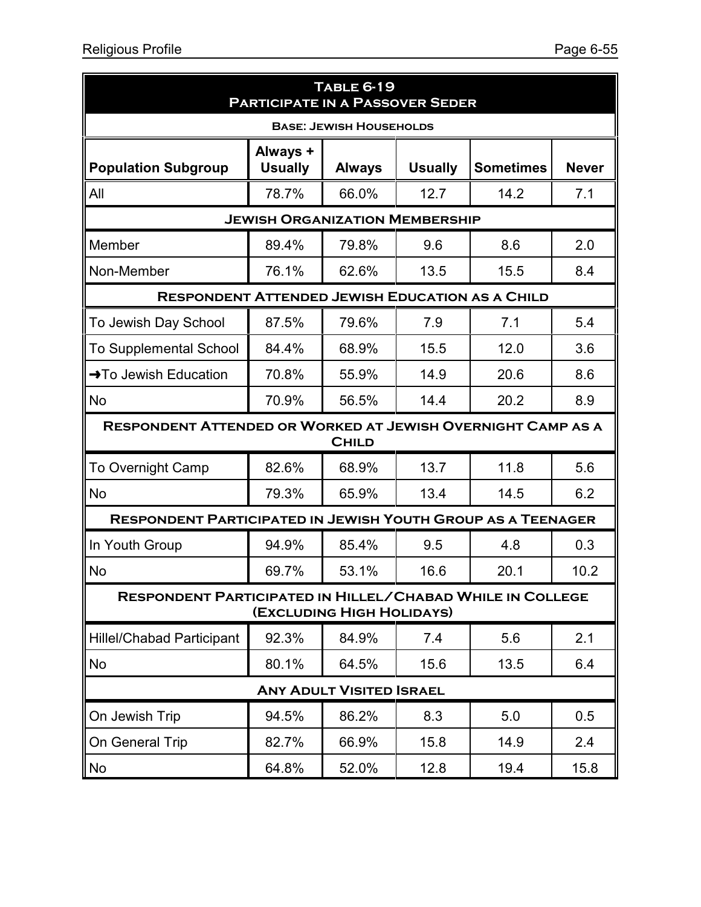| <b>TABLE 6-19</b><br><b>PARTICIPATE IN A PASSOVER SEDER</b>        |                                       |                                 |                |                  |              |  |  |  |  |
|--------------------------------------------------------------------|---------------------------------------|---------------------------------|----------------|------------------|--------------|--|--|--|--|
| <b>BASE: JEWISH HOUSEHOLDS</b>                                     |                                       |                                 |                |                  |              |  |  |  |  |
| <b>Population Subgroup</b>                                         | Always +<br><b>Usually</b>            | <b>Always</b>                   | <b>Usually</b> | <b>Sometimes</b> | <b>Never</b> |  |  |  |  |
| All                                                                | 78.7%                                 | 66.0%                           | 12.7           | 14.2             | 7.1          |  |  |  |  |
|                                                                    | <b>JEWISH ORGANIZATION MEMBERSHIP</b> |                                 |                |                  |              |  |  |  |  |
| Member                                                             | 89.4%                                 | 79.8%                           | 9.6            | 8.6              | 2.0          |  |  |  |  |
| Non-Member                                                         | 76.1%                                 | 62.6%                           | 13.5           | 15.5             | 8.4          |  |  |  |  |
| <b>RESPONDENT ATTENDED JEWISH EDUCATION AS A CHILD</b>             |                                       |                                 |                |                  |              |  |  |  |  |
| To Jewish Day School                                               | 87.5%                                 | 79.6%                           | 7.9            | 7.1              | 5.4          |  |  |  |  |
| <b>To Supplemental School</b>                                      | 84.4%                                 | 68.9%                           | 15.5           | 12.0             | 3.6          |  |  |  |  |
| $\rightarrow$ To Jewish Education                                  | 70.8%                                 | 55.9%                           | 14.9           | 20.6             | 8.6          |  |  |  |  |
| No                                                                 | 70.9%                                 | 56.5%                           | 14.4           | 20.2             | 8.9          |  |  |  |  |
| <b>RESPONDENT ATTENDED OR WORKED AT JEWISH OVERNIGHT CAMP AS A</b> |                                       | <b>CHILD</b>                    |                |                  |              |  |  |  |  |
| <b>To Overnight Camp</b>                                           | 82.6%                                 | 68.9%                           | 13.7           | 11.8             | 5.6          |  |  |  |  |
| <b>No</b>                                                          | 79.3%                                 | 65.9%                           | 13.4           | 14.5             | 6.2          |  |  |  |  |
| <b>RESPONDENT PARTICIPATED IN JEWISH YOUTH GROUP AS A TEENAGER</b> |                                       |                                 |                |                  |              |  |  |  |  |
| In Youth Group                                                     | 94.9%                                 | 85.4%                           | 9.5            | 4.8              | 0.3          |  |  |  |  |
| <b>No</b>                                                          | 69.7%                                 | 53.1%                           | 16.6           | 20.1             | 10.2         |  |  |  |  |
| <b>RESPONDENT PARTICIPATED IN HILLEL/CHABAD WHILE IN COLLEGE</b>   |                                       | (EXCLUDING HIGH HOLIDAYS)       |                |                  |              |  |  |  |  |
| <b>Hillel/Chabad Participant</b>                                   | 92.3%                                 | 84.9%                           | 7.4            | 5.6              | 2.1          |  |  |  |  |
| No                                                                 | 80.1%                                 | 64.5%                           | 15.6           | 13.5             | 6.4          |  |  |  |  |
|                                                                    |                                       | <b>ANY ADULT VISITED ISRAEL</b> |                |                  |              |  |  |  |  |
| On Jewish Trip                                                     | 94.5%                                 | 86.2%                           | 8.3            | 5.0              | 0.5          |  |  |  |  |
| On General Trip                                                    | 82.7%                                 | 66.9%                           | 15.8           | 14.9             | 2.4          |  |  |  |  |
| No                                                                 | 64.8%                                 | 52.0%                           | 12.8           | 19.4             | 15.8         |  |  |  |  |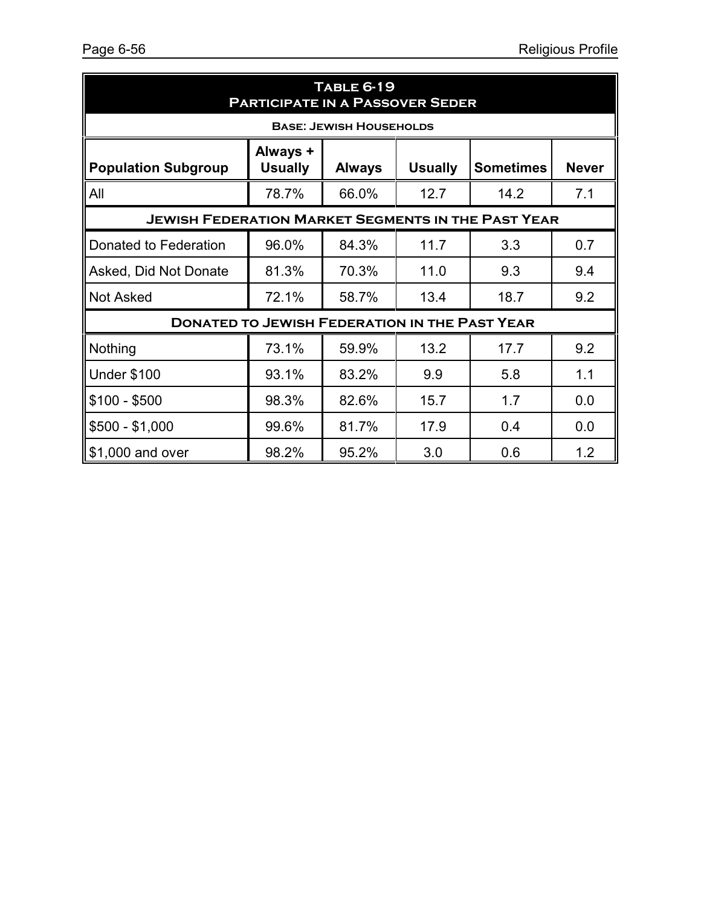| <b>TABLE 6-19</b><br><b>PARTICIPATE IN A PASSOVER SEDER</b>                                                                     |       |                                |      |      |     |  |  |  |
|---------------------------------------------------------------------------------------------------------------------------------|-------|--------------------------------|------|------|-----|--|--|--|
|                                                                                                                                 |       | <b>BASE: JEWISH HOUSEHOLDS</b> |      |      |     |  |  |  |
| Always +<br><b>Usually</b><br><b>Usually</b><br><b>Sometimes</b><br><b>Never</b><br><b>Population Subgroup</b><br><b>Always</b> |       |                                |      |      |     |  |  |  |
| All                                                                                                                             | 78.7% | 66.0%                          | 12.7 | 14.2 | 7.1 |  |  |  |
| <b>JEWISH FEDERATION MARKET SEGMENTS IN THE PAST YEAR</b>                                                                       |       |                                |      |      |     |  |  |  |
| Donated to Federation                                                                                                           | 96.0% | 84.3%                          | 11.7 | 3.3  | 0.7 |  |  |  |
| Asked, Did Not Donate                                                                                                           | 81.3% | 70.3%                          | 11.0 | 9.3  | 9.4 |  |  |  |
| <b>Not Asked</b>                                                                                                                | 72.1% | 58.7%                          | 13.4 | 18.7 | 9.2 |  |  |  |
| <b>DONATED TO JEWISH FEDERATION IN THE PAST YEAR</b>                                                                            |       |                                |      |      |     |  |  |  |
| Nothing                                                                                                                         | 73.1% | 59.9%                          | 13.2 | 17.7 | 9.2 |  |  |  |
| <b>Under \$100</b>                                                                                                              | 93.1% | 83.2%                          | 9.9  | 5.8  | 1.1 |  |  |  |
| $$100 - $500$                                                                                                                   | 98.3% | 82.6%                          | 15.7 | 1.7  | 0.0 |  |  |  |
| $$500 - $1,000$                                                                                                                 | 99.6% | 81.7%                          | 17.9 | 0.4  | 0.0 |  |  |  |
| \$1,000 and over                                                                                                                | 98.2% | 95.2%                          | 3.0  | 0.6  | 1.2 |  |  |  |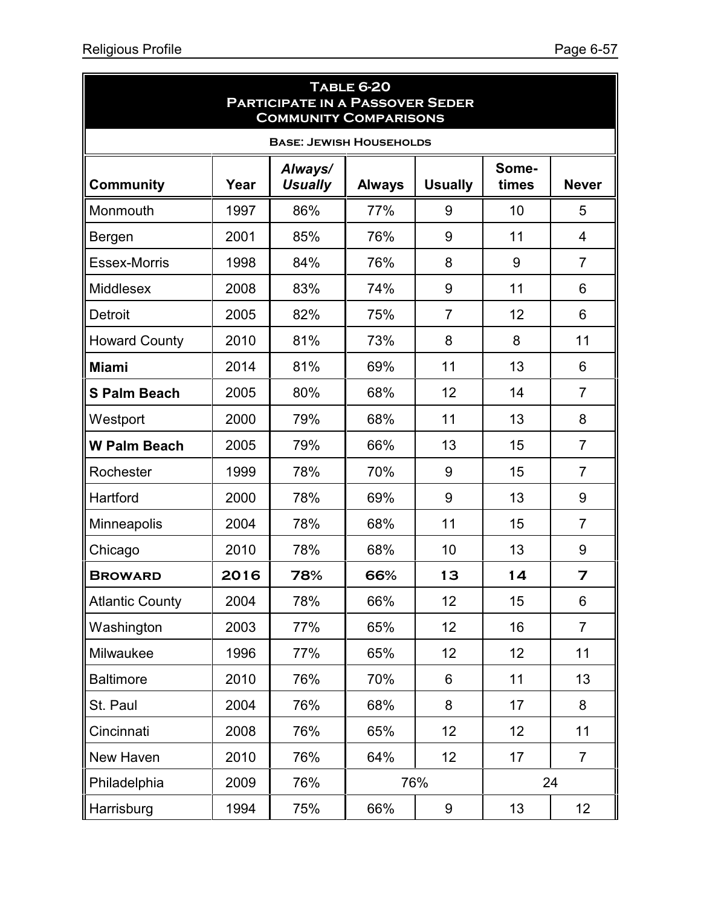ä

| <b>TABLE 6-20</b><br><b>PARTICIPATE IN A PASSOVER SEDER</b><br><b>COMMUNITY COMPARISONS</b> |      |                           |               |                |                |                |  |  |  |
|---------------------------------------------------------------------------------------------|------|---------------------------|---------------|----------------|----------------|----------------|--|--|--|
| <b>BASE: JEWISH HOUSEHOLDS</b>                                                              |      |                           |               |                |                |                |  |  |  |
| <b>Community</b>                                                                            | Year | Always/<br><b>Usually</b> | <b>Always</b> | <b>Usually</b> | Some-<br>times | <b>Never</b>   |  |  |  |
| Monmouth                                                                                    | 1997 | 86%                       | 77%           | 9              | 10             | 5              |  |  |  |
| Bergen                                                                                      | 2001 | 85%                       | 76%           | 9              | 11             | 4              |  |  |  |
| <b>Essex-Morris</b>                                                                         | 1998 | 84%                       | 76%           | 8              | 9              | $\overline{7}$ |  |  |  |
| <b>Middlesex</b>                                                                            | 2008 | 83%                       | 74%           | 9              | 11             | 6              |  |  |  |
| <b>Detroit</b>                                                                              | 2005 | 82%                       | 75%           | $\overline{7}$ | 12             | 6              |  |  |  |
| <b>Howard County</b>                                                                        | 2010 | 81%                       | 73%           | 8              | 8              | 11             |  |  |  |
| <b>Miami</b>                                                                                | 2014 | 81%                       | 69%           | 11             | 13             | 6              |  |  |  |
| <b>S Palm Beach</b>                                                                         | 2005 | 80%                       | 68%           | 12             | 14             | $\overline{7}$ |  |  |  |
| Westport                                                                                    | 2000 | 79%                       | 68%           | 11             | 13             | 8              |  |  |  |
| <b>W Palm Beach</b>                                                                         | 2005 | 79%                       | 66%           | 13             | 15             | $\overline{7}$ |  |  |  |
| Rochester                                                                                   | 1999 | 78%                       | 70%           | 9              | 15             | $\overline{7}$ |  |  |  |
| Hartford                                                                                    | 2000 | 78%                       | 69%           | 9              | 13             | 9              |  |  |  |
| Minneapolis                                                                                 | 2004 | 78%                       | 68%           | 11             | 15             | $\overline{7}$ |  |  |  |
| Chicago                                                                                     | 2010 | 78%                       | 68%           | 10             | 13             | 9              |  |  |  |
| <b>BROWARD</b>                                                                              | 2016 | 78%                       | 66%           | 13             | 14             | 7              |  |  |  |
| <b>Atlantic County</b>                                                                      | 2004 | 78%                       | 66%           | 12             | 15             | 6              |  |  |  |
| Washington                                                                                  | 2003 | 77%                       | 65%           | 12             | 16             | $\overline{7}$ |  |  |  |
| Milwaukee                                                                                   | 1996 | 77%                       | 65%           | 12             | 12             | 11             |  |  |  |
| <b>Baltimore</b>                                                                            | 2010 | 76%                       | 70%           | 6              | 11             | 13             |  |  |  |
| St. Paul                                                                                    | 2004 | 76%                       | 68%           | 8              | 17             | 8              |  |  |  |
| Cincinnati                                                                                  | 2008 | 76%                       | 65%           | 12             | 12             | 11             |  |  |  |
| New Haven                                                                                   | 2010 | 76%                       | 64%           | 12             | 17             | $\overline{7}$ |  |  |  |
| Philadelphia                                                                                | 2009 | 76%                       |               | 76%            |                | 24             |  |  |  |
| Harrisburg                                                                                  | 1994 | 75%                       | 66%           | 9              | 13             | 12             |  |  |  |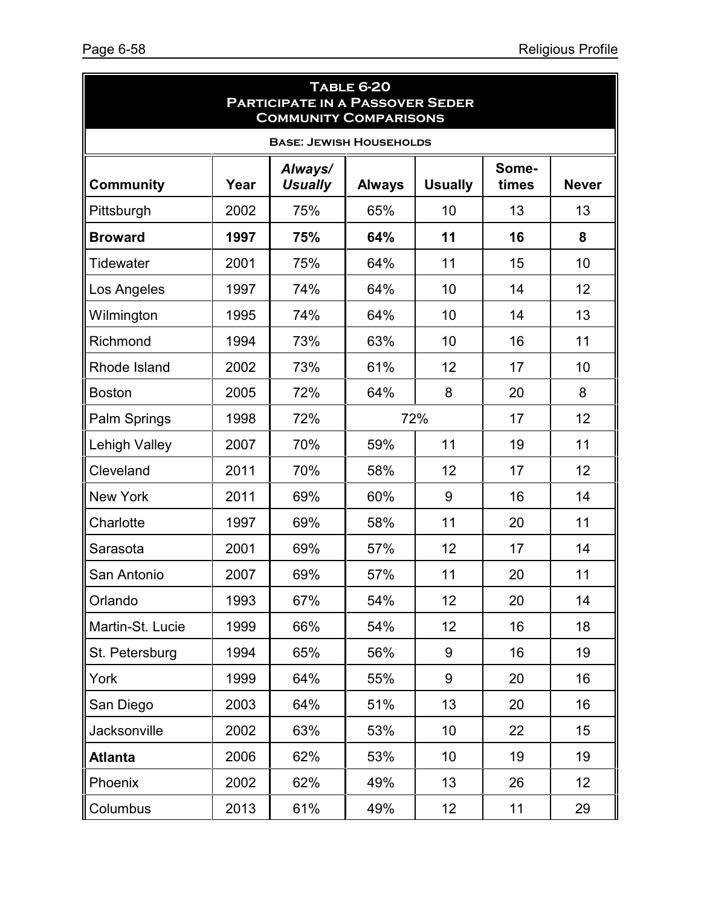| <b>TABLE 6-20</b><br><b>PARTICIPATE IN A PASSOVER SEDER</b><br><b>COMMUNITY COMPARISONS</b> |      |                           |                 |                 |                |                 |  |  |  |
|---------------------------------------------------------------------------------------------|------|---------------------------|-----------------|-----------------|----------------|-----------------|--|--|--|
| <b>BASE: JEWISH HOUSEHOLDS</b>                                                              |      |                           |                 |                 |                |                 |  |  |  |
| <b>Community</b>                                                                            | Year | Always/<br><b>Usually</b> | <b>Always</b>   | <b>Usually</b>  | Some-<br>times | <b>Never</b>    |  |  |  |
| Pittsburgh                                                                                  | 2002 | 75%                       | 65%             | 10              | 13             | 13              |  |  |  |
| <b>Broward</b>                                                                              | 1997 | 75%                       | 64%             | 11              | 16             | 8               |  |  |  |
| Tidewater                                                                                   | 2001 | 75%                       | 64%             | 11              | 15             | 10              |  |  |  |
| Los Angeles                                                                                 | 1997 | 74%                       | 64%             | 10              | 14             | 12              |  |  |  |
| Wilmington                                                                                  | 1995 | 74%                       | 64%             | 10              | 14             | 13              |  |  |  |
| Richmond                                                                                    | 1994 | 73%                       | 63%             | 10              | 16             | 11              |  |  |  |
| Rhode Island                                                                                | 2002 | 73%                       | 61%             | 12              | 17             | 10              |  |  |  |
| <b>Boston</b>                                                                               | 2005 | 72%                       | 64%             | 8               | 20             | 8               |  |  |  |
| Palm Springs                                                                                | 1998 | 72%                       | 72%<br>12<br>17 |                 |                |                 |  |  |  |
| <b>Lehigh Valley</b>                                                                        | 2007 | 70%                       | 59%             | 11              | 19             | 11              |  |  |  |
| Cleveland                                                                                   | 2011 | 70%                       | 58%             | 12              | 17             | 12              |  |  |  |
| <b>New York</b>                                                                             | 2011 | 69%                       | 60%             | 9               | 16             | 14              |  |  |  |
| Charlotte                                                                                   | 1997 | 69%                       | 58%             | 11              | 20             | 11              |  |  |  |
| Sarasota                                                                                    | 2001 | 69%                       | 57%             | 12              | 17             | 14              |  |  |  |
| San Antonio                                                                                 | 2007 | 69%                       | 57%             | 11              | 20             | 11              |  |  |  |
| Orlando                                                                                     | 1993 | 67%                       | 54%             | 12              | 20             | 14              |  |  |  |
| Martin-St. Lucie                                                                            | 1999 | 66%                       | 54%             | 12              | 16             | 18              |  |  |  |
| St. Petersburg                                                                              | 1994 | 65%                       | 56%             | 9               | 16             | 19              |  |  |  |
| York                                                                                        | 1999 | 64%                       | 55%             | 9               | 20             | 16              |  |  |  |
| San Diego                                                                                   | 2003 | 64%                       | 51%             | 13              | 20             | 16              |  |  |  |
| Jacksonville                                                                                | 2002 | 63%                       | 53%             | 10              | 22             | 15              |  |  |  |
| <b>Atlanta</b>                                                                              | 2006 | 62%                       | 53%             | 10 <sup>1</sup> | 19             | 19              |  |  |  |
| Phoenix                                                                                     | 2002 | 62%                       | 49%             | 13              | 26             | 12 <sub>2</sub> |  |  |  |
| Columbus                                                                                    | 2013 | 61%                       | 49%             | 12              | 11             | 29              |  |  |  |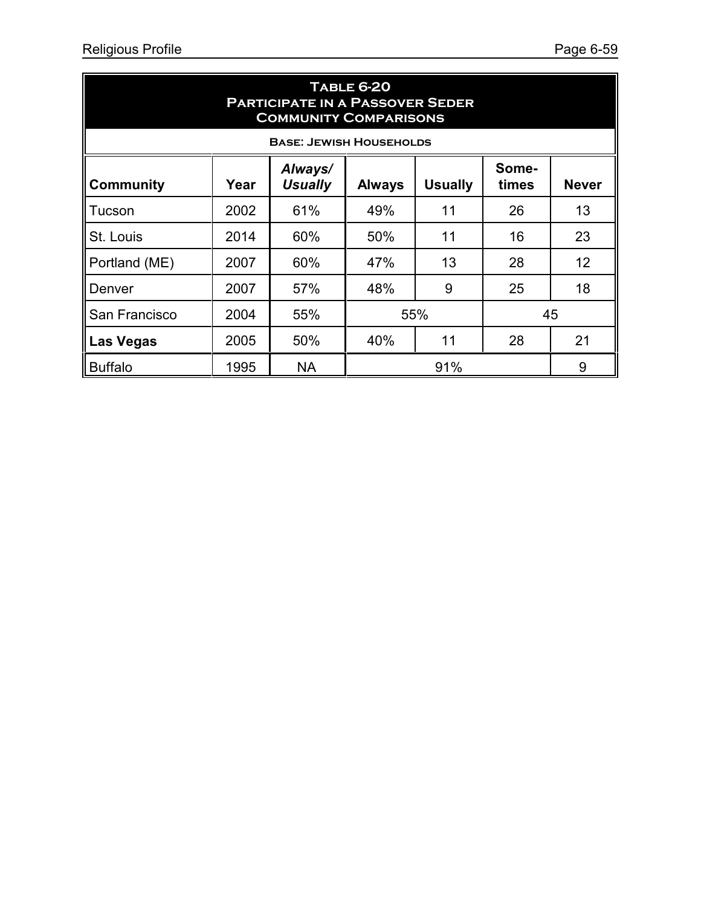| <b>TABLE 6-20</b><br><b>PARTICIPATE IN A PASSOVER SEDER</b><br><b>COMMUNITY COMPARISONS</b>                                |                                      |           |     |     |    |    |  |  |  |  |
|----------------------------------------------------------------------------------------------------------------------------|--------------------------------------|-----------|-----|-----|----|----|--|--|--|--|
|                                                                                                                            | <b>BASE: JEWISH HOUSEHOLDS</b>       |           |     |     |    |    |  |  |  |  |
| Always/<br>Some-<br><b>Usually</b><br><b>Usually</b><br><b>Never</b><br><b>Community</b><br>Year<br><b>Always</b><br>times |                                      |           |     |     |    |    |  |  |  |  |
| Tucson                                                                                                                     | 2002                                 | 61%       | 49% | 11  | 26 | 13 |  |  |  |  |
| St. Louis                                                                                                                  | 2014                                 | 60%       | 50% | 11  | 16 | 23 |  |  |  |  |
| Portland (ME)                                                                                                              | 2007                                 | 60%       | 47% | 13  | 28 | 12 |  |  |  |  |
| Denver                                                                                                                     | 2007                                 | 57%       | 48% | 9   | 25 | 18 |  |  |  |  |
| San Francisco                                                                                                              | 2004                                 | 55%       |     | 55% |    | 45 |  |  |  |  |
| <b>Las Vegas</b>                                                                                                           | 21<br>40%<br>11<br>28<br>50%<br>2005 |           |     |     |    |    |  |  |  |  |
| <b>Buffalo</b>                                                                                                             | 1995                                 | <b>NA</b> |     | 91% |    | 9  |  |  |  |  |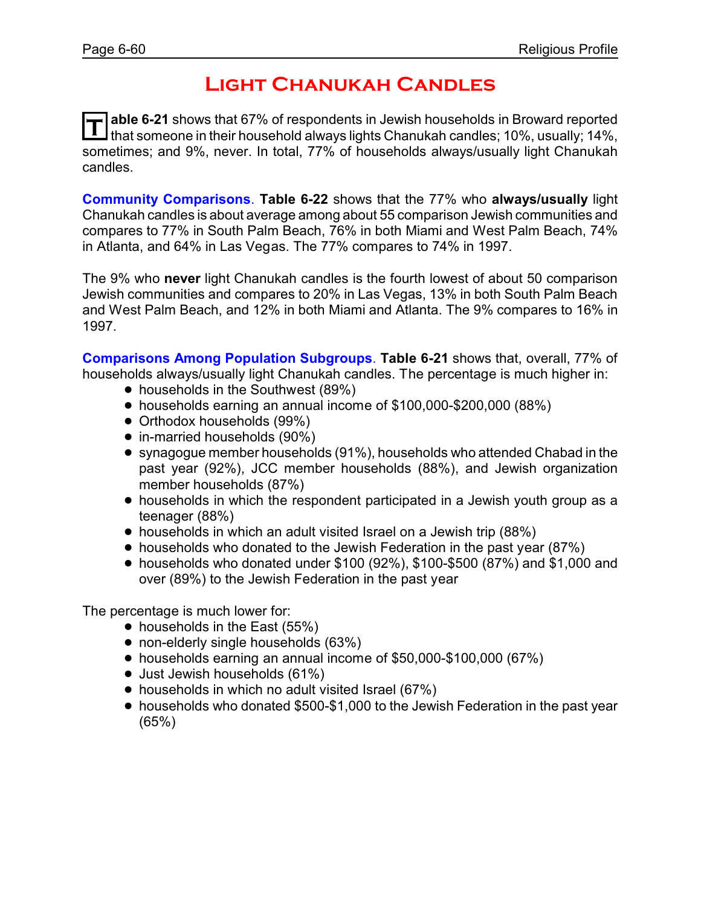### **Light Chanukah Candles**

T able 6-21 shows that 67% of respondents in Jewish households in Broward reported<br>If that someone in their household always lights Chanukah candles; 10%, usually; 14%, **able 6-21** shows that 67% of respondents in Jewish households in Broward reported sometimes; and 9%, never. In total, 77% of households always/usually light Chanukah candles.

**Community Comparisons**. **Table 6-22** shows that the 77% who **always/usually** light Chanukah candles is about average among about 55 comparison Jewish communities and compares to 77% in South Palm Beach, 76% in both Miami and West Palm Beach, 74% in Atlanta, and 64% in Las Vegas. The 77% compares to 74% in 1997.

The 9% who **never** light Chanukah candles is the fourth lowest of about 50 comparison Jewish communities and compares to 20% in Las Vegas, 13% in both South Palm Beach and West Palm Beach, and 12% in both Miami and Atlanta. The 9% compares to 16% in 1997.

**Comparisons Among Population Subgroups**. **Table 6-21** shows that, overall, 77% of households always/usually light Chanukah candles. The percentage is much higher in:

- households in the Southwest (89%)
- ! households earning an annual income of \$100,000-\$200,000 (88%)
- **Orthodox households (99%)**
- in-married households (90%)
- ! synagogue member households (91%), households who attended Chabad in the past year (92%), JCC member households (88%), and Jewish organization member households (87%)
- households in which the respondent participated in a Jewish youth group as a teenager (88%)
- households in which an adult visited Israel on a Jewish trip (88%)
- households who donated to the Jewish Federation in the past year (87%)
- $\bullet$  households who donated under \$100 (92%), \$100-\$500 (87%) and \$1,000 and over (89%) to the Jewish Federation in the past year

- $\bullet$  households in the East (55%)
- non-elderly single households (63%)
- ! households earning an annual income of \$50,000-\$100,000 (67%)
- Just Jewish households (61%)
- households in which no adult visited Israel (67%)
- households who donated \$500-\$1,000 to the Jewish Federation in the past year (65%)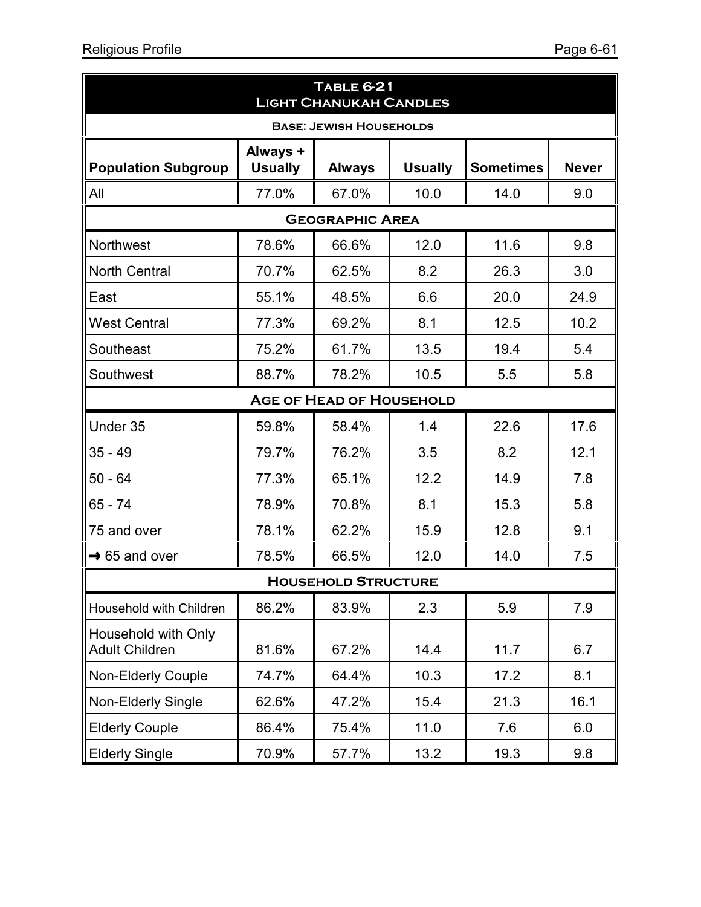| <b>TABLE 6-21</b><br><b>LIGHT CHANUKAH CANDLES</b> |                                 |                            |                |                  |              |  |  |  |
|----------------------------------------------------|---------------------------------|----------------------------|----------------|------------------|--------------|--|--|--|
| <b>BASE: JEWISH HOUSEHOLDS</b>                     |                                 |                            |                |                  |              |  |  |  |
| <b>Population Subgroup</b>                         | Always +<br><b>Usually</b>      | <b>Always</b>              | <b>Usually</b> | <b>Sometimes</b> | <b>Never</b> |  |  |  |
| All                                                | 77.0%                           | 67.0%                      | 10.0           | 14.0             | 9.0          |  |  |  |
|                                                    |                                 | <b>GEOGRAPHIC AREA</b>     |                |                  |              |  |  |  |
| <b>Northwest</b>                                   | 78.6%                           | 66.6%                      | 12.0           | 11.6             | 9.8          |  |  |  |
| <b>North Central</b>                               | 70.7%                           | 62.5%                      | 8.2            | 26.3             | 3.0          |  |  |  |
| East                                               | 55.1%                           | 48.5%                      | 6.6            | 20.0             | 24.9         |  |  |  |
| <b>West Central</b>                                | 77.3%                           | 69.2%                      | 8.1            | 12.5             | 10.2         |  |  |  |
| Southeast                                          | 75.2%                           | 61.7%                      | 13.5           | 19.4             | 5.4          |  |  |  |
| Southwest                                          | 88.7%                           | 78.2%                      | 10.5           | 5.5              | 5.8          |  |  |  |
|                                                    | <b>AGE OF HEAD OF HOUSEHOLD</b> |                            |                |                  |              |  |  |  |
| Under 35                                           | 59.8%                           | 58.4%                      | 1.4            | 22.6             | 17.6         |  |  |  |
| $35 - 49$                                          | 79.7%                           | 76.2%                      | 3.5            | 8.2              | 12.1         |  |  |  |
| 50 - 64                                            | 77.3%                           | 65.1%                      | 12.2           | 14.9             | 7.8          |  |  |  |
| 65 - 74                                            | 78.9%                           | 70.8%                      | 8.1            | 15.3             | 5.8          |  |  |  |
| 75 and over                                        | 78.1%                           | 62.2%                      | 15.9           | 12.8             | 9.1          |  |  |  |
| $\rightarrow$ 65 and over                          | 78.5%                           | 66.5%                      | 12.0           | 14.0             | 7.5          |  |  |  |
|                                                    |                                 | <b>HOUSEHOLD STRUCTURE</b> |                |                  |              |  |  |  |
| Household with Children                            | 86.2%                           | 83.9%                      | 2.3            | 5.9              | 7.9          |  |  |  |
| Household with Only<br><b>Adult Children</b>       | 81.6%                           | 67.2%                      | 14.4           | 11.7             | 6.7          |  |  |  |
| <b>Non-Elderly Couple</b>                          | 74.7%                           | 64.4%                      | 10.3           | 17.2             | 8.1          |  |  |  |
| <b>Non-Elderly Single</b>                          | 62.6%                           | 47.2%                      | 15.4           | 21.3             | 16.1         |  |  |  |
| <b>Elderly Couple</b>                              | 86.4%                           | 75.4%                      | 11.0           | 7.6              | 6.0          |  |  |  |
| <b>Elderly Single</b>                              | 70.9%                           | 57.7%                      | 13.2           | 19.3             | 9.8          |  |  |  |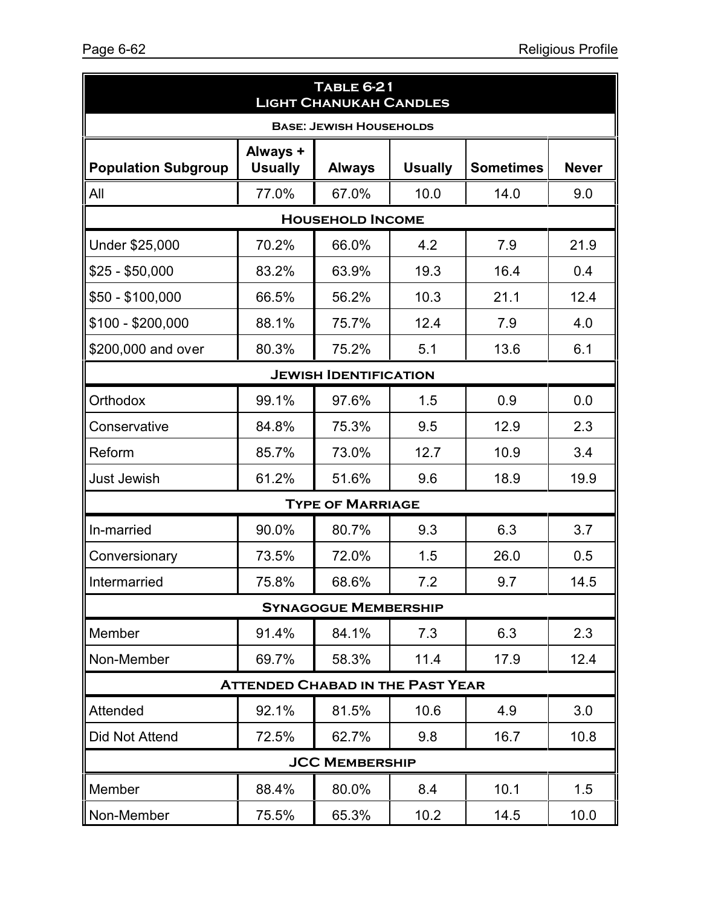| <b>TABLE 6-21</b><br><b>LIGHT CHANUKAH CANDLES</b> |                                         |                                |                |                  |              |  |  |  |
|----------------------------------------------------|-----------------------------------------|--------------------------------|----------------|------------------|--------------|--|--|--|
|                                                    |                                         | <b>BASE: JEWISH HOUSEHOLDS</b> |                |                  |              |  |  |  |
| <b>Population Subgroup</b>                         | Always +<br><b>Usually</b>              | <b>Always</b>                  | <b>Usually</b> | <b>Sometimes</b> | <b>Never</b> |  |  |  |
| All                                                | 77.0%                                   | 67.0%                          | 10.0           | 14.0             | 9.0          |  |  |  |
|                                                    |                                         | <b>HOUSEHOLD INCOME</b>        |                |                  |              |  |  |  |
| Under \$25,000                                     | 70.2%                                   | 66.0%                          | 4.2            | 7.9              | 21.9         |  |  |  |
| $$25 - $50,000$                                    | 83.2%                                   | 63.9%                          | 19.3           | 16.4             | 0.4          |  |  |  |
| \$50 - \$100,000                                   | 66.5%                                   | 56.2%                          | 10.3           | 21.1             | 12.4         |  |  |  |
| \$100 - \$200,000                                  | 88.1%                                   | 75.7%                          | 12.4           | 7.9              | 4.0          |  |  |  |
| \$200,000 and over                                 | 80.3%                                   | 75.2%                          | 5.1            | 13.6             | 6.1          |  |  |  |
| <b>JEWISH IDENTIFICATION</b>                       |                                         |                                |                |                  |              |  |  |  |
| Orthodox                                           | 99.1%                                   | 97.6%                          | 1.5            | 0.9              | 0.0          |  |  |  |
| Conservative                                       | 84.8%                                   | 75.3%                          | 9.5            | 12.9             | 2.3          |  |  |  |
| Reform                                             | 85.7%                                   | 73.0%                          | 12.7           | 10.9             | 3.4          |  |  |  |
| <b>Just Jewish</b>                                 | 61.2%                                   | 51.6%                          | 9.6            | 18.9             | 19.9         |  |  |  |
|                                                    |                                         | <b>TYPE OF MARRIAGE</b>        |                |                  |              |  |  |  |
| In-married                                         | 90.0%                                   | 80.7%                          | 9.3            | 6.3              | 3.7          |  |  |  |
| Conversionary                                      | 73.5%                                   | 72.0%                          | 1.5            | 26.0             | 0.5          |  |  |  |
| Intermarried                                       | 75.8%                                   | 68.6%                          | 7.2            | 9.7              | 14.5         |  |  |  |
|                                                    |                                         | <b>SYNAGOGUE MEMBERSHIP</b>    |                |                  |              |  |  |  |
| Member                                             | 91.4%                                   | 84.1%                          | 7.3            | 6.3              | 2.3          |  |  |  |
| Non-Member                                         | 69.7%                                   | 58.3%                          | 11.4           | 17.9             | 12.4         |  |  |  |
|                                                    | <b>ATTENDED CHABAD IN THE PAST YEAR</b> |                                |                |                  |              |  |  |  |
| Attended                                           | 92.1%                                   | 81.5%                          | 10.6           | 4.9              | 3.0          |  |  |  |
| <b>Did Not Attend</b>                              | 72.5%                                   | 62.7%                          | 9.8            | 16.7             | 10.8         |  |  |  |
|                                                    |                                         | <b>JCC MEMBERSHIP</b>          |                |                  |              |  |  |  |
| Member                                             | 88.4%                                   | 80.0%                          | 8.4            | 10.1             | 1.5          |  |  |  |
| Non-Member                                         | 75.5%                                   | 65.3%                          | 10.2           | 14.5             | 10.0         |  |  |  |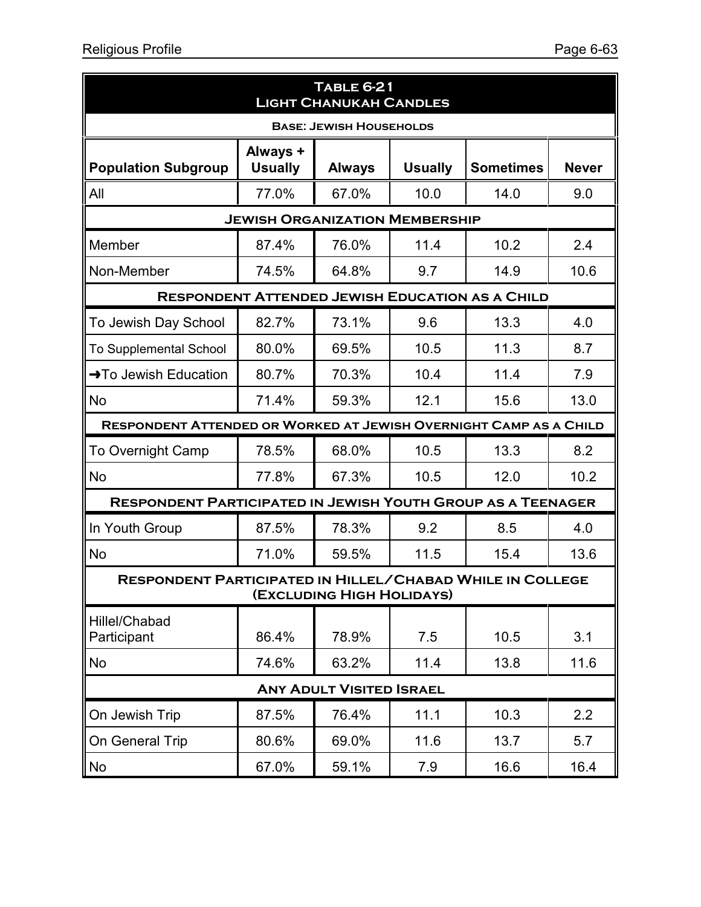| <b>TABLE 6-21</b><br><b>LIGHT CHANUKAH CANDLES</b>                 |                                       |                                 |                |                                                        |              |  |  |  |
|--------------------------------------------------------------------|---------------------------------------|---------------------------------|----------------|--------------------------------------------------------|--------------|--|--|--|
| <b>BASE: JEWISH HOUSEHOLDS</b>                                     |                                       |                                 |                |                                                        |              |  |  |  |
| <b>Population Subgroup</b>                                         | Always +<br><b>Usually</b>            | <b>Always</b>                   | <b>Usually</b> | <b>Sometimes</b>                                       | <b>Never</b> |  |  |  |
| All                                                                | 77.0%                                 | 67.0%                           | 10.0           | 14.0                                                   | 9.0          |  |  |  |
|                                                                    | <b>JEWISH ORGANIZATION MEMBERSHIP</b> |                                 |                |                                                        |              |  |  |  |
| Member                                                             | 87.4%                                 | 76.0%                           | 11.4           | 10.2                                                   | 2.4          |  |  |  |
| Non-Member                                                         | 74.5%                                 | 64.8%                           | 9.7            | 14.9                                                   | 10.6         |  |  |  |
|                                                                    |                                       |                                 |                | <b>RESPONDENT ATTENDED JEWISH EDUCATION AS A CHILD</b> |              |  |  |  |
| To Jewish Day School                                               | 82.7%                                 | 73.1%                           | 9.6            | 13.3                                                   | 4.0          |  |  |  |
| <b>To Supplemental School</b>                                      | 80.0%                                 | 69.5%                           | 10.5           | 11.3                                                   | 8.7          |  |  |  |
| →To Jewish Education                                               | 80.7%                                 | 70.3%                           | 10.4           | 11.4                                                   | 7.9          |  |  |  |
| <b>No</b>                                                          | 71.4%                                 | 59.3%                           | 12.1           | 15.6                                                   | 13.0         |  |  |  |
| RESPONDENT ATTENDED OR WORKED AT JEWISH OVERNIGHT CAMP AS A CHILD  |                                       |                                 |                |                                                        |              |  |  |  |
| <b>To Overnight Camp</b>                                           | 78.5%                                 | 68.0%                           | 10.5           | 13.3                                                   | 8.2          |  |  |  |
| No                                                                 | 77.8%                                 | 67.3%                           | 10.5           | 12.0                                                   | 10.2         |  |  |  |
| <b>RESPONDENT PARTICIPATED IN JEWISH YOUTH GROUP AS A TEENAGER</b> |                                       |                                 |                |                                                        |              |  |  |  |
| In Youth Group                                                     | 87.5%                                 | 78.3%                           | 9.2            | 8.5                                                    | 4.0          |  |  |  |
| <b>No</b>                                                          | 71.0%                                 | 59.5%                           | 11.5           | 15.4                                                   | 13.6         |  |  |  |
| <b>RESPONDENT PARTICIPATED IN HILLEL/CHABAD WHILE IN COLLEGE</b>   |                                       | (EXCLUDING HIGH HOLIDAYS)       |                |                                                        |              |  |  |  |
| Hillel/Chabad<br>Participant                                       | 86.4%                                 | 78.9%                           | 7.5            | 10.5                                                   | 3.1          |  |  |  |
| No                                                                 | 74.6%                                 | 63.2%                           | 11.4           | 13.8                                                   | 11.6         |  |  |  |
|                                                                    |                                       | <b>ANY ADULT VISITED ISRAEL</b> |                |                                                        |              |  |  |  |
| On Jewish Trip                                                     | 87.5%                                 | 76.4%                           | 11.1           | 10.3                                                   | 2.2          |  |  |  |
| On General Trip                                                    | 80.6%                                 | 69.0%                           | 11.6           | 13.7                                                   | 5.7          |  |  |  |
| No                                                                 | 67.0%                                 | 59.1%                           | 7.9            | 16.6                                                   | 16.4         |  |  |  |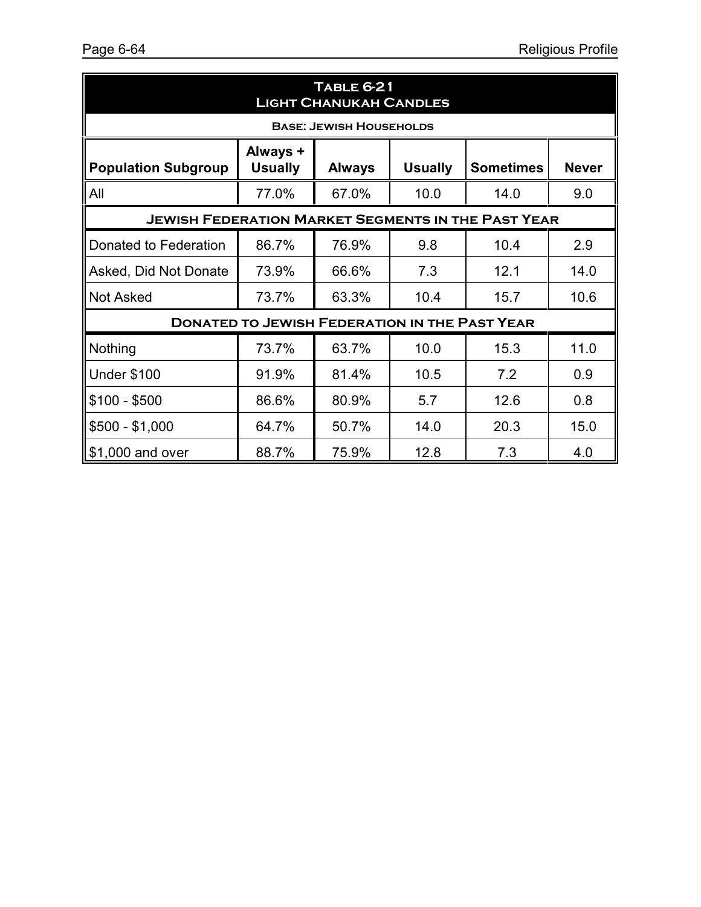| <b>TABLE 6-21</b><br><b>LIGHT CHANUKAH CANDLES</b>                                                                              |                                                      |                                |      |      |      |  |  |  |
|---------------------------------------------------------------------------------------------------------------------------------|------------------------------------------------------|--------------------------------|------|------|------|--|--|--|
|                                                                                                                                 |                                                      | <b>BASE: JEWISH HOUSEHOLDS</b> |      |      |      |  |  |  |
| Always +<br><b>Usually</b><br><b>Population Subgroup</b><br><b>Usually</b><br><b>Sometimes</b><br><b>Never</b><br><b>Always</b> |                                                      |                                |      |      |      |  |  |  |
| All                                                                                                                             | 77.0%                                                | 67.0%                          | 10.0 | 14.0 | 9.0  |  |  |  |
| <b>JEWISH FEDERATION MARKET SEGMENTS IN THE PAST YEAR</b>                                                                       |                                                      |                                |      |      |      |  |  |  |
| Donated to Federation                                                                                                           | 86.7%                                                | 76.9%                          | 9.8  | 10.4 | 2.9  |  |  |  |
| Asked, Did Not Donate                                                                                                           | 73.9%                                                | 66.6%                          | 7.3  | 12.1 | 14.0 |  |  |  |
| <b>Not Asked</b>                                                                                                                | 73.7%                                                | 63.3%                          | 10.4 | 15.7 | 10.6 |  |  |  |
|                                                                                                                                 | <b>DONATED TO JEWISH FEDERATION IN THE PAST YEAR</b> |                                |      |      |      |  |  |  |
| Nothing                                                                                                                         | 73.7%                                                | 63.7%                          | 10.0 | 15.3 | 11.0 |  |  |  |
| <b>Under \$100</b>                                                                                                              | 91.9%                                                | 81.4%                          | 10.5 | 7.2  | 0.9  |  |  |  |
| \$100 - \$500                                                                                                                   | 86.6%                                                | 80.9%                          | 5.7  | 12.6 | 0.8  |  |  |  |
| $$500 - $1,000$                                                                                                                 | 64.7%                                                | 50.7%                          | 14.0 | 20.3 | 15.0 |  |  |  |
| \$1,000 and over                                                                                                                | 88.7%                                                | 75.9%                          | 12.8 | 7.3  | 4.0  |  |  |  |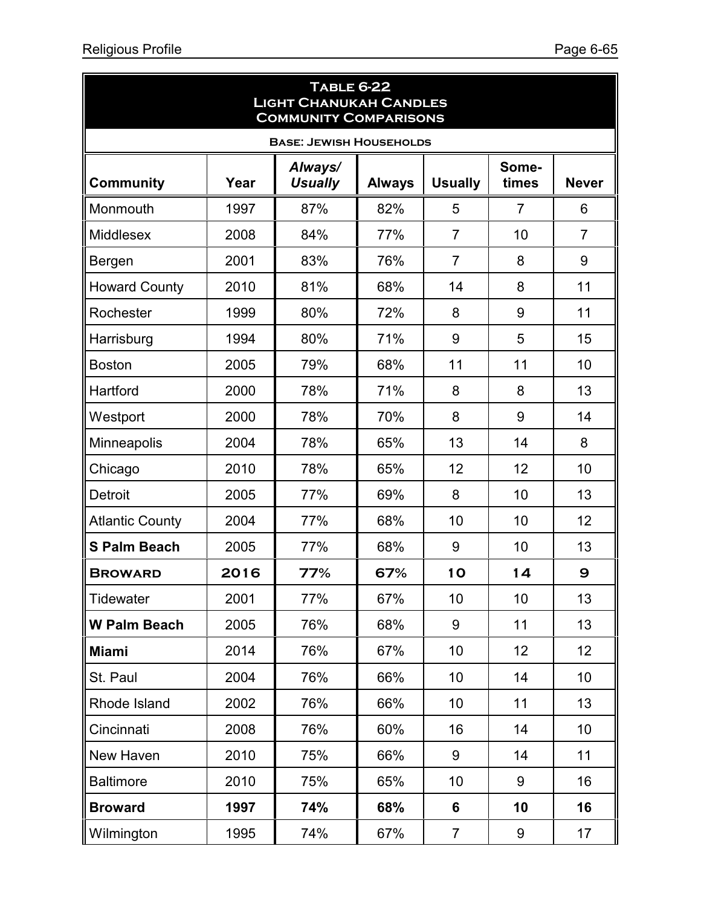ä

| <b>TABLE 6-22</b><br><b>LIGHT CHANUKAH CANDLES</b><br><b>COMMUNITY COMPARISONS</b> |      |                           |               |                |                |                |  |
|------------------------------------------------------------------------------------|------|---------------------------|---------------|----------------|----------------|----------------|--|
| <b>BASE: JEWISH HOUSEHOLDS</b>                                                     |      |                           |               |                |                |                |  |
| <b>Community</b>                                                                   | Year | Always/<br><b>Usually</b> | <b>Always</b> | <b>Usually</b> | Some-<br>times | <b>Never</b>   |  |
| Monmouth                                                                           | 1997 | 87%                       | 82%           | 5              | $\overline{7}$ | 6              |  |
| <b>Middlesex</b>                                                                   | 2008 | 84%                       | 77%           | $\overline{7}$ | 10             | $\overline{7}$ |  |
| Bergen                                                                             | 2001 | 83%                       | 76%           | $\overline{7}$ | 8              | 9              |  |
| <b>Howard County</b>                                                               | 2010 | 81%                       | 68%           | 14             | 8              | 11             |  |
| Rochester                                                                          | 1999 | 80%                       | 72%           | 8              | 9              | 11             |  |
| Harrisburg                                                                         | 1994 | 80%                       | 71%           | 9              | 5              | 15             |  |
| <b>Boston</b>                                                                      | 2005 | 79%                       | 68%           | 11             | 11             | 10             |  |
| Hartford                                                                           | 2000 | 78%                       | 71%           | 8              | 8              | 13             |  |
| Westport                                                                           | 2000 | 78%                       | 70%           | 8              | 9              | 14             |  |
| <b>Minneapolis</b>                                                                 | 2004 | 78%                       | 65%           | 13             | 14             | 8              |  |
| Chicago                                                                            | 2010 | 78%                       | 65%           | 12             | 12             | 10             |  |
| <b>Detroit</b>                                                                     | 2005 | 77%                       | 69%           | 8              | 10             | 13             |  |
| <b>Atlantic County</b>                                                             | 2004 | 77%                       | 68%           | 10             | 10             | 12             |  |
| <b>S Palm Beach</b>                                                                | 2005 | 77%                       | 68%           | 9              | 10             | 13             |  |
| <b>BROWARD</b>                                                                     | 2016 | 77%                       | 67%           | 10             | 14             | 9              |  |
| <b>Tidewater</b>                                                                   | 2001 | 77%                       | 67%           | 10             | 10             | 13             |  |
| <b>W Palm Beach</b>                                                                | 2005 | 76%                       | 68%           | 9              | 11             | 13             |  |
| <b>Miami</b>                                                                       | 2014 | 76%                       | 67%           | 10             | 12             | 12             |  |
| St. Paul                                                                           | 2004 | 76%                       | 66%           | 10             | 14             | 10             |  |
| Rhode Island                                                                       | 2002 | 76%                       | 66%           | 10             | 11             | 13             |  |
| Cincinnati                                                                         | 2008 | 76%                       | 60%           | 16             | 14             | 10             |  |
| New Haven                                                                          | 2010 | 75%                       | 66%           | 9              | 14             | 11             |  |
| <b>Baltimore</b>                                                                   | 2010 | 75%                       | 65%           | 10             | 9              | 16             |  |
| <b>Broward</b>                                                                     | 1997 | 74%                       | 68%           | 6              | 10             | 16             |  |
| Wilmington                                                                         | 1995 | 74%                       | 67%           | $\overline{7}$ | 9              | 17             |  |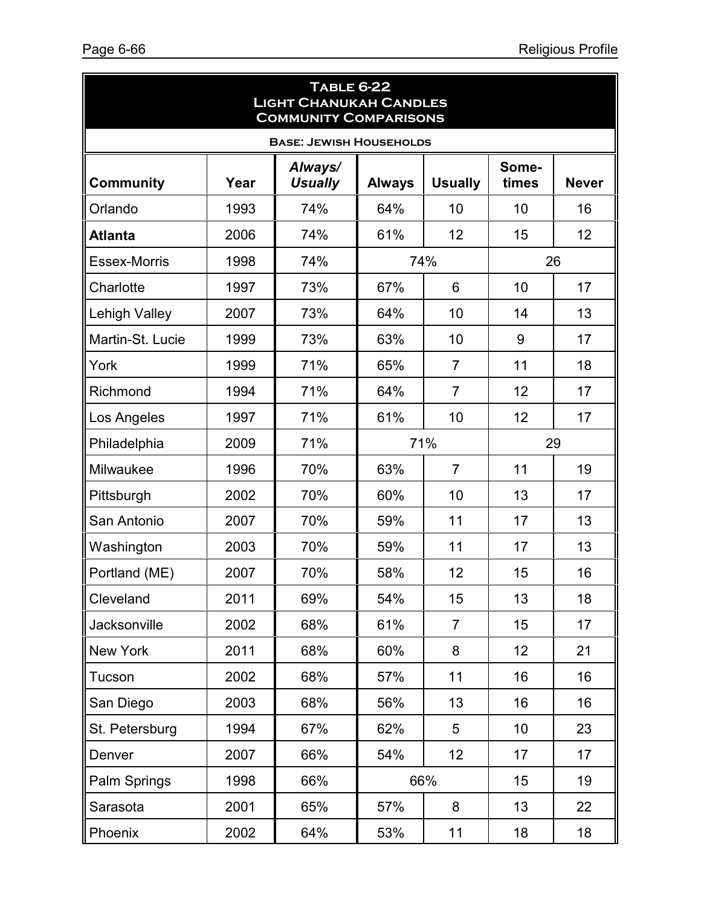| <b>TABLE 6-22</b><br><b>LIGHT CHANUKAH CANDLES</b><br><b>COMMUNITY COMPARISONS</b> |      |                           |               |                |                |              |  |  |
|------------------------------------------------------------------------------------|------|---------------------------|---------------|----------------|----------------|--------------|--|--|
| <b>BASE: JEWISH HOUSEHOLDS</b>                                                     |      |                           |               |                |                |              |  |  |
| <b>Community</b>                                                                   | Year | Always/<br><b>Usually</b> | <b>Always</b> | <b>Usually</b> | Some-<br>times | <b>Never</b> |  |  |
| Orlando                                                                            | 1993 | 74%                       | 64%           | 10             | 10             | 16           |  |  |
| <b>Atlanta</b>                                                                     | 2006 | 74%                       | 61%           | 12             | 15             | 12           |  |  |
| <b>Essex-Morris</b>                                                                | 1998 | 74%                       |               | 74%            |                | 26           |  |  |
| Charlotte                                                                          | 1997 | 73%                       | 67%           | 6              | 10             | 17           |  |  |
| <b>Lehigh Valley</b>                                                               | 2007 | 73%                       | 64%           | 10             | 14             | 13           |  |  |
| Martin-St. Lucie                                                                   | 1999 | 73%                       | 63%           | 10             | 9              | 17           |  |  |
| York                                                                               | 1999 | 71%                       | 65%           | $\overline{7}$ | 11             | 18           |  |  |
| Richmond                                                                           | 1994 | 71%                       | 64%           | $\overline{7}$ | 12             | 17           |  |  |
| Los Angeles                                                                        | 1997 | 71%                       | 61%           | 10             | 12             | 17           |  |  |
| Philadelphia                                                                       | 2009 | 71%                       | 71%           |                | 29             |              |  |  |
| Milwaukee                                                                          | 1996 | 70%                       | 63%           | $\overline{7}$ | 11             | 19           |  |  |
| Pittsburgh                                                                         | 2002 | 70%                       | 60%           | 10             | 13             | 17           |  |  |
| San Antonio                                                                        | 2007 | 70%                       | 59%           | 11             | 17             | 13           |  |  |
| Washington                                                                         | 2003 | 70%                       | 59%           | 11             | 17             | 13           |  |  |
| Portland (ME)                                                                      | 2007 | 70%                       | 58%           | 12             | 15             | 16           |  |  |
| Cleveland                                                                          | 2011 | 69%                       | 54%           | 15             | 13             | 18           |  |  |
| Jacksonville                                                                       | 2002 | 68%                       | 61%           | $\overline{7}$ | 15             | 17           |  |  |
| <b>New York</b>                                                                    | 2011 | 68%                       | 60%           | 8              | 12             | 21           |  |  |
| Tucson                                                                             | 2002 | 68%                       | 57%           | 11             | 16             | 16           |  |  |
| San Diego                                                                          | 2003 | 68%                       | 56%           | 13             | 16             | 16           |  |  |
| St. Petersburg                                                                     | 1994 | 67%                       | 62%           | 5              | 10             | 23           |  |  |
| Denver                                                                             | 2007 | 66%                       | 54%           | 12             | 17             | 17           |  |  |
| Palm Springs                                                                       | 1998 | 66%                       |               | 66%            | 15             | 19           |  |  |
| Sarasota                                                                           | 2001 | 65%                       | 57%           | 8              | 13             | 22           |  |  |
| Phoenix                                                                            | 2002 | 64%                       | 53%           | 11             | 18             | 18           |  |  |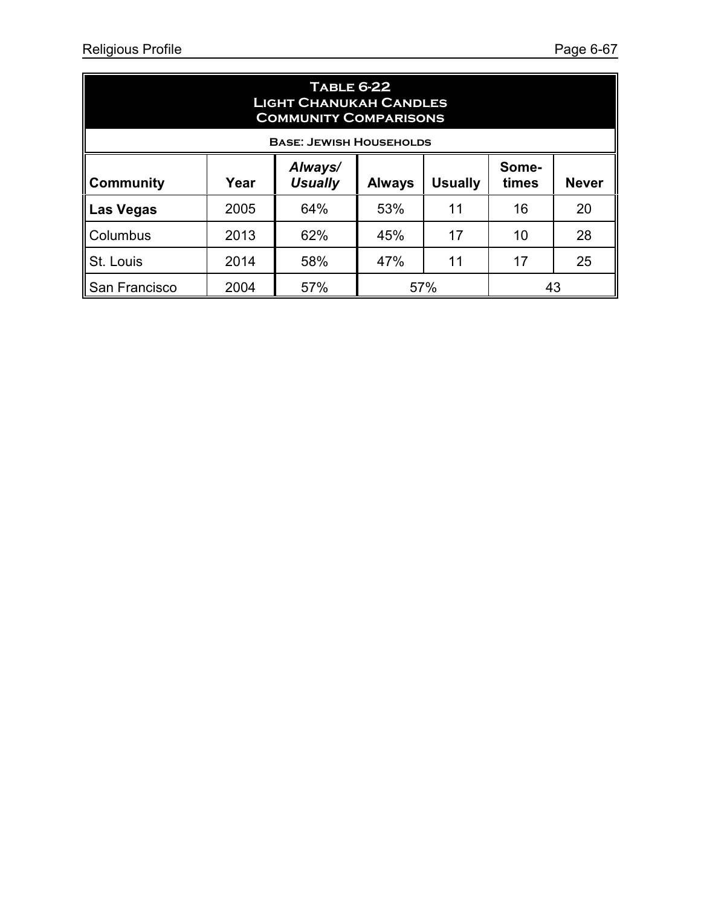| <b>TABLE 6-22</b><br><b>LIGHT CHANUKAH CANDLES</b><br><b>COMMUNITY COMPARISONS</b>                                         |                          |                                |                       |    |    |    |  |  |
|----------------------------------------------------------------------------------------------------------------------------|--------------------------|--------------------------------|-----------------------|----|----|----|--|--|
|                                                                                                                            |                          | <b>BASE: JEWISH HOUSEHOLDS</b> |                       |    |    |    |  |  |
| Always/<br>Some-<br><b>Usually</b><br><b>Usually</b><br><b>Never</b><br><b>Community</b><br>times<br>Year<br><b>Always</b> |                          |                                |                       |    |    |    |  |  |
| <b>Las Vegas</b>                                                                                                           | 2005                     | 64%                            | 53%                   | 11 | 16 | 20 |  |  |
| Columbus                                                                                                                   | 2013                     | 62%                            | 45%                   | 17 | 10 | 28 |  |  |
| St. Louis                                                                                                                  | 2014                     | 58%                            | 25<br>17<br>47%<br>11 |    |    |    |  |  |
| San Francisco                                                                                                              | 57%<br>57%<br>2004<br>43 |                                |                       |    |    |    |  |  |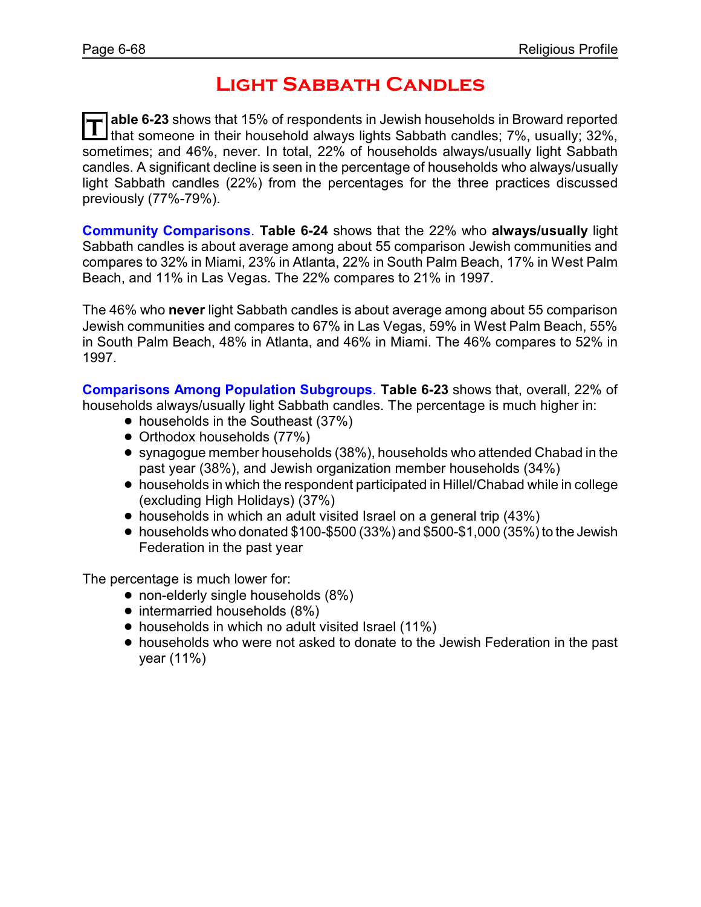### **Light Sabbath Candles**

**T able 6-23** shows that 15% of respondents in Jewish households in Broward reported I that someone in their household always lights Sabbath candles; 7%, usually; 32%, sometimes; and 46%, never. In total, 22% of households always/usually light Sabbath candles. A significant decline is seen in the percentage of households who always/usually light Sabbath candles (22%) from the percentages for the three practices discussed previously (77%-79%).

**Community Comparisons**. **Table 6-24** shows that the 22% who **always/usually** light Sabbath candles is about average among about 55 comparison Jewish communities and compares to 32% in Miami, 23% in Atlanta, 22% in South Palm Beach, 17% in West Palm Beach, and 11% in Las Vegas. The 22% compares to 21% in 1997.

The 46% who **never** light Sabbath candles is about average among about 55 comparison Jewish communities and compares to 67% in Las Vegas, 59% in West Palm Beach, 55% in South Palm Beach, 48% in Atlanta, and 46% in Miami. The 46% compares to 52% in 1997.

**Comparisons Among Population Subgroups**. **Table 6-23** shows that, overall, 22% of households always/usually light Sabbath candles. The percentage is much higher in:

- households in the Southeast (37%)
- Orthodox households (77%)
- ! synagogue member households (38%), households who attended Chabad in the past year (38%), and Jewish organization member households (34%)
- ! households in which the respondent participated in Hillel/Chabad while in college (excluding High Holidays) (37%)
- households in which an adult visited Israel on a general trip (43%)
- $\bullet$  households who donated \$100-\$500 (33%) and \$500-\$1,000 (35%) to the Jewish Federation in the past year

- non-elderly single households (8%)
- intermarried households (8%)
- households in which no adult visited Israel (11%)
- ! households who were not asked to donate to the Jewish Federation in the past year (11%)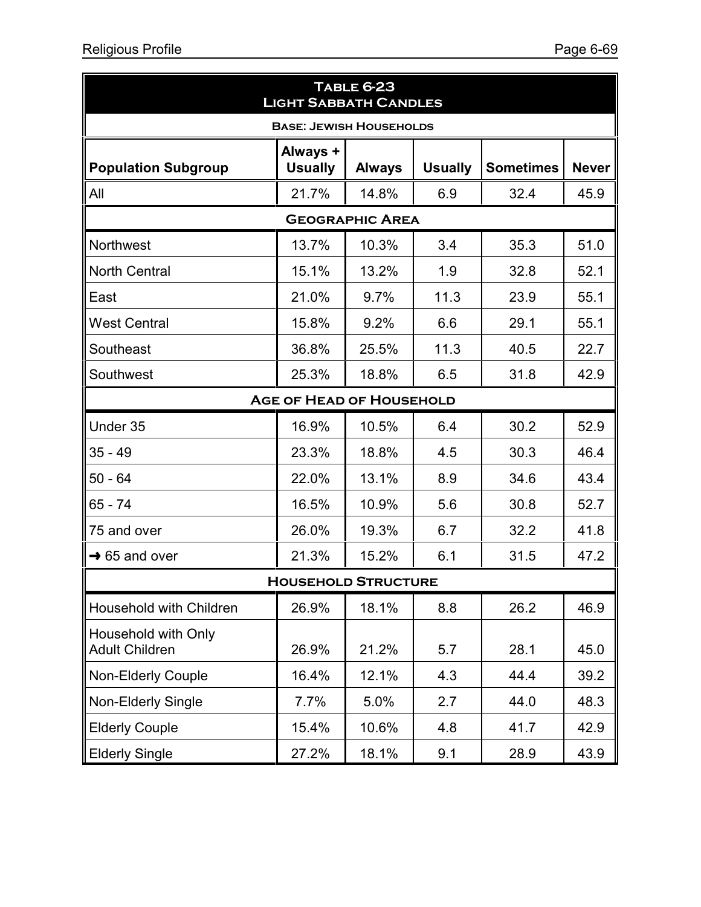| <b>TABLE 6-23</b><br><b>LIGHT SABBATH CANDLES</b> |                                 |                        |                |                  |              |  |  |
|---------------------------------------------------|---------------------------------|------------------------|----------------|------------------|--------------|--|--|
| <b>BASE: JEWISH HOUSEHOLDS</b>                    |                                 |                        |                |                  |              |  |  |
| <b>Population Subgroup</b>                        | Always +<br><b>Usually</b>      | <b>Always</b>          | <b>Usually</b> | <b>Sometimes</b> | <b>Never</b> |  |  |
| All                                               | 21.7%                           | 14.8%                  | 6.9            | 32.4             | 45.9         |  |  |
|                                                   |                                 | <b>GEOGRAPHIC AREA</b> |                |                  |              |  |  |
| Northwest                                         | 13.7%                           | 10.3%                  | 3.4            | 35.3             | 51.0         |  |  |
| <b>North Central</b>                              | 15.1%                           | 13.2%                  | 1.9            | 32.8             | 52.1         |  |  |
| East                                              | 21.0%                           | 9.7%                   | 11.3           | 23.9             | 55.1         |  |  |
| <b>West Central</b>                               | 15.8%                           | 9.2%                   | 6.6            | 29.1             | 55.1         |  |  |
| Southeast                                         | 36.8%                           | 25.5%                  | 11.3           | 40.5             | 22.7         |  |  |
| Southwest                                         | 25.3%                           | 18.8%                  | 6.5            | 31.8             | 42.9         |  |  |
|                                                   | <b>AGE OF HEAD OF HOUSEHOLD</b> |                        |                |                  |              |  |  |
| Under 35                                          | 16.9%                           | 10.5%                  | 6.4            | 30.2             | 52.9         |  |  |
| $35 - 49$                                         | 23.3%                           | 18.8%                  | 4.5            | 30.3             | 46.4         |  |  |
| $50 - 64$                                         | 22.0%                           | 13.1%                  | 8.9            | 34.6             | 43.4         |  |  |
| 65 - 74                                           | 16.5%                           | 10.9%                  | 5.6            | 30.8             | 52.7         |  |  |
| 75 and over                                       | 26.0%                           | 19.3%                  | 6.7            | 32.2             | 41.8         |  |  |
| $\rightarrow$ 65 and over                         | 21.3%                           | 15.2%                  | 6.1            | 31.5             | 47.2         |  |  |
| <b>HOUSEHOLD STRUCTURE</b>                        |                                 |                        |                |                  |              |  |  |
| Household with Children                           | 26.9%                           | 18.1%                  | 8.8            | 26.2             | 46.9         |  |  |
| Household with Only<br><b>Adult Children</b>      | 26.9%                           | 21.2%                  | 5.7            | 28.1             | 45.0         |  |  |
| <b>Non-Elderly Couple</b>                         | 16.4%                           | 12.1%                  | 4.3            | 44.4             | 39.2         |  |  |
| <b>Non-Elderly Single</b>                         | 7.7%                            | 5.0%                   | 2.7            | 44.0             | 48.3         |  |  |
| <b>Elderly Couple</b>                             | 15.4%                           | 10.6%                  | 4.8            | 41.7             | 42.9         |  |  |
| <b>Elderly Single</b>                             | 27.2%                           | 18.1%                  | 9.1            | 28.9             | 43.9         |  |  |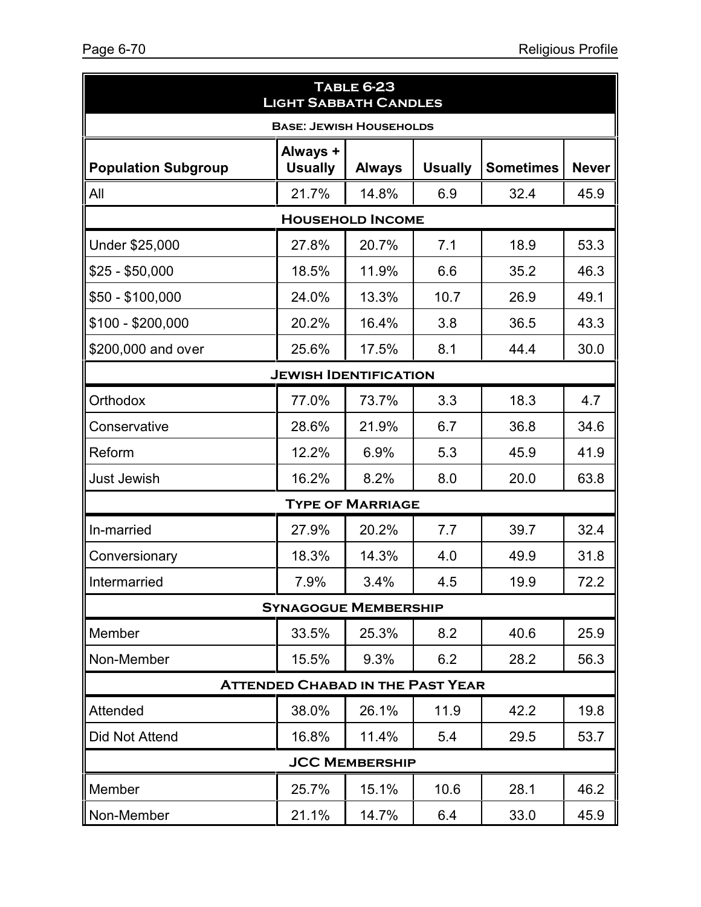| <b>TABLE 6-23</b><br><b>LIGHT SABBATH CANDLES</b> |                              |                         |                |                  |              |  |  |  |
|---------------------------------------------------|------------------------------|-------------------------|----------------|------------------|--------------|--|--|--|
| <b>BASE: JEWISH HOUSEHOLDS</b>                    |                              |                         |                |                  |              |  |  |  |
| <b>Population Subgroup</b>                        | Always +<br><b>Usually</b>   | <b>Always</b>           | <b>Usually</b> | <b>Sometimes</b> | <b>Never</b> |  |  |  |
| All                                               | 21.7%                        | 14.8%                   | 6.9            | 32.4             | 45.9         |  |  |  |
|                                                   |                              | <b>HOUSEHOLD INCOME</b> |                |                  |              |  |  |  |
| Under \$25,000                                    | 27.8%                        | 20.7%                   | 7.1            | 18.9             | 53.3         |  |  |  |
| $$25 - $50,000$                                   | 18.5%                        | 11.9%                   | 6.6            | 35.2             | 46.3         |  |  |  |
| $$50 - $100,000$                                  | 24.0%                        | 13.3%                   | 10.7           | 26.9             | 49.1         |  |  |  |
| $$100 - $200,000$                                 | 20.2%                        | 16.4%                   | 3.8            | 36.5             | 43.3         |  |  |  |
| \$200,000 and over                                | 25.6%                        | 17.5%                   | 8.1            | 44.4             | 30.0         |  |  |  |
|                                                   | <b>JEWISH IDENTIFICATION</b> |                         |                |                  |              |  |  |  |
| Orthodox                                          | 77.0%                        | 73.7%                   | 3.3            | 18.3             | 4.7          |  |  |  |
| Conservative                                      | 28.6%                        | 21.9%                   | 6.7            | 36.8             | 34.6         |  |  |  |
| Reform                                            | 12.2%                        | 6.9%                    | 5.3            | 45.9             | 41.9         |  |  |  |
| <b>Just Jewish</b>                                | 16.2%                        | 8.2%                    | 8.0            | 20.0             | 63.8         |  |  |  |
|                                                   |                              | <b>TYPE OF MARRIAGE</b> |                |                  |              |  |  |  |
| In-married                                        | 27.9%                        | 20.2%                   | 7.7            | 39.7             | 32.4         |  |  |  |
| Conversionary                                     | 18.3%                        | 14.3%                   | 4.0            | 49.9             | 31.8         |  |  |  |
| Intermarried                                      | 7.9%                         | 3.4%                    | 4.5            | 19.9             | 72.2         |  |  |  |
|                                                   | <b>SYNAGOGUE MEMBERSHIP</b>  |                         |                |                  |              |  |  |  |
| Member                                            | 33.5%                        | 25.3%                   | 8.2            | 40.6             | 25.9         |  |  |  |
| Non-Member                                        | 15.5%                        | 9.3%                    | 6.2            | 28.2             | 56.3         |  |  |  |
| <b>ATTENDED CHABAD IN THE PAST YEAR</b>           |                              |                         |                |                  |              |  |  |  |
| Attended                                          | 38.0%                        | 26.1%                   | 11.9           | 42.2             | 19.8         |  |  |  |
| <b>Did Not Attend</b>                             | 16.8%                        | 11.4%                   | 5.4            | 29.5             | 53.7         |  |  |  |
|                                                   |                              | <b>JCC MEMBERSHIP</b>   |                |                  |              |  |  |  |
| Member                                            | 25.7%                        | 15.1%                   | 10.6           | 28.1             | 46.2         |  |  |  |
| Non-Member                                        | 21.1%                        | 14.7%                   | 6.4            | 33.0             | 45.9         |  |  |  |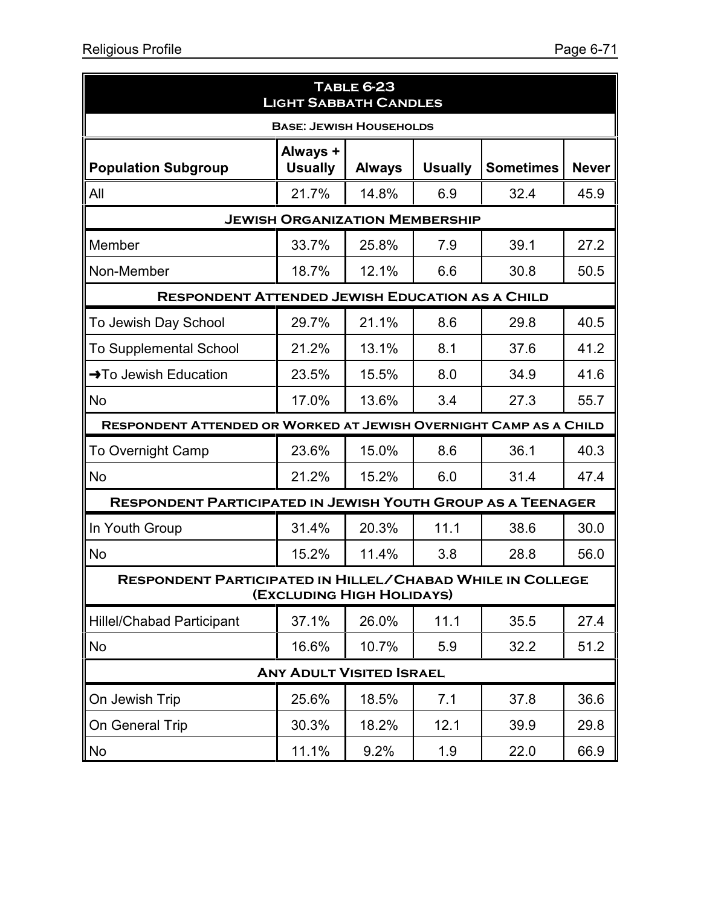| <b>TABLE 6-23</b><br><b>LIGHT SABBATH CANDLES</b>                                      |                                       |               |                |                  |              |  |  |  |
|----------------------------------------------------------------------------------------|---------------------------------------|---------------|----------------|------------------|--------------|--|--|--|
| <b>BASE: JEWISH HOUSEHOLDS</b>                                                         |                                       |               |                |                  |              |  |  |  |
| <b>Population Subgroup</b>                                                             | Always +<br><b>Usually</b>            | <b>Always</b> | <b>Usually</b> | <b>Sometimes</b> | <b>Never</b> |  |  |  |
| All                                                                                    | 21.7%                                 | 14.8%         | 6.9            | 32.4             | 45.9         |  |  |  |
|                                                                                        | <b>JEWISH ORGANIZATION MEMBERSHIP</b> |               |                |                  |              |  |  |  |
| Member                                                                                 | 33.7%                                 | 25.8%         | 7.9            | 39.1             | 27.2         |  |  |  |
| Non-Member                                                                             | 18.7%                                 | 12.1%         | 6.6            | 30.8             | 50.5         |  |  |  |
| <b>RESPONDENT ATTENDED JEWISH EDUCATION AS A CHILD</b>                                 |                                       |               |                |                  |              |  |  |  |
| To Jewish Day School                                                                   | 29.7%                                 | 21.1%         | 8.6            | 29.8             | 40.5         |  |  |  |
| <b>To Supplemental School</b>                                                          | 21.2%                                 | 13.1%         | 8.1            | 37.6             | 41.2         |  |  |  |
| → To Jewish Education                                                                  | 23.5%                                 | 15.5%         | 8.0            | 34.9             | 41.6         |  |  |  |
| <b>No</b>                                                                              | 17.0%                                 | 13.6%         | 3.4            | 27.3             | 55.7         |  |  |  |
| RESPONDENT ATTENDED OR WORKED AT JEWISH OVERNIGHT CAMP AS A CHILD                      |                                       |               |                |                  |              |  |  |  |
| <b>To Overnight Camp</b>                                                               | 23.6%                                 | 15.0%         | 8.6            | 36.1             | 40.3         |  |  |  |
| <b>No</b>                                                                              | 21.2%                                 | 15.2%         | 6.0            | 31.4             | 47.4         |  |  |  |
| <b>RESPONDENT PARTICIPATED IN JEWISH YOUTH GROUP AS A TEENAGER</b>                     |                                       |               |                |                  |              |  |  |  |
| In Youth Group                                                                         | 31.4%                                 | 20.3%         | 11.1           | 38.6             | 30.0         |  |  |  |
| <b>No</b>                                                                              | 15.2%                                 | 11.4%         | 3.8            | 28.8             | 56.0         |  |  |  |
| RESPONDENT PARTICIPATED IN HILLEL/CHABAD WHILE IN COLLEGE<br>(EXCLUDING HIGH HOLIDAYS) |                                       |               |                |                  |              |  |  |  |
| <b>Hillel/Chabad Participant</b>                                                       | 37.1%                                 | 26.0%         | 11.1           | 35.5             | 27.4         |  |  |  |
| <b>No</b>                                                                              | 16.6%                                 | 10.7%         | 5.9            | 32.2             | 51.2         |  |  |  |
| <b>ANY ADULT VISITED ISRAEL</b>                                                        |                                       |               |                |                  |              |  |  |  |
| On Jewish Trip                                                                         | 25.6%                                 | 18.5%         | 7.1            | 37.8             | 36.6         |  |  |  |
| On General Trip                                                                        | 30.3%                                 | 18.2%         | 12.1           | 39.9             | 29.8         |  |  |  |
| <b>No</b>                                                                              | 11.1%                                 | 9.2%          | 1.9            | 22.0             | 66.9         |  |  |  |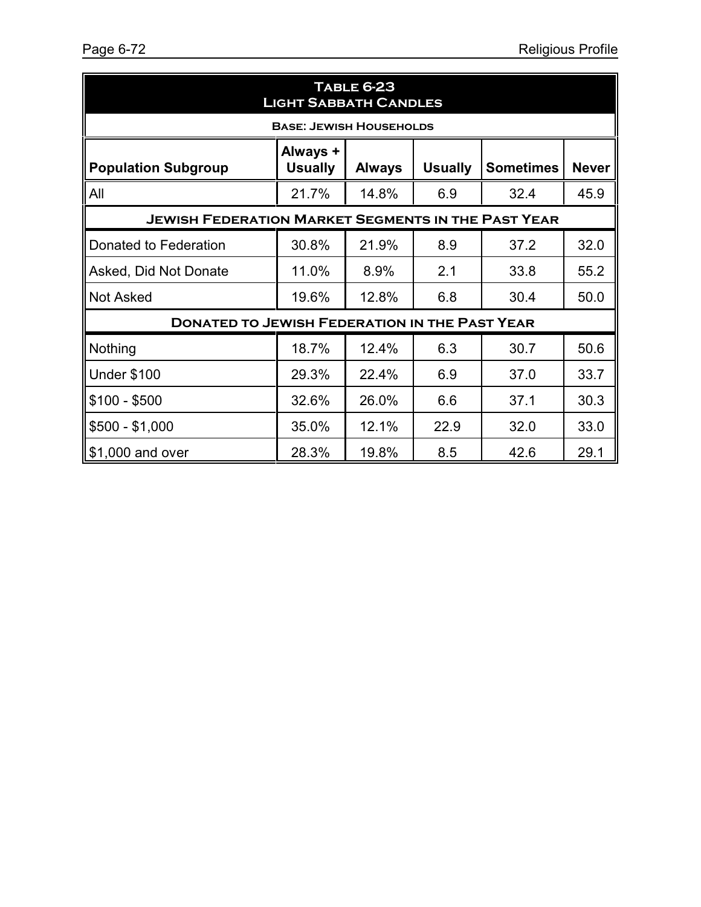| <b>TABLE 6-23</b><br><b>LIGHT SABBATH CANDLES</b>         |                            |               |                |                  |              |  |  |
|-----------------------------------------------------------|----------------------------|---------------|----------------|------------------|--------------|--|--|
| <b>BASE: JEWISH HOUSEHOLDS</b>                            |                            |               |                |                  |              |  |  |
| <b>Population Subgroup</b>                                | Always +<br><b>Usually</b> | <b>Always</b> | <b>Usually</b> | <b>Sometimes</b> | <b>Never</b> |  |  |
| All                                                       | 21.7%                      | 14.8%         | 6.9            | 32.4             | 45.9         |  |  |
| <b>JEWISH FEDERATION MARKET SEGMENTS IN THE PAST YEAR</b> |                            |               |                |                  |              |  |  |
| Donated to Federation                                     | 30.8%                      | 21.9%         | 8.9            | 37.2             | 32.0         |  |  |
| Asked, Did Not Donate                                     | 11.0%                      | 8.9%          | 2.1            | 33.8             | 55.2         |  |  |
| <b>Not Asked</b>                                          | 19.6%                      | 12.8%         | 6.8            | 30.4             | 50.0         |  |  |
| <b>DONATED TO JEWISH FEDERATION IN THE PAST YEAR</b>      |                            |               |                |                  |              |  |  |
| Nothing                                                   | 18.7%                      | 12.4%         | 6.3            | 30.7             | 50.6         |  |  |
| <b>Under \$100</b>                                        | 29.3%                      | 22.4%         | 6.9            | 37.0             | 33.7         |  |  |
| $$100 - $500$                                             | 32.6%                      | 26.0%         | 6.6            | 37.1             | 30.3         |  |  |
| $$500 - $1,000$                                           | 35.0%                      | 12.1%         | 22.9           | 32.0             | 33.0         |  |  |
| \$1,000 and over                                          | 28.3%                      | 19.8%         | 8.5            | 42.6             | 29.1         |  |  |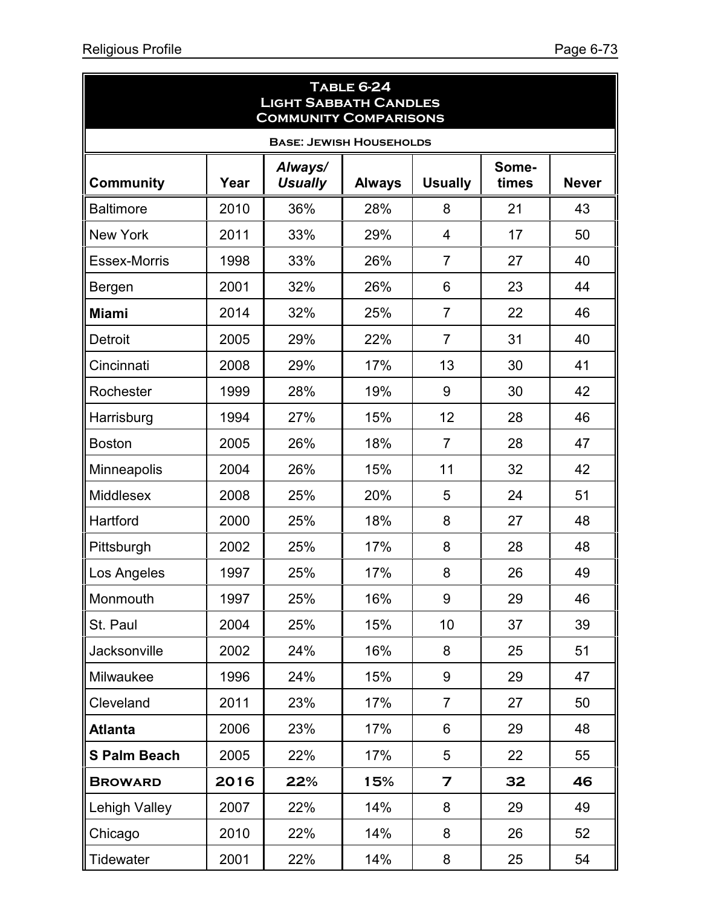| <b>TABLE 6-24</b><br><b>LIGHT SABBATH CANDLES</b><br><b>COMMUNITY COMPARISONS</b> |      |                           |               |                         |                |              |  |  |  |
|-----------------------------------------------------------------------------------|------|---------------------------|---------------|-------------------------|----------------|--------------|--|--|--|
| <b>BASE: JEWISH HOUSEHOLDS</b>                                                    |      |                           |               |                         |                |              |  |  |  |
| <b>Community</b>                                                                  | Year | Always/<br><b>Usually</b> | <b>Always</b> | <b>Usually</b>          | Some-<br>times | <b>Never</b> |  |  |  |
| <b>Baltimore</b>                                                                  | 2010 | 36%                       | 28%           | 8                       | 21             | 43           |  |  |  |
| <b>New York</b>                                                                   | 2011 | 33%                       | 29%           | 4                       | 17             | 50           |  |  |  |
| <b>Essex-Morris</b>                                                               | 1998 | 33%                       | 26%           | $\overline{7}$          | 27             | 40           |  |  |  |
| Bergen                                                                            | 2001 | 32%                       | 26%           | 6                       | 23             | 44           |  |  |  |
| <b>Miami</b>                                                                      | 2014 | 32%                       | 25%           | $\overline{7}$          | 22             | 46           |  |  |  |
| <b>Detroit</b>                                                                    | 2005 | 29%                       | 22%           | $\overline{7}$          | 31             | 40           |  |  |  |
| Cincinnati                                                                        | 2008 | 29%                       | 17%           | 13                      | 30             | 41           |  |  |  |
| Rochester                                                                         | 1999 | 28%                       | 19%           | 9                       | 30             | 42           |  |  |  |
| Harrisburg                                                                        | 1994 | 27%                       | 15%           | 12                      | 28             | 46           |  |  |  |
| <b>Boston</b>                                                                     | 2005 | 26%                       | 18%           | $\overline{7}$          | 28             | 47           |  |  |  |
| Minneapolis                                                                       | 2004 | 26%                       | 15%           | 11                      | 32             | 42           |  |  |  |
| Middlesex                                                                         | 2008 | 25%                       | 20%           | 5                       | 24             | 51           |  |  |  |
| Hartford                                                                          | 2000 | 25%                       | 18%           | 8                       | 27             | 48           |  |  |  |
| Pittsburgh                                                                        | 2002 | 25%                       | 17%           | 8                       | 28             | 48           |  |  |  |
| Los Angeles                                                                       | 1997 | 25%                       | 17%           | 8                       | 26             | 49           |  |  |  |
| Monmouth                                                                          | 1997 | 25%                       | 16%           | 9                       | 29             | 46           |  |  |  |
| St. Paul                                                                          | 2004 | 25%                       | 15%           | 10                      | 37             | 39           |  |  |  |
| Jacksonville                                                                      | 2002 | 24%                       | 16%           | 8                       | 25             | 51           |  |  |  |
| Milwaukee                                                                         | 1996 | 24%                       | 15%           | 9                       | 29             | 47           |  |  |  |
| Cleveland                                                                         | 2011 | 23%                       | 17%           | $\overline{7}$          | 27             | 50           |  |  |  |
| <b>Atlanta</b>                                                                    | 2006 | 23%                       | 17%           | 6                       | 29             | 48           |  |  |  |
| <b>S Palm Beach</b>                                                               | 2005 | 22%                       | 17%           | 5                       | 22             | 55           |  |  |  |
| <b>BROWARD</b>                                                                    | 2016 | 22%                       | 15%           | $\overline{\mathbf{z}}$ | 32             | 46           |  |  |  |
| <b>Lehigh Valley</b>                                                              | 2007 | 22%                       | 14%           | 8                       | 29             | 49           |  |  |  |
| Chicago                                                                           | 2010 | 22%                       | 14%           | 8                       | 26             | 52           |  |  |  |
| Tidewater                                                                         | 2001 | 22%                       | 14%           | 8                       | 25             | 54           |  |  |  |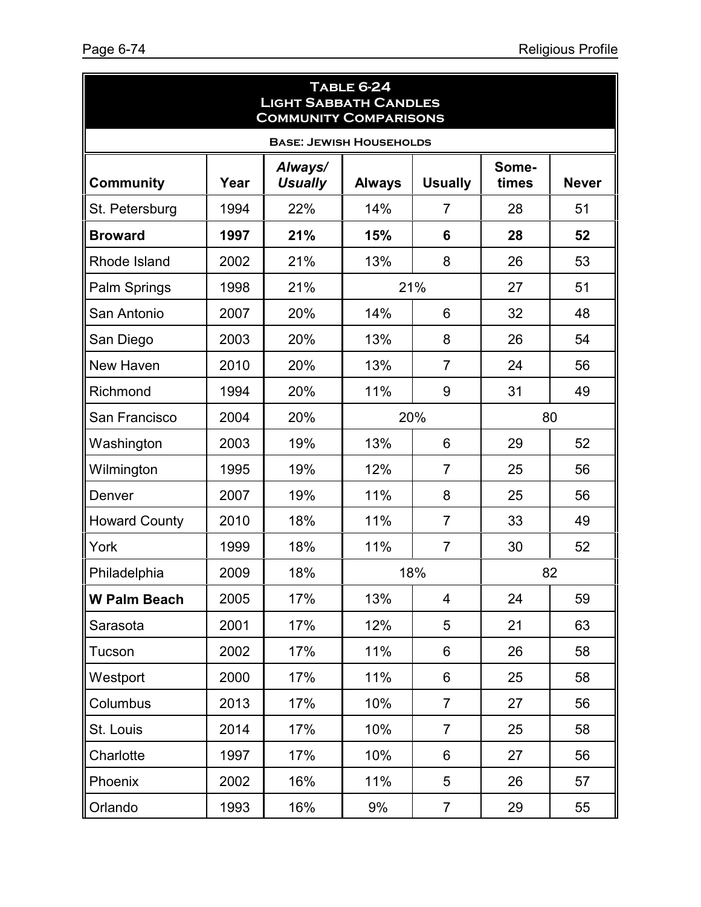| <b>TABLE 6-24</b><br><b>LIGHT SABBATH CANDLES</b><br><b>COMMUNITY COMPARISONS</b> |      |                           |               |                |                |              |  |  |
|-----------------------------------------------------------------------------------|------|---------------------------|---------------|----------------|----------------|--------------|--|--|
| <b>BASE: JEWISH HOUSEHOLDS</b>                                                    |      |                           |               |                |                |              |  |  |
| <b>Community</b>                                                                  | Year | Always/<br><b>Usually</b> | <b>Always</b> | <b>Usually</b> | Some-<br>times | <b>Never</b> |  |  |
| St. Petersburg                                                                    | 1994 | 22%                       | 14%           | $\overline{7}$ | 28             | 51           |  |  |
| <b>Broward</b>                                                                    | 1997 | 21%                       | 15%           | 6              | 28             | 52           |  |  |
| Rhode Island                                                                      | 2002 | 21%                       | 13%           | 8              | 26             | 53           |  |  |
| Palm Springs                                                                      | 1998 | 21%                       | 21%           |                | 27             | 51           |  |  |
| San Antonio                                                                       | 2007 | 20%                       | 14%           | 6              | 32             | 48           |  |  |
| San Diego                                                                         | 2003 | 20%                       | 13%           | 8              | 26             | 54           |  |  |
| New Haven                                                                         | 2010 | 20%                       | 13%           | $\overline{7}$ | 24             | 56           |  |  |
| Richmond                                                                          | 1994 | 20%                       | 11%           | 9              | 31             | 49           |  |  |
| San Francisco                                                                     | 2004 | 20%                       | 20%           |                | 80             |              |  |  |
| Washington                                                                        | 2003 | 19%                       | 13%           | 6              | 29             | 52           |  |  |
| Wilmington                                                                        | 1995 | 19%                       | 12%           | $\overline{7}$ | 25             | 56           |  |  |
| Denver                                                                            | 2007 | 19%                       | 11%           | 8              | 25             | 56           |  |  |
| <b>Howard County</b>                                                              | 2010 | 18%                       | 11%           | $\overline{7}$ | 33             | 49           |  |  |
| York                                                                              | 1999 | 18%                       | 11%           | $\overline{7}$ | 30             | 52           |  |  |
| Philadelphia                                                                      | 2009 | 18%                       | 18%           |                | 82             |              |  |  |
| <b>W Palm Beach</b>                                                               | 2005 | 17%                       | 13%           | 4              | 24             | 59           |  |  |
| Sarasota                                                                          | 2001 | 17%                       | 12%           | 5              | 21             | 63           |  |  |
| Tucson                                                                            | 2002 | 17%                       | 11%           | 6              | 26             | 58           |  |  |
| Westport                                                                          | 2000 | 17%                       | 11%           | 6              | 25             | 58           |  |  |
| Columbus                                                                          | 2013 | 17%                       | 10%           | $\overline{7}$ | 27             | 56           |  |  |
| St. Louis                                                                         | 2014 | 17%                       | 10%           | $\overline{7}$ | 25             | 58           |  |  |
| Charlotte                                                                         | 1997 | 17%                       | 10%           | 6              | 27             | 56           |  |  |
| Phoenix                                                                           | 2002 | 16%                       | 11%           | 5              | 26             | 57           |  |  |
| Orlando                                                                           | 1993 | 16%                       | 9%            | $\overline{7}$ | 29             | 55           |  |  |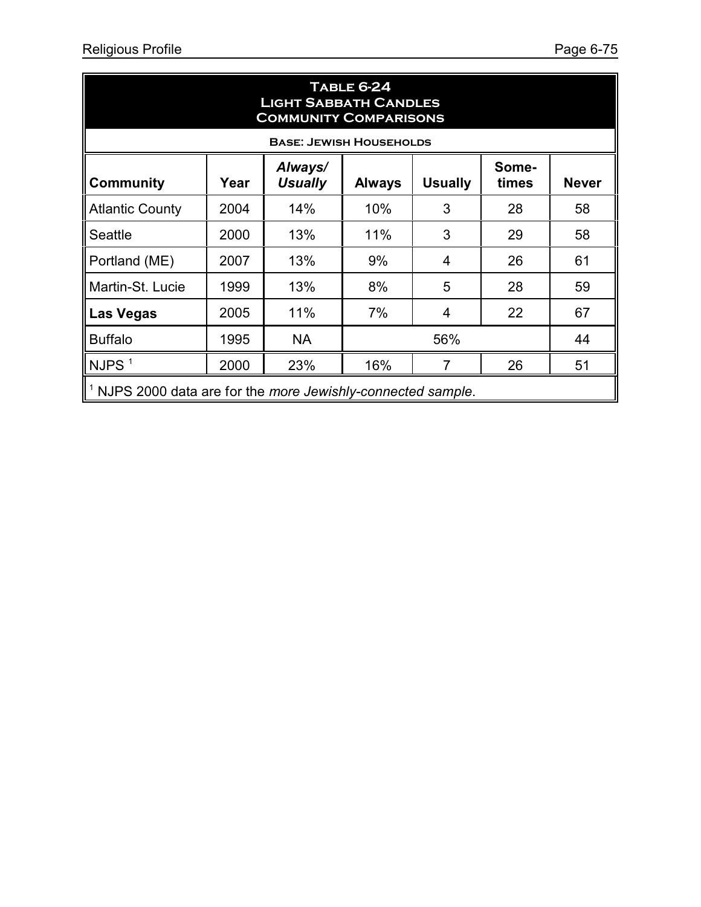| <b>TABLE 6-24</b><br><b>LIGHT SABBATH CANDLES</b><br><b>COMMUNITY COMPARISONS</b>                                          |      |                                |     |                |    |    |  |  |
|----------------------------------------------------------------------------------------------------------------------------|------|--------------------------------|-----|----------------|----|----|--|--|
|                                                                                                                            |      | <b>BASE: JEWISH HOUSEHOLDS</b> |     |                |    |    |  |  |
| Always/<br>Some-<br><b>Usually</b><br><b>Usually</b><br><b>Community</b><br>Year<br><b>Never</b><br><b>Always</b><br>times |      |                                |     |                |    |    |  |  |
| <b>Atlantic County</b>                                                                                                     | 2004 | 14%                            | 10% | 3              | 28 | 58 |  |  |
| Seattle                                                                                                                    | 2000 | 13%                            | 11% | 3              | 29 | 58 |  |  |
| Portland (ME)                                                                                                              | 2007 | 13%                            | 9%  | $\overline{4}$ | 26 | 61 |  |  |
| Martin-St. Lucie                                                                                                           | 1999 | 13%                            | 8%  | 5              | 28 | 59 |  |  |
| Las Vegas                                                                                                                  | 2005 | 11%                            | 7%  | 4              | 22 | 67 |  |  |
| <b>Buffalo</b>                                                                                                             | 1995 | <b>NA</b>                      |     | 44             |    |    |  |  |
| NJPS <sup>1</sup>                                                                                                          | 2000 | 23%                            | 16% |                | 26 | 51 |  |  |
| <sup>1</sup> NJPS 2000 data are for the more Jewishly-connected sample.                                                    |      |                                |     |                |    |    |  |  |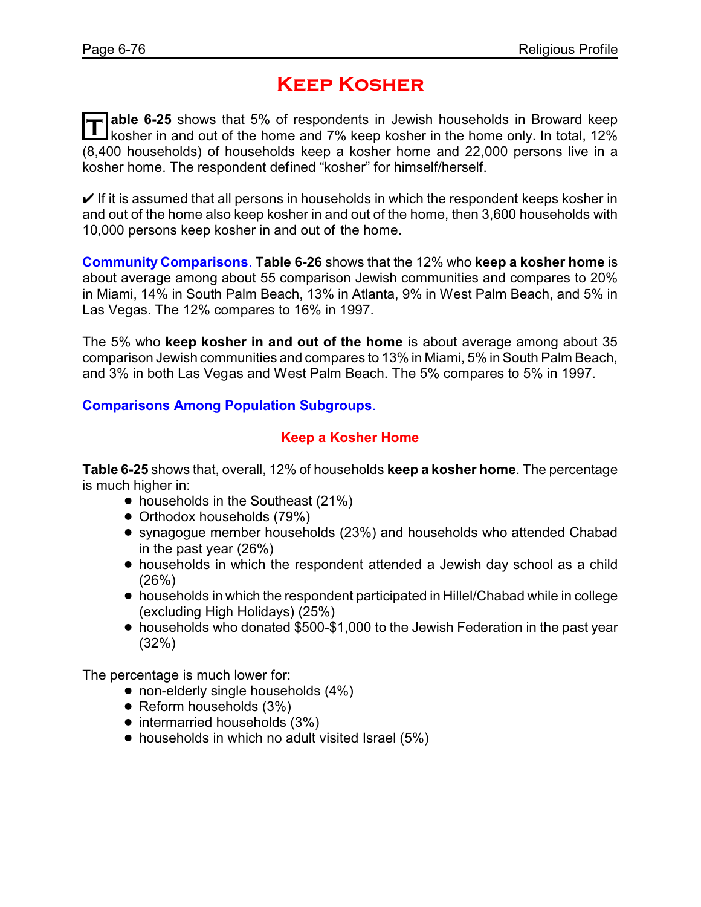# **Keep Kosher**

T able 6-25 shows that 5% of respondents in Jewish households in Broward keep<br>Kosher in and out of the home and 7% keep kosher in the home only. In total, 12% **able 6-25** shows that 5% of respondents in Jewish households in Broward keep (8,400 households) of households keep a kosher home and 22,000 persons live in a kosher home. The respondent defined "kosher" for himself/herself.

 $\vee$  If it is assumed that all persons in households in which the respondent keeps kosher in and out of the home also keep kosher in and out of the home, then 3,600 households with 10,000 persons keep kosher in and out of the home.

**Community Comparisons**. **Table 6-26** shows that the 12% who **keep a kosher home** is about average among about 55 comparison Jewish communities and compares to 20% in Miami, 14% in South Palm Beach, 13% in Atlanta, 9% in West Palm Beach, and 5% in Las Vegas. The 12% compares to 16% in 1997.

The 5% who **keep kosher in and out of the home** is about average among about 35 comparison Jewish communities and compares to 13% in Miami, 5% in South Palm Beach, and 3% in both Las Vegas and West Palm Beach. The 5% compares to 5% in 1997.

#### **Comparisons Among Population Subgroups**.

#### **Keep a Kosher Home**

**Table 6-25** shows that, overall, 12% of households **keep a kosher home**. The percentage is much higher in:

- households in the Southeast (21%)
- Orthodox households (79%)
- ! synagogue member households (23%) and households who attended Chabad in the past year (26%)
- ! households in which the respondent attended a Jewish day school as a child (26%)
- ! households in which the respondent participated in Hillel/Chabad while in college (excluding High Holidays) (25%)
- ! households who donated \$500-\$1,000 to the Jewish Federation in the past year (32%)

The percentage is much lower for:

- non-elderly single households (4%)
- Reform households (3%)
- intermarried households (3%)
- households in which no adult visited Israel (5%)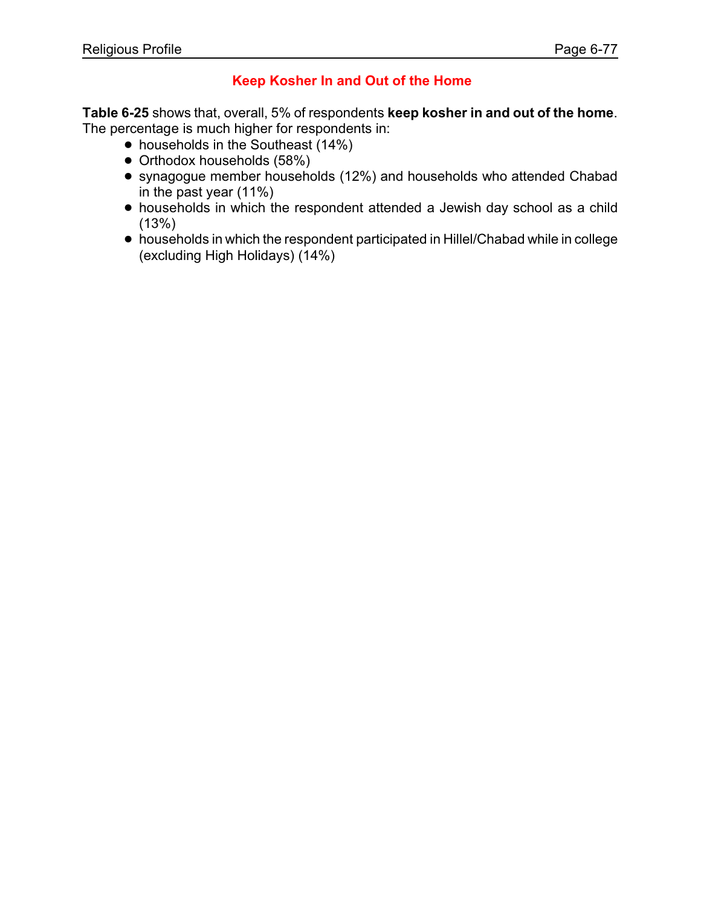### **Keep Kosher In and Out of the Home**

**Table 6-25** shows that, overall, 5% of respondents **keep kosher in and out of the home**. The percentage is much higher for respondents in:

- households in the Southeast (14%)
- Orthodox households (58%)
- ! synagogue member households (12%) and households who attended Chabad in the past year (11%)
- ! households in which the respondent attended a Jewish day school as a child (13%)
- ! households in which the respondent participated in Hillel/Chabad while in college (excluding High Holidays) (14%)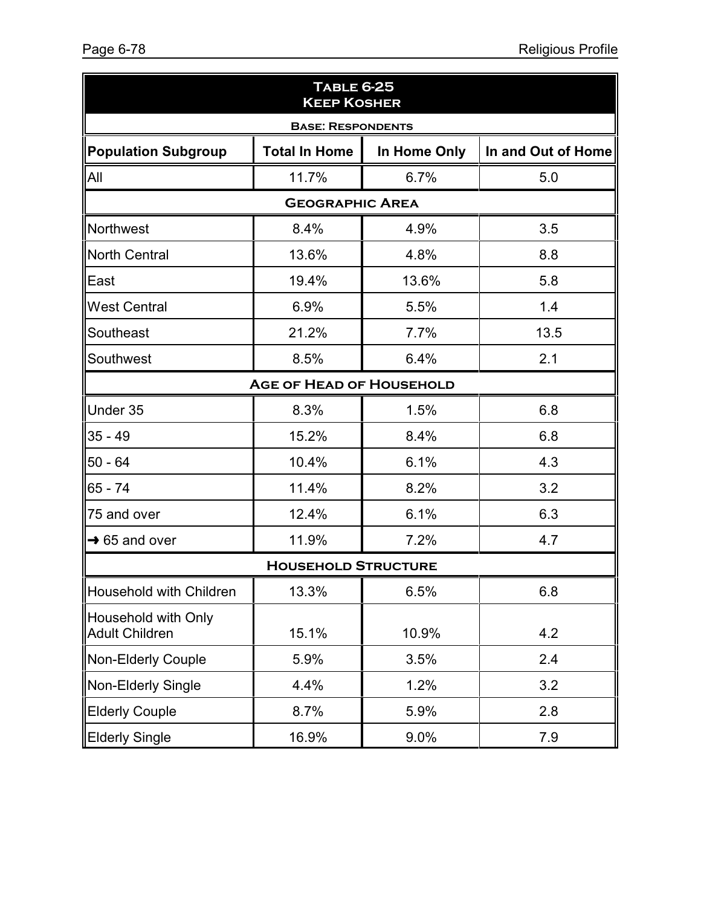| <b>TABLE 6-25</b><br><b>KEEP KOSHER</b>      |                          |              |                    |  |  |  |  |
|----------------------------------------------|--------------------------|--------------|--------------------|--|--|--|--|
|                                              | <b>BASE: RESPONDENTS</b> |              |                    |  |  |  |  |
| Population Subgroup                          | <b>Total In Home</b>     | In Home Only | In and Out of Home |  |  |  |  |
| All                                          | 11.7%                    | 6.7%         | 5.0                |  |  |  |  |
|                                              | <b>GEOGRAPHIC AREA</b>   |              |                    |  |  |  |  |
| Northwest                                    | 8.4%                     | 4.9%         | 3.5                |  |  |  |  |
| North Central                                | 13.6%                    | 4.8%         | 8.8                |  |  |  |  |
| lEast                                        | 19.4%                    | 13.6%        | 5.8                |  |  |  |  |
| <b>IWest Central</b>                         | 6.9%                     | 5.5%         | 1.4                |  |  |  |  |
| Southeast                                    | 21.2%                    | 7.7%         | 13.5               |  |  |  |  |
| Southwest                                    | 8.5%                     | 6.4%         | 2.1                |  |  |  |  |
| <b>AGE OF HEAD OF HOUSEHOLD</b>              |                          |              |                    |  |  |  |  |
| Under 35                                     | 8.3%                     | 1.5%         | 6.8                |  |  |  |  |
| $35 - 49$                                    | 15.2%                    | 8.4%         | 6.8                |  |  |  |  |
| $ 50 - 64$                                   | 10.4%                    | 6.1%         | 4.3                |  |  |  |  |
| $ 65 - 74$                                   | 11.4%                    | 8.2%         | 3.2                |  |  |  |  |
| $\parallel$ 75 and over                      | 12.4%                    | 6.1%         | 6.3                |  |  |  |  |
| $\rightarrow$ 65 and over                    | 11.9%                    | 7.2%         | 4.7                |  |  |  |  |
| <b>HOUSEHOLD STRUCTURE</b>                   |                          |              |                    |  |  |  |  |
| Household with Children                      | 13.3%                    | 6.5%         | 6.8                |  |  |  |  |
| Household with Only<br><b>Adult Children</b> | 15.1%                    | 10.9%        | 4.2                |  |  |  |  |
| Non-Elderly Couple                           | 5.9%                     | 3.5%         | 2.4                |  |  |  |  |
| Non-Elderly Single                           | 4.4%                     | 1.2%         | 3.2                |  |  |  |  |
| <b>Elderly Couple</b>                        | 8.7%                     | 5.9%         | 2.8                |  |  |  |  |
| <b>Elderly Single</b>                        | 16.9%                    | 9.0%         | 7.9                |  |  |  |  |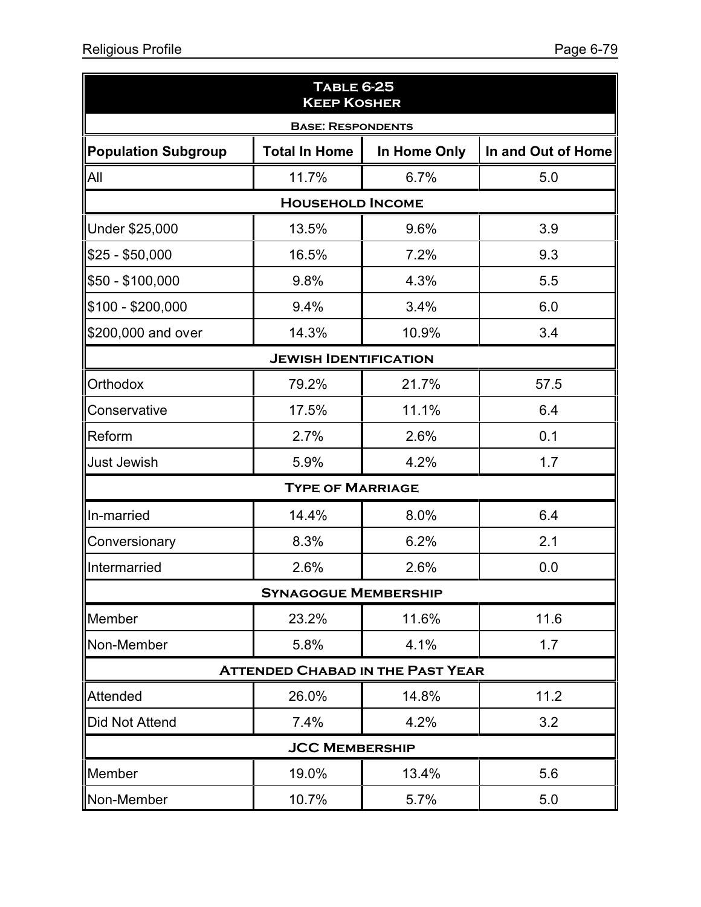| <b>TABLE 6-25</b><br><b>KEEP KOSHER</b> |                             |                                         |                    |  |  |  |  |  |
|-----------------------------------------|-----------------------------|-----------------------------------------|--------------------|--|--|--|--|--|
| <b>BASE: RESPONDENTS</b>                |                             |                                         |                    |  |  |  |  |  |
| Population Subgroup                     | <b>Total In Home</b>        | In Home Only                            | In and Out of Home |  |  |  |  |  |
| All                                     | 11.7%                       | 6.7%                                    | 5.0                |  |  |  |  |  |
|                                         | <b>HOUSEHOLD INCOME</b>     |                                         |                    |  |  |  |  |  |
| Under \$25,000                          | 13.5%                       | 9.6%                                    | 3.9                |  |  |  |  |  |
| $$25 - $50,000$                         | 16.5%                       | 7.2%                                    | 9.3                |  |  |  |  |  |
| \$50 - \$100,000                        | 9.8%                        | 4.3%                                    | 5.5                |  |  |  |  |  |
| \$100 - \$200,000                       | 9.4%                        | 3.4%                                    | 6.0                |  |  |  |  |  |
| \$200,000 and over                      | 14.3%                       | 10.9%                                   | 3.4                |  |  |  |  |  |
| <b>JEWISH IDENTIFICATION</b>            |                             |                                         |                    |  |  |  |  |  |
| Orthodox                                | 79.2%                       | 21.7%                                   | 57.5               |  |  |  |  |  |
| Conservative                            | 17.5%                       | 11.1%                                   | 6.4                |  |  |  |  |  |
| Reform                                  | 2.7%                        | 2.6%                                    | 0.1                |  |  |  |  |  |
| <b>Just Jewish</b>                      | 5.9%                        | 4.2%                                    | 1.7                |  |  |  |  |  |
|                                         | <b>TYPE OF MARRIAGE</b>     |                                         |                    |  |  |  |  |  |
| In-married                              | 14.4%                       | 8.0%                                    | 6.4                |  |  |  |  |  |
| Conversionary                           | 8.3%                        | 6.2%                                    | 2.1                |  |  |  |  |  |
| Intermarried                            | 2.6%                        | 2.6%                                    | 0.0                |  |  |  |  |  |
|                                         | <b>SYNAGOGUE MEMBERSHIP</b> |                                         |                    |  |  |  |  |  |
| Member                                  | 23.2%                       | 11.6%                                   | 11.6               |  |  |  |  |  |
| Non-Member                              | 5.8%                        | 4.1%                                    | 1.7                |  |  |  |  |  |
|                                         |                             | <b>ATTENDED CHABAD IN THE PAST YEAR</b> |                    |  |  |  |  |  |
| Attended                                | 26.0%                       | 14.8%                                   | 11.2               |  |  |  |  |  |
| Did Not Attend                          | 7.4%                        | 4.2%                                    | 3.2                |  |  |  |  |  |
|                                         | <b>JCC MEMBERSHIP</b>       |                                         |                    |  |  |  |  |  |
| Member                                  | 19.0%                       | 13.4%                                   | 5.6                |  |  |  |  |  |
| Non-Member                              | 10.7%                       | 5.7%                                    | 5.0                |  |  |  |  |  |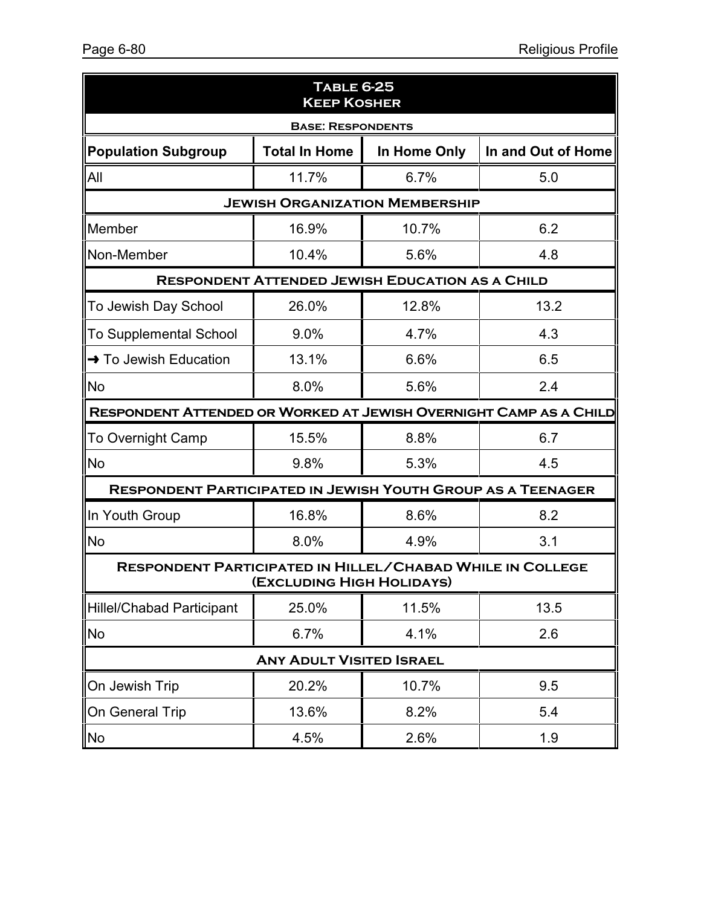| <b>TABLE 6-25</b><br><b>KEEP KOSHER</b>                                                       |                      |                                                        |                    |  |  |  |  |  |
|-----------------------------------------------------------------------------------------------|----------------------|--------------------------------------------------------|--------------------|--|--|--|--|--|
| <b>BASE: RESPONDENTS</b>                                                                      |                      |                                                        |                    |  |  |  |  |  |
| <b>Population Subgroup</b>                                                                    | <b>Total In Home</b> | In Home Only                                           | In and Out of Home |  |  |  |  |  |
| All                                                                                           | 11.7%                | 6.7%                                                   | 5.0                |  |  |  |  |  |
| <b>JEWISH ORGANIZATION MEMBERSHIP</b>                                                         |                      |                                                        |                    |  |  |  |  |  |
| Member                                                                                        | 16.9%                | 10.7%                                                  | 6.2                |  |  |  |  |  |
| Non-Member                                                                                    | 10.4%                | 5.6%                                                   | 4.8                |  |  |  |  |  |
|                                                                                               |                      | <b>RESPONDENT ATTENDED JEWISH EDUCATION AS A CHILD</b> |                    |  |  |  |  |  |
| To Jewish Day School                                                                          | 26.0%                | 12.8%                                                  | 13.2               |  |  |  |  |  |
| <b>To Supplemental School</b>                                                                 | 9.0%                 | 4.7%                                                   | 4.3                |  |  |  |  |  |
| → To Jewish Education                                                                         | 13.1%                | 6.6%                                                   | 6.5                |  |  |  |  |  |
| <b>No</b>                                                                                     | 8.0%                 | 5.6%                                                   | 2.4                |  |  |  |  |  |
| RESPONDENT ATTENDED OR WORKED AT JEWISH OVERNIGHT CAMP AS A CHILD                             |                      |                                                        |                    |  |  |  |  |  |
| <b>To Overnight Camp</b>                                                                      | 15.5%                | 8.8%                                                   | 6.7                |  |  |  |  |  |
| <b>No</b>                                                                                     | 9.8%                 | 5.3%                                                   | 4.5                |  |  |  |  |  |
| <b>RESPONDENT PARTICIPATED IN JEWISH YOUTH GROUP AS A TEENAGER</b>                            |                      |                                                        |                    |  |  |  |  |  |
| In Youth Group                                                                                | 16.8%                | 8.6%                                                   | 8.2                |  |  |  |  |  |
| <b>No</b>                                                                                     | 8.0%                 | 4.9%                                                   | 3.1                |  |  |  |  |  |
| <b>RESPONDENT PARTICIPATED IN HILLEL/CHABAD WHILE IN COLLEGE</b><br>(EXCLUDING HIGH HOLIDAYS) |                      |                                                        |                    |  |  |  |  |  |
| <b>Hillel/Chabad Participant</b>                                                              | 25.0%                | 11.5%                                                  | 13.5               |  |  |  |  |  |
| <b>No</b>                                                                                     | 6.7%                 | 4.1%                                                   | 2.6                |  |  |  |  |  |
| <b>ANY ADULT VISITED ISRAEL</b>                                                               |                      |                                                        |                    |  |  |  |  |  |
| On Jewish Trip                                                                                | 20.2%                | 10.7%                                                  | 9.5                |  |  |  |  |  |
| On General Trip                                                                               | 13.6%                | 8.2%                                                   | 5.4                |  |  |  |  |  |
| No                                                                                            | 4.5%                 | 2.6%                                                   | 1.9                |  |  |  |  |  |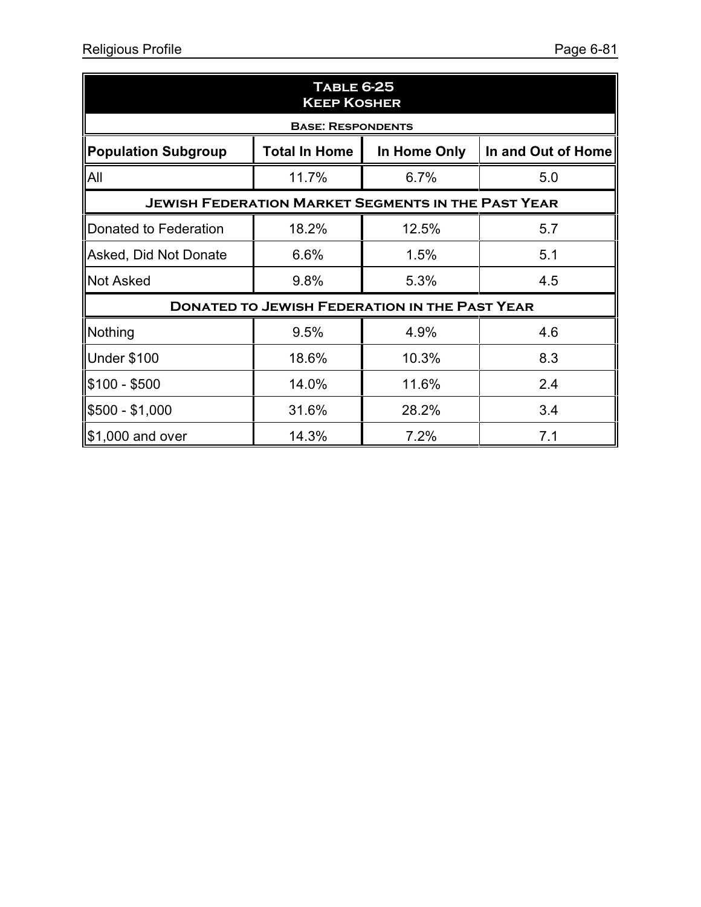| <b>TABLE 6-25</b><br><b>KEEP KOSHER</b>                                                  |                          |                                                      |     |  |  |  |  |
|------------------------------------------------------------------------------------------|--------------------------|------------------------------------------------------|-----|--|--|--|--|
|                                                                                          | <b>BASE: RESPONDENTS</b> |                                                      |     |  |  |  |  |
| <b>Population Subgroup</b><br><b>Total In Home</b><br>In and Out of Home<br>In Home Only |                          |                                                      |     |  |  |  |  |
| All                                                                                      | 11.7%                    | 6.7%                                                 | 5.0 |  |  |  |  |
| <b>JEWISH FEDERATION MARKET SEGMENTS IN THE PAST YEAR</b>                                |                          |                                                      |     |  |  |  |  |
| Donated to Federation                                                                    | 18.2%                    | 12.5%                                                | 5.7 |  |  |  |  |
| Asked, Did Not Donate                                                                    | 6.6%                     | 1.5%                                                 | 5.1 |  |  |  |  |
| <b>Not Asked</b>                                                                         | 9.8%                     | 5.3%                                                 | 4.5 |  |  |  |  |
|                                                                                          |                          | <b>DONATED TO JEWISH FEDERATION IN THE PAST YEAR</b> |     |  |  |  |  |
| Nothing                                                                                  | 9.5%                     | 4.9%                                                 | 4.6 |  |  |  |  |
| <b>Under \$100</b>                                                                       | 18.6%                    | 10.3%                                                | 8.3 |  |  |  |  |
| \$100 - \$500                                                                            | 14.0%                    | 11.6%                                                | 2.4 |  |  |  |  |
| $$500 - $1,000$                                                                          | 31.6%                    | 28.2%                                                | 3.4 |  |  |  |  |
| \$1,000 and over                                                                         | 14.3%                    | 7.2%                                                 | 7.1 |  |  |  |  |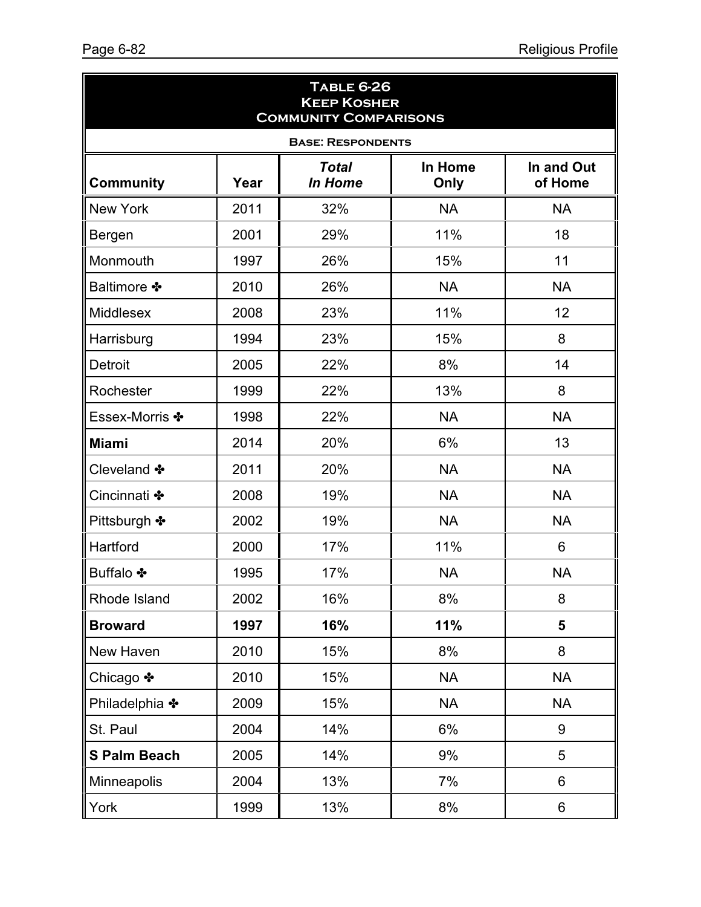| <b>TABLE 6-26</b><br><b>KEEP KOSHER</b><br><b>COMMUNITY COMPARISONS</b> |      |                                |                 |                       |  |  |
|-------------------------------------------------------------------------|------|--------------------------------|-----------------|-----------------------|--|--|
|                                                                         |      | <b>BASE: RESPONDENTS</b>       |                 |                       |  |  |
| <b>Community</b>                                                        | Year | <b>Total</b><br><b>In Home</b> | In Home<br>Only | In and Out<br>of Home |  |  |
| <b>New York</b>                                                         | 2011 | 32%                            | <b>NA</b>       | <b>NA</b>             |  |  |
| <b>Bergen</b>                                                           | 2001 | 29%                            | 11%             | 18                    |  |  |
| Monmouth                                                                | 1997 | 26%                            | 15%             | 11                    |  |  |
| <b>Baltimore ❖</b>                                                      | 2010 | 26%                            | <b>NA</b>       | <b>NA</b>             |  |  |
| Middlesex                                                               | 2008 | 23%                            | 11%             | 12                    |  |  |
| Harrisburg                                                              | 1994 | 23%                            | 15%             | 8                     |  |  |
| <b>Detroit</b>                                                          | 2005 | 22%                            | 8%              | 14                    |  |  |
| Rochester                                                               | 1999 | 22%                            | 13%             | 8                     |  |  |
| Essex-Morris *                                                          | 1998 | 22%                            | <b>NA</b>       | <b>NA</b>             |  |  |
| <b>Miami</b>                                                            | 2014 | 20%                            | 6%              | 13                    |  |  |
| Cleveland *                                                             | 2011 | 20%                            | <b>NA</b>       | <b>NA</b>             |  |  |
| Cincinnati *                                                            | 2008 | 19%                            | <b>NA</b>       | <b>NA</b>             |  |  |
| Pittsburgh *                                                            | 2002 | 19%                            | <b>NA</b>       | <b>NA</b>             |  |  |
| Hartford                                                                | 2000 | 17%                            | 11%             | 6                     |  |  |
| <b>Buffalo ❖</b>                                                        | 1995 | 17%                            | <b>NA</b>       | <b>NA</b>             |  |  |
| Rhode Island                                                            | 2002 | 16%                            | 8%              | 8                     |  |  |
| <b>Broward</b>                                                          | 1997 | 16%                            | 11%             | 5                     |  |  |
| New Haven                                                               | 2010 | 15%                            | 8%              | 8                     |  |  |
| Chicago ❖                                                               | 2010 | 15%                            | <b>NA</b>       | <b>NA</b>             |  |  |
| Philadelphia *                                                          | 2009 | 15%                            | <b>NA</b>       | <b>NA</b>             |  |  |
| St. Paul                                                                | 2004 | 14%                            | 6%              | 9                     |  |  |
| <b>S Palm Beach</b>                                                     | 2005 | 14%                            | 9%              | 5                     |  |  |
| Minneapolis                                                             | 2004 | 13%                            | 7%              | 6                     |  |  |
| York                                                                    | 1999 | 13%                            | 8%              | 6                     |  |  |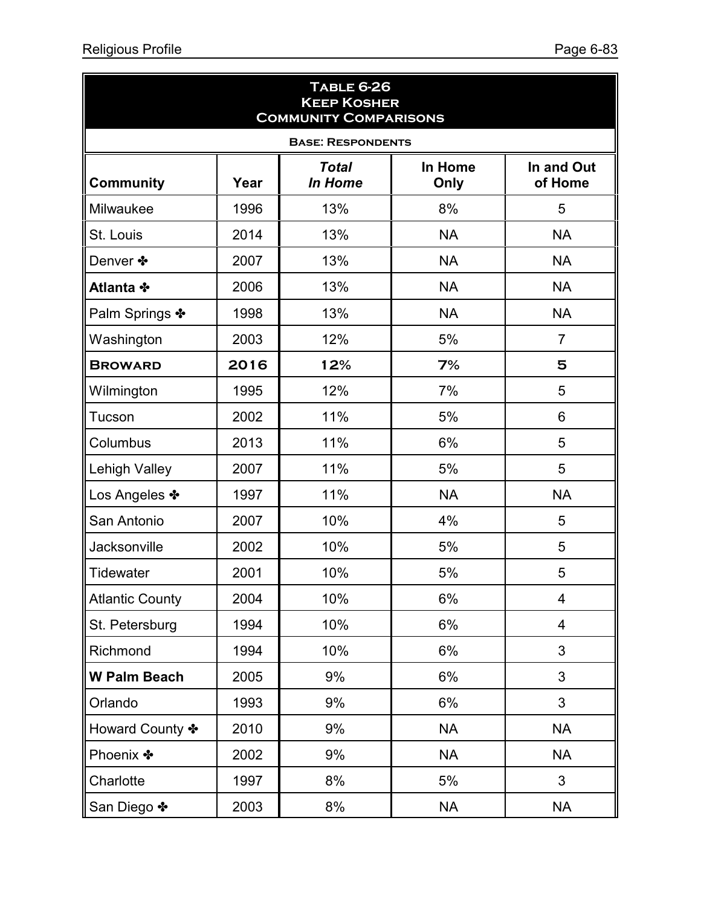| <b>TABLE 6-26</b><br><b>KEEP KOSHER</b><br><b>COMMUNITY COMPARISONS</b> |      |                                |                 |                       |  |  |
|-------------------------------------------------------------------------|------|--------------------------------|-----------------|-----------------------|--|--|
|                                                                         |      | <b>BASE: RESPONDENTS</b>       |                 |                       |  |  |
| <b>Community</b>                                                        | Year | <b>Total</b><br><b>In Home</b> | In Home<br>Only | In and Out<br>of Home |  |  |
| Milwaukee                                                               | 1996 | 13%                            | 8%              | 5                     |  |  |
| St. Louis                                                               | 2014 | 13%                            | <b>NA</b>       | <b>NA</b>             |  |  |
| Denver *                                                                | 2007 | 13%                            | <b>NA</b>       | <b>NA</b>             |  |  |
| Atlanta *                                                               | 2006 | 13%                            | <b>NA</b>       | <b>NA</b>             |  |  |
| Palm Springs ❖                                                          | 1998 | 13%                            | <b>NA</b>       | <b>NA</b>             |  |  |
| Washington                                                              | 2003 | 12%                            | 5%              | $\overline{7}$        |  |  |
| <b>BROWARD</b>                                                          | 2016 | 12%                            | 7%              | 5                     |  |  |
| Wilmington                                                              | 1995 | 12%                            | 7%              | 5                     |  |  |
| Tucson                                                                  | 2002 | 11%                            | 5%              | 6                     |  |  |
| Columbus                                                                | 2013 | 11%                            | 6%              | 5                     |  |  |
| <b>Lehigh Valley</b>                                                    | 2007 | 11%                            | 5%              | 5                     |  |  |
| Los Angeles *                                                           | 1997 | 11%                            | <b>NA</b>       | <b>NA</b>             |  |  |
| San Antonio                                                             | 2007 | 10%                            | 4%              | 5                     |  |  |
| Jacksonville                                                            | 2002 | 10%                            | 5%              | 5                     |  |  |
| Tidewater                                                               | 2001 | 10%                            | 5%              | 5                     |  |  |
| <b>Atlantic County</b>                                                  | 2004 | 10%                            | 6%              | 4                     |  |  |
| St. Petersburg                                                          | 1994 | 10%                            | 6%              | $\overline{4}$        |  |  |
| Richmond                                                                | 1994 | 10%                            | 6%              | 3                     |  |  |
| <b>W Palm Beach</b>                                                     | 2005 | 9%                             | 6%              | 3                     |  |  |
| Orlando                                                                 | 1993 | 9%                             | 6%              | $\mathbf{3}$          |  |  |
| Howard County *                                                         | 2010 | 9%                             | <b>NA</b>       | <b>NA</b>             |  |  |
| Phoenix *                                                               | 2002 | 9%                             | <b>NA</b>       | <b>NA</b>             |  |  |
| Charlotte                                                               | 1997 | 8%                             | 5%              | 3                     |  |  |
| San Diego ❖                                                             | 2003 | 8%                             | <b>NA</b>       | <b>NA</b>             |  |  |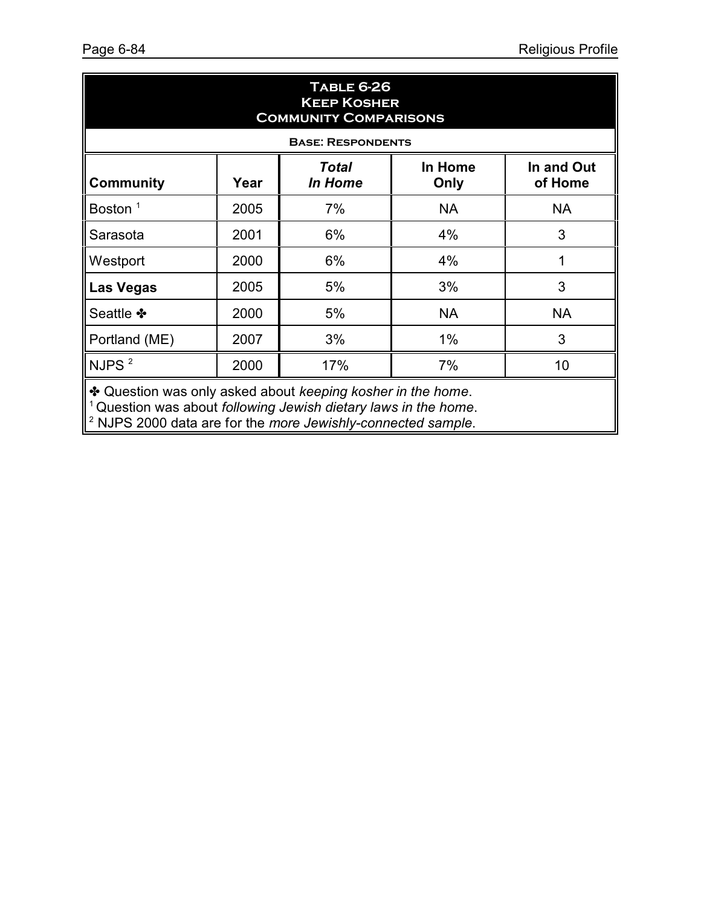| <b>TABLE 6-26</b><br><b>KEEP KOSHER</b><br><b>COMMUNITY COMPARISONS</b>                  |      |                          |           |           |  |  |  |
|------------------------------------------------------------------------------------------|------|--------------------------|-----------|-----------|--|--|--|
|                                                                                          |      | <b>BASE: RESPONDENTS</b> |           |           |  |  |  |
| In Home<br>In and Out<br>Total<br><b>Community</b><br>In Home<br>of Home<br>Year<br>Only |      |                          |           |           |  |  |  |
| Boston $1$                                                                               | 2005 | 7%                       | <b>NA</b> | <b>NA</b> |  |  |  |
| Sarasota                                                                                 | 2001 | 6%                       | 4%        | 3         |  |  |  |
| Westport                                                                                 | 2000 | 6%                       | 4%        | 1         |  |  |  |
| <b>Las Vegas</b>                                                                         | 2005 | 5%                       | 3%        | 3         |  |  |  |
| Seattle *                                                                                | 2000 | 5%                       | <b>NA</b> | <b>NA</b> |  |  |  |
| Portland (ME)                                                                            | 2007 | 3%                       | $1\%$     | 3         |  |  |  |
| NJPS $^2$                                                                                | 2000 | 17%                      | 7%        | 10        |  |  |  |

**\*** Question was only asked about *keeping kosher in the home*.

<sup>1</sup> Question was about *following Jewish dietary laws in the home*. 2 NJPS 2000 data are for the *more Jewishly-connected sample*.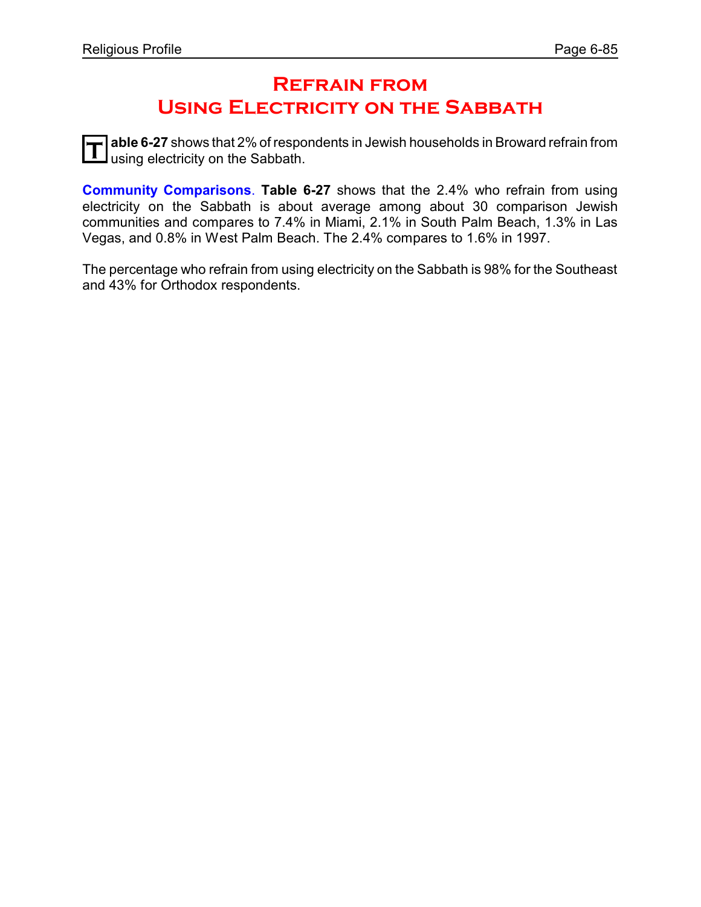## **Refrain from Using Electricity on the Sabbath**

T able 6-27 shows that 2% of respo<br>Using electricity on the Sabbath. **able 6-27** shows that 2% of respondents in Jewish households in Broward refrain from

**Community Comparisons**. **Table 6-27** shows that the 2.4% who refrain from using electricity on the Sabbath is about average among about 30 comparison Jewish communities and compares to 7.4% in Miami, 2.1% in South Palm Beach, 1.3% in Las Vegas, and 0.8% in West Palm Beach. The 2.4% compares to 1.6% in 1997.

The percentage who refrain from using electricity on the Sabbath is 98% for the Southeast and 43% for Orthodox respondents.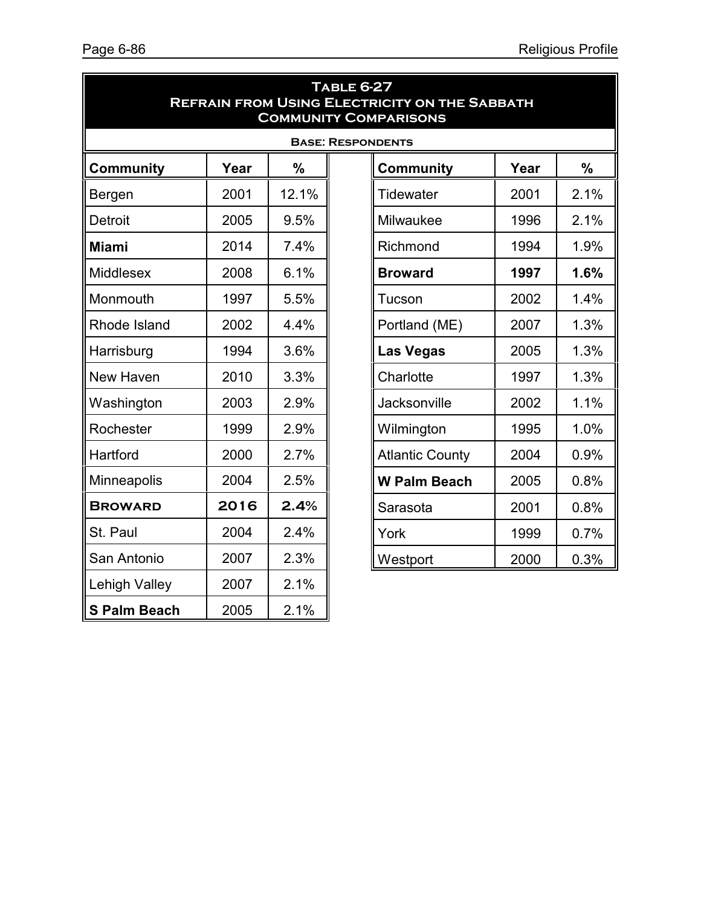|                     |                          |               | <b>TABLE 6-27</b> | <b>REFRAIN FROM USING ELECTRICITY ON THE SABBATH</b><br><b>COMMUNITY COMPARISONS</b> |      |      |  |  |
|---------------------|--------------------------|---------------|-------------------|--------------------------------------------------------------------------------------|------|------|--|--|
|                     | <b>BASE: RESPONDENTS</b> |               |                   |                                                                                      |      |      |  |  |
| <b>Community</b>    | Year                     | $\frac{0}{0}$ |                   | <b>Community</b>                                                                     | Year | $\%$ |  |  |
| Bergen              | 2001                     | 12.1%         |                   | <b>Tidewater</b>                                                                     | 2001 | 2.1% |  |  |
| <b>Detroit</b>      | 2005                     | 9.5%          |                   | Milwaukee                                                                            | 1996 | 2.1% |  |  |
| <b>Miami</b>        | 2014                     | 7.4%          |                   | Richmond                                                                             | 1994 | 1.9% |  |  |
| Middlesex           | 2008                     | 6.1%          |                   | <b>Broward</b>                                                                       | 1997 | 1.6% |  |  |
| Monmouth            | 1997                     | 5.5%          |                   | Tucson                                                                               | 2002 | 1.4% |  |  |
| Rhode Island        | 2002                     | 4.4%          |                   | Portland (ME)                                                                        | 2007 | 1.3% |  |  |
| Harrisburg          | 1994                     | 3.6%          |                   | <b>Las Vegas</b>                                                                     | 2005 | 1.3% |  |  |
| New Haven           | 2010                     | 3.3%          |                   | Charlotte                                                                            | 1997 | 1.3% |  |  |
| Washington          | 2003                     | 2.9%          |                   | Jacksonville                                                                         | 2002 | 1.1% |  |  |
| Rochester           | 1999                     | 2.9%          |                   | Wilmington                                                                           | 1995 | 1.0% |  |  |
| Hartford            | 2000                     | 2.7%          |                   | <b>Atlantic County</b>                                                               | 2004 | 0.9% |  |  |
| Minneapolis         | 2004                     | 2.5%          |                   | <b>W Palm Beach</b>                                                                  | 2005 | 0.8% |  |  |
| <b>BROWARD</b>      | 2016                     | 2.4%          |                   | Sarasota                                                                             | 2001 | 0.8% |  |  |
| St. Paul            | 2004                     | 2.4%          |                   | York                                                                                 | 1999 | 0.7% |  |  |
| San Antonio         | 2007                     | 2.3%          |                   | Westport                                                                             | 2000 | 0.3% |  |  |
| Lehigh Valley       | 2007                     | 2.1%          |                   |                                                                                      |      |      |  |  |
| <b>S Palm Beach</b> | 2005                     | 2.1%          |                   |                                                                                      |      |      |  |  |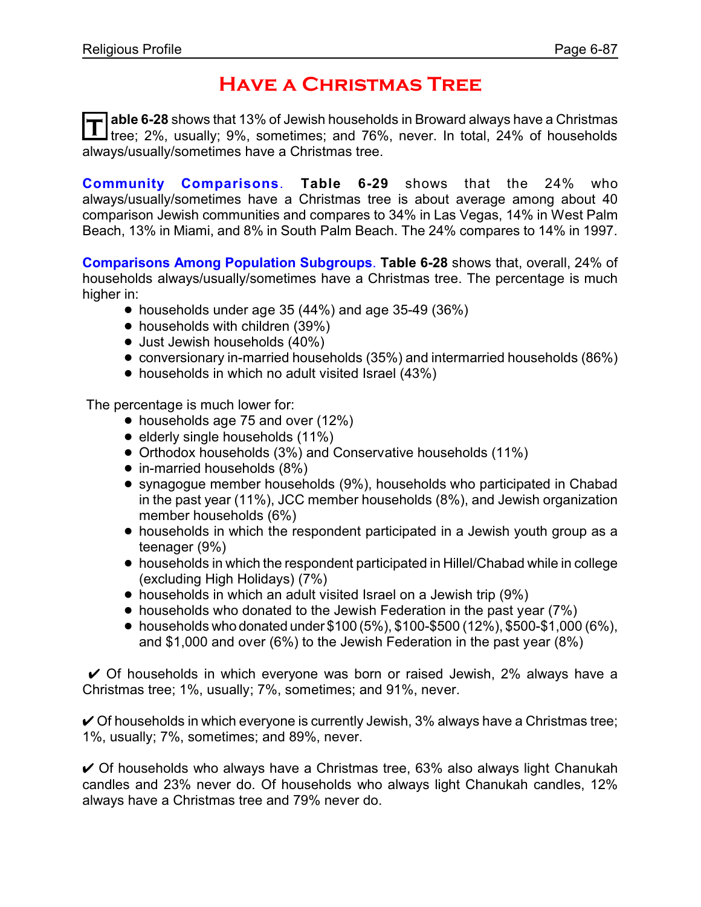# **Have a Christmas Tree**

T able 6-28 shows that 13% of Jewish households in Broward always have a Christmas<br>I tree; 2%, usually; 9%, sometimes; and 76%, never. In total, 24% of households **able 6-28** shows that 13% of Jewish households in Broward always have a Christmas always/usually/sometimes have a Christmas tree.

**Community Comparisons**. **Table 6-29** shows that the 24% who always/usually/sometimes have a Christmas tree is about average among about 40 comparison Jewish communities and compares to 34% in Las Vegas, 14% in West Palm Beach, 13% in Miami, and 8% in South Palm Beach. The 24% compares to 14% in 1997.

**Comparisons Among Population Subgroups**. **Table 6-28** shows that, overall, 24% of households always/usually/sometimes have a Christmas tree. The percentage is much higher in:

- $\bullet$  households under age 35 (44%) and age 35-49 (36%)
- households with children (39%)
- Just Jewish households (40%)
- ! conversionary in-married households (35%) and intermarried households (86%)
- households in which no adult visited Israel (43%)

The percentage is much lower for:

- $\bullet$  households age 75 and over (12%)
- $\bullet$  elderly single households (11%)
- ! Orthodox households (3%) and Conservative households (11%)
- $\bullet$  in-married households (8%)
- synagogue member households (9%), households who participated in Chabad in the past year (11%), JCC member households (8%), and Jewish organization member households (6%)
- households in which the respondent participated in a Jewish youth group as a teenager (9%)
- ! households in which the respondent participated in Hillel/Chabad while in college (excluding High Holidays) (7%)
- households in which an adult visited Israel on a Jewish trip (9%)
- households who donated to the Jewish Federation in the past year (7%)
- households who donated under  $$100 (5\%)$ ,  $$100-\$500 (12\%)$ ,  $$500-\$1,000 (6\%)$ , and \$1,000 and over (6%) to the Jewish Federation in the past year (8%)

 $\vee$  Of households in which everyone was born or raised Jewish, 2% always have a Christmas tree; 1%, usually; 7%, sometimes; and 91%, never.

 $\vee$  Of households in which everyone is currently Jewish, 3% always have a Christmas tree; 1%, usually; 7%, sometimes; and 89%, never.

 $\vee$  Of households who always have a Christmas tree, 63% also always light Chanukah candles and 23% never do. Of households who always light Chanukah candles, 12% always have a Christmas tree and 79% never do.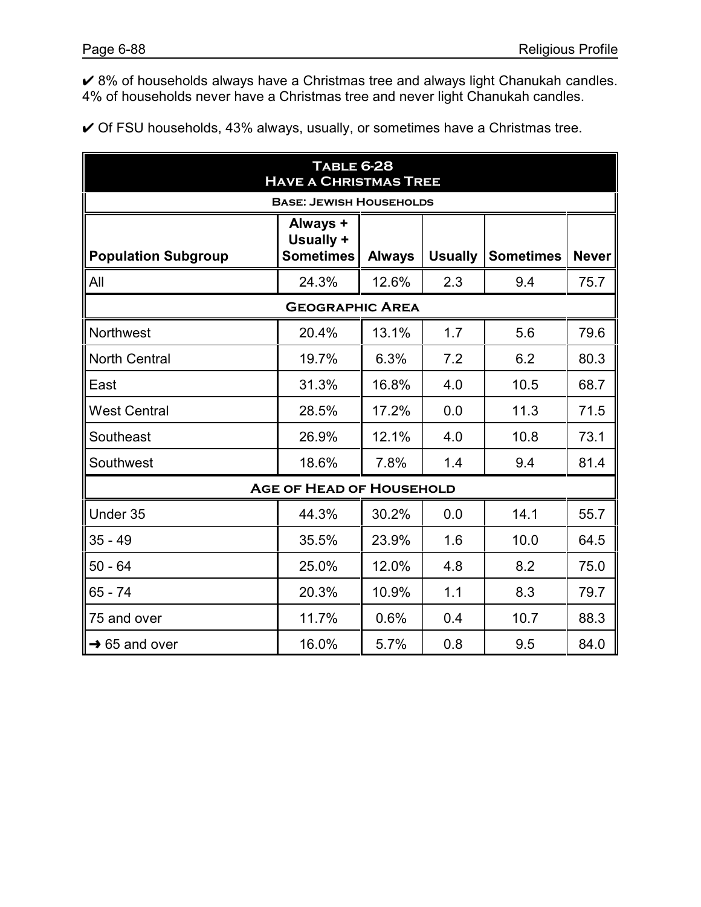U 8% of households always have a Christmas tree and always light Chanukah candles. 4% of households never have a Christmas tree and never light Chanukah candles.

 $\checkmark$  Of FSU households, 43% always, usually, or sometimes have a Christmas tree.

| <b>TABLE 6-28</b><br><b>HAVE A CHRISTMAS TREE</b> |                                           |               |                |                  |              |  |  |
|---------------------------------------------------|-------------------------------------------|---------------|----------------|------------------|--------------|--|--|
|                                                   | <b>BASE: JEWISH HOUSEHOLDS</b>            |               |                |                  |              |  |  |
| <b>Population Subgroup</b>                        | Always +<br>Usually +<br><b>Sometimes</b> | <b>Always</b> | <b>Usually</b> | <b>Sometimes</b> | <b>Never</b> |  |  |
| All                                               | 24.3%                                     | 12.6%         | 2.3            | 9.4              | 75.7         |  |  |
|                                                   | <b>GEOGRAPHIC AREA</b>                    |               |                |                  |              |  |  |
| Northwest                                         | 20.4%                                     | 13.1%         | 1.7            | 5.6              | 79.6         |  |  |
| <b>North Central</b>                              | 19.7%                                     | 6.3%          | 7.2            | 6.2              | 80.3         |  |  |
| East                                              | 31.3%                                     | 16.8%         | 4.0            | 10.5             | 68.7         |  |  |
| <b>West Central</b>                               | 28.5%                                     | 17.2%         | 0.0            | 11.3             | 71.5         |  |  |
| Southeast                                         | 26.9%                                     | 12.1%         | 4.0            | 10.8             | 73.1         |  |  |
| Southwest                                         | 18.6%                                     | 7.8%          | 1.4            | 9.4              | 81.4         |  |  |
|                                                   | <b>AGE OF HEAD OF HOUSEHOLD</b>           |               |                |                  |              |  |  |
| Under 35                                          | 44.3%                                     | 30.2%         | 0.0            | 14.1             | 55.7         |  |  |
| $35 - 49$                                         | 35.5%                                     | 23.9%         | 1.6            | 10.0             | 64.5         |  |  |
| $50 - 64$                                         | 25.0%                                     | 12.0%         | 4.8            | 8.2              | 75.0         |  |  |
| $65 - 74$                                         | 20.3%                                     | 10.9%         | 1.1            | 8.3              | 79.7         |  |  |
| 75 and over                                       | 11.7%                                     | 0.6%          | 0.4            | 10.7             | 88.3         |  |  |
| $\rightarrow$ 65 and over                         | 16.0%                                     | 5.7%          | 0.8            | 9.5              | 84.0         |  |  |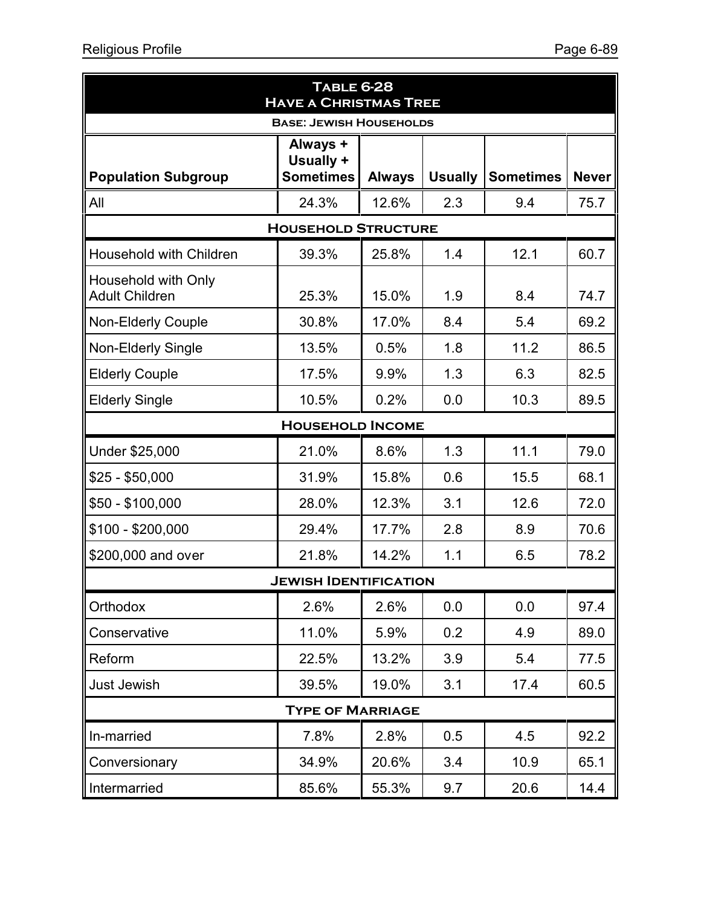| <b>TABLE 6-28</b><br><b>HAVE A CHRISTMAS TREE</b> |                              |               |                |                  |              |  |  |  |  |
|---------------------------------------------------|------------------------------|---------------|----------------|------------------|--------------|--|--|--|--|
| <b>BASE: JEWISH HOUSEHOLDS</b>                    |                              |               |                |                  |              |  |  |  |  |
|                                                   | Always +<br>Usually +        |               |                |                  |              |  |  |  |  |
| <b>Population Subgroup</b>                        | <b>Sometimes</b>             | <b>Always</b> | <b>Usually</b> | <b>Sometimes</b> | <b>Never</b> |  |  |  |  |
| All                                               | 24.3%                        | 12.6%         | 2.3            | 9.4              | 75.7         |  |  |  |  |
| <b>HOUSEHOLD STRUCTURE</b>                        |                              |               |                |                  |              |  |  |  |  |
| Household with Children                           | 39.3%                        | 25.8%         | 1.4            | 12.1             | 60.7         |  |  |  |  |
| Household with Only<br><b>Adult Children</b>      | 25.3%                        | 15.0%         | 1.9            | 8.4              | 74.7         |  |  |  |  |
| <b>Non-Elderly Couple</b>                         | 30.8%                        | 17.0%         | 8.4            | 5.4              | 69.2         |  |  |  |  |
| <b>Non-Elderly Single</b>                         | 13.5%                        | 0.5%          | 1.8            | 11.2             | 86.5         |  |  |  |  |
| <b>Elderly Couple</b>                             | 17.5%                        | 9.9%          | 1.3            | 6.3              | 82.5         |  |  |  |  |
| <b>Elderly Single</b>                             | 10.5%                        | 0.2%          | 0.0            | 10.3             | 89.5         |  |  |  |  |
| <b>HOUSEHOLD INCOME</b>                           |                              |               |                |                  |              |  |  |  |  |
| Under \$25,000                                    | 21.0%                        | 8.6%          | 1.3            | 11.1             | 79.0         |  |  |  |  |
| $$25 - $50,000$                                   | 31.9%                        | 15.8%         | 0.6            | 15.5             | 68.1         |  |  |  |  |
| $$50 - $100,000$                                  | 28.0%                        | 12.3%         | 3.1            | 12.6             | 72.0         |  |  |  |  |
| $$100 - $200,000$                                 | 29.4%                        | 17.7%         | 2.8            | 8.9              | 70.6         |  |  |  |  |
| \$200,000 and over                                | 21.8%                        | 14.2%         | 1.1            | 6.5              | 78.2         |  |  |  |  |
|                                                   | <b>JEWISH IDENTIFICATION</b> |               |                |                  |              |  |  |  |  |
| Orthodox                                          | 2.6%                         | 2.6%          | 0.0            | 0.0              | 97.4         |  |  |  |  |
| Conservative                                      | 11.0%                        | 5.9%          | 0.2            | 4.9              | 89.0         |  |  |  |  |
| Reform                                            | 22.5%                        | 13.2%         | 3.9            | 5.4              | 77.5         |  |  |  |  |
| <b>Just Jewish</b>                                | 39.5%                        | 19.0%         | 3.1            | 17.4             | 60.5         |  |  |  |  |
|                                                   | <b>TYPE OF MARRIAGE</b>      |               |                |                  |              |  |  |  |  |
| In-married                                        | 7.8%                         | 2.8%          | 0.5            | 4.5              | 92.2         |  |  |  |  |
| Conversionary                                     | 34.9%                        | 20.6%         | 3.4            | 10.9             | 65.1         |  |  |  |  |
| Intermarried                                      | 85.6%                        | 55.3%         | 9.7            | 20.6             | 14.4         |  |  |  |  |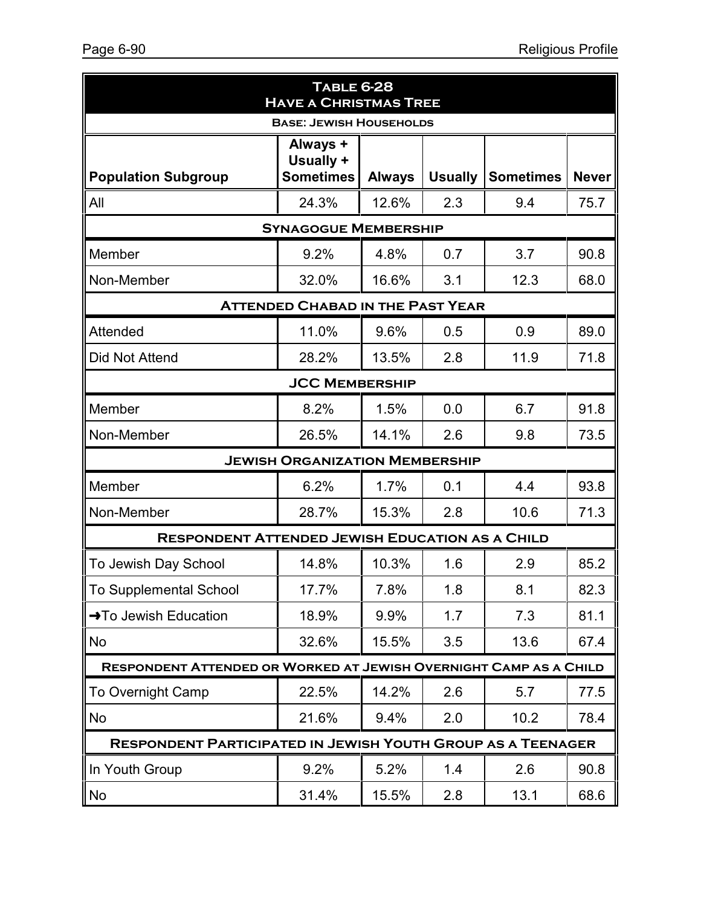| <b>TABLE 6-28</b><br><b>HAVE A CHRISTMAS TREE</b>                  |                             |               |                |                  |              |  |  |  |  |  |
|--------------------------------------------------------------------|-----------------------------|---------------|----------------|------------------|--------------|--|--|--|--|--|
| <b>BASE: JEWISH HOUSEHOLDS</b>                                     |                             |               |                |                  |              |  |  |  |  |  |
|                                                                    | Always +<br>Usually +       |               |                |                  |              |  |  |  |  |  |
| <b>Population Subgroup</b>                                         | <b>Sometimes</b>            | <b>Always</b> | <b>Usually</b> | <b>Sometimes</b> | <b>Never</b> |  |  |  |  |  |
| All                                                                | 24.3%                       | 12.6%         | 2.3            | 9.4              | 75.7         |  |  |  |  |  |
|                                                                    | <b>SYNAGOGUE MEMBERSHIP</b> |               |                |                  |              |  |  |  |  |  |
| Member                                                             | 9.2%                        | 4.8%          | 0.7            | 3.7              | 90.8         |  |  |  |  |  |
| Non-Member                                                         | 32.0%                       | 16.6%         | 3.1            | 12.3             | 68.0         |  |  |  |  |  |
| <b>ATTENDED CHABAD IN THE PAST YEAR</b>                            |                             |               |                |                  |              |  |  |  |  |  |
| Attended                                                           | 11.0%                       | 9.6%          | 0.5            | 0.9              | 89.0         |  |  |  |  |  |
| Did Not Attend                                                     | 28.2%                       | 13.5%         | 2.8            | 11.9             | 71.8         |  |  |  |  |  |
| <b>JCC MEMBERSHIP</b>                                              |                             |               |                |                  |              |  |  |  |  |  |
| Member                                                             | 8.2%                        | 1.5%          | 0.0            | 6.7              | 91.8         |  |  |  |  |  |
| Non-Member                                                         | 26.5%                       | 14.1%         | 2.6            | 9.8              | 73.5         |  |  |  |  |  |
| <b>JEWISH ORGANIZATION MEMBERSHIP</b>                              |                             |               |                |                  |              |  |  |  |  |  |
| Member                                                             | 6.2%                        | 1.7%          | 0.1            | 4.4              | 93.8         |  |  |  |  |  |
| Non-Member                                                         | 28.7%                       | 15.3%         | 2.8            | 10.6             | 71.3         |  |  |  |  |  |
| <b>RESPONDENT ATTENDED JEWISH EDUCATION AS A CHILD</b>             |                             |               |                |                  |              |  |  |  |  |  |
| To Jewish Day School                                               | 14.8%                       | 10.3%         | 1.6            | 2.9              | 85.2         |  |  |  |  |  |
| To Supplemental School                                             | 17.7%                       | 7.8%          | 1.8            | 8.1              | 82.3         |  |  |  |  |  |
| →To Jewish Education                                               | 18.9%                       | 9.9%          | 1.7            | 7.3              | 81.1         |  |  |  |  |  |
| No                                                                 | 32.6%                       | 15.5%         | 3.5            | 13.6             | 67.4         |  |  |  |  |  |
| RESPONDENT ATTENDED OR WORKED AT JEWISH OVERNIGHT CAMP AS A CHILD  |                             |               |                |                  |              |  |  |  |  |  |
| <b>To Overnight Camp</b>                                           | 22.5%                       | 14.2%         | 2.6            | 5.7              | 77.5         |  |  |  |  |  |
| No                                                                 | 21.6%                       | 9.4%          | 2.0            | 10.2             | 78.4         |  |  |  |  |  |
| <b>RESPONDENT PARTICIPATED IN JEWISH YOUTH GROUP AS A TEENAGER</b> |                             |               |                |                  |              |  |  |  |  |  |
| In Youth Group                                                     | 9.2%                        | 5.2%          | 1.4            | 2.6              | 90.8         |  |  |  |  |  |
| No                                                                 | 31.4%                       | 15.5%         | 2.8            | 13.1             | 68.6         |  |  |  |  |  |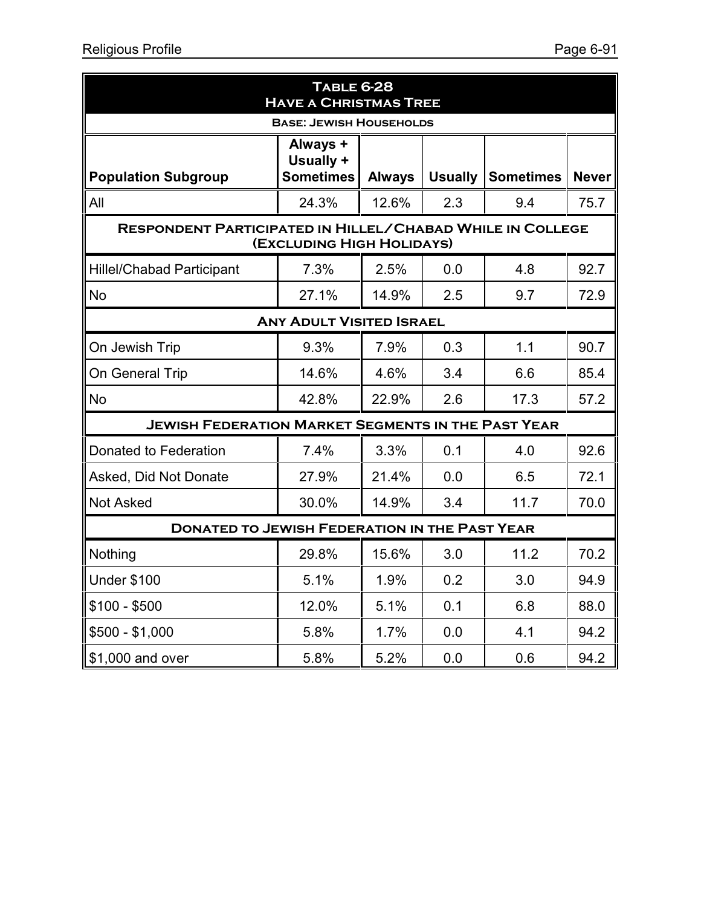| <b>TABLE 6-28</b><br><b>HAVE A CHRISTMAS TREE</b>                                             |                                           |               |                |                  |              |  |  |  |  |
|-----------------------------------------------------------------------------------------------|-------------------------------------------|---------------|----------------|------------------|--------------|--|--|--|--|
| <b>BASE: JEWISH HOUSEHOLDS</b>                                                                |                                           |               |                |                  |              |  |  |  |  |
| <b>Population Subgroup</b>                                                                    | Always +<br>Usually +<br><b>Sometimes</b> | <b>Always</b> | <b>Usually</b> | <b>Sometimes</b> | <b>Never</b> |  |  |  |  |
| All                                                                                           | 24.3%                                     | 12.6%         | 2.3            | 9.4              | 75.7         |  |  |  |  |
| <b>RESPONDENT PARTICIPATED IN HILLEL/CHABAD WHILE IN COLLEGE</b><br>(EXCLUDING HIGH HOLIDAYS) |                                           |               |                |                  |              |  |  |  |  |
| <b>Hillel/Chabad Participant</b>                                                              | 7.3%                                      | 2.5%          | 0.0            | 4.8              | 92.7         |  |  |  |  |
| <b>No</b>                                                                                     | 27.1%                                     | 14.9%         | 2.5            | 9.7              | 72.9         |  |  |  |  |
| <b>ANY ADULT VISITED ISRAEL</b>                                                               |                                           |               |                |                  |              |  |  |  |  |
| On Jewish Trip                                                                                | 9.3%                                      | 7.9%          | 0.3            | 1.1              | 90.7         |  |  |  |  |
| On General Trip                                                                               | 14.6%                                     | 4.6%          | 3.4            | 6.6              | 85.4         |  |  |  |  |
| <b>No</b>                                                                                     | 42.8%                                     | 22.9%         | 2.6            | 17.3             | 57.2         |  |  |  |  |
| <b>JEWISH FEDERATION MARKET SEGMENTS IN THE PAST YEAR</b>                                     |                                           |               |                |                  |              |  |  |  |  |
| Donated to Federation                                                                         | 7.4%                                      | 3.3%          | 0.1            | 4.0              | 92.6         |  |  |  |  |
| Asked, Did Not Donate                                                                         | 27.9%                                     | 21.4%         | 0.0            | 6.5              | 72.1         |  |  |  |  |
| Not Asked                                                                                     | 30.0%                                     | 14.9%         | 3.4            | 11.7             | 70.0         |  |  |  |  |
| <b>DONATED TO JEWISH FEDERATION IN THE PAST YEAR</b>                                          |                                           |               |                |                  |              |  |  |  |  |
| Nothing                                                                                       | 29.8%                                     | 15.6%         | 3.0            | 11.2             | 70.2         |  |  |  |  |
| <b>Under \$100</b>                                                                            | 5.1%                                      | 1.9%          | 0.2            | 3.0              | 94.9         |  |  |  |  |
| $$100 - $500$                                                                                 | 12.0%                                     | 5.1%          | 0.1            | 6.8              | 88.0         |  |  |  |  |
| $$500 - $1,000$                                                                               | 5.8%                                      | 1.7%          | 0.0            | 4.1              | 94.2         |  |  |  |  |
| \$1,000 and over                                                                              | 5.8%                                      | 5.2%          | 0.0            | 0.6              | 94.2         |  |  |  |  |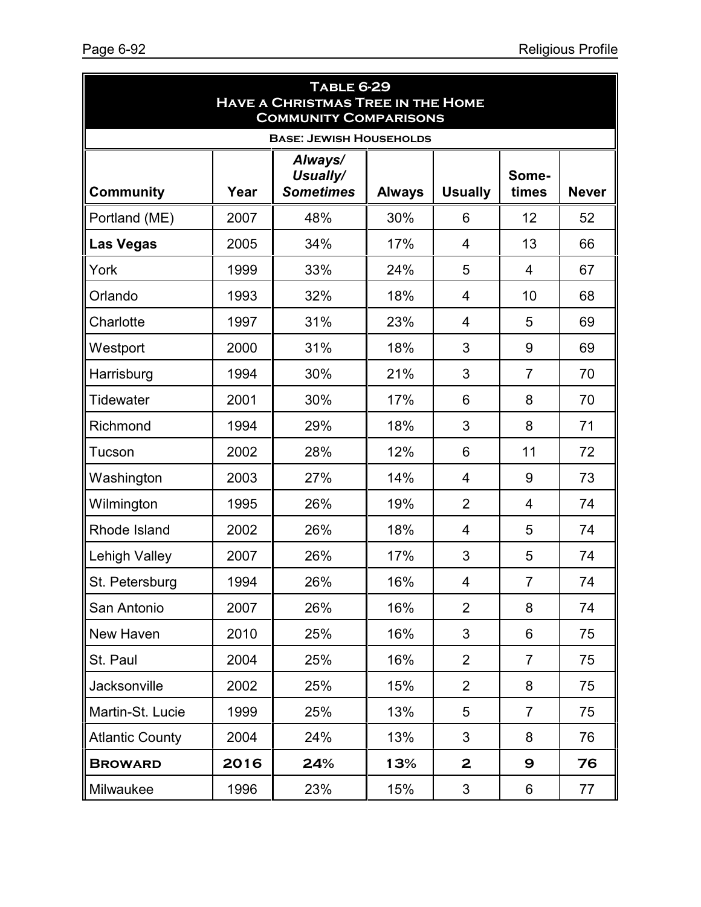| <b>TABLE 6-29</b><br><b>HAVE A CHRISTMAS TREE IN THE HOME</b><br><b>COMMUNITY COMPARISONS</b>                                                              |      |     |     |                |                |    |  |  |  |
|------------------------------------------------------------------------------------------------------------------------------------------------------------|------|-----|-----|----------------|----------------|----|--|--|--|
| <b>BASE: JEWISH HOUSEHOLDS</b><br>Always/<br>Usually/<br>Some-<br><b>Sometimes</b><br><b>Usually</b><br><b>Community</b><br>Year<br><b>Always</b><br>times |      |     |     |                |                |    |  |  |  |
| Portland (ME)                                                                                                                                              | 2007 | 48% | 30% | 6              | 12             | 52 |  |  |  |
| <b>Las Vegas</b>                                                                                                                                           | 2005 | 34% | 17% | 4              | 13             | 66 |  |  |  |
| York                                                                                                                                                       | 1999 | 33% | 24% | 5              | $\overline{4}$ | 67 |  |  |  |
| Orlando                                                                                                                                                    | 1993 | 32% | 18% | 4              | 10             | 68 |  |  |  |
| Charlotte                                                                                                                                                  | 1997 | 31% | 23% | 4              | 5              | 69 |  |  |  |
| Westport                                                                                                                                                   | 2000 | 31% | 18% | 3              | 9              | 69 |  |  |  |
| Harrisburg                                                                                                                                                 | 1994 | 30% | 21% | 3              | $\overline{7}$ | 70 |  |  |  |
| Tidewater                                                                                                                                                  | 2001 | 30% | 17% | 6              | 8              | 70 |  |  |  |
| Richmond                                                                                                                                                   | 1994 | 29% | 18% | 3              | 8              | 71 |  |  |  |
| Tucson                                                                                                                                                     | 2002 | 28% | 12% | 6              | 11             | 72 |  |  |  |
| Washington                                                                                                                                                 | 2003 | 27% | 14% | 4              | 9              | 73 |  |  |  |
| Wilmington                                                                                                                                                 | 1995 | 26% | 19% | $\overline{2}$ | $\overline{4}$ | 74 |  |  |  |
| Rhode Island                                                                                                                                               | 2002 | 26% | 18% | 4              | 5              | 74 |  |  |  |
| Lehigh Valley                                                                                                                                              | 2007 | 26% | 17% | 3              | 5              | 74 |  |  |  |
| St. Petersburg                                                                                                                                             | 1994 | 26% | 16% | 4              | $\overline{7}$ | 74 |  |  |  |
| San Antonio                                                                                                                                                | 2007 | 26% | 16% | $\overline{2}$ | 8              | 74 |  |  |  |
| New Haven                                                                                                                                                  | 2010 | 25% | 16% | 3              | 6              | 75 |  |  |  |
| St. Paul                                                                                                                                                   | 2004 | 25% | 16% | $\overline{2}$ | $\overline{7}$ | 75 |  |  |  |
| Jacksonville                                                                                                                                               | 2002 | 25% | 15% | $\overline{2}$ | 8              | 75 |  |  |  |
| Martin-St. Lucie                                                                                                                                           | 1999 | 25% | 13% | 5              | $\overline{7}$ | 75 |  |  |  |
| <b>Atlantic County</b>                                                                                                                                     | 2004 | 24% | 13% | 3              | 8              | 76 |  |  |  |
| <b>BROWARD</b>                                                                                                                                             | 2016 | 24% | 13% | $\mathbf{2}$   | 9              | 76 |  |  |  |
| Milwaukee                                                                                                                                                  | 1996 | 23% | 15% | $\mathbf{3}$   | $6\,$          | 77 |  |  |  |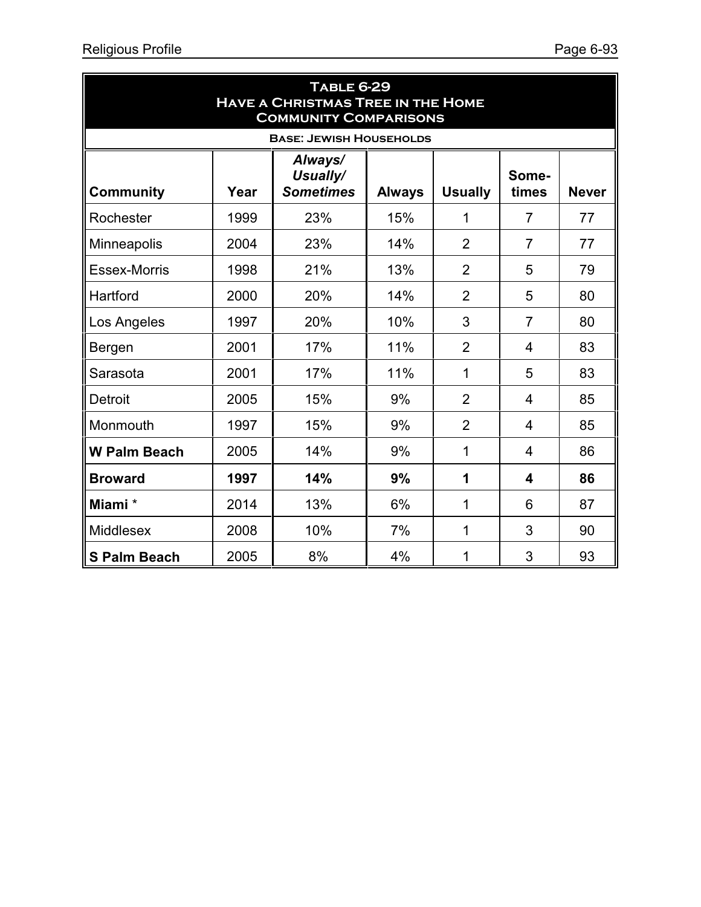| <b>TABLE 6-29</b><br><b>HAVE A CHRISTMAS TREE IN THE HOME</b><br><b>COMMUNITY COMPARISONS</b> |      |                                         |               |                |                |              |  |  |  |
|-----------------------------------------------------------------------------------------------|------|-----------------------------------------|---------------|----------------|----------------|--------------|--|--|--|
| <b>BASE: JEWISH HOUSEHOLDS</b>                                                                |      |                                         |               |                |                |              |  |  |  |
| <b>Community</b>                                                                              | Year | Always/<br>Usually/<br><b>Sometimes</b> | <b>Always</b> | <b>Usually</b> | Some-<br>times | <b>Never</b> |  |  |  |
| Rochester                                                                                     | 1999 | 23%                                     | 15%           | 1              | $\overline{7}$ | 77           |  |  |  |
| Minneapolis                                                                                   | 2004 | 23%                                     | 14%           | $\overline{2}$ | $\overline{7}$ | 77           |  |  |  |
| <b>Essex-Morris</b>                                                                           | 1998 | 21%                                     | 13%           | $\overline{2}$ | 5              | 79           |  |  |  |
| Hartford                                                                                      | 2000 | 20%                                     | 14%           | $\overline{2}$ | 5              | 80           |  |  |  |
| Los Angeles                                                                                   | 1997 | 20%                                     | 10%           | 3              | $\overline{7}$ | 80           |  |  |  |
| Bergen                                                                                        | 2001 | 17%                                     | 11%           | $\overline{2}$ | 4              | 83           |  |  |  |
| Sarasota                                                                                      | 2001 | 17%                                     | 11%           | 1              | 5              | 83           |  |  |  |
| <b>Detroit</b>                                                                                | 2005 | 15%                                     | 9%            | $\overline{2}$ | 4              | 85           |  |  |  |
| Monmouth                                                                                      | 1997 | 15%                                     | 9%            | $\overline{2}$ | $\overline{4}$ | 85           |  |  |  |
| <b>W Palm Beach</b>                                                                           | 2005 | 14%                                     | 9%            | 1              | 4              | 86           |  |  |  |
| <b>Broward</b>                                                                                | 1997 | 14%                                     | 9%            | 1              | 4              | 86           |  |  |  |
| Miami *                                                                                       | 2014 | 13%                                     | 6%            | 1              | 6              | 87           |  |  |  |
| Middlesex                                                                                     | 2008 | 10%                                     | 7%            | 1              | 3              | 90           |  |  |  |
| <b>S Palm Beach</b>                                                                           | 2005 | 8%                                      | 4%            | 1              | 3              | 93           |  |  |  |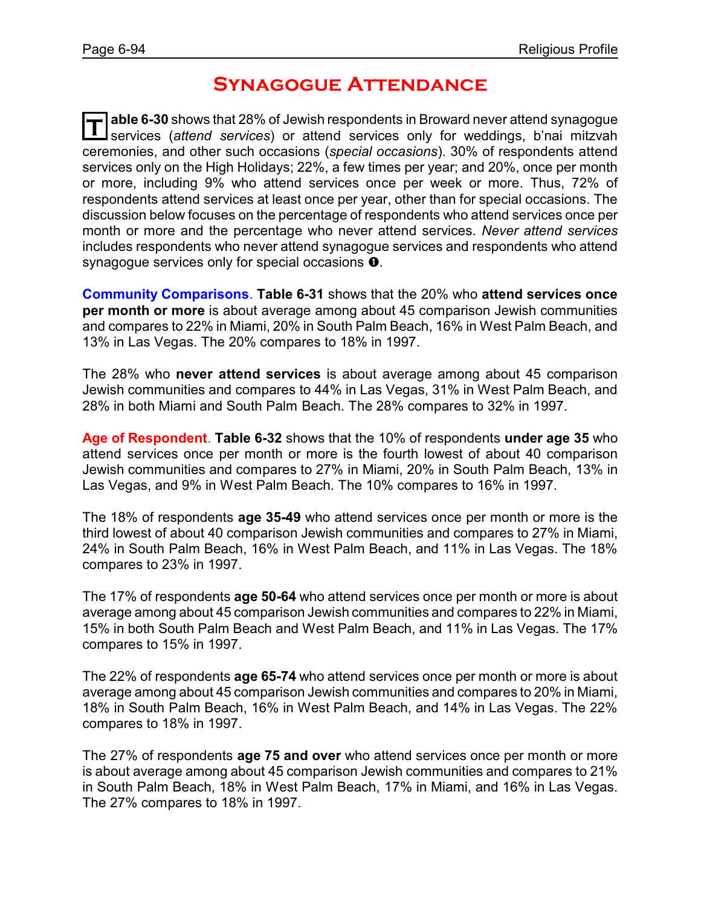## **Synagogue Attendance**

**T able 6-30** shows that 28% of Jewish respondents in Broward never attend synagogue services (*attend services*) or attend services only for weddings, b'nai mitzvah ceremonies, and other such occasions (*special occasions*). 30% of respondents attend services only on the High Holidays; 22%, a few times per year; and 20%, once per month or more, including 9% who attend services once per week or more. Thus, 72% of respondents attend services at least once per year, other than for special occasions. The discussion below focuses on the percentage of respondents who attend services once per month or more and the percentage who never attend services. *Never attend services* includes respondents who never attend synagogue services and respondents who attend synagogue services only for special occasions  $\mathbf{0}$ .

**Community Comparisons**. **Table 6-31** shows that the 20% who **attend services once per month or more** is about average among about 45 comparison Jewish communities and compares to 22% in Miami, 20% in South Palm Beach, 16% in West Palm Beach, and 13% in Las Vegas. The 20% compares to 18% in 1997.

The 28% who **never attend services** is about average among about 45 comparison Jewish communities and compares to 44% in Las Vegas, 31% in West Palm Beach, and 28% in both Miami and South Palm Beach. The 28% compares to 32% in 1997.

**Age of Respondent**. **Table 6-32** shows that the 10% of respondents **under age 35** who attend services once per month or more is the fourth lowest of about 40 comparison Jewish communities and compares to 27% in Miami, 20% in South Palm Beach, 13% in Las Vegas, and 9% in West Palm Beach. The 10% compares to 16% in 1997.

The 18% of respondents **age 35-49** who attend services once per month or more is the third lowest of about 40 comparison Jewish communities and compares to 27% in Miami, 24% in South Palm Beach, 16% in West Palm Beach, and 11% in Las Vegas. The 18% compares to 23% in 1997.

The 17% of respondents **age 50-64** who attend services once per month or more is about average among about 45 comparison Jewish communities and compares to 22% in Miami, 15% in both South Palm Beach and West Palm Beach, and 11% in Las Vegas. The 17% compares to 15% in 1997.

The 22% of respondents **age 65-74** who attend services once per month or more is about average among about 45 comparison Jewish communities and compares to 20% in Miami, 18% in South Palm Beach, 16% in West Palm Beach, and 14% in Las Vegas. The 22% compares to 18% in 1997.

The 27% of respondents **age 75 and over** who attend services once per month or more is about average among about 45 comparison Jewish communities and compares to 21% in South Palm Beach, 18% in West Palm Beach, 17% in Miami, and 16% in Las Vegas. The 27% compares to 18% in 1997.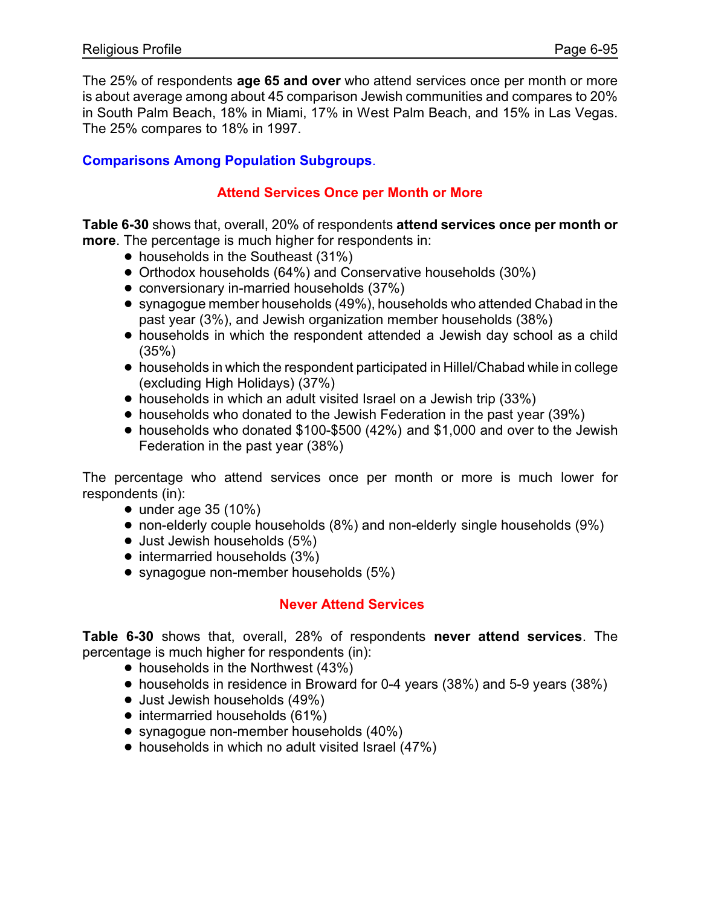The 25% of respondents **age 65 and over** who attend services once per month or more is about average among about 45 comparison Jewish communities and compares to 20% in South Palm Beach, 18% in Miami, 17% in West Palm Beach, and 15% in Las Vegas. The 25% compares to 18% in 1997.

#### **Comparisons Among Population Subgroups**.

#### **Attend Services Once per Month or More**

**Table 6-30** shows that, overall, 20% of respondents **attend services once per month or more**. The percentage is much higher for respondents in:

- households in the Southeast (31%)
- Orthodox households (64%) and Conservative households (30%)
- conversionary in-married households (37%)
- synagogue member households (49%), households who attended Chabad in the past year (3%), and Jewish organization member households (38%)
- households in which the respondent attended a Jewish day school as a child (35%)
- ! households in which the respondent participated in Hillel/Chabad while in college (excluding High Holidays) (37%)
- households in which an adult visited Israel on a Jewish trip (33%)
- households who donated to the Jewish Federation in the past year (39%)
- households who donated \$100-\$500 (42%) and \$1,000 and over to the Jewish Federation in the past year (38%)

The percentage who attend services once per month or more is much lower for respondents (in):

- $\bullet$  under age 35 (10%)
- non-elderly couple households (8%) and non-elderly single households (9%)
- $\bullet$  Just Jewish households (5%)
- $\bullet$  intermarried households (3%)
- synagogue non-member households (5%)

### **Never Attend Services**

**Table 6-30** shows that, overall, 28% of respondents **never attend services**. The percentage is much higher for respondents (in):

- households in the Northwest (43%)
- households in residence in Broward for 0-4 years (38%) and 5-9 years (38%)
- Just Jewish households (49%)
- intermarried households (61%)
- synagogue non-member households (40%)
- households in which no adult visited Israel (47%)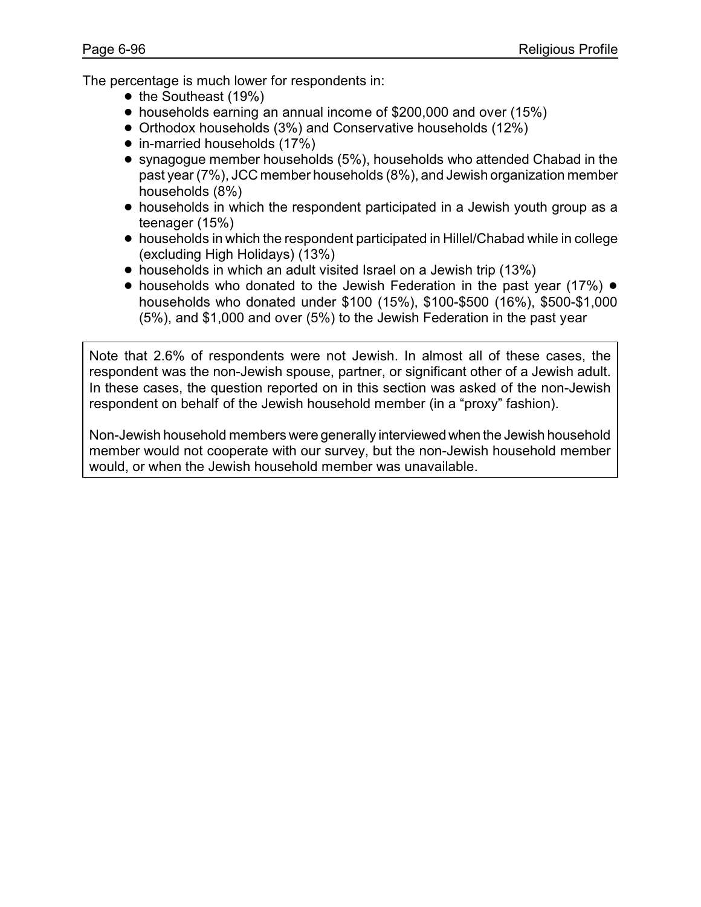The percentage is much lower for respondents in:

- $\bullet$  the Southeast (19%)
- households earning an annual income of \$200,000 and over (15%)
- Orthodox households (3%) and Conservative households (12%)
- in-married households (17%)
- synagogue member households (5%), households who attended Chabad in the past year (7%), JCC member households (8%), and Jewish organization member households (8%)
- ! households in which the respondent participated in a Jewish youth group as a teenager (15%)
- ! households in which the respondent participated in Hillel/Chabad while in college (excluding High Holidays) (13%)
- households in which an adult visited Israel on a Jewish trip (13%)
- $\bullet$  households who donated to the Jewish Federation in the past year (17%)  $\bullet$ households who donated under \$100 (15%), \$100-\$500 (16%), \$500-\$1,000 (5%), and \$1,000 and over (5%) to the Jewish Federation in the past year

Note that 2.6% of respondents were not Jewish. In almost all of these cases, the respondent was the non-Jewish spouse, partner, or significant other of a Jewish adult. In these cases, the question reported on in this section was asked of the non-Jewish respondent on behalf of the Jewish household member (in a "proxy" fashion).

Non-Jewish household members were generally interviewed when the Jewish household member would not cooperate with our survey, but the non-Jewish household member would, or when the Jewish household member was unavailable.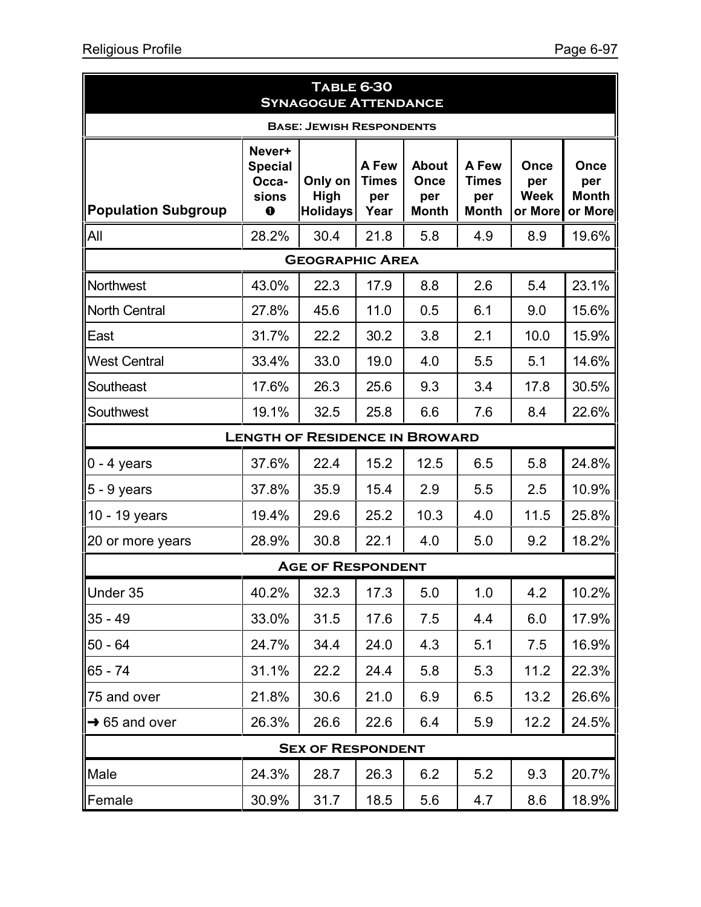|                                       |                                                        | <b>TABLE 6-30</b><br><b>SYNAGOGUE ATTENDANCE</b> |                                      |                                             |                                              |                                       |                                        |  |  |
|---------------------------------------|--------------------------------------------------------|--------------------------------------------------|--------------------------------------|---------------------------------------------|----------------------------------------------|---------------------------------------|----------------------------------------|--|--|
| <b>BASE: JEWISH RESPONDENTS</b>       |                                                        |                                                  |                                      |                                             |                                              |                                       |                                        |  |  |
| <b>Population Subgroup</b>            | Never+<br><b>Special</b><br>Occa-<br>sions<br>$\bf{o}$ | Only on<br>High<br><b>Holidays</b>               | A Few<br><b>Times</b><br>per<br>Year | <b>About</b><br>Once<br>per<br><b>Month</b> | A Few<br><b>Times</b><br>per<br><b>Month</b> | Once<br>per<br><b>Week</b><br>or More | Once<br>per<br><b>Month</b><br>or More |  |  |
| All                                   | 28.2%                                                  | 30.4                                             | 21.8                                 | 5.8                                         | 4.9                                          | 8.9                                   | 19.6%                                  |  |  |
| <b>GEOGRAPHIC AREA</b>                |                                                        |                                                  |                                      |                                             |                                              |                                       |                                        |  |  |
| Northwest                             | 43.0%                                                  | 22.3                                             | 17.9                                 | 8.8                                         | 2.6                                          | 5.4                                   | 23.1%                                  |  |  |
| North Central                         | 27.8%                                                  | 45.6                                             | 11.0                                 | 0.5                                         | 6.1                                          | 9.0                                   | 15.6%                                  |  |  |
| East                                  | 31.7%                                                  | 22.2                                             | 30.2                                 | 3.8                                         | 2.1                                          | 10.0                                  | 15.9%                                  |  |  |
| <b>West Central</b>                   | 33.4%                                                  | 33.0                                             | 19.0                                 | 4.0                                         | 5.5                                          | 5.1                                   | 14.6%                                  |  |  |
| Southeast                             | 17.6%                                                  | 26.3                                             | 25.6                                 | 9.3                                         | 3.4                                          | 17.8                                  | 30.5%                                  |  |  |
| Southwest                             | 19.1%                                                  | 32.5                                             | 25.8                                 | 6.6                                         | 7.6                                          | 8.4                                   | 22.6%                                  |  |  |
| <b>LENGTH OF RESIDENCE IN BROWARD</b> |                                                        |                                                  |                                      |                                             |                                              |                                       |                                        |  |  |
| $\vert 0 - 4$ years                   | 37.6%                                                  | 22.4                                             | 15.2                                 | 12.5                                        | 6.5                                          | 5.8                                   | 24.8%                                  |  |  |
| 5 - 9 years                           | 37.8%                                                  | 35.9                                             | 15.4                                 | 2.9                                         | 5.5                                          | 2.5                                   | 10.9%                                  |  |  |
| 10 - 19 years                         | 19.4%                                                  | 29.6                                             | 25.2                                 | 10.3                                        | 4.0                                          | 11.5                                  | 25.8%                                  |  |  |
| 20 or more years                      | 28.9%                                                  | 30.8                                             | 22.1                                 | 4.0                                         | 5.0                                          | 9.2                                   | 18.2%                                  |  |  |
|                                       |                                                        | <b>AGE OF RESPONDENT</b>                         |                                      |                                             |                                              |                                       |                                        |  |  |
| Under 35                              | 40.2%                                                  | 32.3                                             | 17.3                                 | 5.0                                         | 1.0                                          | 4.2                                   | 10.2%                                  |  |  |
| $35 - 49$                             | 33.0%                                                  | 31.5                                             | 17.6                                 | 7.5                                         | 4.4                                          | 6.0                                   | 17.9%                                  |  |  |
| $50 - 64$                             | 24.7%                                                  | 34.4                                             | 24.0                                 | 4.3                                         | 5.1                                          | 7.5                                   | 16.9%                                  |  |  |
| $65 - 74$                             | 31.1%                                                  | 22.2                                             | 24.4                                 | 5.8                                         | 5.3                                          | 11.2                                  | 22.3%                                  |  |  |
| 75 and over                           | 21.8%                                                  | 30.6                                             | 21.0                                 | 6.9                                         | 6.5                                          | 13.2                                  | 26.6%                                  |  |  |
| $\rightarrow$ 65 and over             | 26.3%                                                  | 26.6                                             | 22.6                                 | 6.4                                         | 5.9                                          | 12.2                                  | 24.5%                                  |  |  |
|                                       |                                                        | <b>SEX OF RESPONDENT</b>                         |                                      |                                             |                                              |                                       |                                        |  |  |
| Male                                  | 24.3%                                                  | 28.7                                             | 26.3                                 | 6.2                                         | 5.2                                          | 9.3                                   | 20.7%                                  |  |  |
| Female                                | 30.9%                                                  | 31.7                                             | 18.5                                 | 5.6                                         | 4.7                                          | 8.6                                   | 18.9%                                  |  |  |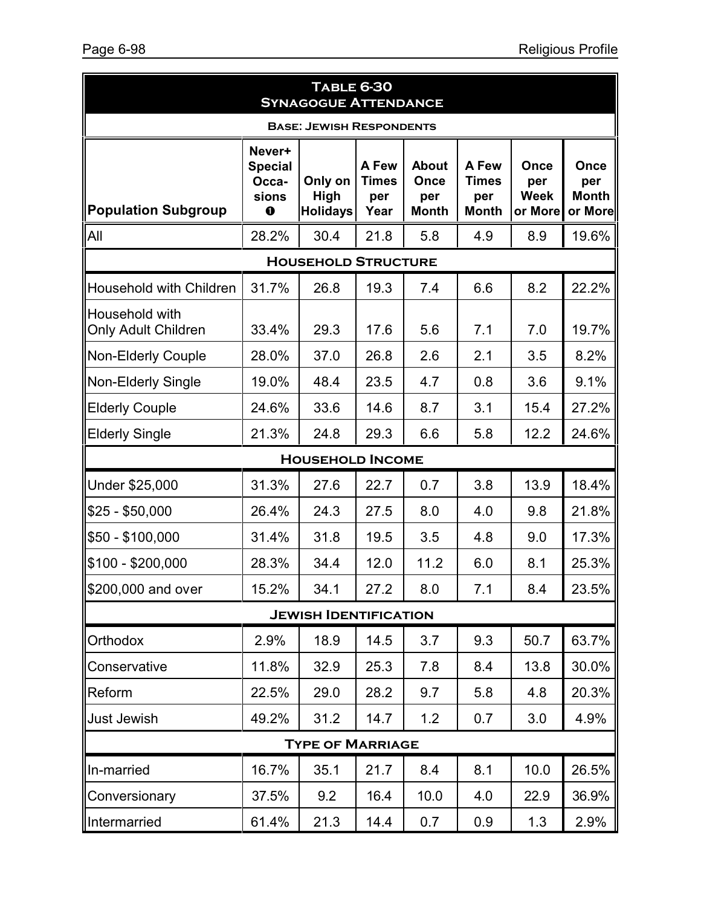|                                              |                                                       | <b>TABLE 6-30</b><br><b>SYNAGOGUE ATTENDANCE</b> |                                      |                                             |                                              |                                       |                                        |  |  |  |
|----------------------------------------------|-------------------------------------------------------|--------------------------------------------------|--------------------------------------|---------------------------------------------|----------------------------------------------|---------------------------------------|----------------------------------------|--|--|--|
| <b>BASE: JEWISH RESPONDENTS</b>              |                                                       |                                                  |                                      |                                             |                                              |                                       |                                        |  |  |  |
| <b>Population Subgroup</b>                   | Never+<br><b>Special</b><br>Occa-<br>sions<br>$\bf o$ | Only on<br>High<br><b>Holidays</b>               | A Few<br><b>Times</b><br>per<br>Year | <b>About</b><br>Once<br>per<br><b>Month</b> | A Few<br><b>Times</b><br>per<br><b>Month</b> | Once<br>per<br><b>Week</b><br>or More | Once<br>per<br><b>Month</b><br>or More |  |  |  |
| All                                          | 28.2%                                                 | 30.4                                             | 21.8                                 | 5.8                                         | 4.9                                          | 8.9                                   | 19.6%                                  |  |  |  |
| <b>HOUSEHOLD STRUCTURE</b>                   |                                                       |                                                  |                                      |                                             |                                              |                                       |                                        |  |  |  |
| Household with Children                      | 31.7%                                                 | 26.8                                             | 19.3                                 | 7.4                                         | 6.6                                          | 8.2                                   | 22.2%                                  |  |  |  |
| Household with<br><b>Only Adult Children</b> | 33.4%                                                 | 29.3                                             | 17.6                                 | 5.6                                         | 7.1                                          | 7.0                                   | 19.7%                                  |  |  |  |
| <b>Non-Elderly Couple</b>                    | 28.0%                                                 | 37.0                                             | 26.8                                 | 2.6                                         | 2.1                                          | 3.5                                   | 8.2%                                   |  |  |  |
| <b>Non-Elderly Single</b>                    | 19.0%                                                 | 48.4                                             | 23.5                                 | 4.7                                         | 0.8                                          | 3.6                                   | 9.1%                                   |  |  |  |
| <b>Elderly Couple</b>                        | 24.6%                                                 | 33.6                                             | 14.6                                 | 8.7                                         | 3.1                                          | 15.4                                  | 27.2%                                  |  |  |  |
| <b>Elderly Single</b>                        | 21.3%                                                 | 24.8                                             | 29.3                                 | 6.6                                         | 5.8                                          | 12.2                                  | 24.6%                                  |  |  |  |
|                                              | <b>HOUSEHOLD INCOME</b>                               |                                                  |                                      |                                             |                                              |                                       |                                        |  |  |  |
| Under \$25,000                               | 31.3%                                                 | 27.6                                             | 22.7                                 | 0.7                                         | 3.8                                          | 13.9                                  | 18.4%                                  |  |  |  |
| $$25 - $50,000$                              | 26.4%                                                 | 24.3                                             | 27.5                                 | 8.0                                         | 4.0                                          | 9.8                                   | 21.8%                                  |  |  |  |
| \$50 - \$100,000                             | 31.4%                                                 | 31.8                                             | 19.5                                 | 3.5                                         | 4.8                                          | 9.0                                   | 17.3%                                  |  |  |  |
| $$100 - $200,000$                            | 28.3%                                                 | 34.4                                             | 12.0                                 | 11.2                                        | 6.0                                          | 8.1                                   | 25.3%                                  |  |  |  |
| \$200,000 and over                           | 15.2%                                                 | 34.1                                             | 27.2                                 | 8.0                                         | 7.1                                          | 8.4                                   | 23.5%                                  |  |  |  |
|                                              |                                                       | <b>JEWISH IDENTIFICATION</b>                     |                                      |                                             |                                              |                                       |                                        |  |  |  |
| Orthodox                                     | 2.9%                                                  | 18.9                                             | 14.5                                 | 3.7                                         | 9.3                                          | 50.7                                  | 63.7%                                  |  |  |  |
| Conservative                                 | 11.8%                                                 | 32.9                                             | 25.3                                 | 7.8                                         | 8.4                                          | 13.8                                  | 30.0%                                  |  |  |  |
| Reform                                       | 22.5%                                                 | 29.0                                             | 28.2                                 | 9.7                                         | 5.8                                          | 4.8                                   | 20.3%                                  |  |  |  |
| Just Jewish                                  | 49.2%                                                 | 31.2                                             | 14.7                                 | 1.2                                         | 0.7                                          | 3.0                                   | 4.9%                                   |  |  |  |
|                                              |                                                       | <b>TYPE OF MARRIAGE</b>                          |                                      |                                             |                                              |                                       |                                        |  |  |  |
| In-married                                   | 16.7%                                                 | 35.1                                             | 21.7                                 | 8.4                                         | 8.1                                          | 10.0                                  | 26.5%                                  |  |  |  |
| Conversionary                                | 37.5%                                                 | 9.2                                              | 16.4                                 | 10.0                                        | 4.0                                          | 22.9                                  | 36.9%                                  |  |  |  |
| Intermarried                                 | 61.4%                                                 | 21.3                                             | 14.4                                 | 0.7                                         | 0.9                                          | 1.3                                   | 2.9%                                   |  |  |  |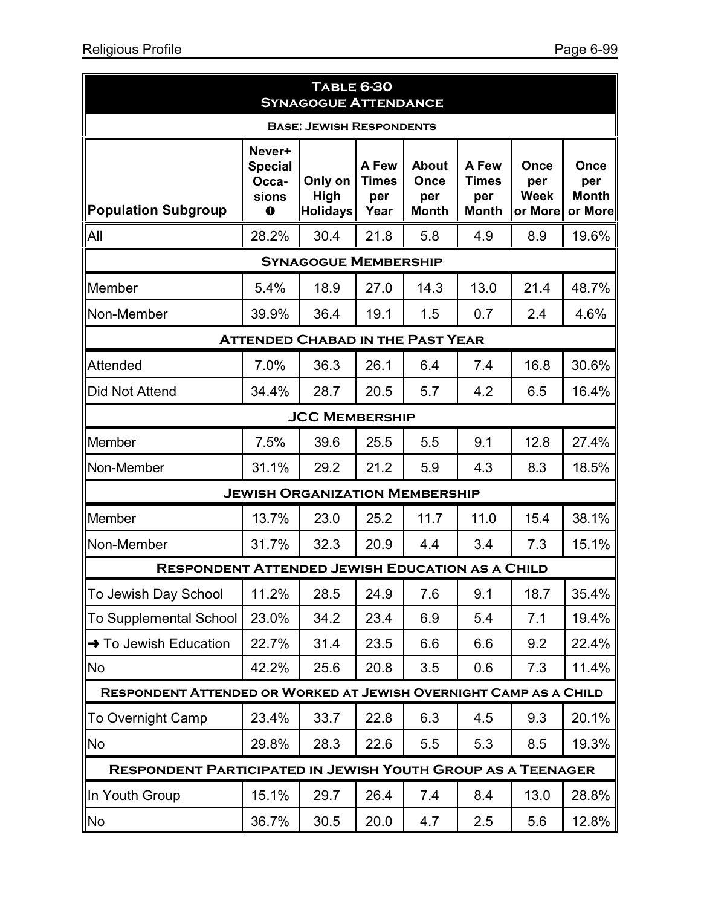| <b>TABLE 6-30</b><br><b>SYNAGOGUE ATTENDANCE</b>                         |                                                           |                                         |                                      |                                             |                                              |                                       |                                        |  |  |
|--------------------------------------------------------------------------|-----------------------------------------------------------|-----------------------------------------|--------------------------------------|---------------------------------------------|----------------------------------------------|---------------------------------------|----------------------------------------|--|--|
| <b>BASE: JEWISH RESPONDENTS</b>                                          |                                                           |                                         |                                      |                                             |                                              |                                       |                                        |  |  |
| <b>Population Subgroup</b>                                               | Never+<br><b>Special</b><br>Occa-<br>sions<br>$\mathbf 0$ | Only on<br>High<br><b>Holidays</b>      | A Few<br><b>Times</b><br>per<br>Year | <b>About</b><br>Once<br>per<br><b>Month</b> | A Few<br><b>Times</b><br>per<br><b>Month</b> | Once<br>per<br><b>Week</b><br>or More | Once<br>per<br><b>Month</b><br>or More |  |  |
| All                                                                      | 28.2%                                                     | 30.4                                    | 21.8                                 | 5.8                                         | 4.9                                          | 8.9                                   | 19.6%                                  |  |  |
| <b>SYNAGOGUE MEMBERSHIP</b>                                              |                                                           |                                         |                                      |                                             |                                              |                                       |                                        |  |  |
| Member                                                                   | 5.4%                                                      | 18.9                                    | 27.0                                 | 14.3                                        | 13.0                                         | 21.4                                  | 48.7%                                  |  |  |
| Non-Member                                                               | 39.9%                                                     | 36.4                                    | 19.1                                 | 1.5                                         | 0.7                                          | 2.4                                   | 4.6%                                   |  |  |
|                                                                          |                                                           | <b>ATTENDED CHABAD IN THE PAST YEAR</b> |                                      |                                             |                                              |                                       |                                        |  |  |
| Attended                                                                 | 7.0%                                                      | 36.3                                    | 26.1                                 | 6.4                                         | 7.4                                          | 16.8                                  | 30.6%                                  |  |  |
| <b>Did Not Attend</b>                                                    | 34.4%                                                     | 28.7                                    | 20.5                                 | 5.7                                         | 4.2                                          | 6.5                                   | 16.4%                                  |  |  |
| <b>JCC MEMBERSHIP</b>                                                    |                                                           |                                         |                                      |                                             |                                              |                                       |                                        |  |  |
| Member                                                                   | 7.5%                                                      | 39.6                                    | 25.5                                 | 5.5                                         | 9.1                                          | 12.8                                  | 27.4%                                  |  |  |
| Non-Member                                                               | 31.1%                                                     | 29.2                                    | 21.2                                 | 5.9                                         | 4.3                                          | 8.3                                   | 18.5%                                  |  |  |
|                                                                          |                                                           | <b>JEWISH ORGANIZATION MEMBERSHIP</b>   |                                      |                                             |                                              |                                       |                                        |  |  |
| Member                                                                   | 13.7%                                                     | 23.0                                    | 25.2                                 | 11.7                                        | 11.0                                         | 15.4                                  | 38.1%                                  |  |  |
| Non-Member                                                               | 31.7%                                                     | 32.3                                    | 20.9                                 | 4.4                                         | 3.4                                          | 7.3                                   | 15.1%                                  |  |  |
| <b>RESPONDENT ATTENDED JEWISH EDUCATION AS A CHILD</b>                   |                                                           |                                         |                                      |                                             |                                              |                                       |                                        |  |  |
| To Jewish Day School                                                     | 11.2%                                                     | 28.5                                    | 24.9                                 | 7.6                                         | 9.1                                          | 18.7                                  | 35.4%                                  |  |  |
| To Supplemental School                                                   | 23.0%                                                     | 34.2                                    | 23.4                                 | 6.9                                         | 5.4                                          | 7.1                                   | 19.4%                                  |  |  |
| <b>→</b> To Jewish Education                                             | 22.7%                                                     | 31.4                                    | 23.5                                 | 6.6                                         | 6.6                                          | 9.2                                   | 22.4%                                  |  |  |
| No.                                                                      | 42.2%                                                     | 25.6                                    | 20.8                                 | 3.5                                         | 0.6                                          | 7.3                                   | 11.4%                                  |  |  |
| <b>RESPONDENT ATTENDED OR WORKED AT JEWISH OVERNIGHT CAMP AS A CHILD</b> |                                                           |                                         |                                      |                                             |                                              |                                       |                                        |  |  |
| To Overnight Camp                                                        | 23.4%                                                     | 33.7                                    | 22.8                                 | 6.3                                         | 4.5                                          | 9.3                                   | 20.1%                                  |  |  |
| <b>No</b>                                                                | 29.8%                                                     | 28.3                                    | 22.6                                 | 5.5                                         | 5.3                                          | 8.5                                   | 19.3%                                  |  |  |
| <b>RESPONDENT PARTICIPATED IN JEWISH YOUTH GROUP AS A TEENAGER</b>       |                                                           |                                         |                                      |                                             |                                              |                                       |                                        |  |  |
| In Youth Group                                                           | 15.1%                                                     | 29.7                                    | 26.4                                 | 7.4                                         | 8.4                                          | 13.0                                  | 28.8%                                  |  |  |
| No                                                                       | 36.7%                                                     | 30.5                                    | 20.0                                 | 4.7                                         | 2.5                                          | 5.6                                   | 12.8%                                  |  |  |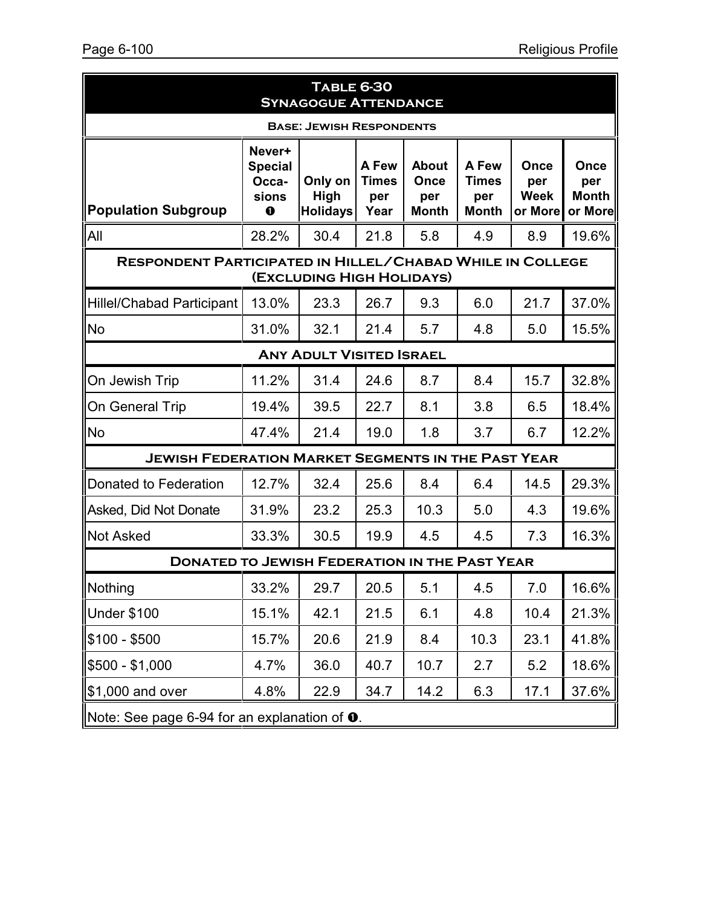| <b>TABLE 6-30</b><br><b>SYNAGOGUE ATTENDANCE</b>                                              |                                                       |                                    |                                      |                                                    |                                              |                                       |                                        |  |
|-----------------------------------------------------------------------------------------------|-------------------------------------------------------|------------------------------------|--------------------------------------|----------------------------------------------------|----------------------------------------------|---------------------------------------|----------------------------------------|--|
| <b>BASE: JEWISH RESPONDENTS</b>                                                               |                                                       |                                    |                                      |                                                    |                                              |                                       |                                        |  |
| <b>Population Subgroup</b>                                                                    | Never+<br><b>Special</b><br>Occa-<br>sions<br>$\bf o$ | Only on<br>High<br><b>Holidays</b> | A Few<br><b>Times</b><br>per<br>Year | <b>About</b><br><b>Once</b><br>per<br><b>Month</b> | A Few<br><b>Times</b><br>per<br><b>Month</b> | Once<br>per<br><b>Week</b><br>or More | Once<br>per<br><b>Month</b><br>or More |  |
| All                                                                                           | 28.2%                                                 | 30.4                               | 21.8                                 | 5.8                                                | 4.9                                          | 8.9                                   | 19.6%                                  |  |
| <b>RESPONDENT PARTICIPATED IN HILLEL/CHABAD WHILE IN COLLEGE</b><br>(EXCLUDING HIGH HOLIDAYS) |                                                       |                                    |                                      |                                                    |                                              |                                       |                                        |  |
| <b>Hillel/Chabad Participant</b>                                                              | 13.0%                                                 | 23.3                               | 26.7                                 | 9.3                                                | 6.0                                          | 21.7                                  | 37.0%                                  |  |
| <b>No</b>                                                                                     | 31.0%                                                 | 32.1                               | 21.4                                 | 5.7                                                | 4.8                                          | 5.0                                   | 15.5%                                  |  |
|                                                                                               |                                                       | <b>ANY ADULT VISITED ISRAEL</b>    |                                      |                                                    |                                              |                                       |                                        |  |
| On Jewish Trip                                                                                | 11.2%                                                 | 31.4                               | 24.6                                 | 8.7                                                | 8.4                                          | 15.7                                  | 32.8%                                  |  |
| On General Trip                                                                               | 19.4%                                                 | 39.5                               | 22.7                                 | 8.1                                                | 3.8                                          | 6.5                                   | 18.4%                                  |  |
| <b>No</b>                                                                                     | 47.4%                                                 | 21.4                               | 19.0                                 | 1.8                                                | 3.7                                          | 6.7                                   | 12.2%                                  |  |
| <b>JEWISH FEDERATION MARKET SEGMENTS IN THE PAST YEAR</b>                                     |                                                       |                                    |                                      |                                                    |                                              |                                       |                                        |  |
| Donated to Federation                                                                         | 12.7%                                                 | 32.4                               | 25.6                                 | 8.4                                                | 6.4                                          | 14.5                                  | 29.3%                                  |  |
| Asked, Did Not Donate                                                                         | 31.9%                                                 | 23.2                               | 25.3                                 | 10.3                                               | 5.0                                          | 4.3                                   | 19.6%                                  |  |
| <b>Not Asked</b>                                                                              | 33.3%                                                 | 30.5                               | 19.9                                 | 4.5                                                | 4.5                                          | 7.3                                   | 16.3%                                  |  |
| <b>DONATED TO JEWISH FEDERATION IN THE PAST YEAR</b>                                          |                                                       |                                    |                                      |                                                    |                                              |                                       |                                        |  |
| Nothing                                                                                       | 33.2%                                                 | 29.7                               | 20.5                                 | 5.1                                                | 4.5                                          | 7.0                                   | 16.6%                                  |  |
| Under \$100                                                                                   | 15.1%                                                 | 42.1                               | 21.5                                 | 6.1                                                | 4.8                                          | 10.4                                  | 21.3%                                  |  |
| \$100 - \$500                                                                                 | 15.7%                                                 | 20.6                               | 21.9                                 | 8.4                                                | 10.3                                         | 23.1                                  | 41.8%                                  |  |
| \$500 - \$1,000                                                                               | 4.7%                                                  | 36.0                               | 40.7                                 | 10.7                                               | 2.7                                          | 5.2                                   | 18.6%                                  |  |
| \$1,000 and over                                                                              | 4.8%                                                  | 22.9                               | 34.7                                 | 14.2                                               | 6.3                                          | 17.1                                  | 37.6%                                  |  |
| Note: See page 6-94 for an explanation of $\mathbf 0$ .                                       |                                                       |                                    |                                      |                                                    |                                              |                                       |                                        |  |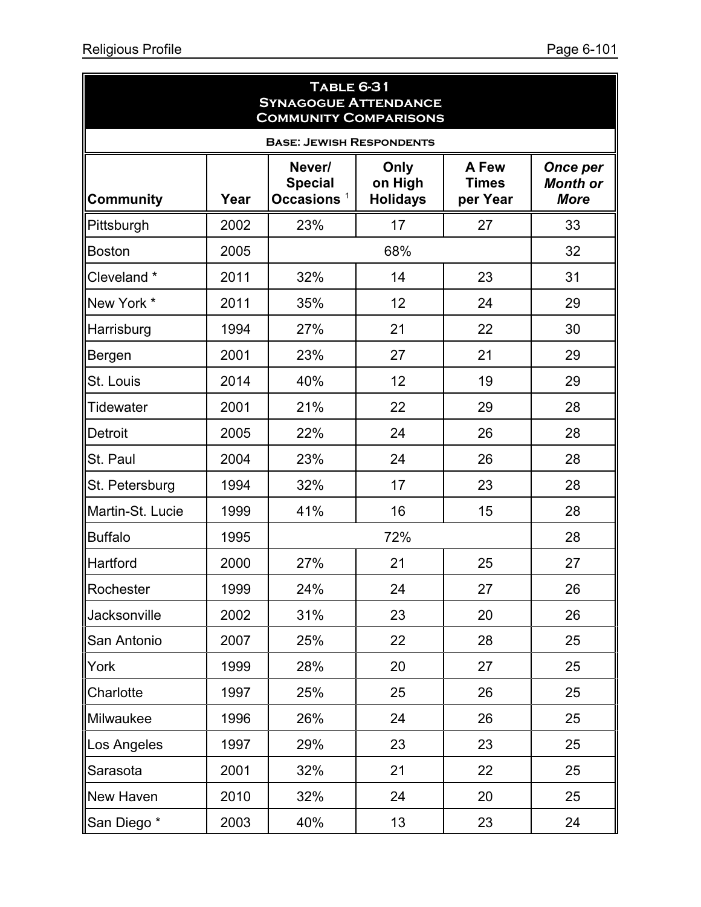| <b>TABLE 6-31</b><br><b>SYNAGOGUE ATTENDANCE</b><br><b>COMMUNITY COMPARISONS</b> |      |                                           |                                    |                                   |                                                   |  |  |  |  |
|----------------------------------------------------------------------------------|------|-------------------------------------------|------------------------------------|-----------------------------------|---------------------------------------------------|--|--|--|--|
| <b>BASE: JEWISH RESPONDENTS</b>                                                  |      |                                           |                                    |                                   |                                                   |  |  |  |  |
| <b>Community</b>                                                                 | Year | Never/<br><b>Special</b><br>Occasions $1$ | Only<br>on High<br><b>Holidays</b> | A Few<br><b>Times</b><br>per Year | <b>Once per</b><br><b>Month or</b><br><b>More</b> |  |  |  |  |
| Pittsburgh                                                                       | 2002 | 23%                                       | 17                                 | 27                                | 33                                                |  |  |  |  |
| <b>Boston</b>                                                                    | 2005 |                                           | 68%                                |                                   | 32                                                |  |  |  |  |
| Cleveland*                                                                       | 2011 | 32%                                       | 14                                 | 23                                | 31                                                |  |  |  |  |
| New York *                                                                       | 2011 | 35%                                       | 12                                 | 24                                | 29                                                |  |  |  |  |
| Harrisburg                                                                       | 1994 | 27%                                       | 21                                 | 22                                | 30                                                |  |  |  |  |
| Bergen                                                                           | 2001 | 23%                                       | 27                                 | 21                                | 29                                                |  |  |  |  |
| St. Louis                                                                        | 2014 | 40%                                       | 12                                 | 19                                | 29                                                |  |  |  |  |
| <b>Tidewater</b>                                                                 | 2001 | 21%                                       | 22                                 | 29                                | 28                                                |  |  |  |  |
| Detroit                                                                          | 2005 | 22%                                       | 24                                 | 26                                | 28                                                |  |  |  |  |
| St. Paul                                                                         | 2004 | 23%                                       | 24                                 | 26                                | 28                                                |  |  |  |  |
| St. Petersburg                                                                   | 1994 | 32%                                       | 17                                 | 23                                | 28                                                |  |  |  |  |
| Martin-St. Lucie                                                                 | 1999 | 41%                                       | 16                                 | 15                                | 28                                                |  |  |  |  |
| <b>Buffalo</b>                                                                   | 1995 |                                           | 72%                                |                                   | 28                                                |  |  |  |  |
| Hartford                                                                         | 2000 | 27%                                       | 21                                 | 25                                | 27                                                |  |  |  |  |
| Rochester                                                                        | 1999 | 24%                                       | 24                                 | 27                                | 26                                                |  |  |  |  |
| Jacksonville                                                                     | 2002 | 31%                                       | 23                                 | 20                                | 26                                                |  |  |  |  |
| San Antonio                                                                      | 2007 | 25%                                       | 22                                 | 28                                | 25                                                |  |  |  |  |
| York                                                                             | 1999 | 28%                                       | 20                                 | 27                                | 25                                                |  |  |  |  |
| Charlotte                                                                        | 1997 | 25%                                       | 25                                 | 26                                | 25                                                |  |  |  |  |
| Milwaukee                                                                        | 1996 | 26%                                       | 24                                 | 26                                | 25                                                |  |  |  |  |
| Los Angeles                                                                      | 1997 | 29%                                       | 23                                 | 23                                | 25                                                |  |  |  |  |
| Sarasota                                                                         | 2001 | 32%                                       | 21                                 | 22                                | 25                                                |  |  |  |  |
| New Haven                                                                        | 2010 | 32%                                       | 24                                 | 20                                | 25                                                |  |  |  |  |
| San Diego*                                                                       | 2003 | 40%                                       | 13                                 | 23                                | 24                                                |  |  |  |  |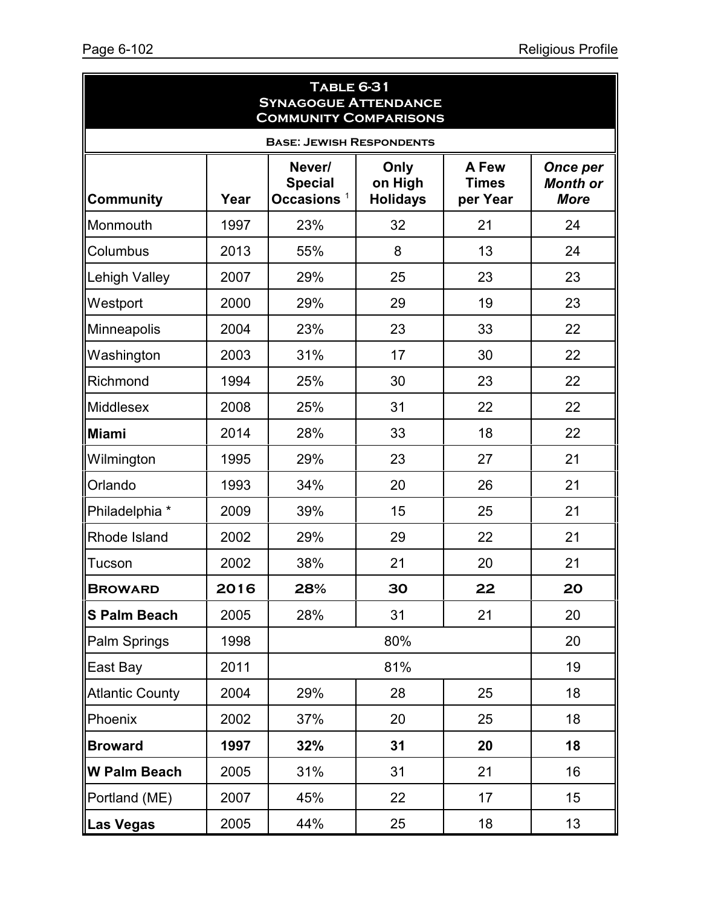| <b>TABLE 6-31</b><br><b>SYNAGOGUE ATTENDANCE</b><br><b>COMMUNITY COMPARISONS</b> |      |                                           |                                    |                                   |                                                   |  |  |  |
|----------------------------------------------------------------------------------|------|-------------------------------------------|------------------------------------|-----------------------------------|---------------------------------------------------|--|--|--|
| <b>BASE: JEWISH RESPONDENTS</b>                                                  |      |                                           |                                    |                                   |                                                   |  |  |  |
| <b>Community</b>                                                                 | Year | Never/<br><b>Special</b><br>Occasions $1$ | Only<br>on High<br><b>Holidays</b> | A Few<br><b>Times</b><br>per Year | <b>Once per</b><br><b>Month or</b><br><b>More</b> |  |  |  |
| Monmouth                                                                         | 1997 | 23%                                       | 32                                 | 21                                | 24                                                |  |  |  |
| Columbus                                                                         | 2013 | 55%                                       | 8                                  | 13                                | 24                                                |  |  |  |
| <b>Lehigh Valley</b>                                                             | 2007 | 29%                                       | 25                                 | 23                                | 23                                                |  |  |  |
| Westport                                                                         | 2000 | 29%                                       | 29                                 | 19                                | 23                                                |  |  |  |
| Minneapolis                                                                      | 2004 | 23%                                       | 23                                 | 33                                | 22                                                |  |  |  |
| Washington                                                                       | 2003 | 31%                                       | 17                                 | 30                                | 22                                                |  |  |  |
| Richmond                                                                         | 1994 | 25%                                       | 30                                 | 23                                | 22                                                |  |  |  |
| <b>Middlesex</b>                                                                 | 2008 | 25%                                       | 31                                 | 22                                | 22                                                |  |  |  |
| <b>Miami</b>                                                                     | 2014 | 28%                                       | 33                                 | 18                                | 22                                                |  |  |  |
| Wilmington                                                                       | 1995 | 29%                                       | 23                                 | 27                                | 21                                                |  |  |  |
| Orlando                                                                          | 1993 | 34%                                       | 20                                 | 26                                | 21                                                |  |  |  |
| Philadelphia *                                                                   | 2009 | 39%                                       | 15                                 | 25                                | 21                                                |  |  |  |
| Rhode Island                                                                     | 2002 | 29%                                       | 29                                 | 22                                | 21                                                |  |  |  |
| Tucson                                                                           | 2002 | 38%                                       | 21                                 | 20                                | 21                                                |  |  |  |
| <b>BROWARD</b>                                                                   | 2016 | 28%                                       | 30                                 | 22                                | 20                                                |  |  |  |
| <b>S Palm Beach</b>                                                              | 2005 | 28%                                       | 31                                 | 21                                | 20                                                |  |  |  |
| Palm Springs                                                                     | 1998 |                                           | 80%                                |                                   | 20                                                |  |  |  |
| East Bay                                                                         | 2011 |                                           | 81%                                |                                   | 19                                                |  |  |  |
| <b>Atlantic County</b>                                                           | 2004 | 29%                                       | 28                                 | 25                                | 18                                                |  |  |  |
| Phoenix                                                                          | 2002 | 37%                                       | 20                                 | 25                                | 18                                                |  |  |  |
| <b>Broward</b>                                                                   | 1997 | 32%                                       | 31                                 | 20                                | 18                                                |  |  |  |
| <b>W Palm Beach</b>                                                              | 2005 | 31%                                       | 31                                 | 21                                | 16                                                |  |  |  |
| Portland (ME)                                                                    | 2007 | 45%                                       | 22                                 | 17                                | 15 <sub>15</sub>                                  |  |  |  |
| <b>Las Vegas</b>                                                                 | 2005 | 44%                                       | 25                                 | 18                                | 13                                                |  |  |  |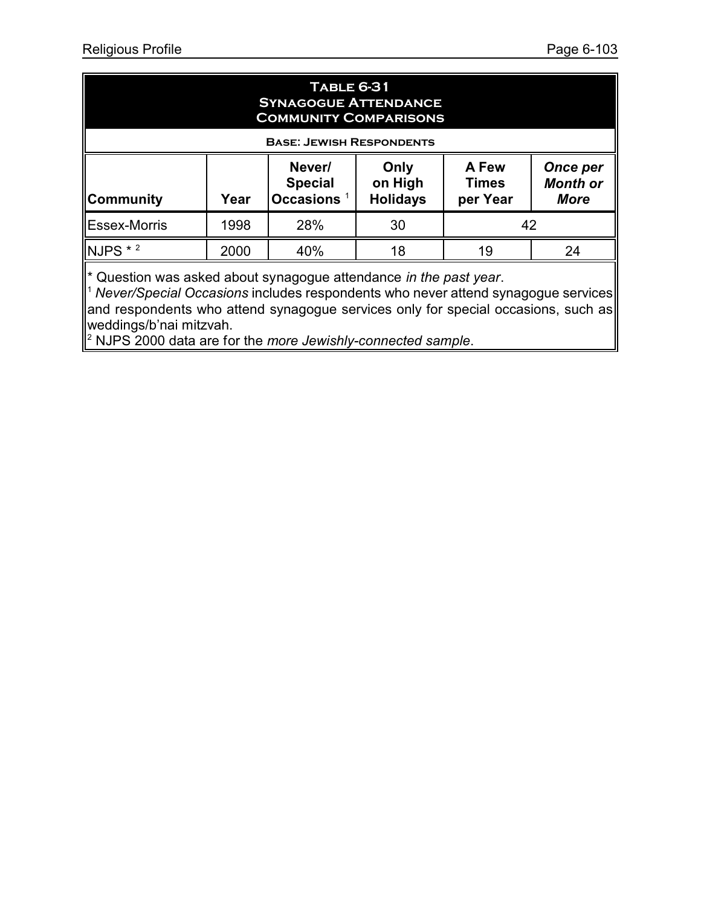| <b>TABLE 6-31</b><br><b>SYNAGOGUE ATTENDANCE</b><br><b>COMMUNITY COMPARISONS</b><br><b>BASE: JEWISH RESPONDENTS</b>                                                                         |      |     |    |    |    |  |  |
|---------------------------------------------------------------------------------------------------------------------------------------------------------------------------------------------|------|-----|----|----|----|--|--|
| Never/<br>Only<br>A Few<br>Once per<br><b>Month or</b><br><b>Special</b><br>on High<br><b>Times</b><br><b>Occasions</b><br><b>Holidays</b><br>∥Community<br>per Year<br>Year<br><b>More</b> |      |     |    |    |    |  |  |
| <b>IEssex-Morris</b>                                                                                                                                                                        | 1998 | 28% | 30 | 42 |    |  |  |
| $NJPS * 2$                                                                                                                                                                                  | 2000 | 40% | 18 | 19 | 24 |  |  |

\* Question was asked about synagogue attendance *in the past year*.

<sup>1</sup> *Never/Special Occasions* includes respondents who never attend synagogue services and respondents who attend synagogue services only for special occasions, such as weddings/b'nai mitzvah.

2 NJPS 2000 data are for the *more Jewishly-connected sample*.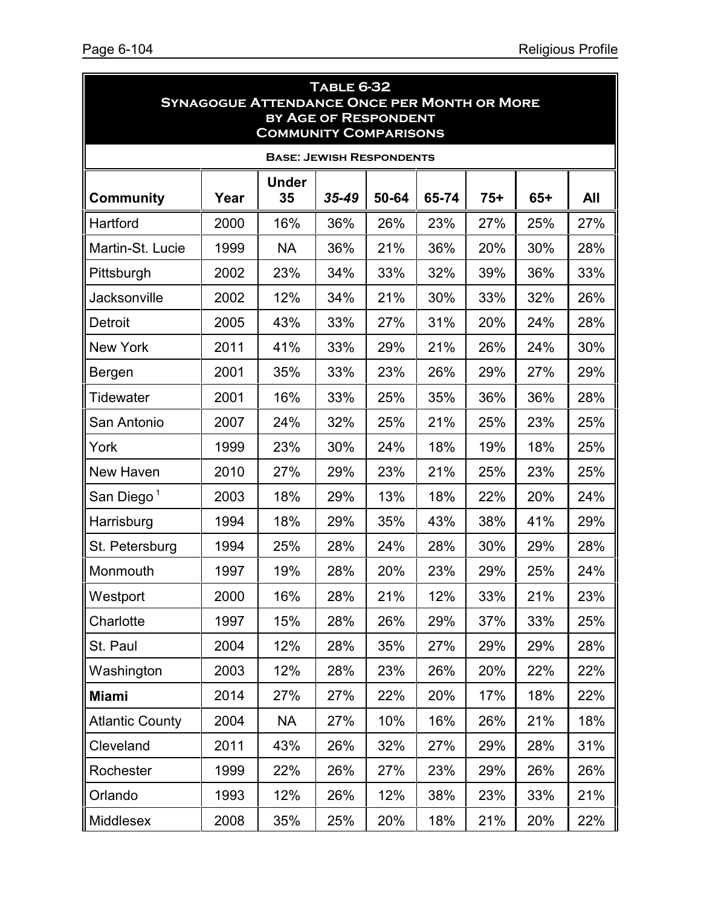| <b>TABLE 6-32</b><br><b>SYNAGOGUE ATTENDANCE ONCE PER MONTH OR MORE</b><br>BY AGE OF RESPONDENT |      |                    |           |       |       |       |       |     |  |  |  |  |
|-------------------------------------------------------------------------------------------------|------|--------------------|-----------|-------|-------|-------|-------|-----|--|--|--|--|
| <b>COMMUNITY COMPARISONS</b><br><b>BASE: JEWISH RESPONDENTS</b>                                 |      |                    |           |       |       |       |       |     |  |  |  |  |
| <b>Community</b>                                                                                | Year | <b>Under</b><br>35 | $35 - 49$ | 50-64 | 65-74 | $75+$ | $65+$ | All |  |  |  |  |
| Hartford                                                                                        | 2000 | 16%                | 36%       | 26%   | 23%   | 27%   | 25%   | 27% |  |  |  |  |
| Martin-St. Lucie                                                                                | 1999 | <b>NA</b>          | 36%       | 21%   | 36%   | 20%   | 30%   | 28% |  |  |  |  |
| Pittsburgh                                                                                      | 2002 | 23%                | 34%       | 33%   | 32%   | 39%   | 36%   | 33% |  |  |  |  |
| <b>Jacksonville</b>                                                                             | 2002 | 12%                | 34%       | 21%   | 30%   | 33%   | 32%   | 26% |  |  |  |  |
| Detroit                                                                                         | 2005 | 43%                | 33%       | 27%   | 31%   | 20%   | 24%   | 28% |  |  |  |  |
| <b>New York</b>                                                                                 | 2011 | 41%                | 33%       | 29%   | 21%   | 26%   | 24%   | 30% |  |  |  |  |
| Bergen                                                                                          | 2001 | 35%                | 33%       | 23%   | 26%   | 29%   | 27%   | 29% |  |  |  |  |
| Tidewater                                                                                       | 2001 | 16%                | 33%       | 25%   | 35%   | 36%   | 36%   | 28% |  |  |  |  |
| San Antonio                                                                                     | 2007 | 24%                | 32%       | 25%   | 21%   | 25%   | 23%   | 25% |  |  |  |  |
| York                                                                                            | 1999 | 23%                | 30%       | 24%   | 18%   | 19%   | 18%   | 25% |  |  |  |  |
| New Haven                                                                                       | 2010 | 27%                | 29%       | 23%   | 21%   | 25%   | 23%   | 25% |  |  |  |  |
| San Diego <sup>1</sup>                                                                          | 2003 | 18%                | 29%       | 13%   | 18%   | 22%   | 20%   | 24% |  |  |  |  |
| Harrisburg                                                                                      | 1994 | 18%                | 29%       | 35%   | 43%   | 38%   | 41%   | 29% |  |  |  |  |
| St. Petersburg                                                                                  | 1994 | 25%                | 28%       | 24%   | 28%   | 30%   | 29%   | 28% |  |  |  |  |
| Monmouth                                                                                        | 1997 | 19%                | 28%       | 20%   | 23%   | 29%   | 25%   | 24% |  |  |  |  |
| Westport                                                                                        | 2000 | 16%                | 28%       | 21%   | 12%   | 33%   | 21%   | 23% |  |  |  |  |
| Charlotte                                                                                       | 1997 | 15%                | 28%       | 26%   | 29%   | 37%   | 33%   | 25% |  |  |  |  |
| St. Paul                                                                                        | 2004 | 12%                | 28%       | 35%   | 27%   | 29%   | 29%   | 28% |  |  |  |  |
| Washington                                                                                      | 2003 | 12%                | 28%       | 23%   | 26%   | 20%   | 22%   | 22% |  |  |  |  |
| <b>Miami</b>                                                                                    | 2014 | 27%                | 27%       | 22%   | 20%   | 17%   | 18%   | 22% |  |  |  |  |
| <b>Atlantic County</b>                                                                          | 2004 | <b>NA</b>          | 27%       | 10%   | 16%   | 26%   | 21%   | 18% |  |  |  |  |
| Cleveland                                                                                       | 2011 | 43%                | 26%       | 32%   | 27%   | 29%   | 28%   | 31% |  |  |  |  |
| Rochester                                                                                       | 1999 | 22%                | 26%       | 27%   | 23%   | 29%   | 26%   | 26% |  |  |  |  |
| Orlando                                                                                         | 1993 | 12%                | 26%       | 12%   | 38%   | 23%   | 33%   | 21% |  |  |  |  |
| Middlesex                                                                                       | 2008 | 35%                | 25%       | 20%   | 18%   | 21%   | 20%   | 22% |  |  |  |  |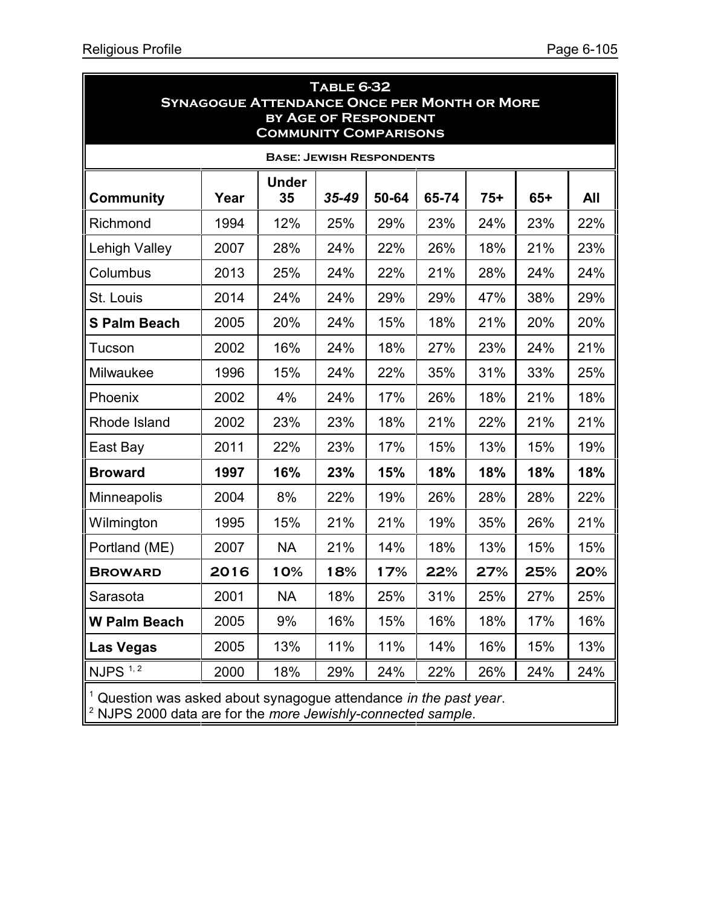| <b>TABLE 6-32</b><br><b>SYNAGOGUE ATTENDANCE ONCE PER MONTH OR MORE</b><br><b>BY AGE OF RESPONDENT</b><br><b>COMMUNITY COMPARISONS</b> |      |                    |           |       |       |       |       |            |  |  |  |  |
|----------------------------------------------------------------------------------------------------------------------------------------|------|--------------------|-----------|-------|-------|-------|-------|------------|--|--|--|--|
| <b>BASE: JEWISH RESPONDENTS</b>                                                                                                        |      |                    |           |       |       |       |       |            |  |  |  |  |
| <b>Community</b>                                                                                                                       | Year | <b>Under</b><br>35 | $35 - 49$ | 50-64 | 65-74 | $75+$ | $65+$ | <b>All</b> |  |  |  |  |
| Richmond                                                                                                                               | 1994 | 12%                | 25%       | 29%   | 23%   | 24%   | 23%   | 22%        |  |  |  |  |
| Lehigh Valley                                                                                                                          | 2007 | 28%                | 24%       | 22%   | 26%   | 18%   | 21%   | 23%        |  |  |  |  |
| Columbus                                                                                                                               | 2013 | 25%                | 24%       | 22%   | 21%   | 28%   | 24%   | 24%        |  |  |  |  |
| St. Louis                                                                                                                              | 2014 | 24%                | 24%       | 29%   | 29%   | 47%   | 38%   | 29%        |  |  |  |  |
| <b>S Palm Beach</b>                                                                                                                    | 2005 | 20%                | 24%       | 15%   | 18%   | 21%   | 20%   | 20%        |  |  |  |  |
| Tucson                                                                                                                                 | 2002 | 16%                | 24%       | 18%   | 27%   | 23%   | 24%   | 21%        |  |  |  |  |
| Milwaukee                                                                                                                              | 1996 | 15%                | 24%       | 22%   | 35%   | 31%   | 33%   | 25%        |  |  |  |  |
| Phoenix                                                                                                                                | 2002 | 4%                 | 24%       | 17%   | 26%   | 18%   | 21%   | 18%        |  |  |  |  |
| Rhode Island                                                                                                                           | 2002 | 23%                | 23%       | 18%   | 21%   | 22%   | 21%   | 21%        |  |  |  |  |
| East Bay                                                                                                                               | 2011 | 22%                | 23%       | 17%   | 15%   | 13%   | 15%   | 19%        |  |  |  |  |
| <b>Broward</b>                                                                                                                         | 1997 | 16%                | 23%       | 15%   | 18%   | 18%   | 18%   | 18%        |  |  |  |  |
| Minneapolis                                                                                                                            | 2004 | 8%                 | 22%       | 19%   | 26%   | 28%   | 28%   | 22%        |  |  |  |  |
| Wilmington                                                                                                                             | 1995 | 15%                | 21%       | 21%   | 19%   | 35%   | 26%   | 21%        |  |  |  |  |
| Portland (ME)                                                                                                                          | 2007 | <b>NA</b>          | 21%       | 14%   | 18%   | 13%   | 15%   | 15%        |  |  |  |  |
| <b>BROWARD</b>                                                                                                                         | 2016 | 10%                | 18%       | 17%   | 22%   | 27%   | 25%   | 20%        |  |  |  |  |
| Sarasota                                                                                                                               | 2001 | NА                 | 18%       | 25%   | 31%   | 25%   | 27%   | 25%        |  |  |  |  |
| <b>W Palm Beach</b>                                                                                                                    | 2005 | 9%                 | 16%       | 15%   | 16%   | 18%   | 17%   | 16%        |  |  |  |  |
| Las Vegas                                                                                                                              | 2005 | 13%                | 11%       | 11%   | 14%   | 16%   | 15%   | 13%        |  |  |  |  |
| $NJPS$ <sup><math>1, 2</math></sup>                                                                                                    | 2000 | 18%                | 29%       | 24%   | 22%   | 26%   | 24%   | 24%        |  |  |  |  |
| Question was asked about synagogue attendance in the past year.<br>$2$ NJPS 2000 data are for the more Jewishly-connected sample.      |      |                    |           |       |       |       |       |            |  |  |  |  |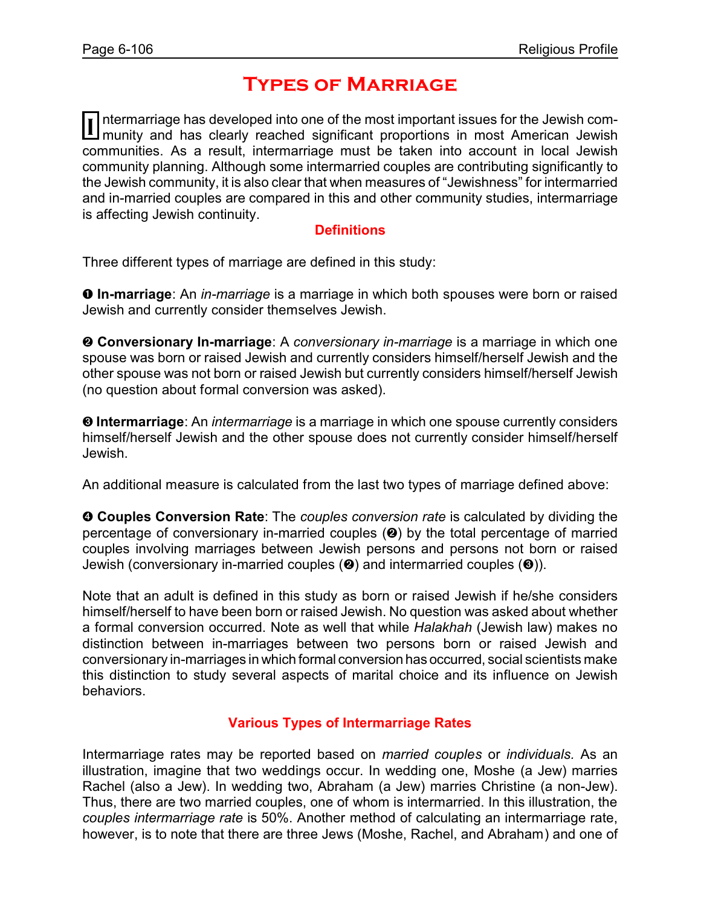# **Types of Marriage**

Intermarriage has developed into one of the most important issues for the Jewish com-<br>I munity and has clearly reached significant proportions in most American Jewish ntermarriage has developed into one of the most important issues for the Jewish comcommunities. As a result, intermarriage must be taken into account in local Jewish community planning. Although some intermarried couples are contributing significantly to the Jewish community, it is also clear that when measures of "Jewishness" for intermarried and in-married couples are compared in this and other community studies, intermarriage is affecting Jewish continuity.

#### **Definitions**

Three different types of marriage are defined in this study:

**O** In-marriage: An *in-marriage* is a marriage in which both spouses were born or raised Jewish and currently consider themselves Jewish.

**<sup>2</sup> Conversionary In-marriage**: A *conversionary in-marriage* is a marriage in which one spouse was born or raised Jewish and currently considers himself/herself Jewish and the other spouse was not born or raised Jewish but currently considers himself/herself Jewish (no question about formal conversion was asked).

**<sup>0</sup> Intermarriage**: An *intermarriage* is a marriage in which one spouse currently considers himself/herself Jewish and the other spouse does not currently consider himself/herself Jewish.

An additional measure is calculated from the last two types of marriage defined above:

**<sup>O</sup>** Couples Conversion Rate: The *couples conversion rate* is calculated by dividing the percentage of conversionary in-married couples  $(②)$  by the total percentage of married couples involving marriages between Jewish persons and persons not born or raised Jewish (conversionary in-married couples  $(②)$  and intermarried couples  $(③)$ ).

Note that an adult is defined in this study as born or raised Jewish if he/she considers himself/herself to have been born or raised Jewish. No question was asked about whether a formal conversion occurred. Note as well that while *Halakhah* (Jewish law) makes no distinction between in-marriages between two persons born or raised Jewish and conversionary in-marriages in which formal conversion has occurred, social scientists make this distinction to study several aspects of marital choice and its influence on Jewish behaviors.

### **Various Types of Intermarriage Rates**

Intermarriage rates may be reported based on *married couples* or *individuals.* As an illustration, imagine that two weddings occur. In wedding one, Moshe (a Jew) marries Rachel (also a Jew). In wedding two, Abraham (a Jew) marries Christine (a non-Jew). Thus, there are two married couples, one of whom is intermarried. In this illustration, the *couples intermarriage rate* is 50%. Another method of calculating an intermarriage rate, however, is to note that there are three Jews (Moshe, Rachel, and Abraham) and one of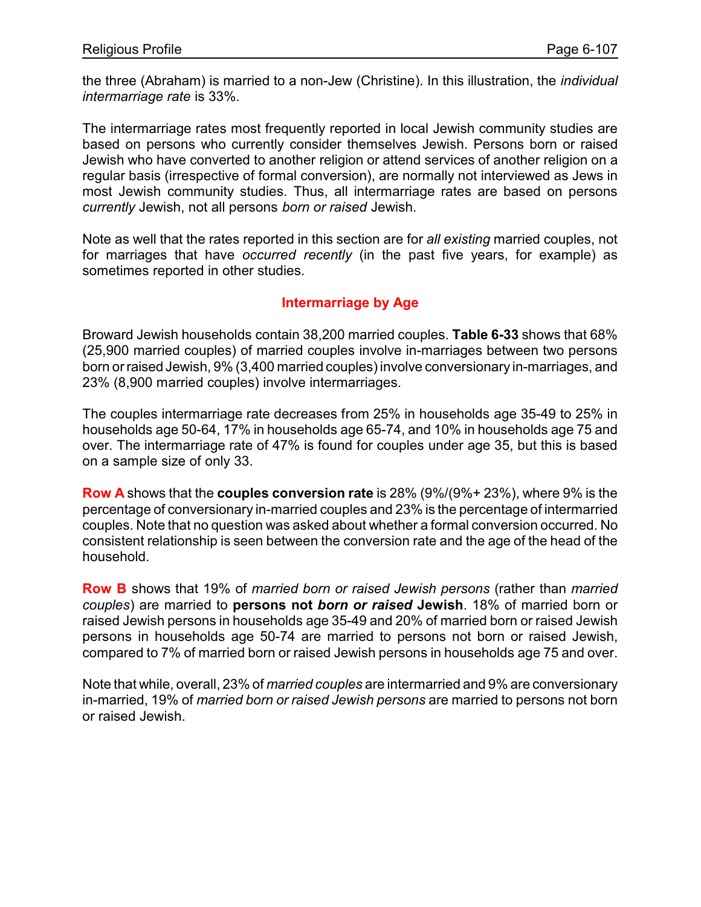the three (Abraham) is married to a non-Jew (Christine). In this illustration, the *individual intermarriage rate* is 33%.

The intermarriage rates most frequently reported in local Jewish community studies are based on persons who currently consider themselves Jewish. Persons born or raised Jewish who have converted to another religion or attend services of another religion on a regular basis (irrespective of formal conversion), are normally not interviewed as Jews in most Jewish community studies. Thus, all intermarriage rates are based on persons *currently* Jewish, not all persons *born or raised* Jewish.

Note as well that the rates reported in this section are for *all existing* married couples, not for marriages that have *occurred recently* (in the past five years, for example) as sometimes reported in other studies.

#### **Intermarriage by Age**

Broward Jewish households contain 38,200 married couples. **Table 6-33** shows that 68% (25,900 married couples) of married couples involve in-marriages between two persons born or raised Jewish, 9% (3,400 married couples) involve conversionary in-marriages, and 23% (8,900 married couples) involve intermarriages.

The couples intermarriage rate decreases from 25% in households age 35-49 to 25% in households age 50-64, 17% in households age 65-74, and 10% in households age 75 and over. The intermarriage rate of 47% is found for couples under age 35, but this is based on a sample size of only 33.

**Row A** shows that the **couples conversion rate** is 28% (9%/(9%+ 23%), where 9% is the percentage of conversionary in-married couples and 23% is the percentage of intermarried couples. Note that no question was asked about whether a formal conversion occurred. No consistent relationship is seen between the conversion rate and the age of the head of the household.

**Row B** shows that 19% of *married born or raised Jewish persons* (rather than *married couples*) are married to **persons not** *born or raised* **Jewish**. 18% of married born or raised Jewish persons in households age 35-49 and 20% of married born or raised Jewish persons in households age 50-74 are married to persons not born or raised Jewish, compared to 7% of married born or raised Jewish persons in households age 75 and over.

Note that while, overall, 23% of *married couples* are intermarried and 9% are conversionary in-married, 19% of *married born or raised Jewish persons* are married to persons not born or raised Jewish.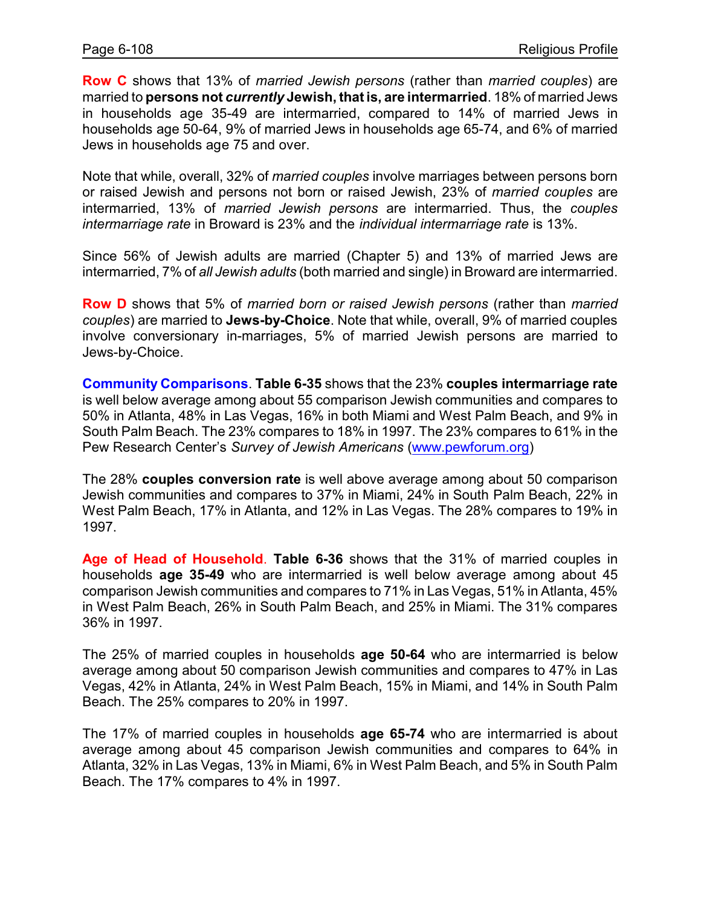**Row C** shows that 13% of *married Jewish persons* (rather than *married couples*) are married to **persons not** *currently* **Jewish, that is, are intermarried**. 18% of married Jews in households age 35-49 are intermarried, compared to 14% of married Jews in households age 50-64, 9% of married Jews in households age 65-74, and 6% of married Jews in households age 75 and over.

Note that while, overall, 32% of *married couples* involve marriages between persons born or raised Jewish and persons not born or raised Jewish, 23% of *married couples* are intermarried, 13% of *married Jewish persons* are intermarried. Thus, the *couples intermarriage rate* in Broward is 23% and the *individual intermarriage rate* is 13%.

Since 56% of Jewish adults are married (Chapter 5) and 13% of married Jews are intermarried, 7% of *all Jewish adults* (both married and single) in Broward are intermarried.

**Row D** shows that 5% of *married born or raised Jewish persons* (rather than *married couples*) are married to **Jews-by-Choice**. Note that while, overall, 9% of married couples involve conversionary in-marriages, 5% of married Jewish persons are married to Jews-by-Choice.

**Community Comparisons**. **Table 6-35** shows that the 23% **couples intermarriage rate** is well below average among about 55 comparison Jewish communities and compares to 50% in Atlanta, 48% in Las Vegas, 16% in both Miami and West Palm Beach, and 9% in South Palm Beach. The 23% compares to 18% in 1997. The 23% compares to 61% in the Pew Research Center's *Survey of Jewish Americans* [\(www.pewforum.org](http://www.pewforum.org))

The 28% **couples conversion rate** is well above average among about 50 comparison Jewish communities and compares to 37% in Miami, 24% in South Palm Beach, 22% in West Palm Beach, 17% in Atlanta, and 12% in Las Vegas. The 28% compares to 19% in 1997.

**Age of Head of Household**. **Table 6-36** shows that the 31% of married couples in households **age 35-49** who are intermarried is well below average among about 45 comparison Jewish communities and compares to 71% in Las Vegas, 51% in Atlanta, 45% in West Palm Beach, 26% in South Palm Beach, and 25% in Miami. The 31% compares 36% in 1997.

The 25% of married couples in households **age 50-64** who are intermarried is below average among about 50 comparison Jewish communities and compares to 47% in Las Vegas, 42% in Atlanta, 24% in West Palm Beach, 15% in Miami, and 14% in South Palm Beach. The 25% compares to 20% in 1997.

The 17% of married couples in households **age 65-74** who are intermarried is about average among about 45 comparison Jewish communities and compares to 64% in Atlanta, 32% in Las Vegas, 13% in Miami, 6% in West Palm Beach, and 5% in South Palm Beach. The 17% compares to 4% in 1997.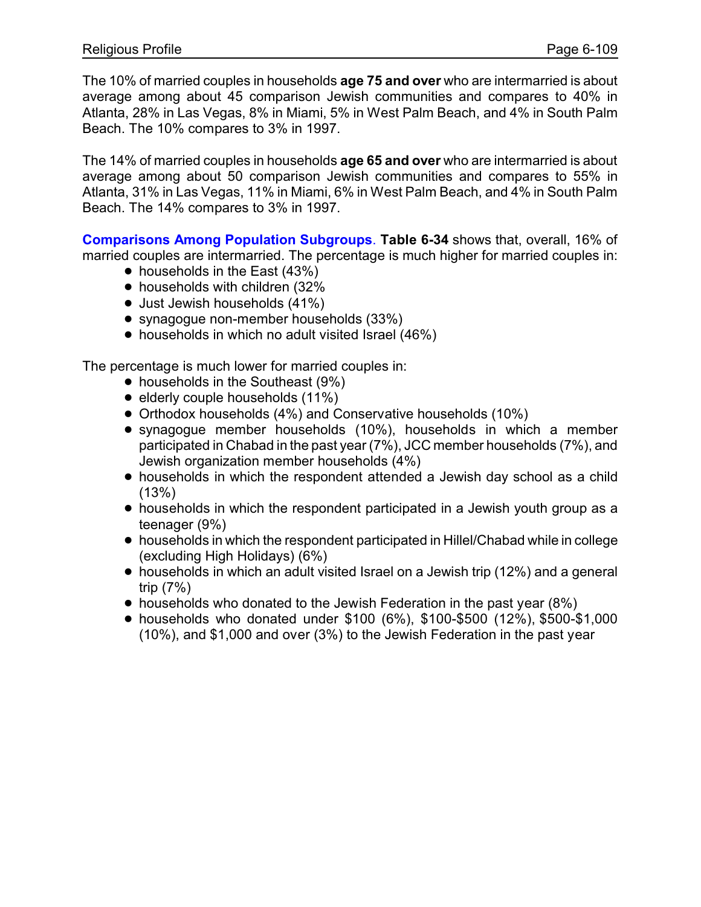The 10% of married couples in households **age 75 and over** who are intermarried is about average among about 45 comparison Jewish communities and compares to 40% in Atlanta, 28% in Las Vegas, 8% in Miami, 5% in West Palm Beach, and 4% in South Palm Beach. The 10% compares to 3% in 1997.

The 14% of married couples in households **age 65 and over** who are intermarried is about average among about 50 comparison Jewish communities and compares to 55% in Atlanta, 31% in Las Vegas, 11% in Miami, 6% in West Palm Beach, and 4% in South Palm Beach. The 14% compares to 3% in 1997.

**Comparisons Among Population Subgroups**. **Table 6-34** shows that, overall, 16% of married couples are intermarried. The percentage is much higher for married couples in:

- $\bullet$  households in the East (43%)
- households with children (32%
- $\bullet$  Just Jewish households (41%)
- synagogue non-member households (33%)
- households in which no adult visited Israel (46%)

The percentage is much lower for married couples in:

- households in the Southeast (9%)
- $\bullet$  elderly couple households (11%)
- Orthodox households (4%) and Conservative households (10%)
- ! synagogue member households (10%), households in which a member participated in Chabad in the past year (7%), JCC member households (7%), and Jewish organization member households (4%)
- households in which the respondent attended a Jewish day school as a child  $(13%)$
- households in which the respondent participated in a Jewish youth group as a teenager (9%)
- ! households in which the respondent participated in Hillel/Chabad while in college (excluding High Holidays) (6%)
- $\bullet$  households in which an adult visited Israel on a Jewish trip (12%) and a general trip (7%)
- $\bullet$  households who donated to the Jewish Federation in the past year (8%)
- ! households who donated under \$100 (6%), \$100-\$500 (12%), \$500-\$1,000 (10%), and \$1,000 and over (3%) to the Jewish Federation in the past year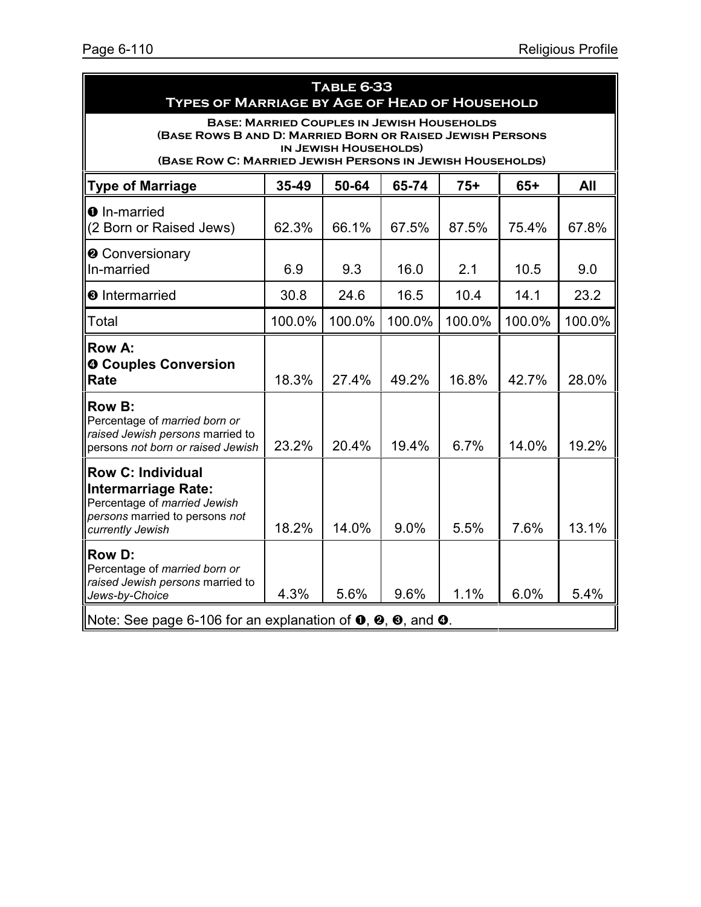|                                                                                                                                                                                                      | <b>TABLE 6-33</b><br><b>TYPES OF MARRIAGE BY AGE OF HEAD OF HOUSEHOLD</b> |        |        |        |        |        |  |  |  |
|------------------------------------------------------------------------------------------------------------------------------------------------------------------------------------------------------|---------------------------------------------------------------------------|--------|--------|--------|--------|--------|--|--|--|
| <b>BASE: MARRIED COUPLES IN JEWISH HOUSEHOLDS</b><br>(BASE ROWS B AND D: MARRIED BORN OR RAISED JEWISH PERSONS<br>IN JEWISH HOUSEHOLDS)<br>(BASE ROW C: MARRIED JEWISH PERSONS IN JEWISH HOUSEHOLDS) |                                                                           |        |        |        |        |        |  |  |  |
| <b>Type of Marriage</b>                                                                                                                                                                              | 35-49<br>50-64<br>65-74<br>$75+$<br>$65+$<br>All                          |        |        |        |        |        |  |  |  |
| <b>O</b> In-married<br>(2 Born or Raised Jews)                                                                                                                                                       | 62.3%                                                                     | 66.1%  | 67.5%  | 87.5%  | 75.4%  | 67.8%  |  |  |  |
| <b>@</b> Conversionary<br>In-married                                                                                                                                                                 | 6.9                                                                       | 9.3    | 16.0   | 2.1    | 10.5   | 9.0    |  |  |  |
| <b><sup>O</sup></b> Intermarried                                                                                                                                                                     | 30.8                                                                      | 24.6   | 16.5   | 10.4   | 14.1   | 23.2   |  |  |  |
| Total                                                                                                                                                                                                | 100.0%                                                                    | 100.0% | 100.0% | 100.0% | 100.0% | 100.0% |  |  |  |
| <b>Row A:</b><br><b>O Couples Conversion</b><br>Rate                                                                                                                                                 | 18.3%                                                                     | 27.4%  | 49.2%  | 16.8%  | 42.7%  | 28.0%  |  |  |  |
| <b>Row B:</b><br>Percentage of married born or<br>raised Jewish persons married to<br>persons not born or raised Jewish                                                                              | 23.2%                                                                     | 20.4%  | 19.4%  | 6.7%   | 14.0%  | 19.2%  |  |  |  |
| <b>Row C: Individual</b><br><b>Intermarriage Rate:</b><br>Percentage of married Jewish<br>persons married to persons not<br>currently Jewish                                                         | 18.2%                                                                     | 14.0%  | 9.0%   | 5.5%   | 7.6%   | 13.1%  |  |  |  |
| <b>Row D:</b><br>Percentage of married born or<br>raised Jewish persons married to<br>Jews-by-Choice                                                                                                 | 4.3%                                                                      | 5.6%   | 9.6%   | 1.1%   | 6.0%   | 5.4%   |  |  |  |
| Note: See page 6-106 for an explanation of $\bullet$ , $\bullet$ , $\bullet$ , and $\bullet$ .                                                                                                       |                                                                           |        |        |        |        |        |  |  |  |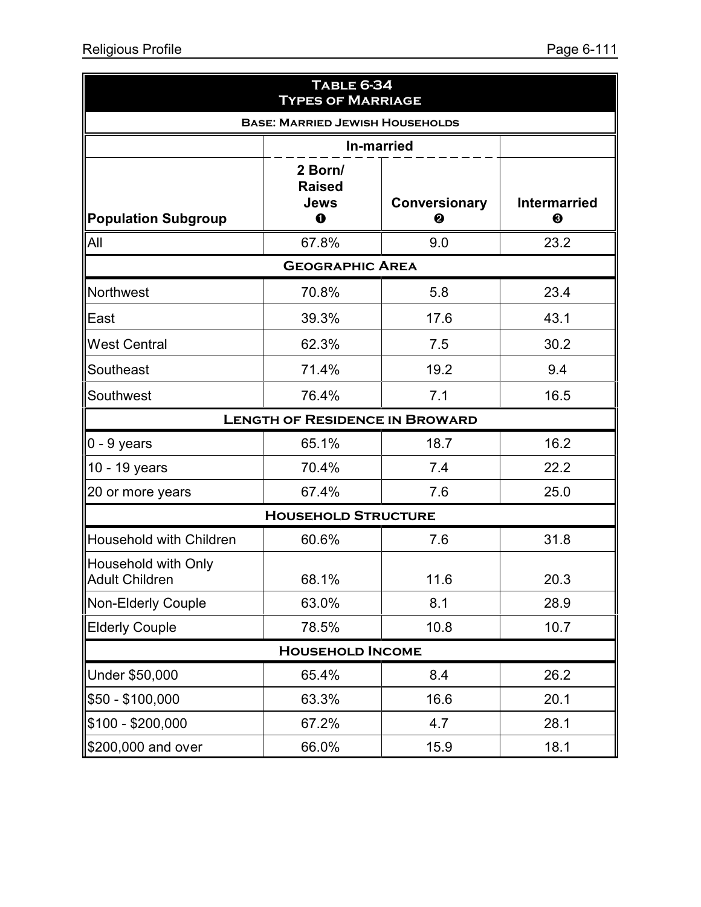|                                                     | <b>TABLE 6-34</b><br><b>TYPES OF MARRIAGE</b> |                           |                          |  |  |  |  |
|-----------------------------------------------------|-----------------------------------------------|---------------------------|--------------------------|--|--|--|--|
|                                                     | <b>BASE: MARRIED JEWISH HOUSEHOLDS</b>        |                           |                          |  |  |  |  |
| <b>In-married</b>                                   |                                               |                           |                          |  |  |  |  |
| <b>Population Subgroup</b>                          | 2 Born/<br><b>Raised</b><br>Jews<br>$\bf{0}$  | <b>Conversionary</b><br>❷ | <b>Intermarried</b><br>❸ |  |  |  |  |
| All                                                 | 67.8%                                         | 9.0                       | 23.2                     |  |  |  |  |
|                                                     | <b>GEOGRAPHIC AREA</b>                        |                           |                          |  |  |  |  |
| <b>Northwest</b>                                    | 70.8%                                         | 5.8                       | 23.4                     |  |  |  |  |
| East                                                | 39.3%                                         | 17.6                      | 43.1                     |  |  |  |  |
| <b>West Central</b>                                 | 62.3%                                         | 7.5                       | 30.2                     |  |  |  |  |
| Southeast                                           | 71.4%                                         | 19.2                      | 9.4                      |  |  |  |  |
| Southwest                                           | 76.4%                                         | 7.1                       | 16.5                     |  |  |  |  |
|                                                     | <b>LENGTH OF RESIDENCE IN BROWARD</b>         |                           |                          |  |  |  |  |
| $0 - 9$ years                                       | 65.1%                                         | 18.7                      | 16.2                     |  |  |  |  |
| 10 - 19 years                                       | 70.4%                                         | 7.4                       | 22.2                     |  |  |  |  |
| 20 or more years                                    | 67.4%                                         | 7.6                       | 25.0                     |  |  |  |  |
|                                                     | <b>HOUSEHOLD STRUCTURE</b>                    |                           |                          |  |  |  |  |
| Household with Children                             | 60.6%                                         | 7.6                       | 31.8                     |  |  |  |  |
| <b>Household with Only</b><br><b>Adult Children</b> | 68.1%                                         | 11.6                      | 20.3                     |  |  |  |  |
| Non-Elderly Couple                                  | 63.0%                                         | 8.1                       | 28.9                     |  |  |  |  |
| <b>Elderly Couple</b>                               | 78.5%                                         | 10.8                      | 10.7                     |  |  |  |  |
|                                                     | <b>HOUSEHOLD INCOME</b>                       |                           |                          |  |  |  |  |
| Under \$50,000                                      | 65.4%                                         | 8.4                       | 26.2                     |  |  |  |  |
| \$50 - \$100,000                                    | 63.3%                                         | 16.6                      | 20.1                     |  |  |  |  |
| $$100 - $200,000$                                   | 67.2%                                         | 4.7                       | 28.1                     |  |  |  |  |
| \$200,000 and over                                  | 66.0%                                         | 15.9                      | 18.1                     |  |  |  |  |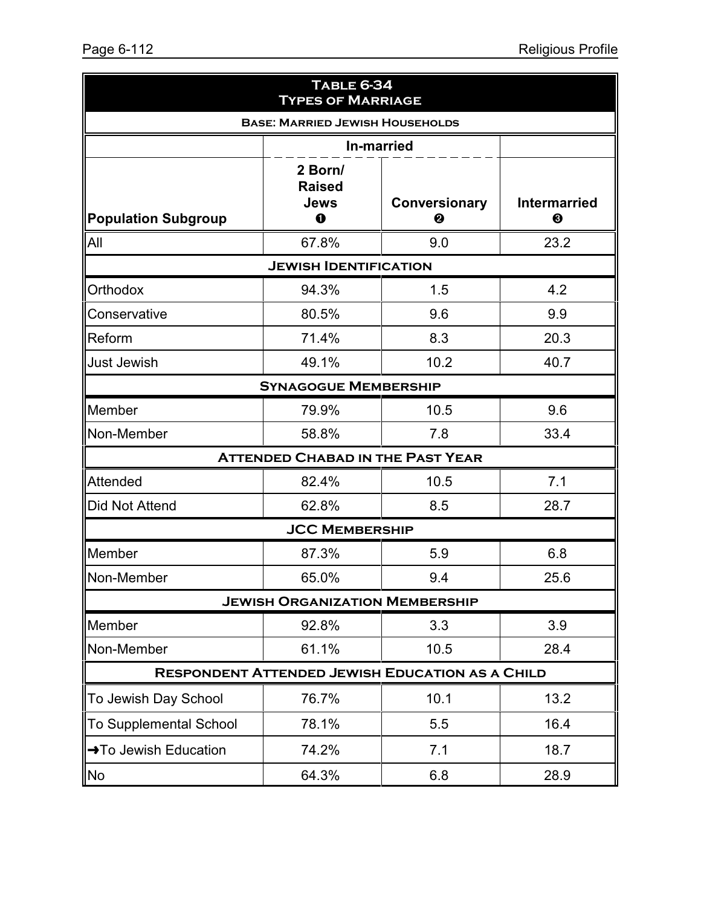| <b>TABLE 6-34</b><br><b>TYPES OF MARRIAGE</b>                                                                                       |                                         |                                                        |      |  |  |  |  |  |
|-------------------------------------------------------------------------------------------------------------------------------------|-----------------------------------------|--------------------------------------------------------|------|--|--|--|--|--|
| <b>BASE: MARRIED JEWISH HOUSEHOLDS</b>                                                                                              |                                         |                                                        |      |  |  |  |  |  |
| <b>In-married</b>                                                                                                                   |                                         |                                                        |      |  |  |  |  |  |
| 2 Born/<br><b>Raised</b><br>Jews<br><b>Intermarried</b><br><b>Conversionary</b><br><b>Population Subgroup</b><br>$\bf{0}$<br>❷<br>❸ |                                         |                                                        |      |  |  |  |  |  |
| All                                                                                                                                 | 67.8%                                   | 9.0                                                    | 23.2 |  |  |  |  |  |
|                                                                                                                                     | <b>JEWISH IDENTIFICATION</b>            |                                                        |      |  |  |  |  |  |
| Orthodox                                                                                                                            | 94.3%                                   | 1.5                                                    | 4.2  |  |  |  |  |  |
| Conservative                                                                                                                        | 80.5%                                   | 9.6                                                    | 9.9  |  |  |  |  |  |
| Reform                                                                                                                              | 71.4%                                   | 8.3                                                    | 20.3 |  |  |  |  |  |
| <b>Just Jewish</b>                                                                                                                  | 49.1%                                   | 10.2                                                   | 40.7 |  |  |  |  |  |
| <b>SYNAGOGUE MEMBERSHIP</b>                                                                                                         |                                         |                                                        |      |  |  |  |  |  |
| Member                                                                                                                              | 79.9%                                   | 10.5                                                   | 9.6  |  |  |  |  |  |
| Non-Member                                                                                                                          | 58.8%                                   | 7.8                                                    | 33.4 |  |  |  |  |  |
|                                                                                                                                     | <b>ATTENDED CHABAD IN THE PAST YEAR</b> |                                                        |      |  |  |  |  |  |
| Attended                                                                                                                            | 82.4%                                   | 10.5                                                   | 7.1  |  |  |  |  |  |
| Did Not Attend                                                                                                                      | 62.8%                                   | 8.5                                                    | 28.7 |  |  |  |  |  |
|                                                                                                                                     | <b>JCC MEMBERSHIP</b>                   |                                                        |      |  |  |  |  |  |
| Member                                                                                                                              | 87.3%                                   | 5.9                                                    | 6.8  |  |  |  |  |  |
| Non-Member                                                                                                                          | 65.0%                                   | 9.4                                                    | 25.6 |  |  |  |  |  |
|                                                                                                                                     | <b>JEWISH ORGANIZATION MEMBERSHIP</b>   |                                                        |      |  |  |  |  |  |
| Member                                                                                                                              | 92.8%                                   | 3.3                                                    | 3.9  |  |  |  |  |  |
| Non-Member                                                                                                                          | 61.1%                                   | 10.5                                                   | 28.4 |  |  |  |  |  |
|                                                                                                                                     |                                         | <b>RESPONDENT ATTENDED JEWISH EDUCATION AS A CHILD</b> |      |  |  |  |  |  |
| To Jewish Day School                                                                                                                | 76.7%                                   | 10.1                                                   | 13.2 |  |  |  |  |  |
| <b>To Supplemental School</b>                                                                                                       | 78.1%                                   | 5.5                                                    | 16.4 |  |  |  |  |  |
| → To Jewish Education                                                                                                               | 74.2%                                   | 7.1                                                    | 18.7 |  |  |  |  |  |
| <b>No</b>                                                                                                                           | 64.3%                                   | 6.8                                                    | 28.9 |  |  |  |  |  |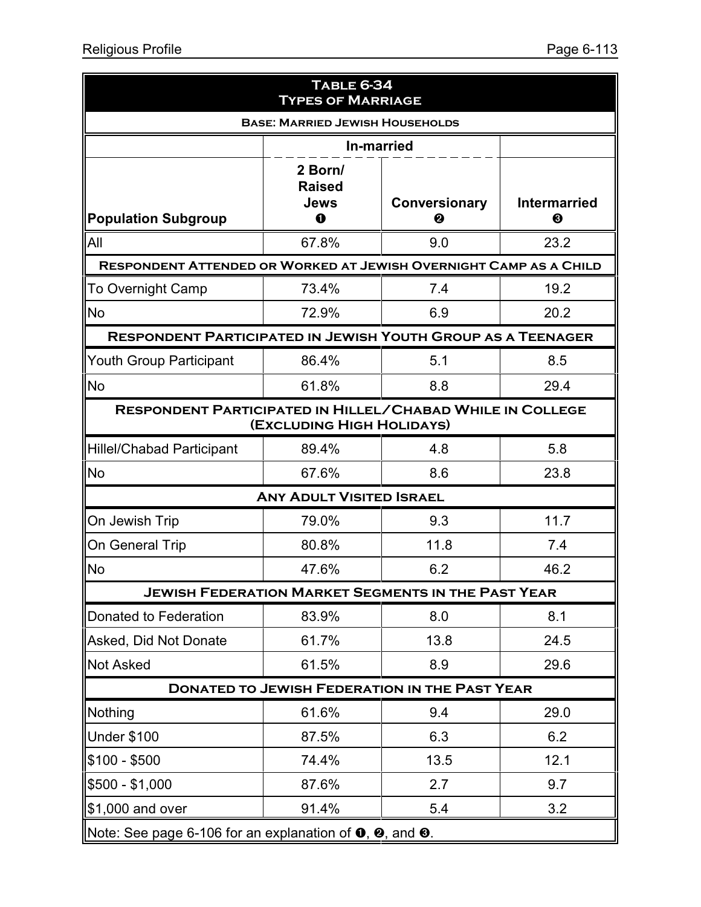| <b>TABLE 6-34</b><br><b>TYPES OF MARRIAGE</b>                                                 |                                                                          |                    |                          |  |  |  |  |  |  |
|-----------------------------------------------------------------------------------------------|--------------------------------------------------------------------------|--------------------|--------------------------|--|--|--|--|--|--|
| <b>BASE: MARRIED JEWISH HOUSEHOLDS</b>                                                        |                                                                          |                    |                          |  |  |  |  |  |  |
| <b>In-married</b>                                                                             |                                                                          |                    |                          |  |  |  |  |  |  |
| <b>Population Subgroup</b>                                                                    | 2 Born/<br><b>Raised</b><br>Jews<br>O                                    | Conversionary<br>❷ | <b>Intermarried</b><br>❸ |  |  |  |  |  |  |
| All                                                                                           | 67.8%                                                                    | 9.0                | 23.2                     |  |  |  |  |  |  |
|                                                                                               | <b>RESPONDENT ATTENDED OR WORKED AT JEWISH OVERNIGHT CAMP AS A CHILD</b> |                    |                          |  |  |  |  |  |  |
| To Overnight Camp                                                                             | 73.4%                                                                    | 7.4                | 19.2                     |  |  |  |  |  |  |
| <b>No</b>                                                                                     | 72.9%                                                                    | 6.9                | 20.2                     |  |  |  |  |  |  |
| <b>RESPONDENT PARTICIPATED IN JEWISH YOUTH GROUP AS A TEENAGER</b>                            |                                                                          |                    |                          |  |  |  |  |  |  |
| <b>Youth Group Participant</b>                                                                | 86.4%                                                                    | 5.1                | 8.5                      |  |  |  |  |  |  |
| <b>No</b>                                                                                     | 61.8%                                                                    | 8.8                | 29.4                     |  |  |  |  |  |  |
| <b>RESPONDENT PARTICIPATED IN HILLEL/CHABAD WHILE IN COLLEGE</b><br>(EXCLUDING HIGH HOLIDAYS) |                                                                          |                    |                          |  |  |  |  |  |  |
| <b>Hillel/Chabad Participant</b>                                                              | 89.4%                                                                    | 4.8                | 5.8                      |  |  |  |  |  |  |
| <b>No</b>                                                                                     | 67.6%                                                                    | 8.6                | 23.8                     |  |  |  |  |  |  |
|                                                                                               | <b>ANY ADULT VISITED ISRAEL</b>                                          |                    |                          |  |  |  |  |  |  |
| On Jewish Trip                                                                                | 79.0%                                                                    | 9.3                | 11.7                     |  |  |  |  |  |  |
| On General Trip                                                                               | 80.8%                                                                    | 11.8               | 7.4                      |  |  |  |  |  |  |
| No                                                                                            | 47.6%                                                                    | 6.2                | 46.2                     |  |  |  |  |  |  |
| <b>JEWISH FEDERATION MARKET SEGMENTS IN THE PAST YEAR</b>                                     |                                                                          |                    |                          |  |  |  |  |  |  |
| Donated to Federation                                                                         | 83.9%                                                                    | 8.0                | 8.1                      |  |  |  |  |  |  |
| Asked, Did Not Donate                                                                         | 61.7%                                                                    | 13.8               | 24.5                     |  |  |  |  |  |  |
| <b>Not Asked</b>                                                                              | 61.5%                                                                    | 8.9                | 29.6                     |  |  |  |  |  |  |
|                                                                                               | <b>DONATED TO JEWISH FEDERATION IN THE PAST YEAR</b>                     |                    |                          |  |  |  |  |  |  |
| Nothing                                                                                       | 61.6%                                                                    | 9.4                | 29.0                     |  |  |  |  |  |  |
| Under \$100                                                                                   | 87.5%                                                                    | 6.3                | 6.2                      |  |  |  |  |  |  |
| $$100 - $500$                                                                                 | 74.4%                                                                    | 13.5               | 12.1                     |  |  |  |  |  |  |
| $$500 - $1,000$                                                                               | 87.6%                                                                    | 2.7                | 9.7                      |  |  |  |  |  |  |
| \$1,000 and over                                                                              | 91.4%                                                                    | 5.4                | 3.2                      |  |  |  |  |  |  |
| Note: See page 6-106 for an explanation of $\mathbf{0}$ , $\mathbf{0}$ , and $\mathbf{0}$ .   |                                                                          |                    |                          |  |  |  |  |  |  |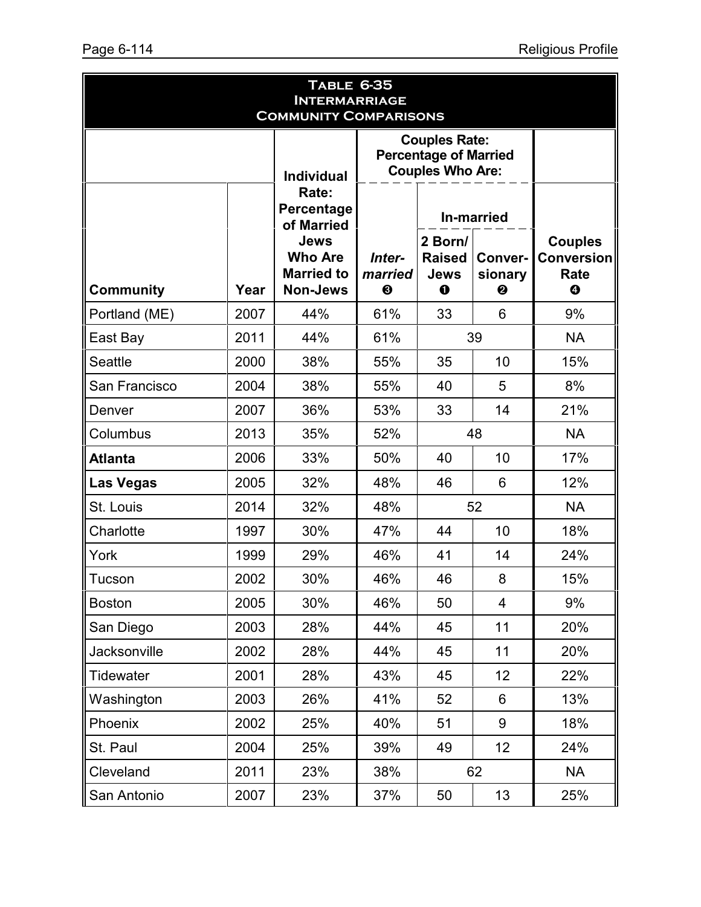| <b>TABLE 6-35</b><br><b>INTERMARRIAGE</b><br><b>COMMUNITY COMPARISONS</b> |      |                                                                |                                                                                 |                                                     |                         |                                                         |  |  |
|---------------------------------------------------------------------------|------|----------------------------------------------------------------|---------------------------------------------------------------------------------|-----------------------------------------------------|-------------------------|---------------------------------------------------------|--|--|
|                                                                           |      |                                                                | <b>Couples Rate:</b><br><b>Percentage of Married</b><br><b>Couples Who Are:</b> |                                                     |                         |                                                         |  |  |
|                                                                           |      | Rate:<br>Percentage<br>of Married                              |                                                                                 | <b>In-married</b>                                   |                         |                                                         |  |  |
| <b>Community</b>                                                          | Year | Jews<br><b>Who Are</b><br><b>Married to</b><br><b>Non-Jews</b> | Inter-<br>married<br>$\boldsymbol{\Theta}$                                      | 2 Born/<br><b>Raised</b><br><b>Jews</b><br>$\bf{0}$ | Conver-<br>sionary<br>❷ | <b>Couples</b><br><b>Conversion</b><br>Rate<br>$\bf{O}$ |  |  |
| Portland (ME)                                                             | 2007 | 44%                                                            | 61%                                                                             | 33                                                  | 6                       | 9%                                                      |  |  |
| East Bay                                                                  | 2011 | 44%                                                            | 61%                                                                             |                                                     | 39                      | <b>NA</b>                                               |  |  |
| <b>Seattle</b>                                                            | 2000 | 38%                                                            | 55%                                                                             | 35                                                  | 10                      | 15%                                                     |  |  |
| San Francisco                                                             | 2004 | 38%                                                            | 55%                                                                             | 40                                                  | 5                       | 8%                                                      |  |  |
| Denver                                                                    | 2007 | 36%                                                            | 53%                                                                             | 33                                                  | 14                      | 21%                                                     |  |  |
| Columbus                                                                  | 2013 | 35%                                                            | 52%                                                                             | 48                                                  |                         | <b>NA</b>                                               |  |  |
| <b>Atlanta</b>                                                            | 2006 | 33%                                                            | 50%<br>40<br>10                                                                 |                                                     | 17%                     |                                                         |  |  |
| <b>Las Vegas</b>                                                          | 2005 | 32%                                                            | 48%                                                                             | 46                                                  | 6                       | 12%                                                     |  |  |
| St. Louis                                                                 | 2014 | 32%                                                            | 48%                                                                             |                                                     | 52                      | <b>NA</b>                                               |  |  |
| Charlotte                                                                 | 1997 | 30%                                                            | 47%                                                                             | 44                                                  | 10                      | 18%                                                     |  |  |
| York                                                                      | 1999 | 29%                                                            | 46%                                                                             | 41                                                  | 14                      | 24%                                                     |  |  |
| Tucson                                                                    | 2002 | 30%                                                            | 46%                                                                             | 46                                                  | 8                       | 15%                                                     |  |  |
| <b>Boston</b>                                                             | 2005 | 30%                                                            | 46%                                                                             | 50                                                  | $\overline{4}$          | 9%                                                      |  |  |
| San Diego                                                                 | 2003 | 28%                                                            | 44%                                                                             | 45                                                  | 11                      | 20%                                                     |  |  |
| Jacksonville                                                              | 2002 | 28%                                                            | 44%                                                                             | 45                                                  | 11                      | 20%                                                     |  |  |
| Tidewater                                                                 | 2001 | 28%                                                            | 43%                                                                             | 45                                                  | 12                      | 22%                                                     |  |  |
| Washington                                                                | 2003 | 26%                                                            | 41%                                                                             | 52                                                  | 6                       | 13%                                                     |  |  |
| Phoenix                                                                   | 2002 | 25%                                                            | 40%                                                                             | 51                                                  | 9                       | 18%                                                     |  |  |
| St. Paul                                                                  | 2004 | 25%                                                            | 39%                                                                             | 49                                                  | 12                      | 24%                                                     |  |  |
| Cleveland                                                                 | 2011 | 23%                                                            | 38%                                                                             |                                                     | 62                      | <b>NA</b>                                               |  |  |
| San Antonio                                                               | 2007 | 23%                                                            | 37%                                                                             | 50                                                  | 13                      | 25%                                                     |  |  |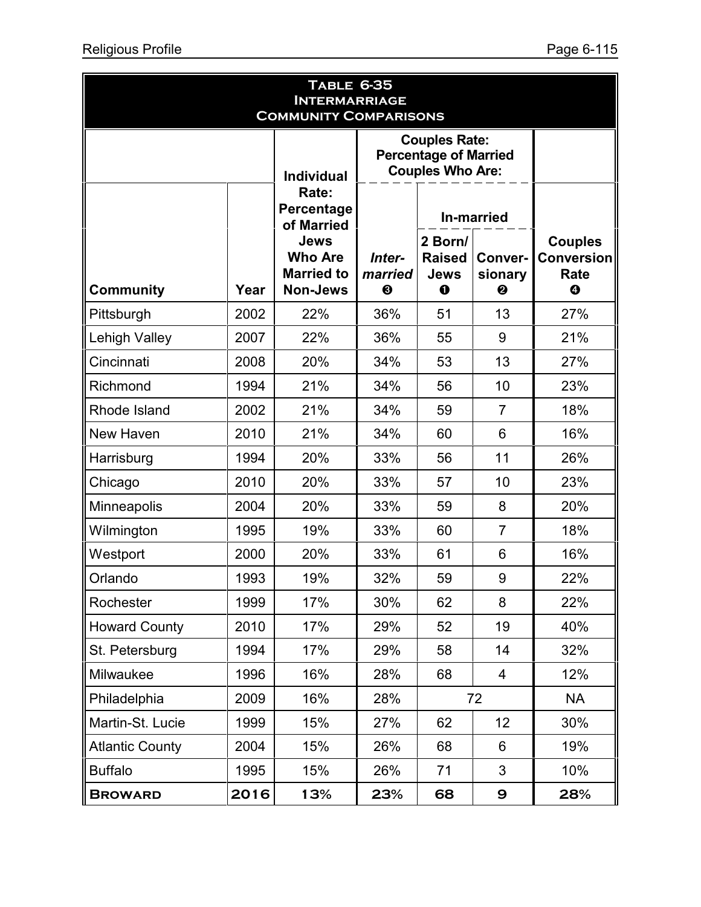| <b>TABLE 6-35</b><br><b>INTERMARRIAGE</b><br><b>COMMUNITY COMPARISONS</b> |      |                                                                       |                        |                                                                                 |                                |                                                         |  |  |
|---------------------------------------------------------------------------|------|-----------------------------------------------------------------------|------------------------|---------------------------------------------------------------------------------|--------------------------------|---------------------------------------------------------|--|--|
|                                                                           |      | <b>Individual</b>                                                     |                        | <b>Couples Rate:</b><br><b>Percentage of Married</b><br><b>Couples Who Are:</b> |                                |                                                         |  |  |
|                                                                           |      | Rate:<br>Percentage<br>of Married                                     |                        | <b>In-married</b>                                                               |                                |                                                         |  |  |
| <b>Community</b>                                                          | Year | <b>Jews</b><br><b>Who Are</b><br><b>Married to</b><br><b>Non-Jews</b> | Inter-<br>married<br>❸ | 2 Born/<br><b>Raised</b><br>Jews<br>$\bf{0}$                                    | <b>Conver-</b><br>sionary<br>❷ | <b>Couples</b><br><b>Conversion</b><br>Rate<br>$\bf{O}$ |  |  |
| Pittsburgh                                                                | 2002 | 22%                                                                   | 36%                    | 51                                                                              | 13                             | 27%                                                     |  |  |
| <b>Lehigh Valley</b>                                                      | 2007 | 22%                                                                   | 36%                    | 55                                                                              | 9                              | 21%                                                     |  |  |
| Cincinnati                                                                | 2008 | 20%                                                                   | 34%                    | 53                                                                              | 13                             | 27%                                                     |  |  |
| Richmond                                                                  | 1994 | 21%                                                                   | 34%                    | 56                                                                              | 10                             | 23%                                                     |  |  |
| Rhode Island                                                              | 2002 | 21%                                                                   | 34%                    | 59                                                                              | $\overline{7}$                 | 18%                                                     |  |  |
| New Haven                                                                 | 2010 | 21%                                                                   | 34%                    | 60                                                                              | 6                              | 16%                                                     |  |  |
| Harrisburg                                                                | 1994 | 20%                                                                   | 33%                    | 56                                                                              | 11                             | 26%                                                     |  |  |
| Chicago                                                                   | 2010 | 20%                                                                   | 33%                    | 57                                                                              | 10                             | 23%                                                     |  |  |
| Minneapolis                                                               | 2004 | 20%                                                                   | 33%                    | 59                                                                              | 8                              | 20%                                                     |  |  |
| Wilmington                                                                | 1995 | 19%                                                                   | 33%                    | 60                                                                              | $\overline{7}$                 | 18%                                                     |  |  |
| Westport                                                                  | 2000 | 20%                                                                   | 33%                    | 61                                                                              | 6                              | 16%                                                     |  |  |
| Orlando                                                                   | 1993 | 19%                                                                   | 32%                    | 59                                                                              | 9                              | 22%                                                     |  |  |
| Rochester                                                                 | 1999 | 17%                                                                   | 30%                    | 62                                                                              | 8                              | 22%                                                     |  |  |
| <b>Howard County</b>                                                      | 2010 | 17%                                                                   | 29%                    | 52                                                                              | 19                             | 40%                                                     |  |  |
| St. Petersburg                                                            | 1994 | 17%                                                                   | 29%                    | 58                                                                              | 14                             | 32%                                                     |  |  |
| Milwaukee                                                                 | 1996 | 16%                                                                   | 28%                    | 68                                                                              | $\overline{4}$                 | 12%                                                     |  |  |
| Philadelphia                                                              | 2009 | 16%                                                                   | 28%                    |                                                                                 | 72                             | <b>NA</b>                                               |  |  |
| Martin-St. Lucie                                                          | 1999 | 15%                                                                   | 27%                    | 62                                                                              | 12                             | 30%                                                     |  |  |
| <b>Atlantic County</b>                                                    | 2004 | 15%                                                                   | 26%                    | 68                                                                              | 6                              | 19%                                                     |  |  |
| <b>Buffalo</b>                                                            | 1995 | 15%                                                                   | 26%                    | 71                                                                              | 3                              | 10%                                                     |  |  |
| <b>BROWARD</b>                                                            | 2016 | 13%                                                                   | 23%                    | 68                                                                              | $\boldsymbol{\Theta}$          | 28%                                                     |  |  |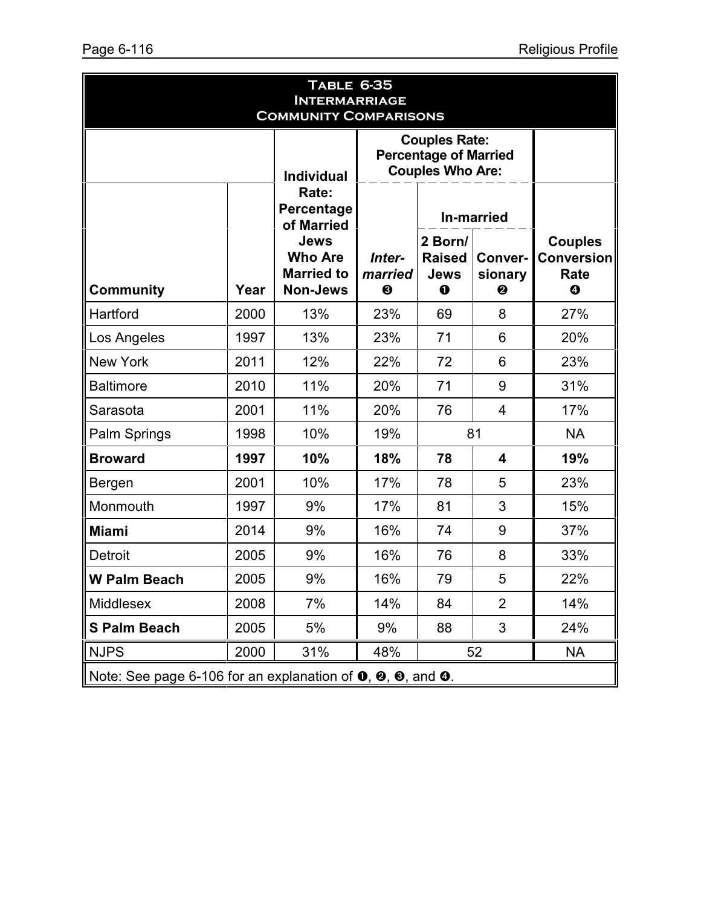| <b>TABLE 6-35</b><br><b>INTERMARRIAGE</b><br><b>COMMUNITY COMPARISONS</b>                                          |                   |                                                                       |                                                                                 |                                                     |                         |                                                         |  |  |  |
|--------------------------------------------------------------------------------------------------------------------|-------------------|-----------------------------------------------------------------------|---------------------------------------------------------------------------------|-----------------------------------------------------|-------------------------|---------------------------------------------------------|--|--|--|
|                                                                                                                    | <b>Individual</b> |                                                                       | <b>Couples Rate:</b><br><b>Percentage of Married</b><br><b>Couples Who Are:</b> |                                                     |                         |                                                         |  |  |  |
|                                                                                                                    |                   | Rate:<br>Percentage<br>of Married                                     |                                                                                 |                                                     | <b>In-married</b>       |                                                         |  |  |  |
| <b>Community</b>                                                                                                   | Year              | <b>Jews</b><br><b>Who Are</b><br><b>Married to</b><br><b>Non-Jews</b> | Inter-<br>married<br>$\boldsymbol{\Theta}$                                      | 2 Born/<br><b>Raised</b><br><b>Jews</b><br>$\bf{0}$ | Conver-<br>sionary<br>❷ | <b>Couples</b><br><b>Conversion</b><br>Rate<br>$\bf{Q}$ |  |  |  |
| Hartford                                                                                                           | 2000              | 13%                                                                   | 23%                                                                             | 69                                                  | 8                       | 27%                                                     |  |  |  |
| Los Angeles                                                                                                        | 1997              | 13%                                                                   | 23%                                                                             | 71                                                  | 6                       | 20%                                                     |  |  |  |
| <b>New York</b>                                                                                                    | 2011              | 12%                                                                   | 22%                                                                             | 72                                                  | 6                       | 23%                                                     |  |  |  |
| <b>Baltimore</b>                                                                                                   | 2010              | 11%                                                                   | 20%                                                                             | 71                                                  | 9                       | 31%                                                     |  |  |  |
| Sarasota                                                                                                           | 2001              | 11%                                                                   | 20%                                                                             | 76                                                  | $\overline{4}$          | 17%                                                     |  |  |  |
| Palm Springs                                                                                                       | 1998              | 10%                                                                   | 19%                                                                             |                                                     | 81                      | <b>NA</b>                                               |  |  |  |
| <b>Broward</b>                                                                                                     | 1997              | 10%                                                                   | 18%                                                                             | 78                                                  | $\overline{\mathbf{4}}$ | 19%                                                     |  |  |  |
| Bergen                                                                                                             | 2001              | 10%                                                                   | 17%                                                                             | 78                                                  | 5                       | 23%                                                     |  |  |  |
| Monmouth                                                                                                           | 1997              | 9%                                                                    | 17%                                                                             | 81                                                  | 3                       | 15%                                                     |  |  |  |
| <b>Miami</b>                                                                                                       | 2014              | 9%                                                                    | 16%                                                                             | 74                                                  | 9                       | 37%                                                     |  |  |  |
| Detroit                                                                                                            | 2005              | 9%                                                                    | 16%                                                                             | 76                                                  | 8                       | 33%                                                     |  |  |  |
| <b>W Palm Beach</b>                                                                                                | 2005              | 9%                                                                    | 16%                                                                             | 79                                                  | 5                       | 22%                                                     |  |  |  |
| Middlesex                                                                                                          | 2008              | 7%                                                                    | 14%                                                                             | 84                                                  | $\overline{2}$          | 14%                                                     |  |  |  |
| <b>S Palm Beach</b>                                                                                                | 2005              | 5%                                                                    | 9%                                                                              | 88                                                  | 3                       | 24%                                                     |  |  |  |
| <b>NJPS</b>                                                                                                        | 2000              | 31%                                                                   | 48%                                                                             |                                                     | 52                      | <b>NA</b>                                               |  |  |  |
| Note: See page 6-106 for an explanation of $\mathbf{0}, \mathbf{\Theta}, \mathbf{\Theta},$ and $\mathbf{\Theta}$ . |                   |                                                                       |                                                                                 |                                                     |                         |                                                         |  |  |  |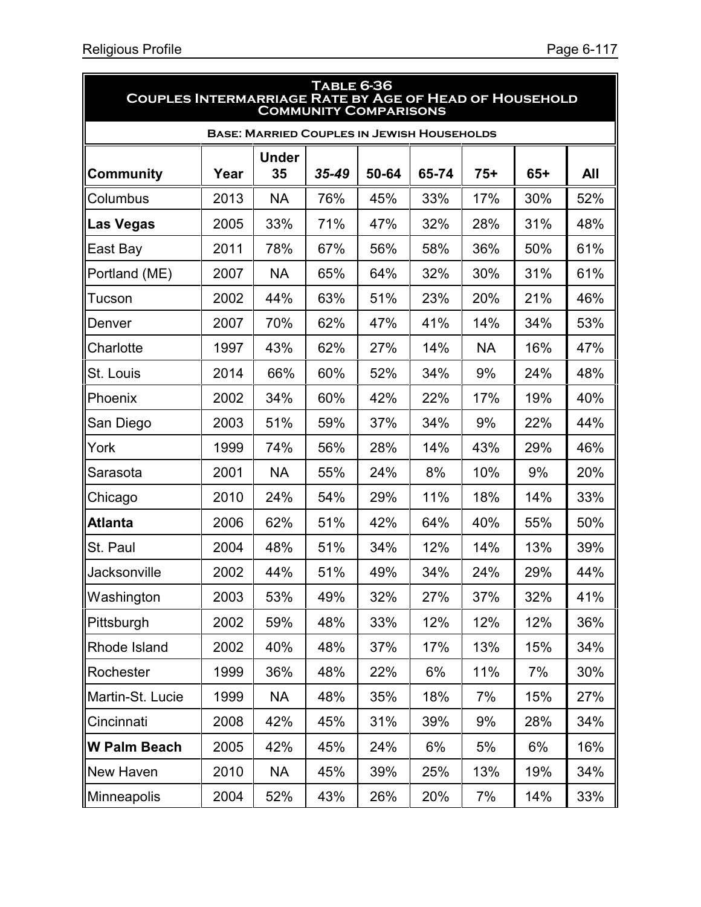| <b>TABLE 6-36</b><br><b>COUPLES INTERMARRIAGE RATE BY AGE OF HEAD OF HOUSEHOLD</b><br><b>COMMUNITY COMPARISONS</b> |      |                    |           |       |       |           |       |     |  |  |
|--------------------------------------------------------------------------------------------------------------------|------|--------------------|-----------|-------|-------|-----------|-------|-----|--|--|
| <b>BASE: MARRIED COUPLES IN JEWISH HOUSEHOLDS</b>                                                                  |      |                    |           |       |       |           |       |     |  |  |
| <b>Community</b>                                                                                                   | Year | <b>Under</b><br>35 | $35 - 49$ | 50-64 | 65-74 | $75+$     | $65+$ | All |  |  |
| Columbus                                                                                                           | 2013 | <b>NA</b>          | 76%       | 45%   | 33%   | 17%       | 30%   | 52% |  |  |
| Las Vegas                                                                                                          | 2005 | 33%                | 71%       | 47%   | 32%   | 28%       | 31%   | 48% |  |  |
| East Bay                                                                                                           | 2011 | 78%                | 67%       | 56%   | 58%   | 36%       | 50%   | 61% |  |  |
| Portland (ME)                                                                                                      | 2007 | <b>NA</b>          | 65%       | 64%   | 32%   | 30%       | 31%   | 61% |  |  |
| Tucson                                                                                                             | 2002 | 44%                | 63%       | 51%   | 23%   | 20%       | 21%   | 46% |  |  |
| Denver                                                                                                             | 2007 | 70%                | 62%       | 47%   | 41%   | 14%       | 34%   | 53% |  |  |
| Charlotte                                                                                                          | 1997 | 43%                | 62%       | 27%   | 14%   | <b>NA</b> | 16%   | 47% |  |  |
| St. Louis                                                                                                          | 2014 | 66%                | 60%       | 52%   | 34%   | 9%        | 24%   | 48% |  |  |
| Phoenix                                                                                                            | 2002 | 34%                | 60%       | 42%   | 22%   | 17%       | 19%   | 40% |  |  |
| San Diego                                                                                                          | 2003 | 51%                | 59%       | 37%   | 34%   | 9%        | 22%   | 44% |  |  |
| York                                                                                                               | 1999 | 74%                | 56%       | 28%   | 14%   | 43%       | 29%   | 46% |  |  |
| Sarasota                                                                                                           | 2001 | <b>NA</b>          | 55%       | 24%   | 8%    | 10%       | 9%    | 20% |  |  |
| Chicago                                                                                                            | 2010 | 24%                | 54%       | 29%   | 11%   | 18%       | 14%   | 33% |  |  |
| <b>Atlanta</b>                                                                                                     | 2006 | 62%                | 51%       | 42%   | 64%   | 40%       | 55%   | 50% |  |  |
| <b>St. Paul</b>                                                                                                    | 2004 | 48%                | 51%       | 34%   | 12%   | 14%       | 13%   | 39% |  |  |
| Jacksonville                                                                                                       | 2002 | 44%                | 51%       | 49%   | 34%   | 24%       | 29%   | 44% |  |  |
| Washington                                                                                                         | 2003 | 53%                | 49%       | 32%   | 27%   | 37%       | 32%   | 41% |  |  |
| Pittsburgh                                                                                                         | 2002 | 59%                | 48%       | 33%   | 12%   | 12%       | 12%   | 36% |  |  |
| Rhode Island                                                                                                       | 2002 | 40%                | 48%       | 37%   | 17%   | 13%       | 15%   | 34% |  |  |
| Rochester                                                                                                          | 1999 | 36%                | 48%       | 22%   | 6%    | 11%       | 7%    | 30% |  |  |
| Martin-St. Lucie                                                                                                   | 1999 | <b>NA</b>          | 48%       | 35%   | 18%   | 7%        | 15%   | 27% |  |  |
| Cincinnati                                                                                                         | 2008 | 42%                | 45%       | 31%   | 39%   | 9%        | 28%   | 34% |  |  |
| ∥W Palm Beach                                                                                                      | 2005 | 42%                | 45%       | 24%   | 6%    | 5%        | 6%    | 16% |  |  |
| New Haven                                                                                                          | 2010 | <b>NA</b>          | 45%       | 39%   | 25%   | 13%       | 19%   | 34% |  |  |
| Minneapolis                                                                                                        | 2004 | 52%                | 43%       | 26%   | 20%   | 7%        | 14%   | 33% |  |  |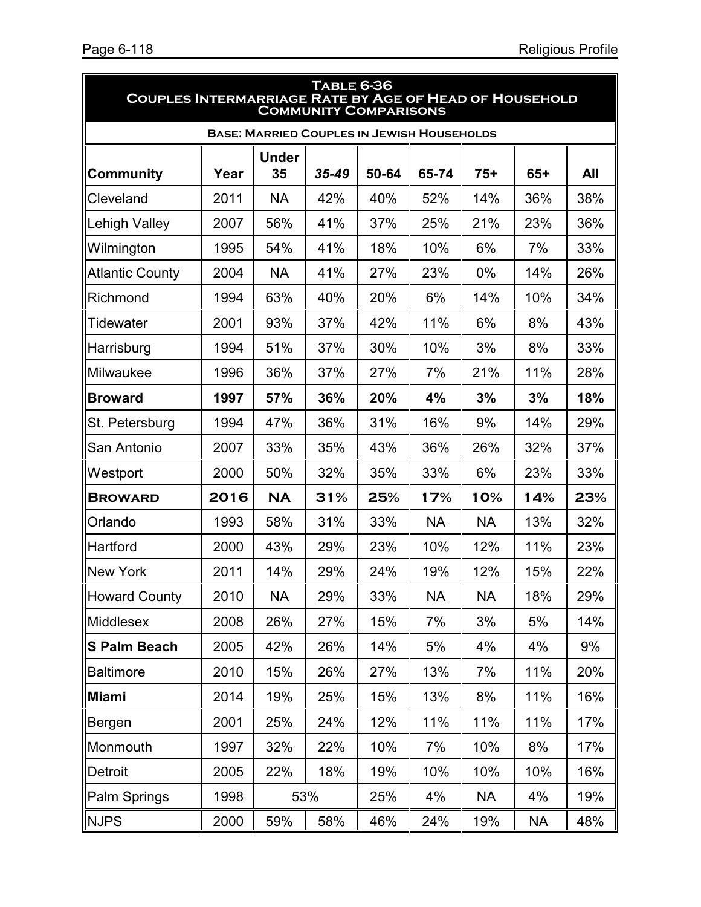5

| <b>TABLE 6-36</b><br><b>COUPLES INTERMARRIAGE RATE BY AGE OF HEAD OF HOUSEHOLD</b><br><b>COMMUNITY COMPARISONS</b> |      |                    |           |       |           |           |           |     |  |
|--------------------------------------------------------------------------------------------------------------------|------|--------------------|-----------|-------|-----------|-----------|-----------|-----|--|
| <b>BASE: MARRIED COUPLES IN JEWISH HOUSEHOLDS</b>                                                                  |      |                    |           |       |           |           |           |     |  |
| Community                                                                                                          | Year | <b>Under</b><br>35 | $35 - 49$ | 50-64 | 65-74     | $75+$     | $65+$     | All |  |
| Cleveland                                                                                                          | 2011 | <b>NA</b>          | 42%       | 40%   | 52%       | 14%       | 36%       | 38% |  |
| Lehigh Valley                                                                                                      | 2007 | 56%                | 41%       | 37%   | 25%       | 21%       | 23%       | 36% |  |
| Wilmington                                                                                                         | 1995 | 54%                | 41%       | 18%   | 10%       | 6%        | 7%        | 33% |  |
| <b>Atlantic County</b>                                                                                             | 2004 | <b>NA</b>          | 41%       | 27%   | 23%       | $0\%$     | 14%       | 26% |  |
| Richmond                                                                                                           | 1994 | 63%                | 40%       | 20%   | 6%        | 14%       | 10%       | 34% |  |
| Tidewater                                                                                                          | 2001 | 93%                | 37%       | 42%   | 11%       | 6%        | 8%        | 43% |  |
| Harrisburg                                                                                                         | 1994 | 51%                | 37%       | 30%   | 10%       | 3%        | 8%        | 33% |  |
| Milwaukee                                                                                                          | 1996 | 36%                | 37%       | 27%   | 7%        | 21%       | 11%       | 28% |  |
| <b>Broward</b>                                                                                                     | 1997 | 57%                | 36%       | 20%   | 4%        | 3%        | 3%        | 18% |  |
| St. Petersburg                                                                                                     | 1994 | 47%                | 36%       | 31%   | 16%       | 9%        | 14%       | 29% |  |
| San Antonio                                                                                                        | 2007 | 33%                | 35%       | 43%   | 36%       | 26%       | 32%       | 37% |  |
| Westport                                                                                                           | 2000 | 50%                | 32%       | 35%   | 33%       | 6%        | 23%       | 33% |  |
| <b>BROWARD</b>                                                                                                     | 2016 | <b>NA</b>          | 31%       | 25%   | 17%       | 10%       | 14%       | 23% |  |
| Orlando                                                                                                            | 1993 | 58%                | 31%       | 33%   | <b>NA</b> | <b>NA</b> | 13%       | 32% |  |
| Hartford                                                                                                           | 2000 | 43%                | 29%       | 23%   | 10%       | 12%       | 11%       | 23% |  |
| <b>New York</b>                                                                                                    | 2011 | 14%                | 29%       | 24%   | 19%       | 12%       | 15%       | 22% |  |
| <b>Howard County</b>                                                                                               | 2010 | <b>NA</b>          | 29%       | 33%   | <b>NA</b> | <b>NA</b> | 18%       | 29% |  |
| <b>Middlesex</b>                                                                                                   | 2008 | 26%                | 27%       | 15%   | 7%        | 3%        | 5%        | 14% |  |
| <b>S Palm Beach</b>                                                                                                | 2005 | 42%                | 26%       | 14%   | 5%        | 4%        | 4%        | 9%  |  |
| <b>Baltimore</b>                                                                                                   | 2010 | 15%                | 26%       | 27%   | 13%       | 7%        | 11%       | 20% |  |
| <b>Miami</b>                                                                                                       | 2014 | 19%                | 25%       | 15%   | 13%       | 8%        | 11%       | 16% |  |
| Bergen                                                                                                             | 2001 | 25%                | 24%       | 12%   | 11%       | 11%       | 11%       | 17% |  |
| Monmouth                                                                                                           | 1997 | 32%                | 22%       | 10%   | 7%        | 10%       | 8%        | 17% |  |
| Detroit                                                                                                            | 2005 | 22%                | 18%       | 19%   | 10%       | 10%       | 10%       | 16% |  |
| Palm Springs                                                                                                       | 1998 | 53%                |           | 25%   | 4%        | <b>NA</b> | 4%        | 19% |  |
| <b>NJPS</b>                                                                                                        | 2000 | 59%                | 58%       | 46%   | 24%       | 19%       | <b>NA</b> | 48% |  |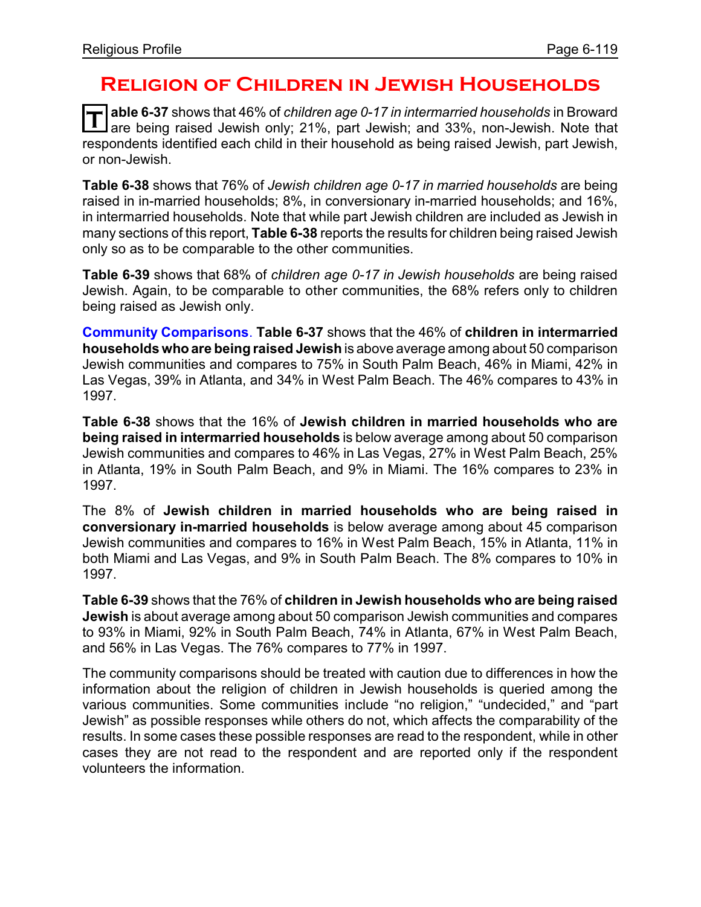## **Religion of Children in Jewish Households**

**T able 6-37** shows that 46% of *children age 0-17 in intermarried households* in Broward are being raised Jewish only; 21%, part Jewish; and 33%, non-Jewish. Note that respondents identified each child in their household as being raised Jewish, part Jewish, or non-Jewish.

**Table 6-38** shows that 76% of *Jewish children age 0-17 in married households* are being raised in in-married households; 8%, in conversionary in-married households; and 16%, in intermarried households. Note that while part Jewish children are included as Jewish in many sections of this report, **Table 6-38** reports the results for children being raised Jewish only so as to be comparable to the other communities.

**Table 6-39** shows that 68% of *children age 0-17 in Jewish households* are being raised Jewish. Again, to be comparable to other communities, the 68% refers only to children being raised as Jewish only.

**Community Comparisons**. **Table 6-37** shows that the 46% of **children in intermarried households whoare being raised Jewish** is above average among about 50 comparison Jewish communities and compares to 75% in South Palm Beach, 46% in Miami, 42% in Las Vegas, 39% in Atlanta, and 34% in West Palm Beach. The 46% compares to 43% in 1997.

**Table 6-38** shows that the 16% of **Jewish children in married households who are being raised in intermarried households** is below average among about 50 comparison Jewish communities and compares to 46% in Las Vegas, 27% in West Palm Beach, 25% in Atlanta, 19% in South Palm Beach, and 9% in Miami. The 16% compares to 23% in 1997.

The 8% of **Jewish children in married households who are being raised in conversionary in-married households** is below average among about 45 comparison Jewish communities and compares to 16% in West Palm Beach, 15% in Atlanta, 11% in both Miami and Las Vegas, and 9% in South Palm Beach. The 8% compares to 10% in 1997.

**Table 6-39** shows that the 76% of **children in Jewish households who are being raised Jewish** is about average among about 50 comparison Jewish communities and compares to 93% in Miami, 92% in South Palm Beach, 74% in Atlanta, 67% in West Palm Beach, and 56% in Las Vegas. The 76% compares to 77% in 1997.

The community comparisons should be treated with caution due to differences in how the information about the religion of children in Jewish households is queried among the various communities. Some communities include "no religion," "undecided," and "part Jewish" as possible responses while others do not, which affects the comparability of the results. In some cases these possible responses are read to the respondent, while in other cases they are not read to the respondent and are reported only if the respondent volunteers the information.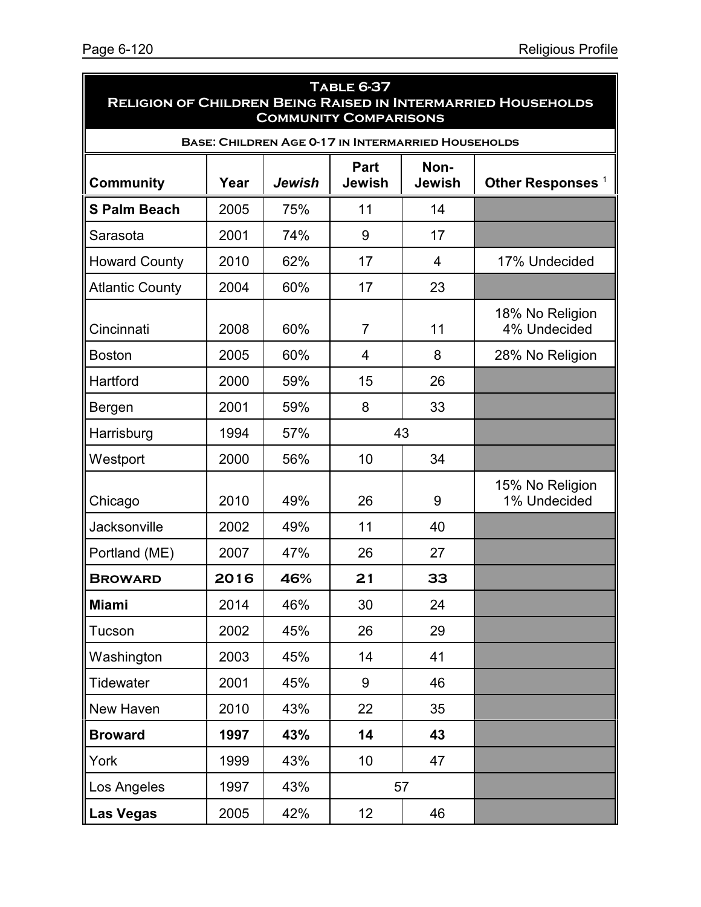ä

| <b>TABLE 6-37</b><br><b>RELIGION OF CHILDREN BEING RAISED IN INTERMARRIED HOUSEHOLDS</b><br><b>COMMUNITY COMPARISONS</b> |      |        |                 |                       |                                 |  |  |  |  |
|--------------------------------------------------------------------------------------------------------------------------|------|--------|-----------------|-----------------------|---------------------------------|--|--|--|--|
| <b>BASE: CHILDREN AGE 0-17 IN INTERMARRIED HOUSEHOLDS</b>                                                                |      |        |                 |                       |                                 |  |  |  |  |
| <b>Community</b>                                                                                                         | Year | Jewish | Part<br>Jewish  | Non-<br><b>Jewish</b> | Other Responses <sup>1</sup>    |  |  |  |  |
| <b>S Palm Beach</b>                                                                                                      | 2005 | 75%    | 11              | 14                    |                                 |  |  |  |  |
| Sarasota                                                                                                                 | 2001 | 74%    | 9               | 17                    |                                 |  |  |  |  |
| <b>Howard County</b>                                                                                                     | 2010 | 62%    | 17              | 4                     | 17% Undecided                   |  |  |  |  |
| <b>Atlantic County</b>                                                                                                   | 2004 | 60%    | 17              | 23                    |                                 |  |  |  |  |
| Cincinnati                                                                                                               | 2008 | 60%    | $\overline{7}$  | 11                    | 18% No Religion<br>4% Undecided |  |  |  |  |
| <b>Boston</b>                                                                                                            | 2005 | 60%    | $\overline{4}$  | 8                     | 28% No Religion                 |  |  |  |  |
| Hartford                                                                                                                 | 2000 | 59%    | 15              | 26                    |                                 |  |  |  |  |
| Bergen                                                                                                                   | 2001 | 59%    | 8               | 33                    |                                 |  |  |  |  |
| Harrisburg                                                                                                               | 1994 | 57%    | 43              |                       |                                 |  |  |  |  |
| Westport                                                                                                                 | 2000 | 56%    | 10              | 34                    |                                 |  |  |  |  |
| Chicago                                                                                                                  | 2010 | 49%    | 26              | 9                     | 15% No Religion<br>1% Undecided |  |  |  |  |
| <b>Jacksonville</b>                                                                                                      | 2002 | 49%    | 11              | 40                    |                                 |  |  |  |  |
| Portland (ME)                                                                                                            | 2007 | 47%    | 26              | 27                    |                                 |  |  |  |  |
| <b>BROWARD</b>                                                                                                           | 2016 | 46%    | 21              | 33                    |                                 |  |  |  |  |
| <b>Miami</b>                                                                                                             | 2014 | 46%    | 30              | 24                    |                                 |  |  |  |  |
| Tucson                                                                                                                   | 2002 | 45%    | 26              | 29                    |                                 |  |  |  |  |
| Washington                                                                                                               | 2003 | 45%    | 14              | 41                    |                                 |  |  |  |  |
| <b>Tidewater</b>                                                                                                         | 2001 | 45%    | 9               | 46                    |                                 |  |  |  |  |
| New Haven                                                                                                                | 2010 | 43%    | 22              | 35                    |                                 |  |  |  |  |
| <b>Broward</b>                                                                                                           | 1997 | 43%    | 14              | 43                    |                                 |  |  |  |  |
| York                                                                                                                     | 1999 | 43%    | 10              | 47                    |                                 |  |  |  |  |
| Los Angeles                                                                                                              | 1997 | 43%    | 57              |                       |                                 |  |  |  |  |
| <b>Las Vegas</b>                                                                                                         | 2005 | 42%    | 12 <sub>2</sub> | 46                    |                                 |  |  |  |  |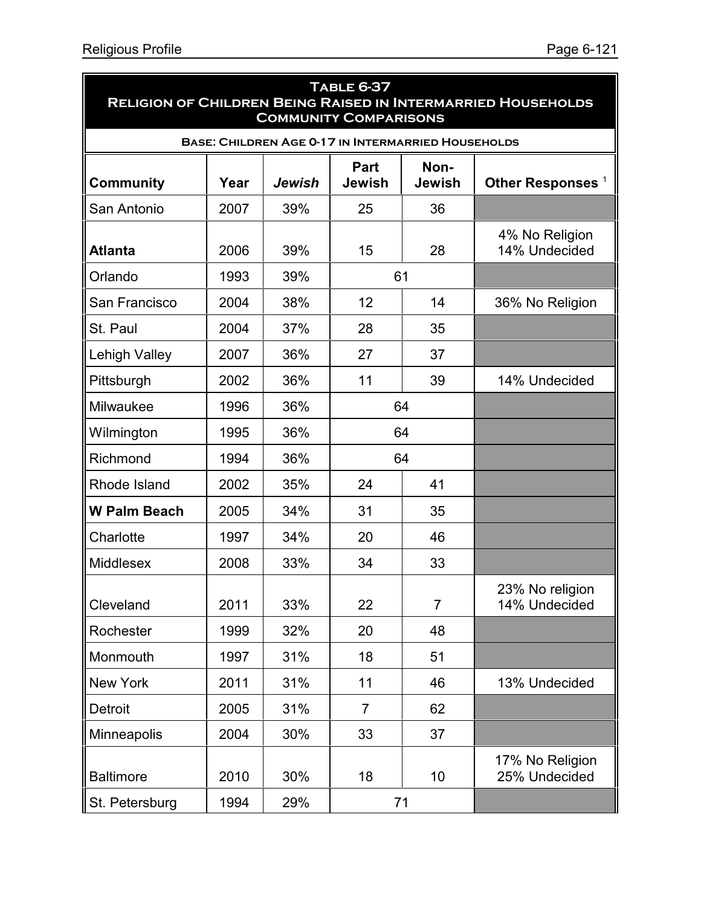| <b>TABLE 6-37</b><br><b>RELIGION OF CHILDREN BEING RAISED IN INTERMARRIED HOUSEHOLDS</b><br><b>COMMUNITY COMPARISONS</b> |      |        |                       |                       |                                  |  |  |  |  |
|--------------------------------------------------------------------------------------------------------------------------|------|--------|-----------------------|-----------------------|----------------------------------|--|--|--|--|
| <b>BASE: CHILDREN AGE 0-17 IN INTERMARRIED HOUSEHOLDS</b>                                                                |      |        |                       |                       |                                  |  |  |  |  |
| <b>Community</b>                                                                                                         | Year | Jewish | Part<br><b>Jewish</b> | Non-<br><b>Jewish</b> | Other Responses <sup>1</sup>     |  |  |  |  |
| San Antonio                                                                                                              | 2007 | 39%    | 25                    | 36                    |                                  |  |  |  |  |
| <b>Atlanta</b>                                                                                                           | 2006 | 39%    | 15                    | 28                    | 4% No Religion<br>14% Undecided  |  |  |  |  |
| Orlando                                                                                                                  | 1993 | 39%    | 61                    |                       |                                  |  |  |  |  |
| San Francisco                                                                                                            | 2004 | 38%    | 12                    | 14                    | 36% No Religion                  |  |  |  |  |
| St. Paul                                                                                                                 | 2004 | 37%    | 28                    | 35                    |                                  |  |  |  |  |
| Lehigh Valley                                                                                                            | 2007 | 36%    | 27                    | 37                    |                                  |  |  |  |  |
| Pittsburgh                                                                                                               | 2002 | 36%    | 11                    | 39                    | 14% Undecided                    |  |  |  |  |
| Milwaukee                                                                                                                | 1996 | 36%    |                       | 64                    |                                  |  |  |  |  |
| Wilmington                                                                                                               | 1995 | 36%    |                       | 64                    |                                  |  |  |  |  |
| Richmond                                                                                                                 | 1994 | 36%    |                       | 64                    |                                  |  |  |  |  |
| Rhode Island                                                                                                             | 2002 | 35%    | 24                    | 41                    |                                  |  |  |  |  |
| <b>W Palm Beach</b>                                                                                                      | 2005 | 34%    | 31                    | 35                    |                                  |  |  |  |  |
| Charlotte                                                                                                                | 1997 | 34%    | 20                    | 46                    |                                  |  |  |  |  |
| Middlesex                                                                                                                | 2008 | 33%    | 34                    | 33                    |                                  |  |  |  |  |
| Cleveland                                                                                                                | 2011 | 33%    | 22                    | $\overline{7}$        | 23% No religion<br>14% Undecided |  |  |  |  |
| Rochester                                                                                                                | 1999 | 32%    | 20                    | 48                    |                                  |  |  |  |  |
| Monmouth                                                                                                                 | 1997 | 31%    | 18                    | 51                    |                                  |  |  |  |  |
| <b>New York</b>                                                                                                          | 2011 | 31%    | 11                    | 46                    | 13% Undecided                    |  |  |  |  |
| Detroit                                                                                                                  | 2005 | 31%    | $\overline{7}$        | 62                    |                                  |  |  |  |  |
| Minneapolis                                                                                                              | 2004 | 30%    | 33                    | 37                    |                                  |  |  |  |  |
| <b>Baltimore</b>                                                                                                         | 2010 | 30%    | 18                    | 10                    | 17% No Religion<br>25% Undecided |  |  |  |  |
| St. Petersburg                                                                                                           | 1994 | 29%    |                       | 71                    |                                  |  |  |  |  |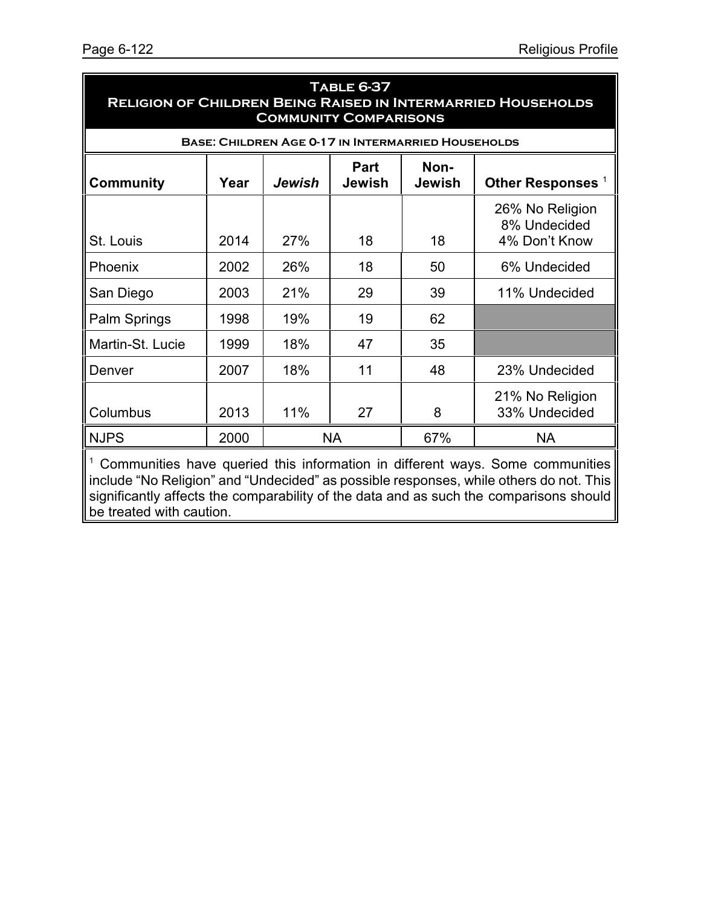| <b>TABLE 6-37</b><br><b>RELIGION OF CHILDREN BEING RAISED IN INTERMARRIED HOUSEHOLDS</b><br><b>COMMUNITY COMPARISONS</b> |      |     |           |     |                                                  |  |  |  |  |
|--------------------------------------------------------------------------------------------------------------------------|------|-----|-----------|-----|--------------------------------------------------|--|--|--|--|
| <b>BASE: CHILDREN AGE 0-17 IN INTERMARRIED HOUSEHOLDS</b>                                                                |      |     |           |     |                                                  |  |  |  |  |
| Non-<br><b>Part</b><br>Other Responses <sup>1</sup><br><b>Community</b><br>Year<br>Jewish<br>Jewish<br><b>Jewish</b>     |      |     |           |     |                                                  |  |  |  |  |
| St. Louis                                                                                                                | 2014 | 27% | 18        | 18  | 26% No Religion<br>8% Undecided<br>4% Don't Know |  |  |  |  |
| Phoenix                                                                                                                  | 2002 | 26% | 18        | 50  | 6% Undecided                                     |  |  |  |  |
| San Diego                                                                                                                | 2003 | 21% | 29        | 39  | 11% Undecided                                    |  |  |  |  |
| Palm Springs                                                                                                             | 1998 | 19% | 19        | 62  |                                                  |  |  |  |  |
| Martin-St. Lucie                                                                                                         | 1999 | 18% | 47        | 35  |                                                  |  |  |  |  |
| Denver                                                                                                                   | 2007 | 18% | 11        | 48  | 23% Undecided                                    |  |  |  |  |
| Columbus                                                                                                                 | 2013 | 11% | 27        | 8   | 21% No Religion<br>33% Undecided                 |  |  |  |  |
| <b>NJPS</b>                                                                                                              | 2000 |     | <b>NA</b> | 67% | <b>NA</b>                                        |  |  |  |  |
| Communities have queried this information in different wave Some communities                                             |      |     |           |     |                                                  |  |  |  |  |

Communities have queried this information in different ways. Some communities include "No Religion" and "Undecided" as possible responses, while others do not. This significantly affects the comparability of the data and as such the comparisons should be treated with caution.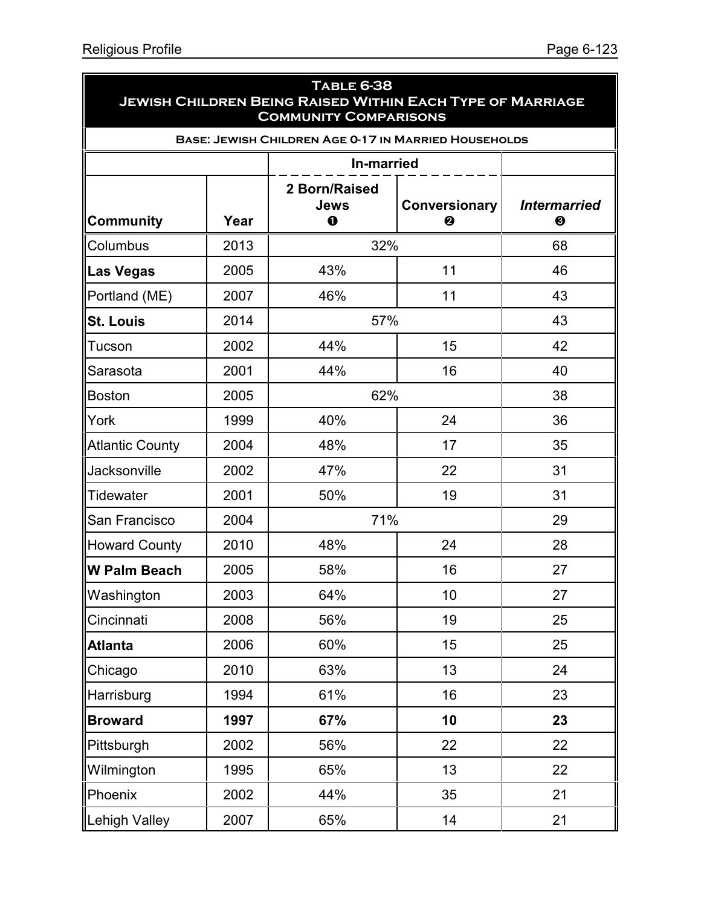|                        |      | <b>TABLE 6-38</b><br><b>JEWISH CHILDREN BEING RAISED WITHIN EACH TYPE OF MARRIAGE</b><br><b>COMMUNITY COMPARISONS</b> |                    |                          |
|------------------------|------|-----------------------------------------------------------------------------------------------------------------------|--------------------|--------------------------|
|                        |      | <b>BASE: JEWISH CHILDREN AGE 0-17 IN MARRIED HOUSEHOLDS</b>                                                           |                    |                          |
|                        |      | <b>In-married</b>                                                                                                     |                    |                          |
| <b>Community</b>       | Year | 2 Born/Raised<br>Jews<br>$\bf{o}$                                                                                     | Conversionary<br>❷ | <b>Intermarried</b><br>❸ |
| Columbus               | 2013 | 32%                                                                                                                   |                    | 68                       |
| Las Vegas              | 2005 | 43%                                                                                                                   | 11                 | 46                       |
| Portland (ME)          | 2007 | 46%                                                                                                                   | 11                 | 43                       |
| <b>St. Louis</b>       | 2014 | 57%                                                                                                                   |                    | 43                       |
| Tucson                 | 2002 | 44%                                                                                                                   | 15                 | 42                       |
| Sarasota               | 2001 | 44%                                                                                                                   | 16                 | 40                       |
| <b>Boston</b>          | 2005 | 62%                                                                                                                   |                    | 38                       |
| York                   | 1999 | 40%                                                                                                                   | 24                 | 36                       |
| <b>Atlantic County</b> | 2004 | 48%                                                                                                                   | 17                 | 35                       |
| Jacksonville           | 2002 | 47%                                                                                                                   | 22                 | 31                       |
| Tidewater              | 2001 | 50%                                                                                                                   | 19                 | 31                       |
| San Francisco          | 2004 | 71%                                                                                                                   |                    | 29                       |
| Howard County          | 2010 | 48%                                                                                                                   | 24                 | 28                       |
| <b>W Palm Beach</b>    | 2005 | 58%                                                                                                                   | 16                 | 27                       |
| Washington             | 2003 | 64%                                                                                                                   | 10                 | 27                       |
| Cincinnati             | 2008 | 56%                                                                                                                   | 19                 | 25                       |
| Atlanta                | 2006 | 60%                                                                                                                   | 15                 | 25                       |
| Chicago                | 2010 | 63%                                                                                                                   | 13                 | 24                       |
| Harrisburg             | 1994 | 61%                                                                                                                   | 16                 | 23                       |
| Broward                | 1997 | 67%                                                                                                                   | 10                 | 23                       |
| Pittsburgh             | 2002 | 56%                                                                                                                   | 22                 | 22                       |
| Wilmington             | 1995 | 65%                                                                                                                   | 13                 | 22                       |
| Phoenix                | 2002 | 44%                                                                                                                   | 35                 | 21                       |
| Lehigh Valley          | 2007 | 65%                                                                                                                   | 14                 | 21                       |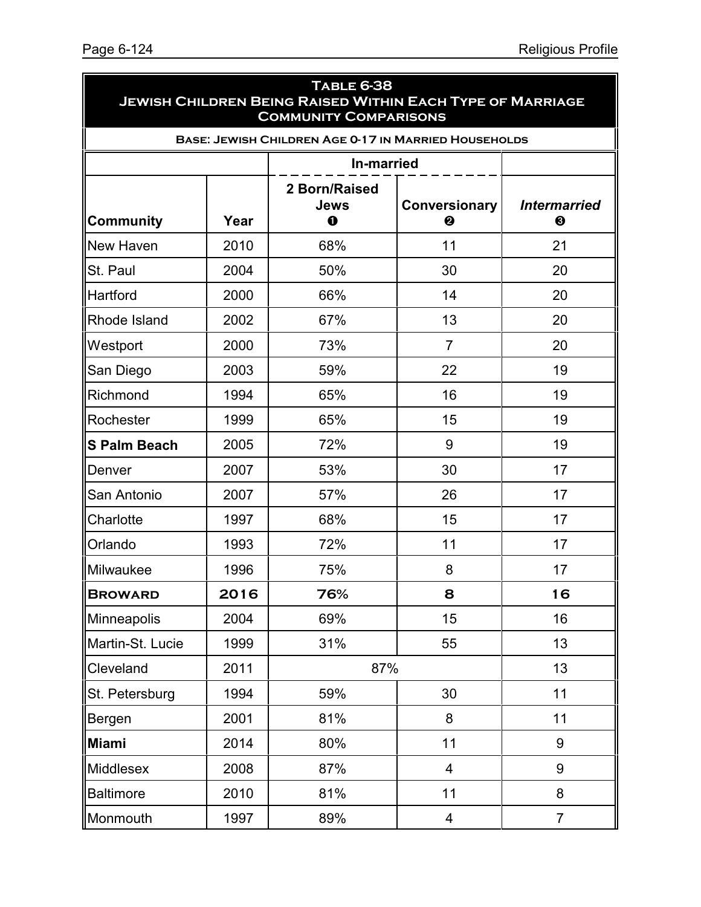| <b>TABLE 6-38</b><br><b>JEWISH CHILDREN BEING RAISED WITHIN EACH TYPE OF MARRIAGE</b><br><b>COMMUNITY COMPARISONS</b> |            |                                                             |                    |                          |  |  |  |
|-----------------------------------------------------------------------------------------------------------------------|------------|-------------------------------------------------------------|--------------------|--------------------------|--|--|--|
|                                                                                                                       |            | <b>BASE: JEWISH CHILDREN AGE 0-17 IN MARRIED HOUSEHOLDS</b> |                    |                          |  |  |  |
|                                                                                                                       | In-married |                                                             |                    |                          |  |  |  |
| <b>Community</b>                                                                                                      | Year       | 2 Born/Raised<br>Jews<br>0                                  | Conversionary<br>❷ | <b>Intermarried</b><br>❸ |  |  |  |
| New Haven                                                                                                             | 2010       | 68%                                                         | 11                 | 21                       |  |  |  |
| St. Paul                                                                                                              | 2004       | 50%                                                         | 30                 | 20                       |  |  |  |
| Hartford                                                                                                              | 2000       | 66%                                                         | 14                 | 20                       |  |  |  |
| Rhode Island                                                                                                          | 2002       | 67%                                                         | 13                 | 20                       |  |  |  |
| Westport                                                                                                              | 2000       | 73%                                                         | $\overline{7}$     | 20                       |  |  |  |
| San Diego                                                                                                             | 2003       | 59%                                                         | 22                 | 19                       |  |  |  |
| Richmond                                                                                                              | 1994       | 65%                                                         | 16                 | 19                       |  |  |  |
| Rochester                                                                                                             | 1999       | 65%                                                         | 15                 | 19                       |  |  |  |
| <b>S Palm Beach</b>                                                                                                   | 2005       | 72%                                                         | 9                  | 19                       |  |  |  |
| Denver                                                                                                                | 2007       | 53%                                                         | 30                 | 17                       |  |  |  |
| San Antonio                                                                                                           | 2007       | 57%                                                         | 26                 | 17                       |  |  |  |
| Charlotte                                                                                                             | 1997       | 68%                                                         | 15                 | 17                       |  |  |  |
| Orlando                                                                                                               | 1993       | 72%                                                         | 11                 | 17                       |  |  |  |
| Milwaukee                                                                                                             | 1996       | 75%                                                         | 8                  | 17                       |  |  |  |
| <b>BROWARD</b>                                                                                                        | 2016       | 76%                                                         | 8                  | 16                       |  |  |  |
| Minneapolis                                                                                                           | 2004       | 69%                                                         | 15                 | 16                       |  |  |  |
| Martin-St. Lucie                                                                                                      | 1999       | 31%                                                         | 55                 | 13                       |  |  |  |
| Cleveland                                                                                                             | 2011       | 87%                                                         |                    | 13                       |  |  |  |
| St. Petersburg                                                                                                        | 1994       | 30<br>59%                                                   |                    | 11                       |  |  |  |
| Bergen                                                                                                                | 2001       | 81%                                                         | 8                  | 11                       |  |  |  |
| <b>Miami</b>                                                                                                          | 2014       | 80%                                                         | 11                 | 9                        |  |  |  |
| <b>Middlesex</b>                                                                                                      | 2008       | 87%                                                         | 4                  | 9                        |  |  |  |
| <b>Baltimore</b>                                                                                                      | 2010       | 81%                                                         | 11                 | 8                        |  |  |  |
| Monmouth                                                                                                              | 1997       | 89%                                                         | 4                  | $\overline{7}$           |  |  |  |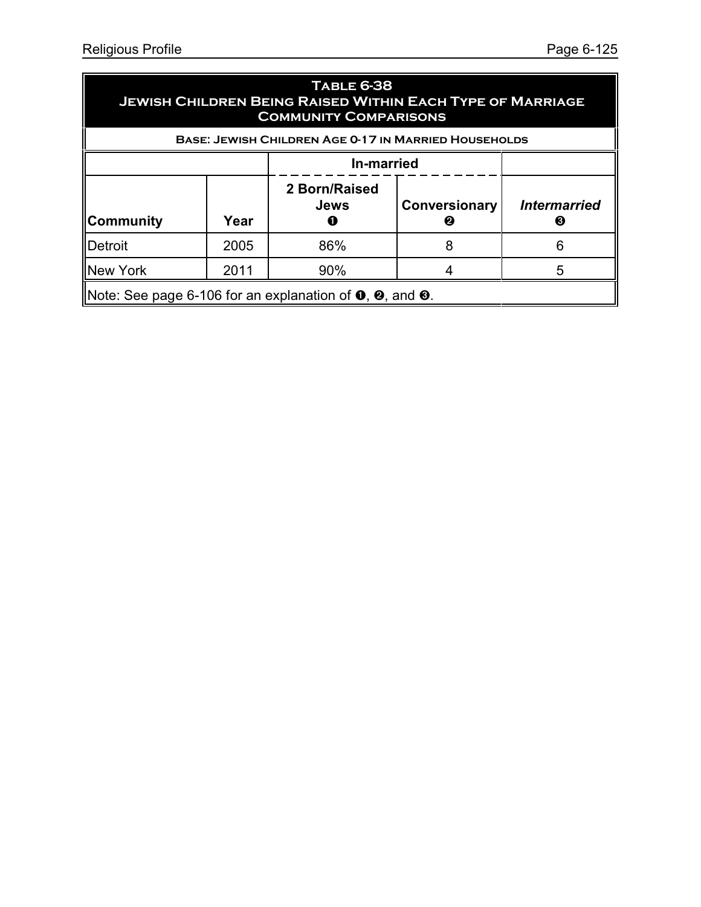| <b>TABLE 6-38</b><br><b>JEWISH CHILDREN BEING RAISED WITHIN EACH TYPE OF MARRIAGE</b><br><b>COMMUNITY COMPARISONS</b> |                   |                                   |                    |                          |  |  |
|-----------------------------------------------------------------------------------------------------------------------|-------------------|-----------------------------------|--------------------|--------------------------|--|--|
| <b>BASE: JEWISH CHILDREN AGE 0-17 IN MARRIED HOUSEHOLDS</b>                                                           |                   |                                   |                    |                          |  |  |
|                                                                                                                       | <b>In-married</b> |                                   |                    |                          |  |  |
| ∥Community                                                                                                            | Year              | 2 Born/Raised<br><b>Jews</b><br>Œ | Conversionary<br>2 | <b>Intermarried</b><br>B |  |  |
| <b>IDetroit</b>                                                                                                       | 2005              | 86%                               | 8                  | 6                        |  |  |
| New York                                                                                                              | 2011              | 90%                               |                    |                          |  |  |
| Note: See page 6-106 for an explanation of $\mathbf{0}, \mathbf{\Theta}$ , and $\mathbf{\Theta}$ .                    |                   |                                   |                    |                          |  |  |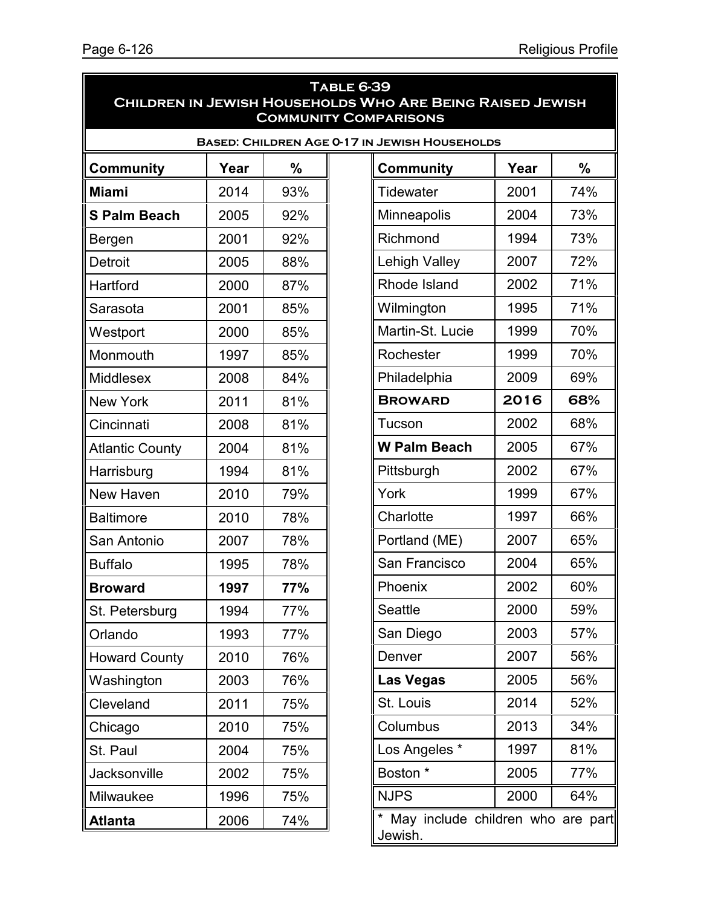| <b>TABLE 6-39</b><br>CHILDREN IN JEWISH HOUSEHOLDS WHO ARE BEING RAISED JEWISH<br><b>COMMUNITY COMPARISONS</b> |      |     |  |                                   |      |     |
|----------------------------------------------------------------------------------------------------------------|------|-----|--|-----------------------------------|------|-----|
| <b>BASED: CHILDREN AGE 0-17 IN JEWISH HOUSEHOLDS</b>                                                           |      |     |  |                                   |      |     |
| <b>Community</b>                                                                                               | Year | %   |  | <b>Community</b>                  | Year | %   |
| <b>Miami</b>                                                                                                   | 2014 | 93% |  | <b>Tidewater</b>                  | 2001 | 74% |
| <b>S Palm Beach</b>                                                                                            | 2005 | 92% |  | Minneapolis                       | 2004 | 73% |
| Bergen                                                                                                         | 2001 | 92% |  | Richmond                          | 1994 | 73% |
| <b>Detroit</b>                                                                                                 | 2005 | 88% |  | <b>Lehigh Valley</b>              | 2007 | 72% |
| Hartford                                                                                                       | 2000 | 87% |  | Rhode Island                      | 2002 | 71% |
| Sarasota                                                                                                       | 2001 | 85% |  | Wilmington                        | 1995 | 71% |
| Westport                                                                                                       | 2000 | 85% |  | Martin-St. Lucie                  | 1999 | 70% |
| Monmouth                                                                                                       | 1997 | 85% |  | Rochester                         | 1999 | 70% |
| Middlesex                                                                                                      | 2008 | 84% |  | Philadelphia                      | 2009 | 69% |
| <b>New York</b>                                                                                                | 2011 | 81% |  | <b>BROWARD</b>                    | 2016 | 68% |
| Cincinnati                                                                                                     | 2008 | 81% |  | Tucson                            | 2002 | 68% |
| <b>Atlantic County</b>                                                                                         | 2004 | 81% |  | <b>W Palm Beach</b>               | 2005 | 67% |
| Harrisburg                                                                                                     | 1994 | 81% |  | Pittsburgh                        | 2002 | 67% |
| New Haven                                                                                                      | 2010 | 79% |  | York                              | 1999 | 67% |
| <b>Baltimore</b>                                                                                               | 2010 | 78% |  | Charlotte                         | 1997 | 66% |
| San Antonio                                                                                                    | 2007 | 78% |  | Portland (ME)                     | 2007 | 65% |
| <b>Buffalo</b>                                                                                                 | 1995 | 78% |  | San Francisco                     | 2004 | 65% |
| <b>Broward</b>                                                                                                 | 1997 | 77% |  | Phoenix                           | 2002 | 60% |
| St. Petersburg                                                                                                 | 1994 | 77% |  | Seattle                           | 2000 | 59% |
| Orlando                                                                                                        | 1993 | 77% |  | San Diego                         | 2003 | 57% |
| <b>Howard County</b>                                                                                           | 2010 | 76% |  | Denver                            | 2007 | 56% |
| Washington                                                                                                     | 2003 | 76% |  | <b>Las Vegas</b>                  | 2005 | 56% |
| Cleveland                                                                                                      | 2011 | 75% |  | St. Louis                         | 2014 | 52% |
| Chicago                                                                                                        | 2010 | 75% |  | Columbus                          | 2013 | 34% |
| St. Paul                                                                                                       | 2004 | 75% |  | Los Angeles *                     | 1997 | 81% |
| Jacksonville                                                                                                   | 2002 | 75% |  | Boston *                          | 2005 | 77% |
| Milwaukee                                                                                                      | 1996 | 75% |  | <b>NJPS</b>                       | 2000 | 64% |
| <b>Atlanta</b>                                                                                                 | 2006 | 74% |  | May include children who are part |      |     |

Jewish.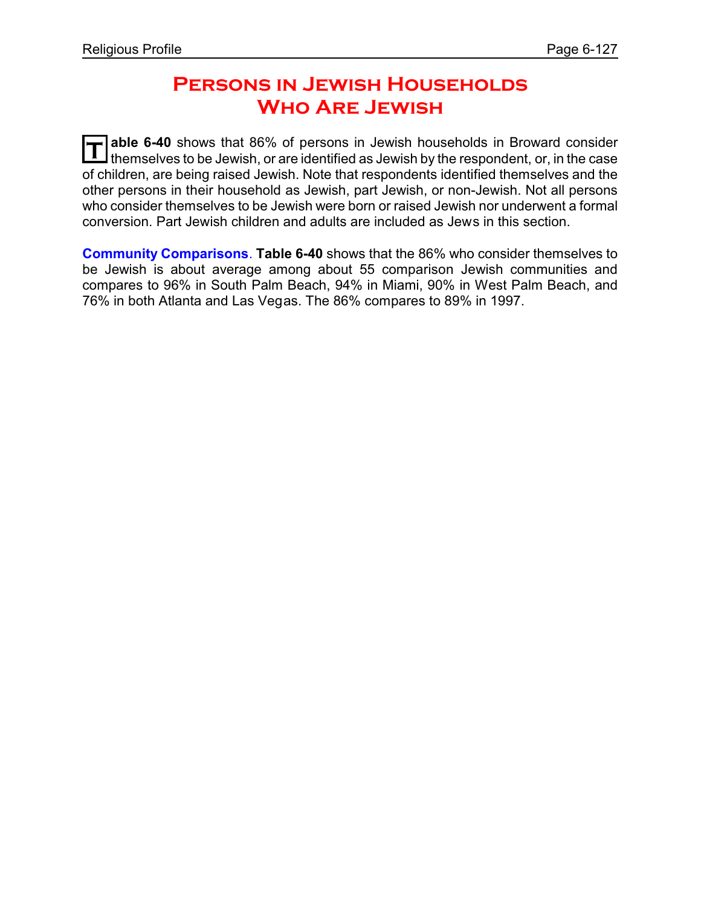## **Persons in Jewish Households Who Are Jewish**

**T able 6-40** shows that 86% of persons in Jewish households in Broward consider themselves to be Jewish, or are identified as Jewish by the respondent, or, in the case of children, are being raised Jewish. Note that respondents identified themselves and the other persons in their household as Jewish, part Jewish, or non-Jewish. Not all persons who consider themselves to be Jewish were born or raised Jewish nor underwent a formal conversion. Part Jewish children and adults are included as Jews in this section.

**Community Comparisons**. **Table 6-40** shows that the 86% who consider themselves to be Jewish is about average among about 55 comparison Jewish communities and compares to 96% in South Palm Beach, 94% in Miami, 90% in West Palm Beach, and 76% in both Atlanta and Las Vegas. The 86% compares to 89% in 1997.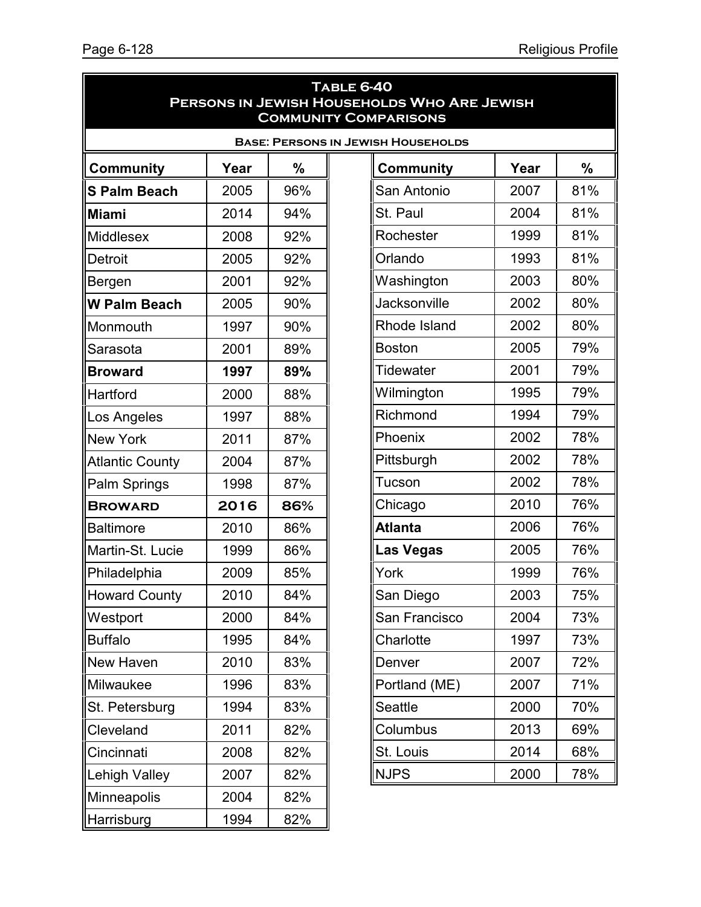| TABLE 6-40<br>PERSONS IN JEWISH HOUSEHOLDS WHO ARE JEWISH<br><b>COMMUNITY COMPARISONS</b> |      |     |                  |      |               |  |
|-------------------------------------------------------------------------------------------|------|-----|------------------|------|---------------|--|
| <b>BASE: PERSONS IN JEWISH HOUSEHOLDS</b>                                                 |      |     |                  |      |               |  |
| <b>Community</b>                                                                          | Year | %   | <b>Community</b> | Year | $\frac{0}{0}$ |  |
| <b>S Palm Beach</b>                                                                       | 2005 | 96% | San Antonio      | 2007 | 81%           |  |
| <b>Miami</b>                                                                              | 2014 | 94% | St. Paul         | 2004 | 81%           |  |
| <b>Middlesex</b>                                                                          | 2008 | 92% | Rochester        | 1999 | 81%           |  |
| Detroit                                                                                   | 2005 | 92% | Orlando          | 1993 | 81%           |  |
| Bergen                                                                                    | 2001 | 92% | Washington       | 2003 | 80%           |  |
| <b>W Palm Beach</b>                                                                       | 2005 | 90% | Jacksonville     | 2002 | 80%           |  |
| Monmouth                                                                                  | 1997 | 90% | Rhode Island     | 2002 | 80%           |  |
| Sarasota                                                                                  | 2001 | 89% | <b>Boston</b>    | 2005 | 79%           |  |
| <b>Broward</b>                                                                            | 1997 | 89% | Tidewater        | 2001 | 79%           |  |
| Hartford                                                                                  | 2000 | 88% | Wilmington       | 1995 | 79%           |  |
| Los Angeles                                                                               | 1997 | 88% | Richmond         | 1994 | 79%           |  |
| <b>New York</b>                                                                           | 2011 | 87% | Phoenix          | 2002 | 78%           |  |
| <b>Atlantic County</b>                                                                    | 2004 | 87% | Pittsburgh       | 2002 | 78%           |  |
| Palm Springs                                                                              | 1998 | 87% | Tucson           | 2002 | 78%           |  |
| <b>BROWARD</b>                                                                            | 2016 | 86% | Chicago          | 2010 | 76%           |  |
| <b>Baltimore</b>                                                                          | 2010 | 86% | <b>Atlanta</b>   | 2006 | 76%           |  |
| Martin-St. Lucie                                                                          | 1999 | 86% | <b>Las Vegas</b> | 2005 | 76%           |  |
| Philadelphia                                                                              | 2009 | 85% | York             | 1999 | 76%           |  |
| <b>Howard County</b>                                                                      | 2010 | 84% | San Diego        | 2003 | 75%           |  |
| Westport                                                                                  | 2000 | 84% | San Francisco    | 2004 | 73%           |  |
| <b>Buffalo</b>                                                                            | 1995 | 84% | Charlotte        | 1997 | 73%           |  |
| New Haven                                                                                 | 2010 | 83% | Denver           | 2007 | 72%           |  |
| Milwaukee                                                                                 | 1996 | 83% | Portland (ME)    | 2007 | 71%           |  |
| St. Petersburg                                                                            | 1994 | 83% | <b>Seattle</b>   | 2000 | 70%           |  |
| Cleveland                                                                                 | 2011 | 82% | Columbus         | 2013 | 69%           |  |
| Cincinnati                                                                                | 2008 | 82% | St. Louis        | 2014 | 68%           |  |
| <b>Lehigh Valley</b>                                                                      | 2007 | 82% | <b>NJPS</b>      | 2000 | 78%           |  |
| Minneapolis                                                                               | 2004 | 82% |                  |      |               |  |
| <b>Harrisburg</b>                                                                         | 1994 | 82% |                  |      |               |  |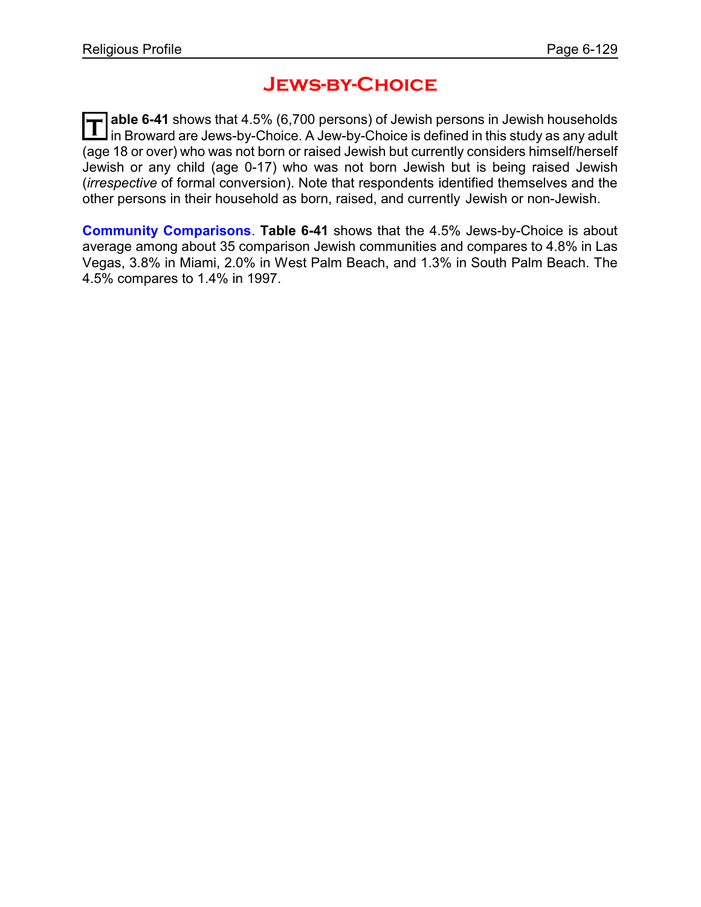## **Jews-by-Choice**

**T able 6-41** shows that 4.5% (6,700 persons) of Jewish persons in Jewish households in Broward are Jews-by-Choice. A Jew-by-Choice is defined in this study as any adult (age 18 or over) who was not born or raised Jewish but currently considers himself/herself Jewish or any child (age 0-17) who was not born Jewish but is being raised Jewish (*irrespective* of formal conversion). Note that respondents identified themselves and the other persons in their household as born, raised, and currently Jewish or non-Jewish.

**Community Comparisons**. **Table 6-41** shows that the 4.5% Jews-by-Choice is about average among about 35 comparison Jewish communities and compares to 4.8% in Las Vegas, 3.8% in Miami, 2.0% in West Palm Beach, and 1.3% in South Palm Beach. The 4.5% compares to 1.4% in 1997.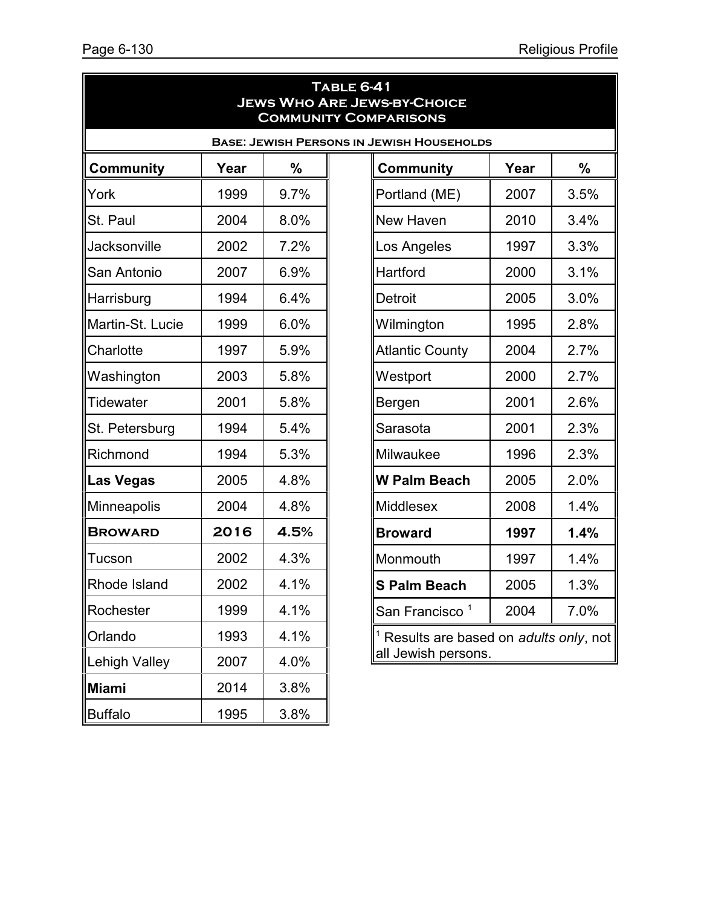$3.5%$ 

 $3.4%$ 

 $3.3%$ 

 $3.1%$ 

 $3.0\%$ 

 $2.8%$ 

 $2.7%$ 

 $2.7%$ 

 $2.6%$ 

 $2.3%$ 

 $2.3%$ 

**2.0%** 

 $1.4%$ 

**Broward 1997 1.4%**

 $1.4%$ 

**S Palm Beach** 2005 1.3%

 $7.0%$ 

only, not

|                    |      |      | <b>TABLE 6-41</b> | <b>JEWS WHO ARE JEWS-BY-CHOICE</b><br><b>COMMUNITY COMPARISONS</b> |      |                  |
|--------------------|------|------|-------------------|--------------------------------------------------------------------|------|------------------|
|                    |      |      |                   | <b>BASE: JEWISH PERSONS IN JEWISH HOUSEHOLDS</b>                   |      |                  |
| <b>Community</b>   | Year | %    |                   | <b>Community</b>                                                   | Year | %                |
| York               | 1999 | 9.7% |                   | Portland (ME)                                                      | 2007 | 3.5 <sup>°</sup> |
| St. Paul           | 2004 | 8.0% |                   | New Haven                                                          | 2010 | 3.4 <sup>°</sup> |
| Jacksonville       | 2002 | 7.2% |                   | Los Angeles                                                        | 1997 | 3.3 <sup>°</sup> |
| San Antonio        | 2007 | 6.9% |                   | Hartford                                                           | 2000 | 3.1 <sup>°</sup> |
| Harrisburg         | 1994 | 6.4% |                   | <b>Detroit</b>                                                     | 2005 | 3.0 <sup>°</sup> |
| Martin-St. Lucie   | 1999 | 6.0% |                   | Wilmington                                                         | 1995 | 2.8 <sup>°</sup> |
| Charlotte          | 1997 | 5.9% |                   | <b>Atlantic County</b>                                             | 2004 | 2.7 <sup>c</sup> |
| Washington         | 2003 | 5.8% |                   | Westport                                                           | 2000 | 2.7 <sup>c</sup> |
| Tidewater          | 2001 | 5.8% |                   | Bergen                                                             | 2001 | $2.6^\circ$      |
| St. Petersburg     | 1994 | 5.4% |                   | Sarasota                                                           | 2001 | 2.3 <sup>°</sup> |
| Richmond           | 1994 | 5.3% |                   | Milwaukee                                                          | 1996 | $2.3^{\circ}$    |
| <b>Las Vegas</b>   | 2005 | 4.8% |                   | <b>W Palm Beach</b>                                                | 2005 | 2.0 <sup>°</sup> |
| <b>Minneapolis</b> | 2004 | 4.8% |                   | Middlesex                                                          | 2008 | 1.4 <sup>°</sup> |
| <b>BROWARD</b>     | 2016 | 4.5% |                   | <b>Broward</b>                                                     | 1997 | 1.4 <sup>°</sup> |
| Tucson             | 2002 | 4.3% |                   | Monmouth                                                           | 1997 | 1.4 <sup>°</sup> |
| Rhode Island       | 2002 | 4.1% |                   | <b>S</b> Palm Beach                                                | 2005 | 1.3 <sup>°</sup> |
| Rochester          | 1999 | 4.1% |                   | San Francisco <sup>1</sup>                                         | 2004 | 7.0 <sup>o</sup> |
| Orlando            | 1993 | 4.1% |                   | $1$ Results are based on adults only,                              |      |                  |
| Lehigh Valley      | 2007 | 4.0% |                   | all Jewish persons.                                                |      |                  |
| <b>Miami</b>       | 2014 | 3.8% |                   |                                                                    |      |                  |
| <b>Buffalo</b>     | 1995 | 3.8% |                   |                                                                    |      |                  |